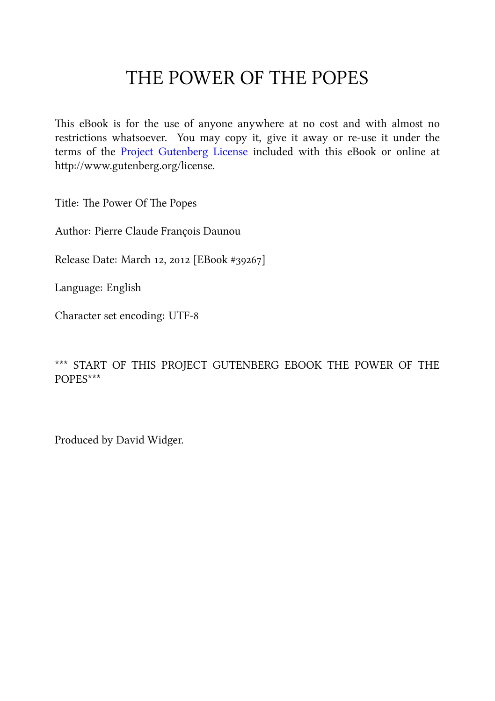### THE POWER OF THE POPES

This eBook is for the use of anyone anywhere at no cost and with almost no restrictions whatsoever. You may copy it, give it away or re-use it under the terms of the Project Gutenberg License included with this eBook or online at http://www.gutenberg.org/license.

Title: The Power Of The Popes

Author: Pierre Claude François Daunou

Release Date: March 12, 2012 [EBook #39267]

Language: English

Character set encoding: UTF-

\*\*\* START OF THIS PROJECT GUTENBERG EBOOK THE POWER OF THE POPES\*\*\*

Produced by David Widger.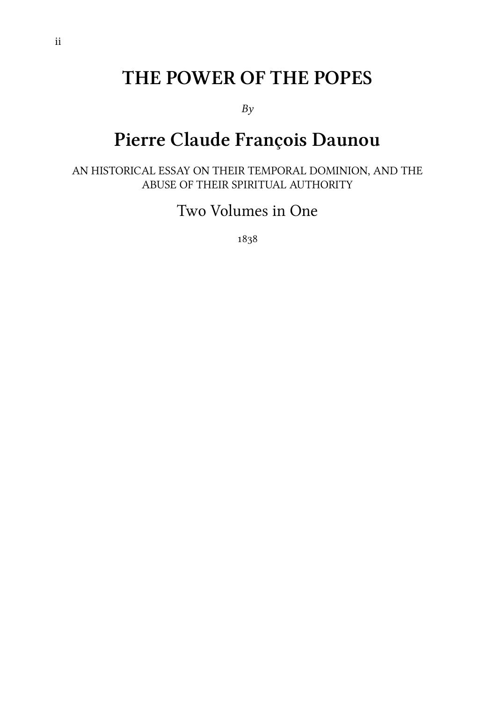#### **THE POWER OF THE POPES**

*By*

#### **Pierre Claude François Daunou**

AN HISTORICAL ESSAY ON THEIR TEMPORAL DOMINION, AND THE ABUSE OF THEIR SPIRITUAL AUTHORITY

Two Volumes in One

1838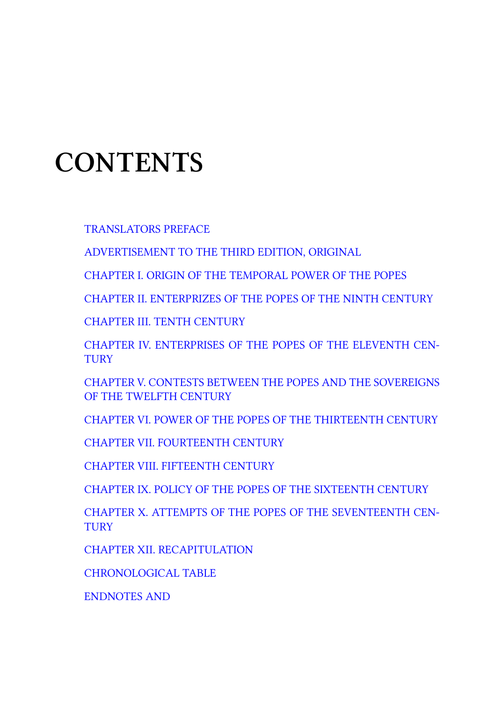### **C[ONTENTS](#page-71-0)**

[TRANSLATORS PREFACE](#page-127-0)

[ADVERTISEMENT TO THE THIRD EDITION, ORIGINAL](#page-138-0)

[CHAPTER I. ORIGIN OF THE TEMPORAL POWER OF THE POPES](#page-156-0)

[CHAP](#page-156-0)TER II. ENTERPRIZES OF THE POPES OF THE NINTH CENTURY

[CHAPTER III. TENTH CENTURY](#page-179-0)

[CHAPTER IV. ENTERPRISE](#page-190-0)S OF THE POPES OF THE ELEVENTH CEN-**[TURY](#page-222-0)** 

CHAPTER V. CONTESTS BETWEEN THE POPES AND THE SOVEREIGNS OF THE TWELFTH CENTURY

CHAPTER VI. POWER OF THE POPES OF THE THIRTEENTH CENTURY

CHAPTER VII. FOURTEENTH CENTURY

CHAPTER VIII. FIFTEENTH CENTURY

CHAPTER IX. POLICY OF THE POPES OF THE SIXTEENTH CENTURY

CHAPTER X. ATTEMPTS OF THE POPES OF THE SEVENTEENTH CEN-**TURY** 

CHAPTER XII. RECAPITULATION

CHRONOLOGICAL TABLE

ENDNOTES AND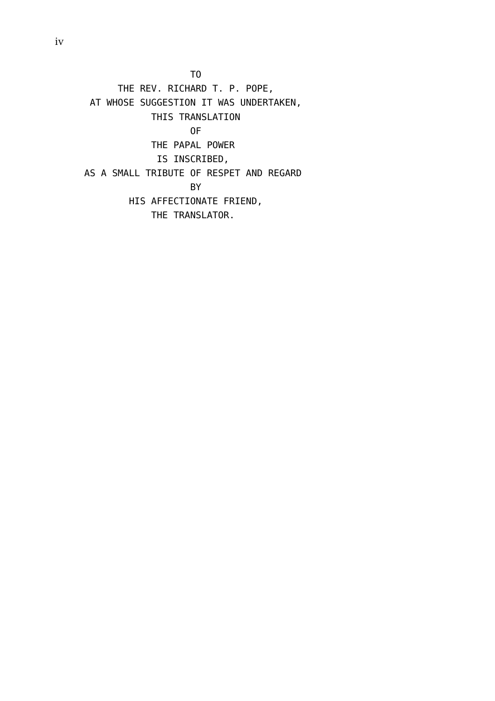TO THE REV. RICHARD T. P. POPE, AT WHOSE SUGGESTION IT WAS UNDERTAKEN, THIS TRANSLATION OF THE PAPAL POWER IS INSCRIBED, AS A SMALL TRIBUTE OF RESPET AND REGARD BY HIS AFFECTIONATE FRIEND, THE TRANSLATOR.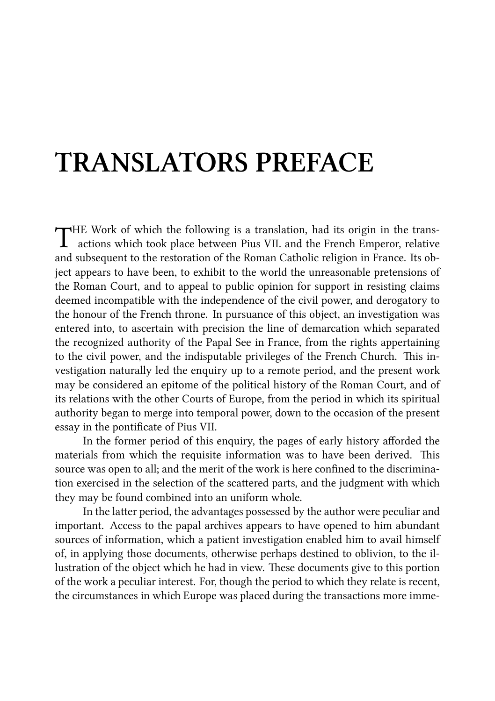### **TRANSLATORS PREFACE**

THE Work of which the following is a translation, had its origin in the transactions which took place between Pius VII. and the French Emperor, relative  $\blacktriangleright$  HE Work of which the following is a translation, had its origin in the transand subsequent to the restoration of the Roman Catholic religion in France. Its object appears to have been, to exhibit to the world the unreasonable pretensions of the Roman Court, and to appeal to public opinion for support in resisting claims deemed incompatible with the independence of the civil power, and derogatory to the honour of the French throne. In pursuance of this object, an investigation was entered into, to ascertain with precision the line of demarcation which separated the recognized authority of the Papal See in France, from the rights appertaining to the civil power, and the indisputable privileges of the French Church. This investigation naturally led the enquiry up to a remote period, and the present work may be considered an epitome of the political history of the Roman Court, and of its relations with the other Courts of Europe, from the period in which its spiritual authority began to merge into temporal power, down to the occasion of the present essay in the pontificate of Pius VII.

In the former period of this enquiry, the pages of early history afforded the materials from which the requisite information was to have been derived. This source was open to all; and the merit of the work is here confined to the discrimination exercised in the selection of the scattered parts, and the judgment with which they may be found combined into an uniform whole.

In the latter period, the advantages possessed by the author were peculiar and important. Access to the papal archives appears to have opened to him abundant sources of information, which a patient investigation enabled him to avail himself of, in applying those documents, otherwise perhaps destined to oblivion, to the illustration of the object which he had in view. These documents give to this portion of the work a peculiar interest. For, though the period to which they relate is recent, the circumstances in which Europe was placed during the transactions more imme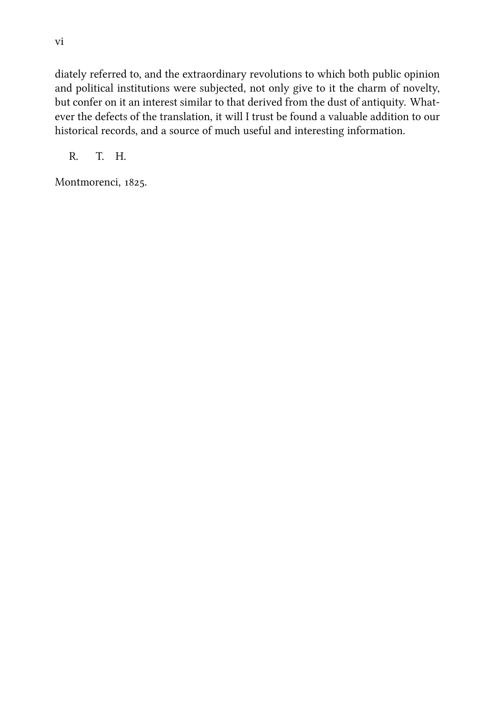diately referred to, and the extraordinary revolutions to which both public opinion and political institutions were subjected, not only give to it the charm of novelty, but confer on it an interest similar to that derived from the dust of antiquity. Whatever the defects of the translation, it will I trust be found a valuable addition to our historical records, and a source of much useful and interesting information.

R. T. H.

Montmorenci, 1825.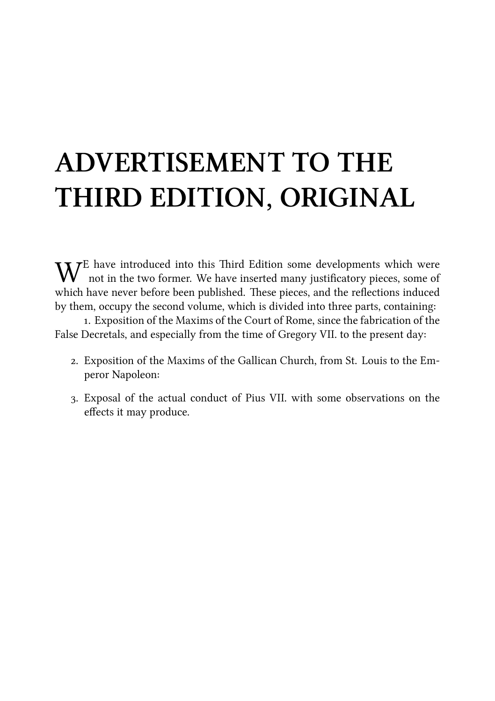## **ADVERTISEMENT TO THE THIRD EDITION, ORIGINAL**

 $\mathbf{W}^{\text{E}}$  have introduced into this Third Edition some developments which were not in the two former. We have inserted many justificatory pieces, some of not in the two former. We have inserted many justificatory pieces, some of which have never before been published. These pieces, and the reflections induced by them, occupy the second volume, which is divided into three parts, containing:

. Exposition of the Maxims of the Court of Rome, since the fabrication of the False Decretals, and especially from the time of Gregory VII. to the present day:

- 2. Exposition of the Maxims of the Gallican Church, from St. Louis to the Emperor Napoleon:
- . Exposal of the actual conduct of Pius VII. with some observations on the effects it may produce.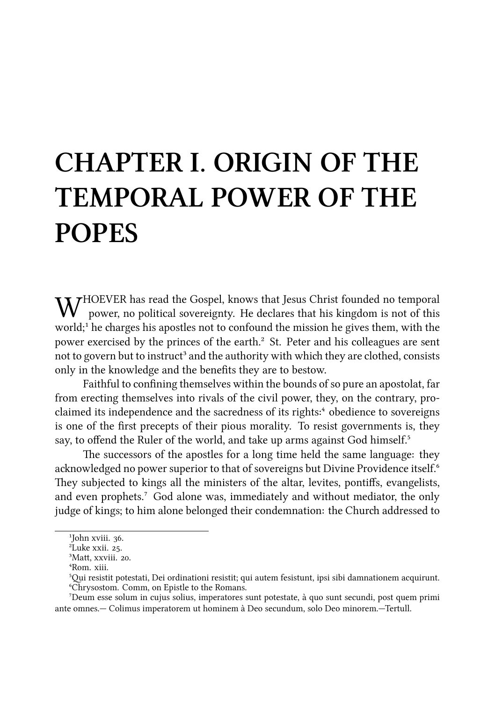# **CHAPTER I. ORIGIN OF THE TEMPORAL POWER OF THE POPES**

**W** HOEVER has read the Gospel, knows that Jesus Christ founded no temporal power, no political sovereignty. He declares that his kingdom is not of this power, no political sovereignty. He declares that his kingdom is not of this world;<sup>1</sup> he charges his apostles not to confound the mission he gives them, with the power exercised by the princes of the earth.² St. Peter and his colleagues are sent not to govern but to instruct<sup>3</sup> and the authority with which they are clothed, consists only in the knowledge and the benefits they are to bestow.

Faithful to confining themselves within the bounds of so pure an apostolat, far from erecting themselves into rivals of the civil power, they, on the contrary, proclaimed its independence and the sacredness of its rights:<sup>4</sup> obedience to sovereigns is one of the first precepts of their pious morality. To resist governments is, they say, to offend the Ruler of the world, and take up arms against God himself.<sup>5</sup>

The successors of the apostles for a long time held the same language: they acknowledged no power superior to that of sovereigns but Divine Providence itself.  $\delta$ They subjected to kings all the ministers of the altar, levites, pontiffs, evangelists, and even prophets.<sup>7</sup> God alone was, immediately and without mediator, the only judge of kings; to him alone belonged their condemnation: the Church addressed to

<sup>&</sup>lt;sup>1</sup>John xviii. 36.

 ${}^{2}$ Luke xxii. 25.

<sup>&</sup>lt;sup>3</sup>Matt. xxviii. 20.

⁴Rom. xiii.

⁵i resistit potestati, Dei ordinationi resistit; qui autem fesistunt, ipsi sibi damnationem acquirunt. ⁶Chrysostom. Comm, on Epistle to the Romans.

⁷Deum esse solum in cujus solius, imperatores sunt potestate, à quo sunt secundi, post quem primi ante omnes.— Colimus imperatorem ut hominem à Deo secundum, solo Deo minorem.—Tertull.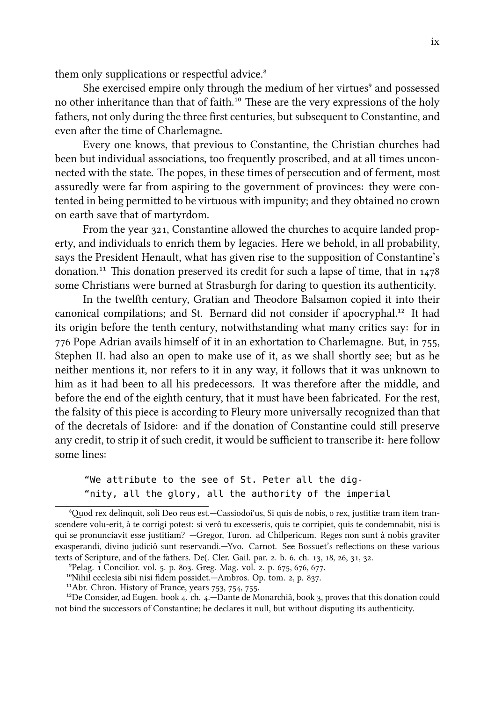them only supplications or respectful advice.<sup>8</sup>

She exercised empire only through the medium of her virtues<sup>9</sup> and possessed no other inheritance than that of faith.<sup>10</sup> These are the very expressions of the holy fathers, not only during the three first centuries, but subsequent to Constantine, and even after the time of Charlemagne.

Every one knows, that previous to Constantine, the Christian churches had been but individual associations, too frequently proscribed, and at all times unconnected with the state. The popes, in these times of persecution and of ferment, most assuredly were far from aspiring to the government of provinces: they were contented in being permitted to be virtuous with impunity; and they obtained no crown on earth save that of martyrdom.

From the year 321, Constantine allowed the churches to acquire landed property, and individuals to enrich them by legacies. Here we behold, in all probability, says the President Henault, what has given rise to the supposition of Constantine's donation.<sup>11</sup> This donation preserved its credit for such a lapse of time, that in  $1478$ some Christians were burned at Strasburgh for daring to question its authenticity.

In the twelfth century, Gratian and Theodore Balsamon copied it into their canonical compilations; and St. Bernard did not consider if apocryphal.<sup>12</sup> It had its origin before the tenth century, notwithstanding what many critics say: for in 776 Pope Adrian avails himself of it in an exhortation to Charlemagne. But, in 755, Stephen II. had also an open to make use of it, as we shall shortly see; but as he neither mentions it, nor refers to it in any way, it follows that it was unknown to him as it had been to all his predecessors. It was therefore after the middle, and before the end of the eighth century, that it must have been fabricated. For the rest, the falsity of this piece is according to Fleury more universally recognized than that of the decretals of Isidore: and if the donation of Constantine could still preserve any credit, to strip it of such credit, it would be sufficient to transcribe it: here follow some lines:

"We attribute to the see of St. Peter all the dig- "nity, all the glory, all the authority of the imperial

<sup>&</sup>lt;sup>8</sup>Quod rex delinquit, soli Deo reus est.—Cassiodoi'us, Si quis de nobis, o rex, justitiæ tram item transcendere volu-erit, à te corrigi potest: si verô tu excesseris, quis te corripiet, quis te condemnabit, nisi is qui se pronunciavit esse justitiam? —Gregor, Turon. ad Chilpericum. Reges non sunt à nobis graviter exasperandi, divino judiciô sunt reservandi.—Yvo. Carnot. See Bossuet's reflections on these various texts of Scripture, and of the fathers. De(. Cler. Gail. par. 2. b. 6. ch.  $13, 18, 26, 31, 32$ .

<sup>&</sup>lt;sup>9</sup>Pelag. 1 Concilior. vol. 5. p. 803. Greg. Mag. vol. 2. p. 675, 676, 677.

 $^{10}$ Nihil ecclesia sibi nisi fidem possidet.—Ambros. Op. tom. 2, p. 837.

 $11$ Abr. Chron. History of France, years 753, 754, 755.

<sup>&</sup>lt;sup>12</sup>De Consider, ad Eugen. book 4. ch. 4.—Dante de Monarchiâ, book 3, proves that this donation could not bind the successors of Constantine; he declares it null, but without disputing its authenticity.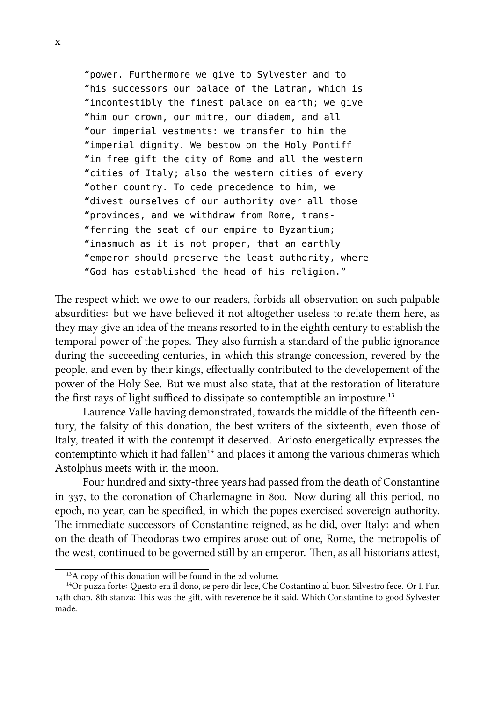"power. Furthermore we give to Sylvester and to "his successors our palace of the Latran, which is "incontestibly the finest palace on earth; we give "him our crown, our mitre, our diadem, and all "our imperial vestments: we transfer to him the "imperial dignity. We bestow on the Holy Pontiff "in free gift the city of Rome and all the western "cities of Italy; also the western cities of every "other country. To cede precedence to him, we "divest ourselves of our authority over all those "provinces, and we withdraw from Rome, trans- "ferring the seat of our empire to Byzantium; "inasmuch as it is not proper, that an earthly "emperor should preserve the least authority, where "God has established the head of his religion."

The respect which we owe to our readers, forbids all observation on such palpable absurdities: but we have believed it not altogether useless to relate them here, as they may give an idea of the means resorted to in the eighth century to establish the temporal power of the popes. They also furnish a standard of the public ignorance during the succeeding centuries, in which this strange concession, revered by the people, and even by their kings, effectually contributed to the developement of the power of the Holy See. But we must also state, that at the restoration of literature the first rays of light sufficed to dissipate so contemptible an imposture.<sup>13</sup>

Laurence Valle having demonstrated, towards the middle of the fifteenth century, the falsity of this donation, the best writers of the sixteenth, even those of Italy, treated it with the contempt it deserved. Ariosto energetically expresses the contemptinto which it had fallen<sup>14</sup> and places it among the various chimeras which Astolphus meets with in the moon.

Four hundred and sixty-three years had passed from the death of Constantine in 337, to the coronation of Charlemagne in 800. Now during all this period, no epoch, no year, can be specified, in which the popes exercised sovereign authority. The immediate successors of Constantine reigned, as he did, over Italy: and when on the death of Theodoras two empires arose out of one, Rome, the metropolis of the west, continued to be governed still by an emperor. Then, as all historians attest,

<sup>&</sup>lt;sup>13</sup>A copy of this donation will be found in the 2d volume.

<sup>&</sup>lt;sup>14</sup>Or puzza forte: Questo era il dono, se pero dir lece, Che Costantino al buon Silvestro fece. Or I. Fur. 14th chap. 8th stanza: This was the gift, with reverence be it said, Which Constantine to good Sylvester made.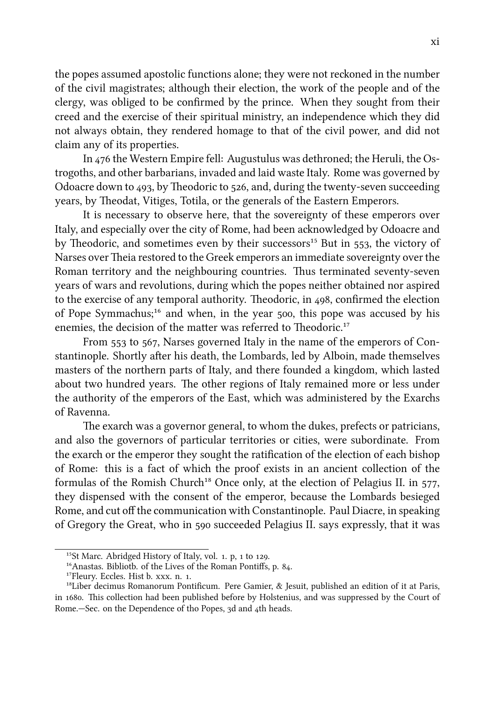the popes assumed apostolic functions alone; they were not reckoned in the number of the civil magistrates; although their election, the work of the people and of the clergy, was obliged to be confirmed by the prince. When they sought from their creed and the exercise of their spiritual ministry, an independence which they did not always obtain, they rendered homage to that of the civil power, and did not claim any of its properties.

In 476 the Western Empire fell: Augustulus was dethroned; the Heruli, the Ostrogoths, and other barbarians, invaded and laid waste Italy. Rome was governed by Odoacre down to  $493$ , by Theodoric to  $526$ , and, during the twenty-seven succeeding years, by Theodat, Vitiges, Totila, or the generals of the Eastern Emperors.

It is necessary to observe here, that the sovereignty of these emperors over Italy, and especially over the city of Rome, had been acknowledged by Odoacre and by Theodoric, and sometimes even by their successors<sup>15</sup> But in 553, the victory of Narses over Theia restored to the Greek emperors an immediate sovereignty over the Roman territory and the neighbouring countries. Thus terminated seventy-seven years of wars and revolutions, during which the popes neither obtained nor aspired to the exercise of any temporal authority. Theodoric, in  $\mu$ 98, confirmed the election of Pope Symmachus;<sup>16</sup> and when, in the year 500, this pope was accused by his enemies, the decision of the matter was referred to Theodoric.<sup>17</sup>

From 553 to 567, Narses governed Italy in the name of the emperors of Constantinople. Shortly after his death, the Lombards, led by Alboin, made themselves masters of the northern parts of Italy, and there founded a kingdom, which lasted about two hundred years. The other regions of Italy remained more or less under the authority of the emperors of the East, which was administered by the Exarchs of Ravenna.

The exarch was a governor general, to whom the dukes, prefects or patricians, and also the governors of particular territories or cities, were subordinate. From the exarch or the emperor they sought the ratification of the election of each bishop of Rome: this is a fact of which the proof exists in an ancient collection of the formulas of the Romish Church<sup>18</sup> Once only, at the election of Pelagius II. in  $577$ , they dispensed with the consent of the emperor, because the Lombards besieged Rome, and cut off the communication with Constantinople. Paul Diacre, in speaking of Gregory the Great, who in 590 succeeded Pelagius II. says expressly, that it was

<sup>&</sup>lt;sup>15</sup>St Marc. Abridged History of Italy, vol. 1. p, 1 to 129.

 $^{16}$ Anastas. Bibliotb. of the Lives of the Roman Pontiffs, p. 84.

<sup>&</sup>lt;sup>17</sup>Fleury. Eccles. Hist b. xxx. n. 1.

<sup>&</sup>lt;sup>18</sup>Liber decimus Romanorum Pontificum. Pere Gamier,  $\&$  Jesuit, published an edition of it at Paris, in 1680. This collection had been published before by Holstenius, and was suppressed by the Court of Rome.—Sec. on the Dependence of tho Popes, 3d and 4th heads.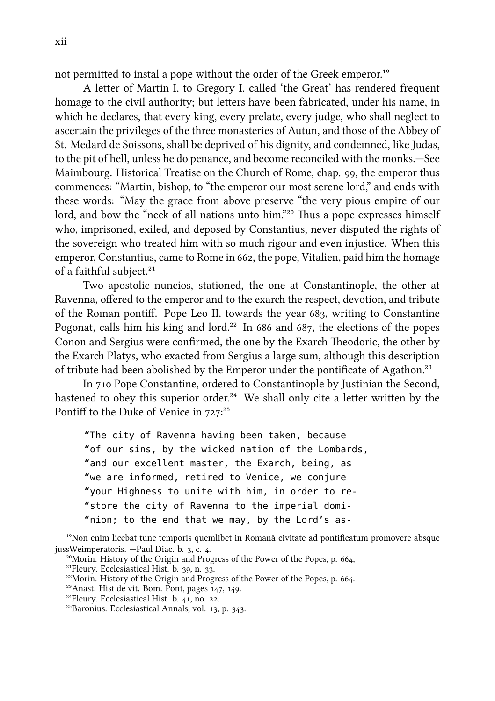not permitted to instal a pope without the order of the Greek emperor.<sup>19</sup>

A letter of Martin I. to Gregory I. called 'the Great' has rendered frequent homage to the civil authority; but letters have been fabricated, under his name, in which he declares, that every king, every prelate, every judge, who shall neglect to ascertain the privileges of the three monasteries of Autun, and those of the Abbey of St. Medard de Soissons, shall be deprived of his dignity, and condemned, like Judas, to the pit of hell, unless he do penance, and become reconciled with the monks.—See Maimbourg. Historical Treatise on the Church of Rome, chap. 99, the emperor thus commences: "Martin, bishop, to "the emperor our most serene lord," and ends with these words: "May the grace from above preserve "the very pious empire of our lord, and bow the "neck of all nations unto him."<sup>20</sup> Thus a pope expresses himself who, imprisoned, exiled, and deposed by Constantius, never disputed the rights of the sovereign who treated him with so much rigour and even injustice. When this emperor, Constantius, came to Rome in 662, the pope, Vitalien, paid him the homage of a faithful subject.<sup>21</sup>

Two apostolic nuncios, stationed, the one at Constantinople, the other at Ravenna, offered to the emperor and to the exarch the respect, devotion, and tribute of the Roman pontiff. Pope Leo II. towards the year 683, writing to Constantine Pogonat, calls him his king and lord.<sup>22</sup> In  $686$  and  $687$ , the elections of the popes Conon and Sergius were confirmed, the one by the Exarch Theodoric, the other by the Exarch Platys, who exacted from Sergius a large sum, although this description of tribute had been abolished by the Emperor under the pontificate of Agathon.<sup>23</sup>

In 710 Pope Constantine, ordered to Constantinople by Justinian the Second, hastened to obey this superior order.<sup>24</sup> We shall only cite a letter written by the Pontiff to the Duke of Venice in  $727$ <sup>25</sup>

"The city of Ravenna having been taken, because "of our sins, by the wicked nation of the Lombards, "and our excellent master, the Exarch, being, as "we are informed, retired to Venice, we conjure "your Highness to unite with him, in order to re- "store the city of Ravenna to the imperial domi- "nion; to the end that we may, by the Lord's as-

<sup>&</sup>lt;sup>19</sup>Non enim licebat tunc temporis quemlibet in Romanâ civitate ad pontificatum promovere absque jussWeimperatoris. —Paul Diac. b. 3, c. 4.

 $^{20}$ Morin. History of the Origin and Progress of the Power of the Popes, p. 664,

 $21$ Fleury. Ecclesiastical Hist. b. 39, n. 33.

<sup>&</sup>lt;sup>22</sup>Morin. History of the Origin and Progress of the Power of the Popes, p. 664.

 $23$ Anast. Hist de vit. Bom. Pont, pages  $147, 149$ .

<sup>&</sup>lt;sup>24</sup>Fleury. Ecclesiastical Hist. b.  $41$ , no. 22.

<sup>&</sup>lt;sup>25</sup>Baronius. Ecclesiastical Annals, vol. 13, p. 343.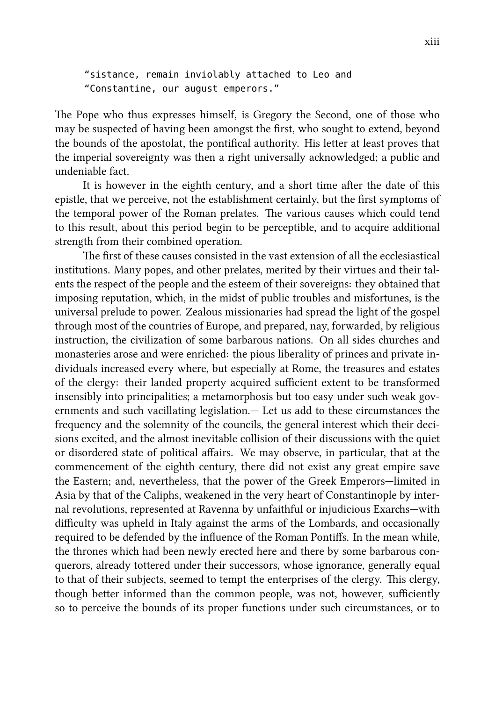"sistance, remain inviolably attached to Leo and "Constantine, our august emperors."

The Pope who thus expresses himself, is Gregory the Second, one of those who may be suspected of having been amongst the first, who sought to extend, beyond the bounds of the apostolat, the pontifical authority. His letter at least proves that the imperial sovereignty was then a right universally acknowledged; a public and undeniable fact.

It is however in the eighth century, and a short time after the date of this epistle, that we perceive, not the establishment certainly, but the first symptoms of the temporal power of the Roman prelates. The various causes which could tend to this result, about this period begin to be perceptible, and to acquire additional strength from their combined operation.

The first of these causes consisted in the vast extension of all the ecclesiastical institutions. Many popes, and other prelates, merited by their virtues and their talents the respect of the people and the esteem of their sovereigns: they obtained that imposing reputation, which, in the midst of public troubles and misfortunes, is the universal prelude to power. Zealous missionaries had spread the light of the gospel through most of the countries of Europe, and prepared, nay, forwarded, by religious instruction, the civilization of some barbarous nations. On all sides churches and monasteries arose and were enriched: the pious liberality of princes and private individuals increased every where, but especially at Rome, the treasures and estates of the clergy: their landed property acquired sufficient extent to be transformed insensibly into principalities; a metamorphosis but too easy under such weak governments and such vacillating legislation.— Let us add to these circumstances the frequency and the solemnity of the councils, the general interest which their decisions excited, and the almost inevitable collision of their discussions with the quiet or disordered state of political affairs. We may observe, in particular, that at the commencement of the eighth century, there did not exist any great empire save the Eastern; and, nevertheless, that the power of the Greek Emperors—limited in Asia by that of the Caliphs, weakened in the very heart of Constantinople by internal revolutions, represented at Ravenna by unfaithful or injudicious Exarchs—with difficulty was upheld in Italy against the arms of the Lombards, and occasionally required to be defended by the influence of the Roman Pontiffs. In the mean while, the thrones which had been newly erected here and there by some barbarous conquerors, already tottered under their successors, whose ignorance, generally equal to that of their subjects, seemed to tempt the enterprises of the clergy. This clergy, though better informed than the common people, was not, however, sufficiently so to perceive the bounds of its proper functions under such circumstances, or to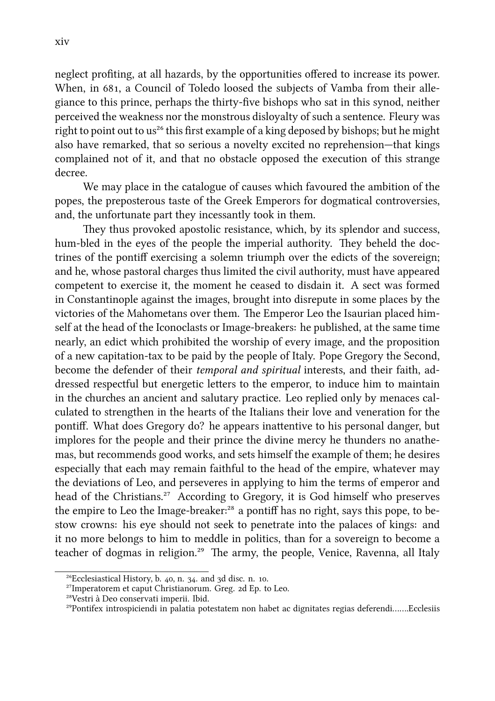neglect profiting, at all hazards, by the opportunities offered to increase its power. When, in 681, a Council of Toledo loosed the subjects of Vamba from their allegiance to this prince, perhaps the thirty-five bishops who sat in this synod, neither perceived the weakness nor the monstrous disloyalty of such a sentence. Fleury was right to point out to us<sup>26</sup> this first example of a king deposed by bishops; but he might also have remarked, that so serious a novelty excited no reprehension—that kings complained not of it, and that no obstacle opposed the execution of this strange decree.

We may place in the catalogue of causes which favoured the ambition of the popes, the preposterous taste of the Greek Emperors for dogmatical controversies, and, the unfortunate part they incessantly took in them.

They thus provoked apostolic resistance, which, by its splendor and success, hum-bled in the eyes of the people the imperial authority. They beheld the doctrines of the pontiff exercising a solemn triumph over the edicts of the sovereign; and he, whose pastoral charges thus limited the civil authority, must have appeared competent to exercise it, the moment he ceased to disdain it. A sect was formed in Constantinople against the images, brought into disrepute in some places by the victories of the Mahometans over them. The Emperor Leo the Isaurian placed himself at the head of the Iconoclasts or Image-breakers: he published, at the same time nearly, an edict which prohibited the worship of every image, and the proposition of a new capitation-tax to be paid by the people of Italy. Pope Gregory the Second, become the defender of their *temporal and spiritual* interests, and their faith, addressed respectful but energetic letters to the emperor, to induce him to maintain in the churches an ancient and salutary practice. Leo replied only by menaces calculated to strengthen in the hearts of the Italians their love and veneration for the pontiff. What does Gregory do? he appears inattentive to his personal danger, but implores for the people and their prince the divine mercy he thunders no anathemas, but recommends good works, and sets himself the example of them; he desires especially that each may remain faithful to the head of the empire, whatever may the deviations of Leo, and perseveres in applying to him the terms of emperor and head of the Christians.<sup>27</sup> According to Gregory, it is God himself who preserves the empire to Leo the Image-breaker:<sup>28</sup> a pontiff has no right, says this pope, to bestow crowns: his eye should not seek to penetrate into the palaces of kings: and it no more belongs to him to meddle in politics, than for a sovereign to become a teacher of dogmas in religion.<sup>29</sup> The army, the people, Venice, Ravenna, all Italy

 $^{26}$ Ecclesiastical History, b. 40, n. 34. and 3d disc. n. 10.

<sup>&</sup>lt;sup>27</sup>Imperatorem et caput Christianorum. Greg. 2d Ep. to Leo.

<sup>&</sup>lt;sup>28</sup>Vestri à Deo conservati imperii. Ibid.

²⁹Pontifex introspiciendi in palatia potestatem non habet ac dignitates regias deferendi…….Ecclesiis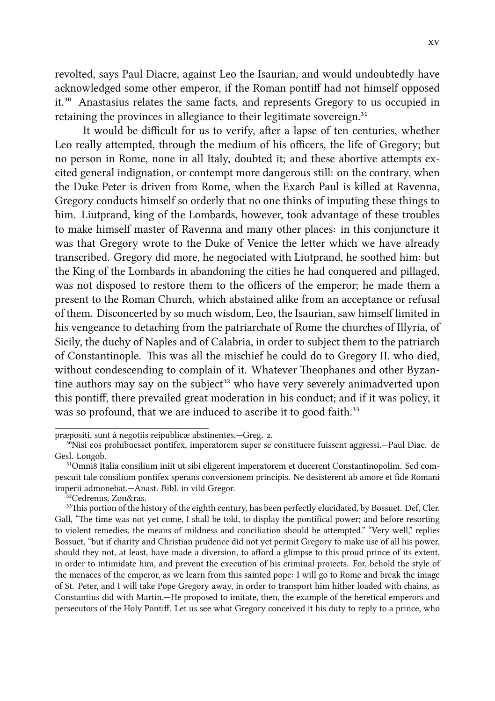revolted, says Paul Diacre, against Leo the Isaurian, and would undoubtedly have acknowledged some other emperor, if the Roman pontiff had not himself opposed it.³⁰ Anastasius relates the same facts, and represents Gregory to us occupied in retaining the provinces in allegiance to their legitimate sovereign.<sup>31</sup>

It would be difficult for us to verify, after a lapse of ten centuries, whether Leo really attempted, through the medium of his officers, the life of Gregory; but no person in Rome, none in all Italy, doubted it; and these abortive attempts excited general indignation, or contempt more dangerous still: on the contrary, when the Duke Peter is driven from Rome, when the Exarch Paul is killed at Ravenna, Gregory conducts himself so orderly that no one thinks of imputing these things to him. Liutprand, king of the Lombards, however, took advantage of these troubles to make himself master of Ravenna and many other places: in this conjuncture it was that Gregory wrote to the Duke of Venice the letter which we have already transcribed. Gregory did more, he negociated with Liutprand, he soothed him: but the King of the Lombards in abandoning the cities he had conquered and pillaged, was not disposed to restore them to the officers of the emperor; he made them a present to the Roman Church, which abstained alike from an acceptance or refusal of them. Disconcerted by so much wisdom, Leo, the Isaurian, saw himself limited in his vengeance to detaching from the patriarchate of Rome the churches of Illyria, of Sicily, the duchy of Naples and of Calabria, in order to subject them to the patriarch of Constantinople. This was all the mischief he could do to Gregory II. who died, without condescending to complain of it. Whatever Theophanes and other Byzantine authors may say on the subject<sup>32</sup> who have very severely animadverted upon this pontiff, there prevailed great moderation in his conduct; and if it was policy, it was so profound, that we are induced to ascribe it to good faith.<sup>33</sup>

præpositi, sunt à negotiis reipublicæ abstinentes.—Greg. 2.

<sup>&</sup>lt;sup>30</sup>Nisi eos prohibuesset pontifex, imperatorem super se constituere fuissent aggressi.—Paul Diac. de Gesl. Longob.

<sup>&</sup>lt;sup>31</sup>Omni<sup>8</sup> Italia consilium iniit ut sibi eligerent imperatorem et ducerent Constantinopolim. Sed compescuit tale consilium pontifex sperans conversionem principis. Ne desisterent ab amore et fide Romani imperii admonebat.—Anast. BibI. in vild Gregor.

<sup>&</sup>lt;sup>32</sup>Cedrenus, Zon&ras.

<sup>&</sup>lt;sup>33</sup>This portion of the history of the eighth century, has been perfectly elucidated, by Bossuet. Def, Cler. Gall, "The time was not yet come, I shall be told, to display the pontifical power; and before resorting to violent remedies, the means of mildness and conciliation should be attempted." "Very well," replies Bossuet, "but if charity and Christian prudence did not yet permit Gregory to make use of all his power, should they not, at least, have made a diversion, to afford a glimpse to this proud prince of its extent, in order to intimidate him, and prevent the execution of his criminal projects. For, behold the style of the menaces of the emperor, as we learn from this sainted pope: I will go to Rome and break the image of St. Peter, and I will take Pope Gregory away, in order to transport him hither loaded with chains, as Constantius did with Martin.—He proposed to imitate, then, the example of the heretical emperors and persecutors of the Holy Pontiff. Let us see what Gregory conceived it his duty to reply to a prince, who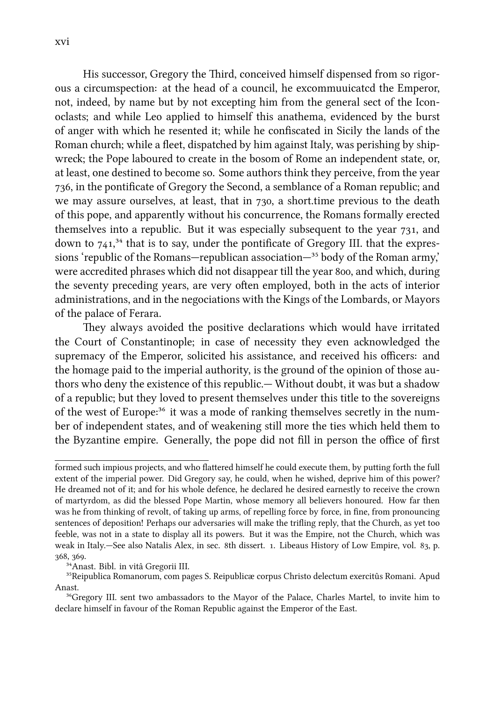His successor, Gregory the Third, conceived himself dispensed from so rigorous a circumspection: at the head of a council, he excommuuicatcd the Emperor, not, indeed, by name but by not excepting him from the general sect of the Iconoclasts; and while Leo applied to himself this anathema, evidenced by the burst of anger with which he resented it; while he confiscated in Sicily the lands of the Roman church; while a fleet, dispatched by him against Italy, was perishing by shipwreck; the Pope laboured to create in the bosom of Rome an independent state, or, at least, one destined to become so. Some authors think they perceive, from the year , in the pontificate of Gregory the Second, a semblance of a Roman republic; and we may assure ourselves, at least, that in  $730$ , a short.time previous to the death of this pope, and apparently without his concurrence, the Romans formally erected themselves into a republic. But it was especially subsequent to the year  $731$ , and down to  $741$ ,<sup>34</sup> that is to say, under the pontificate of Gregory III. that the expressions 'republic of the Romans—republican association—<sup>35</sup> body of the Roman army,' were accredited phrases which did not disappear till the year 800, and which, during the seventy preceding years, are very often employed, both in the acts of interior administrations, and in the negociations with the Kings of the Lombards, or Mayors of the palace of Ferara.

They always avoided the positive declarations which would have irritated the Court of Constantinople; in case of necessity they even acknowledged the supremacy of the Emperor, solicited his assistance, and received his officers: and the homage paid to the imperial authority, is the ground of the opinion of those authors who deny the existence of this republic.— Without doubt, it was but a shadow of a republic; but they loved to present themselves under this title to the sovereigns of the west of Europe:<sup>36</sup> it was a mode of ranking themselves secretly in the number of independent states, and of weakening still more the ties which held them to the Byzantine empire. Generally, the pope did not fill in person the office of first

<sup>34</sup>Anast. Bibl. in vitâ Gregorii III.

formed such impious projects, and who flattered himself he could execute them, by putting forth the full extent of the imperial power. Did Gregory say, he could, when he wished, deprive him of this power? He dreamed not of it; and for his whole defence, he declared he desired earnestly to receive the crown of martyrdom, as did the blessed Pope Martin, whose memory all believers honoured. How far then was he from thinking of revolt, of taking up arms, of repelling force by force, in fine, from pronouncing sentences of deposition! Perhaps our adversaries will make the trifling reply, that the Church, as yet too feeble, was not in a state to display all its powers. But it was the Empire, not the Church, which was weak in Italy.—See also Natalis Alex, in sec. 8th dissert. 1. Libeaus History of Low Empire, vol. 83, p. 368, 369.

<sup>&</sup>lt;sup>35</sup>Reipublica Romanorum, com pages S. Reipublicæ corpus Christo delectum exercitûs Romani. Apud Anast.

<sup>&</sup>lt;sup>36</sup>Gregory III. sent two ambassadors to the Mayor of the Palace, Charles Martel, to invite him to declare himself in favour of the Roman Republic against the Emperor of the East.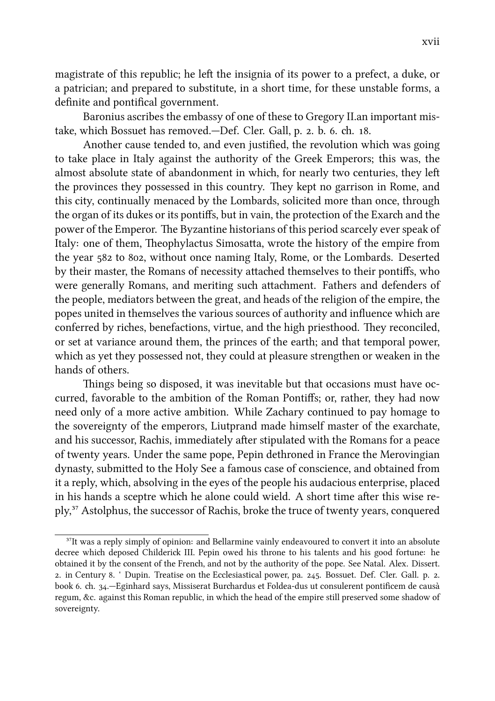magistrate of this republic; he left the insignia of its power to a prefect, a duke, or a patrician; and prepared to substitute, in a short time, for these unstable forms, a definite and pontifical government.

Baronius ascribes the embassy of one of these to Gregory II.an important mistake, which Bossuet has removed.—Def. Cler. Gall, p. 2. b. 6. ch. 18.

Another cause tended to, and even justified, the revolution which was going to take place in Italy against the authority of the Greek Emperors; this was, the almost absolute state of abandonment in which, for nearly two centuries, they left the provinces they possessed in this country. They kept no garrison in Rome, and this city, continually menaced by the Lombards, solicited more than once, through the organ of its dukes or its pontiffs, but in vain, the protection of the Exarch and the power of the Emperor. The Byzantine historians of this period scarcely ever speak of Italy: one of them, Theophylactus Simosatta, wrote the history of the empire from the year 582 to 802, without once naming Italy, Rome, or the Lombards. Deserted by their master, the Romans of necessity attached themselves to their pontiffs, who were generally Romans, and meriting such attachment. Fathers and defenders of the people, mediators between the great, and heads of the religion of the empire, the popes united in themselves the various sources of authority and influence which are conferred by riches, benefactions, virtue, and the high priesthood. They reconciled, or set at variance around them, the princes of the earth; and that temporal power, which as yet they possessed not, they could at pleasure strengthen or weaken in the hands of others.

Things being so disposed, it was inevitable but that occasions must have occurred, favorable to the ambition of the Roman Pontiffs; or, rather, they had now need only of a more active ambition. While Zachary continued to pay homage to the sovereignty of the emperors, Liutprand made himself master of the exarchate, and his successor, Rachis, immediately after stipulated with the Romans for a peace of twenty years. Under the same pope, Pepin dethroned in France the Merovingian dynasty, submitted to the Holy See a famous case of conscience, and obtained from it a reply, which, absolving in the eyes of the people his audacious enterprise, placed in his hands a sceptre which he alone could wield. A short time after this wise re- $\text{ply}$ <sup>37</sup> Astolphus, the successor of Rachis, broke the truce of twenty years, conquered

<sup>&</sup>lt;sup>37</sup>It was a reply simply of opinion: and Bellarmine vainly endeavoured to convert it into an absolute decree which deposed Childerick III. Pepin owed his throne to his talents and his good fortune: he obtained it by the consent of the French, and not by the authority of the pope. See Natal. Alex. Dissert. 2. in Century 8. ' Dupin. Treatise on the Ecclesiastical power, pa. 245. Bossuet. Def. Cler. Gall. p. 2. book 6. ch. 34.—Eginhard says, Missiserat Burchardus et Foldea-dus ut consulerent pontificem de causà regum, &c. against this Roman republic, in which the head of the empire still preserved some shadow of sovereignty.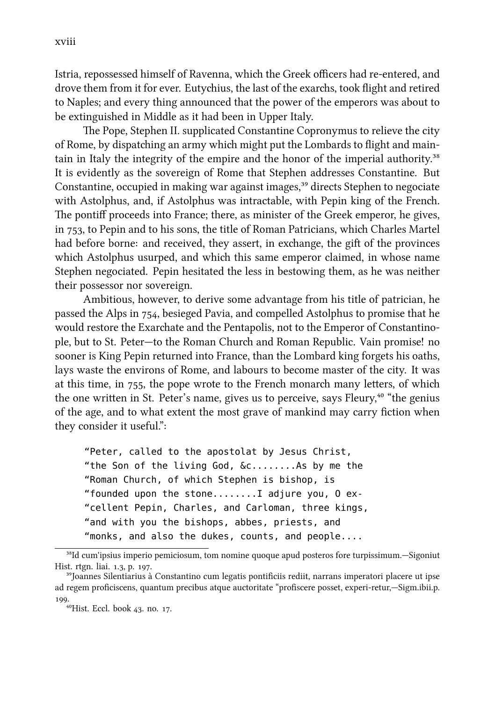Istria, repossessed himself of Ravenna, which the Greek officers had re-entered, and drove them from it for ever. Eutychius, the last of the exarchs, took flight and retired to Naples; and every thing announced that the power of the emperors was about to be extinguished in Middle as it had been in Upper Italy.

The Pope, Stephen II. supplicated Constantine Copronymus to relieve the city of Rome, by dispatching an army which might put the Lombards to flight and maintain in Italy the integrity of the empire and the honor of the imperial authority.<sup>38</sup> It is evidently as the sovereign of Rome that Stephen addresses Constantine. But Constantine, occupied in making war against images,<sup>39</sup> directs Stephen to negociate with Astolphus, and, if Astolphus was intractable, with Pepin king of the French. The pontiff proceeds into France; there, as minister of the Greek emperor, he gives, in 753, to Pepin and to his sons, the title of Roman Patricians, which Charles Martel had before borne: and received, they assert, in exchange, the gift of the provinces which Astolphus usurped, and which this same emperor claimed, in whose name Stephen negociated. Pepin hesitated the less in bestowing them, as he was neither their possessor nor sovereign.

Ambitious, however, to derive some advantage from his title of patrician, he passed the Alps in  $754$ , besieged Pavia, and compelled Astolphus to promise that he would restore the Exarchate and the Pentapolis, not to the Emperor of Constantinople, but to St. Peter-to the Roman Church and Roman Republic. Vain promise! no sooner is King Pepin returned into France, than the Lombard king forgets his oaths, lays waste the environs of Rome, and labours to become master of the city. It was at this time, in  $755$ , the pope wrote to the French monarch many letters, of which the one written in St. Peter's name, gives us to perceive, says Fleury,<sup>40</sup> "the genius" of the age, and to what extent the most grave of mankind may carry fiction when they consider it useful.":

"Peter, called to the apostolat by Jesus Christ, "the Son of the living God, &c........As by me the "Roman Church, of which Stephen is bishop, is "founded upon the stone........I adjure you, O ex- "cellent Pepin, Charles, and Carloman, three kings, "and with you the bishops, abbes, priests, and "monks, and also the dukes, counts, and people....

<sup>&</sup>lt;sup>38</sup>Id cum'ipsius imperio pemiciosum, tom nomine quoque apud posteros fore turpissimum.—Sigoniut Hist. rtgn. liai. 1.3, p. 197.

<sup>&</sup>lt;sup>39</sup>Joannes Silentiarius à Constantino cum legatis pontificiis rediit, narrans imperatori placere ut ipse ad regem proficiscens, quantum precibus atque auctoritate "profiscere posset, experi-retur,—Sigm.ibii.p. 100

<sup>,.&</sup>lt;br><sup>40</sup>Hist. Eccl. book 43. no. 17.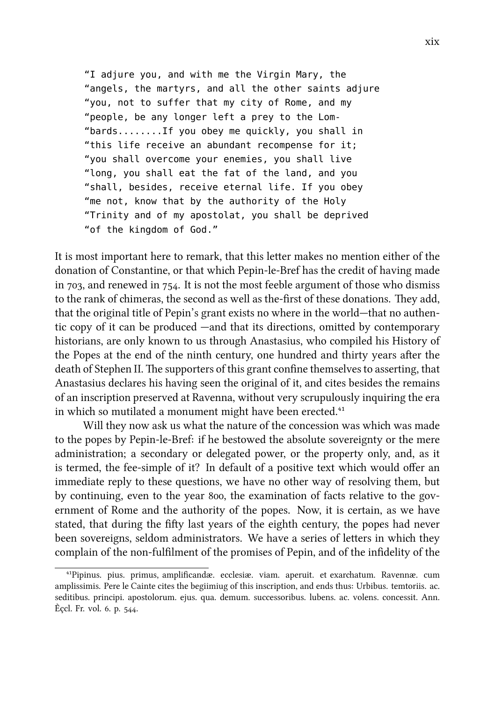"I adjure you, and with me the Virgin Mary, the "angels, the martyrs, and all the other saints adjure "you, not to suffer that my city of Rome, and my "people, be any longer left a prey to the Lom- "bards........If you obey me quickly, you shall in "this life receive an abundant recompense for it; "you shall overcome your enemies, you shall live "long, you shall eat the fat of the land, and you "shall, besides, receive eternal life. If you obey "me not, know that by the authority of the Holy "Trinity and of my apostolat, you shall be deprived "of the kingdom of God."

It is most important here to remark, that this letter makes no mention either of the donation of Constantine, or that which Pepin-le-Bref has the credit of having made in 703, and renewed in  $754$ . It is not the most feeble argument of those who dismiss to the rank of chimeras, the second as well as the-first of these donations. They add, that the original title of Pepin's grant exists no where in the world—that no authentic copy of it can be produced  $-$ and that its directions, omitted by contemporary historians, are only known to us through Anastasius, who compiled his History of the Popes at the end of the ninth century, one hundred and thirty years after the death of Stephen II. The supporters of this grant confine themselves to asserting, that Anastasius declares his having seen the original of it, and cites besides the remains of an inscription preserved at Ravenna, without very scrupulously inquiring the era in which so mutilated a monument might have been erected.<sup>41</sup>

Will they now ask us what the nature of the concession was which was made to the popes by Pepin-le-Bref: if he bestowed the absolute sovereignty or the mere administration; a secondary or delegated power, or the property only, and, as it is termed, the fee-simple of it? In default of a positive text which would offer an immediate reply to these questions, we have no other way of resolving them, but by continuing, even to the year 800, the examination of facts relative to the government of Rome and the authority of the popes. Now, it is certain, as we have stated, that during the fifty last years of the eighth century, the popes had never been sovereigns, seldom administrators. We have a series of letters in which they complain of the non-fulfilment of the promises of Pepin, and of the infidelity of the

⁴¹Pipinus. pius. primus, amplificandæ. ecclesiæ. viam. aperuit. et exaratum. Ravennæ. cum amplissimis. Pere le Cainte cites the begiimiug of this inscription, and ends thus: Urbibus. temtoriis. ac. seditibus. principi. apostolorum. ejus. qua. demum. successoribus. lubens. ac. volens. concessit. Ann. Èçcl. Fr. vol. 6. p. 544.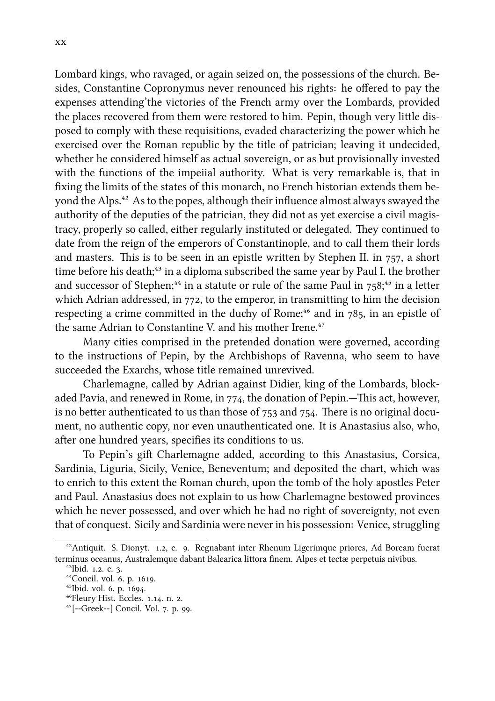Lombard kings, who ravaged, or again seized on, the possessions of the church. Besides, Constantine Copronymus never renounced his rights: he offered to pay the expenses attending'the victories of the French army over the Lombards, provided the places recovered from them were restored to him. Pepin, though very little disposed to comply with these requisitions, evaded characterizing the power which he exercised over the Roman republic by the title of patrician; leaving it undecided, whether he considered himself as actual sovereign, or as but provisionally invested with the functions of the impeiial authority. What is very remarkable is, that in fixing the limits of the states of this monarch, no French historian extends them beyond the Alps.<sup>42</sup> As to the popes, although their influence almost always swayed the authority of the deputies of the patrician, they did not as yet exercise a civil magistracy, properly so called, either regularly instituted or delegated. They continued to date from the reign of the emperors of Constantinople, and to call them their lords and masters. This is to be seen in an epistle written by Stephen II. in  $757$ , a short time before his death;<sup>43</sup> in a diploma subscribed the same year by Paul I, the brother and successor of Stephen;<sup> $44$ </sup> in a statute or rule of the same Paul in  $758$ ;<sup> $45$ </sup> in a letter which Adrian addressed, in  $772$ , to the emperor, in transmitting to him the decision respecting a crime committed in the duchy of Rome: $^{46}$  and in 785, in an epistle of the same Adrian to Constantine V. and his mother Irene.<sup>47</sup>

Many cities comprised in the pretended donation were governed, according to the instructions of Pepin, by the Archbishops of Ravenna, who seem to have succeeded the Exarchs, whose title remained unrevived.

Charlemagne, called by Adrian against Didier, king of the Lombards, blo aded Pavia, and renewed in Rome, in  $774$ , the donation of Pepin.—This act, however, is no better authenticated to us than those of  $753$  and  $754$ . There is no original document, no authentic copy, nor even unauthenticated one. It is Anastasius also, who, after one hundred years, specifies its conditions to us.

To Pepin's gift Charlemagne added, according to this Anastasius, Corsica, Sardinia, Liguria, Sicily, Venice, Beneventum; and deposited the chart, which was to enrich to this extent the Roman church, upon the tomb of the holy apostles Peter and Paul. Anastasius does not explain to us how Charlemagne bestowed provinces which he never possessed, and over which he had no right of sovereignty, not even that of conquest. Sicily and Sardinia were never in his possession: Venice, struggling

 $*<sup>42</sup>$ Antiquit. S. Dionyt. 1.2, c. 9. Regnabant inter Rhenum Ligerimque priores, Ad Boream fuerat terminus oceanus, Australemque dabant Balearica littora finem. Alpes et tectæ perpetuis nivibus.

<sup>&</sup>lt;sup>43</sup>Ibid. 1.2. c. 3.

<sup>&</sup>lt;sup>44</sup>Concil. vol. 6. p. 1619.

<sup>&</sup>lt;sup>45</sup>Ibid. vol. 6. p. 1694.

<sup>&</sup>lt;sup>46</sup>Fleury Hist. Eccles. 1.14. n. 2.

<sup>&</sup>lt;sup>47</sup>[--Greek--] Concil. Vol. 7. p. 99.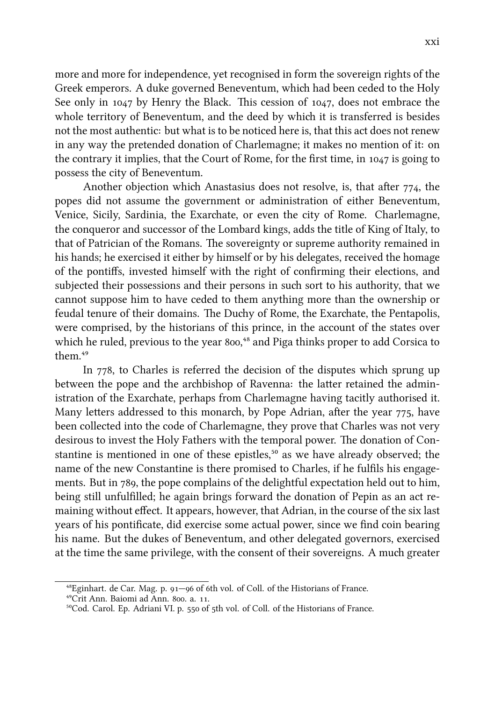more and more for independence, yet recognised in form the sovereign rights of the Greek emperors. A duke governed Beneventum, which had been ceded to the Holy See only in  $1047$  by Henry the Black. This cession of  $1047$ , does not embrace the whole territory of Beneventum, and the deed by which it is transferred is besides not the most authentic: but what is to be noticed here is, that this act does not renew in any way the pretended donation of Charlemagne; it makes no mention of it: on the contrary it implies, that the Court of Rome, for the first time, in  $1047$  is going to possess the city of Beneventum.

Another objection which Anastasius does not resolve, is, that after  $774$ , the popes did not assume the government or administration of either Beneventum, Venice, Sicily, Sardinia, the Exarchate, or even the city of Rome. Charlemagne, the conqueror and successor of the Lombard kings, adds the title of King of Italy, to that of Patrician of the Romans. The sovereignty or supreme authority remained in his hands; he exercised it either by himself or by his delegates, received the homage of the pontiffs, invested himself with the right of confirming their elections, and subjected their possessions and their persons in such sort to his authority, that we cannot suppose him to have ceded to them anything more than the ownership or feudal tenure of their domains. The Duchy of Rome, the Exarchate, the Pentapolis, were comprised, by the historians of this prince, in the account of the states over which he ruled, previous to the year 800,<sup>48</sup> and Piga thinks proper to add Corsica to them<sup>49</sup>

In 778, to Charles is referred the decision of the disputes which sprung up between the pope and the archbishop of Ravenna: the latter retained the administration of the Exarchate, perhaps from Charlemagne having tacitly authorised it. Many letters addressed to this monarch, by Pope Adrian, after the year 775, have been collected into the code of Charlemagne, they prove that Charles was not very desirous to invest the Holy Fathers with the temporal power. The donation of Constantine is mentioned in one of these epistles, $50$  as we have already observed; the name of the new Constantine is there promised to Charles, if he fulfils his engagements. But in 789, the pope complains of the delightful expectation held out to him, being still unfulfilled; he again brings forward the donation of Pepin as an act remaining without effect. It appears, however, that Adrian, in the course of the six last years of his pontificate, did exercise some actual power, since we find coin bearing his name. But the dukes of Beneventum, and other delegated governors, exercised at the time the same privilege, with the consent of their sovereigns. A much greater

⁴⁸Eginhart. de Car. Mag. p. — of th vol. of Coll. of the Historians of France.

<sup>&</sup>lt;sup>49</sup>Crit Ann. Baiomi ad Ann. 800. a. 11.

<sup>&</sup>lt;sup>50</sup>Cod. Carol. Ep. Adriani VI. p. 550 of 5th vol. of Coll. of the Historians of France.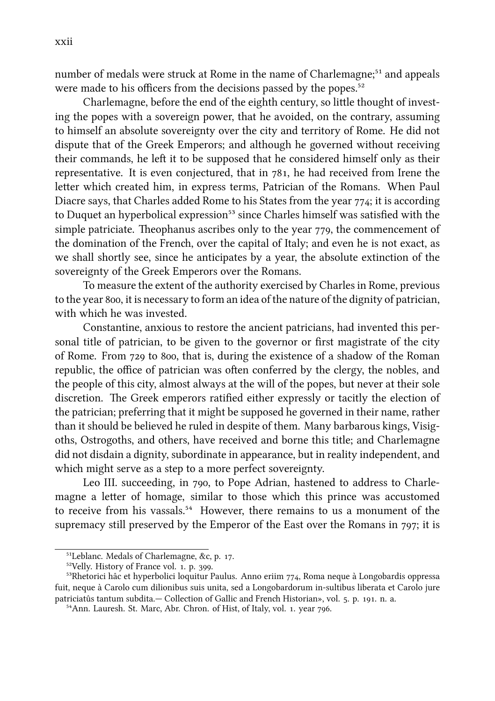number of medals were struck at Rome in the name of Charlemagne;<sup>51</sup> and appeals were made to his officers from the decisions passed by the popes.<sup>52</sup>

Charlemagne, before the end of the eighth century, so little thought of investing the popes with a sovereign power, that he avoided, on the contrary, assuming to himself an absolute sovereignty over the city and territory of Rome. He did not dispute that of the Greek Emperors; and although he governed without receiving their commands, he left it to be supposed that he considered himself only as their representative. It is even conjectured, that in  $781$ , he had received from Irene the letter which created him, in express terms, Patrician of the Romans. When Paul Diacre says, that Charles added Rome to his States from the year  $774$ ; it is according to Duquet an hyperbolical expression<sup>53</sup> since Charles himself was satisfied with the simple patriciate. Theophanus ascribes only to the year 779, the commencement of the domination of the French, over the capital of Italy; and even he is not exact, as we shall shortly see, since he anticipates by a year, the absolute extinction of the sovereignty of the Greek Emperors over the Romans.

To measure the extent of the authority exercised by Charles in Rome, previous to the year 800, it is necessary to form an idea of the nature of the dignity of patrician, with which he was invested.

Constantine, anxious to restore the ancient patricians, had invented this personal title of patrician, to be given to the governor or first magistrate of the city of Rome. From 729 to 800, that is, during the existence of a shadow of the Roman republic, the office of patrician was often conferred by the clergy, the nobles, and the people of this city, almost always at the will of the popes, but never at their sole discretion. The Greek emperors ratified either expressly or tacitly the election of the patrician; preferring that it might be supposed he governed in their name, rather than it should be believed he ruled in despite of them. Many barbarous kings, Visigoths, Ostrogoths, and others, have received and borne this title; and Charlemagne did not disdain a dignity, subordinate in appearance, but in reality independent, and which might serve as a step to a more perfect sovereignty.

Leo III. succeeding, in 790, to Pope Adrian, hastened to address to Charlemagne a letter of homage, similar to those which this prince was accustomed to receive from his vassals.<sup>54</sup> However, there remains to us a monument of the supremacy still preserved by the Emperor of the East over the Romans in  $797$ ; it is

<sup>&</sup>lt;sup>51</sup>Leblanc. Medals of Charlemagne, &c, p. 17.

<sup>&</sup>lt;sup>52</sup>Velly. History of France vol. 1. p. 399.

 $53R$ hetorici hâc et hyperbolici loquitur Paulus. Anno eriim  $774$ , Roma neque à Longobardis oppressa fuit, neque à Carolo cum dilionibus suis unita, sed a Longobardorum in-sultibus liberata et Carolo jure patriciatûs tantum subdita.— Collection of Gallic and French Historian», vol. 5. p. 191. n. a.

<sup>&</sup>lt;sup>54</sup>Ann. Lauresh. St. Marc, Abr. Chron. of Hist, of Italy, vol. 1. year 796.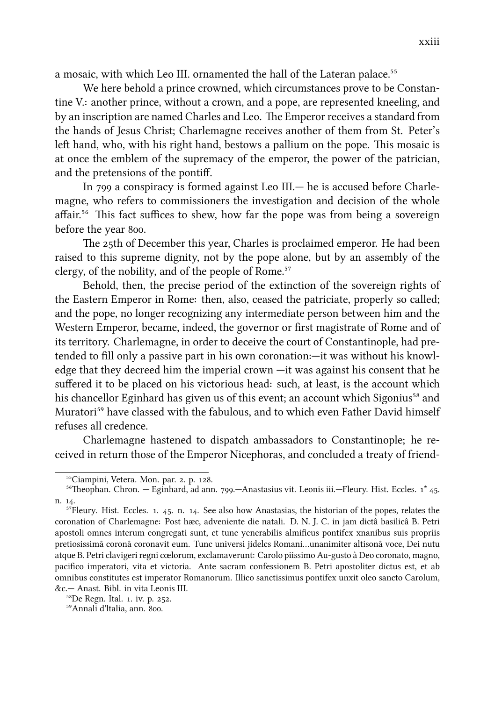a mosaic, with which Leo III. ornamented the hall of the Lateran palace.<sup>55</sup>

We here behold a prince crowned, which circumstances prove to be Constantine V.: another prince, without a crown, and a pope, are represented kneeling, and by an inscription are named Charles and Leo. The Emperor receives a standard from the hands of Jesus Christ; Charlemagne receives another of them from St. Peter's left hand, who, with his right hand, bestows a pallium on the pope. This mosaic is at once the emblem of the supremacy of the emperor, the power of the patrician, and the pretensions of the pontiff.

In  $799$  a conspiracy is formed against Leo III.— he is accused before Charlemagne, who refers to commissioners the investigation and decision of the whole affair.<sup>56</sup> This fact suffices to shew, how far the pope was from being a sovereign before the year 800.

The 25th of December this year, Charles is proclaimed emperor. He had been raised to this supreme dignity, not by the pope alone, but by an assembly of the clergy, of the nobility, and of the people of Rome.<sup>57</sup>

Behold, then, the precise period of the extinction of the sovereign rights of the Eastern Emperor in Rome: then, also, ceased the patriciate, properly so called; and the pope, no longer recognizing any intermediate person between him and the Western Emperor, became, indeed, the governor or first magistrate of Rome and of its territory. Charlemagne, in order to deceive the court of Constantinople, had pretended to fill only a passive part in his own coronation:—it was without his knowledge that they decreed him the imperial crown —it was against his consent that he suffered it to be placed on his victorious head: such, at least, is the account which his chancellor Eginhard has given us of this event; an account which Sigonius<sup>58</sup> and Muratori<sup>59</sup> have classed with the fabulous, and to which even Father David himself refuses all credence.

Charlemagne hastened to dispatch ambassadors to Constantinople; he received in return those of the Emperor Nicephoras, and concluded a treaty of friend-

 $^{58}$ De Regn. Ital. 1. iv. p. 252.

<sup>59</sup>Annali d'Italia, ann. 800.

<sup>&</sup>lt;sup>55</sup>Ciampini, Vetera. Mon. par. 2. p. 128.

 $^{56}$ Theophan. Chron. — Eginhard, ad ann. 799.—Anastasius vit. Leonis iii.—Fleury. Hist. Eccles. 1\* 45. n. 14.

 $^{57}$ Fleury. Hist. Eccles. 1. 45. n. 14. See also how Anastasias, the historian of the popes, relates the coronation of Charlemagne: Post hæc, adveniente die natali. D. N. J. C. in jam dictâ basilicâ B. Petri apostoli omnes interum congregati sunt, et tunc yenerabilis almificus pontifex xnanibus suis propriis pretiosissimâ coronâ coronavit eum. Tunc universi jidelcs Romani…unanimiter altisonâ voce, Dei nutu atque B. Petri clavigeri regni cœlorum, exclamaverunt: Carolo piissimo Au-gusto à Deo coronato, magno, pacifico imperatori, vita et victoria. Ante sacram confessionem B. Petri apostoliter dictus est, et ab omnibus constitutes est imperator Romanorum. Illico sanctissimus pontifex unxit oleo sancto Carolum, &c.— Anast. Bibl. in vita Leonis III.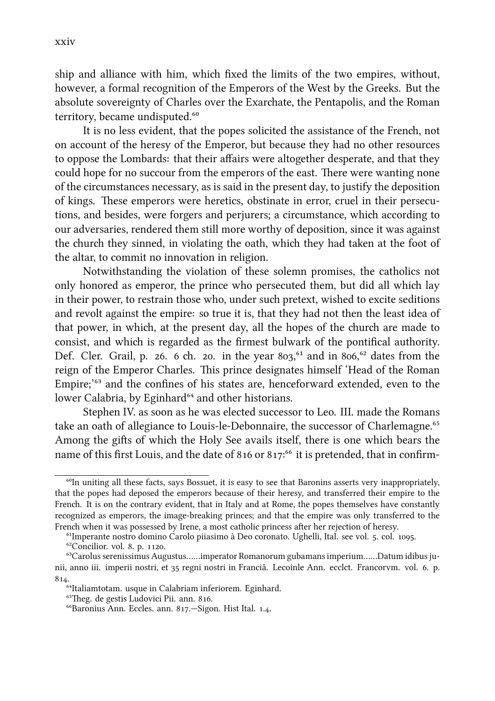ship and alliance with him, which fixed the limits of the two empires, without, however, a formal recognition of the Emperors of the West by the Greeks. But the absolute sovereignty of Charles over the Exarchate, the Pentapolis, and the Roman territory, became undisputed.<sup>60</sup>

It is no less evident, that the popes solicited the assistance of the French, not on account of the heresy of the Emperor, but because they had no other resources to oppose the Lombards: that their affairs were altogether desperate, and that they could hope for no succour from the emperors of the east. There were wanting none of the circumstances necessary, as is said in the present day, to justify the deposition of kings. These emperors were heretics, obstinate in error, cruel in their persecutions, and besides, were forgers and perjurers; a circumstance, which according to our adversaries, rendered them still more worthy of deposition, since it was against the church they sinned, in violating the oath, which they had taken at the foot of the altar, to commit no innovation in religion.

Notwithstanding the violation of these solemn promises, the catholics not only honored as emperor, the prince who persecuted them, but did all which lay in their power, to restrain those who, under such pretext, wished to excite seditions and revolt against the empire: so true it is, that they had not then the least idea of that power, in which, at the present day, all the hopes of the church are made to consist, and which is regarded as the firmest bulwark of the pontifical authority. Def. Cler. Grail, p. 26. 6 ch. 20. in the year  $803<sub>1</sub><sup>61</sup>$  and in  $806<sub>1</sub><sup>62</sup>$  dates from the reign of the Emperor Charles. This prince designates himself 'Head of the Roman Empire;<sup>'63</sup> and the confines of his states are, henceforward extended, even to the lower Calabria, by Eginhard<sup>64</sup> and other historians.

Stephen IV. as soon as he was elected successor to Leo. III. made the Romans take an oath of allegiance to Louis-le-Debonnaire, the successor of Charlemagne.<sup>65</sup> Among the gifts of which the Holy See avails itself, there is one which bears the name of this first Louis, and the date of  $816$  or  $817:$ <sup>66</sup> it is pretended, that in confirm-

 $^{60}$ In uniting all these facts, says Bossuet, it is easy to see that Baronins asserts very inappropriately, that the popes had deposed the emperors because of their heresy, and transferred their empire to the French. It is on the contrary evident, that in Italy and at Rome, the popes themselves have constantly recognized as emperors, the image-breaking princes; and that the empire was only transferred to the French when it was possessed by Irene, a most catholic princess after her rejection of heresy.

 $^{61}$ Imperante nostro domino Carolo piiasimo à Deo coronato. Ughelli, Ital. see vol. 5. col. 1095.

 $^{62}$ Concilior. vol. 8. p. 1120.

⁶³Carolus serenissimus Augustus……imperator Romanorum gubamans imperium……Datum idibus junii, anno iii. imperii nostri, et 35 regni nostri in Franciâ. Lecoinle Ann. ecclct. Francorvm. vol. 6. p. 814.

<sup>&</sup>lt;sup>64</sup>Italiamtotam. usque in Calabriam inferiorem. Eginhard.

<sup>&</sup>lt;sup>65</sup>Theg. de gestis Ludovici Pii. ann. 816.

<sup>&</sup>lt;sup>66</sup>Baronius Ann. Eccles. ann. 817.-Sigon. Hist Ital. 1.4.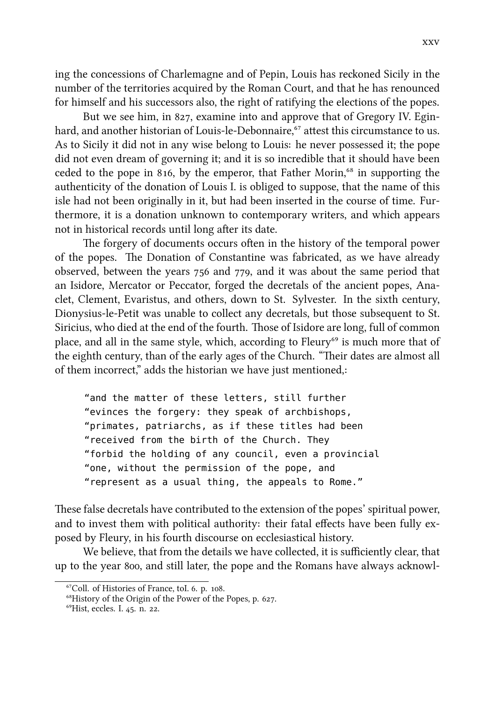ing the concessions of Charlemagne and of Pepin, Louis has reckoned Sicily in the number of the territories acquired by the Roman Court, and that he has renounced for himself and his successors also, the right of ratifying the elections of the popes.

But we see him, in  $827$ , examine into and approve that of Gregory IV. Eginhard, and another historian of Louis-le-Debonnaire,<sup>67</sup> attest this circumstance to us. As to Sicily it did not in any wise belong to Louis: he never possessed it; the pope did not even dream of governing it; and it is so incredible that it should have been ceded to the pope in 816, by the emperor, that Father Morin, $^{68}$  in supporting the authenticity of the donation of Louis I. is obliged to suppose, that the name of this isle had not been originally in it, but had been inserted in the course of time. Furthermore, it is a donation unknown to contemporary writers, and which appears not in historical records until long after its date.

The forgery of documents occurs often in the history of the temporal power of the popes. The Donation of Constantine was fabricated, as we have already observed, between the years  $756$  and  $779$ , and it was about the same period that an Isidore, Mercator or Peccator, forged the decretals of the ancient popes, Anaclet, Clement, Evaristus, and others, down to St. Sylvester. In the sixth century, Dionysius-le-Petit was unable to collect any decretals, but those subsequent to St. Siricius, who died at the end of the fourth. Those of Isidore are long, full of common place, and all in the same style, which, according to Fleury<sup>69</sup> is much more that of the eighth century, than of the early ages of the Church. "Their dates are almost all of them incorrect," adds the historian we have just mentioned,:

"and the matter of these letters, still further "evinces the forgery: they speak of archbishops, "primates, patriarchs, as if these titles had been "received from the birth of the Church. They "forbid the holding of any council, even a provincial "one, without the permission of the pope, and "represent as a usual thing, the appeals to Rome."

These false decretals have contributed to the extension of the popes' spiritual power, and to invest them with political authority: their fatal effects have been fully exposed by Fleury, in his fourth discourse on ecclesiastical history.

We believe, that from the details we have collected, it is sufficiently clear, that up to the year 800, and still later, the pope and the Romans have always acknowl-

 $^{67}$ Coll. of Histories of France, toI. 6. p. 108.

 $^{68}$ History of the Origin of the Power of the Popes, p. 627.

 $^{69}$ Hist, eccles. I. 45, n. 22.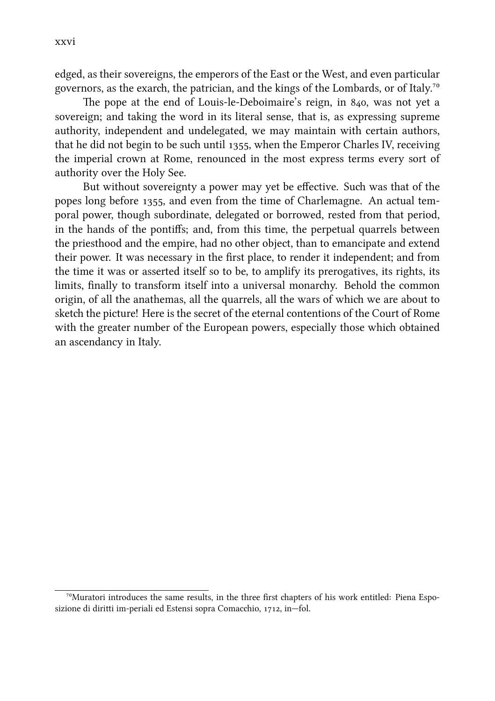edged, as their sovereigns, the emperors of the East or the West, and even particular governors, as the exarch, the patrician, and the kings of the Lombards, or of Italy.<sup>70</sup>

The pope at the end of Louis-le-Deboimaire's reign, in  $840$ , was not yet a sovereign; and taking the word in its literal sense, that is, as expressing supreme authority, independent and undelegated, we may maintain with certain authors, that he did not begin to be such until 1355, when the Emperor Charles IV, receiving the imperial crown at Rome, renounced in the most express terms every sort of authority over the Holy See.

But without sovereignty a power may yet be effective. Such was that of the popes long before 1355, and even from the time of Charlemagne. An actual temporal power, though subordinate, delegated or borrowed, rested from that period, in the hands of the pontiffs; and, from this time, the perpetual quarrels between the priesthood and the empire, had no other object, than to emancipate and extend their power. It was necessary in the first place, to render it independent; and from the time it was or asserted itself so to be, to amplify its prerogatives, its rights, its limits, finally to transform itself into a universal monarchy. Behold the common origin, of all the anathemas, all the quarrels, all the wars of which we are about to sketch the picture! Here is the secret of the eternal contentions of the Court of Rome with the greater number of the European powers, especially those which obtained an ascendancy in Italy.

 $\frac{70}{10}$ Muratori introduces the same results, in the three first chapters of his work entitled: Piena Esposizione di diritti im-periali ed Estensi sopra Comacchio, 1712, in-fol.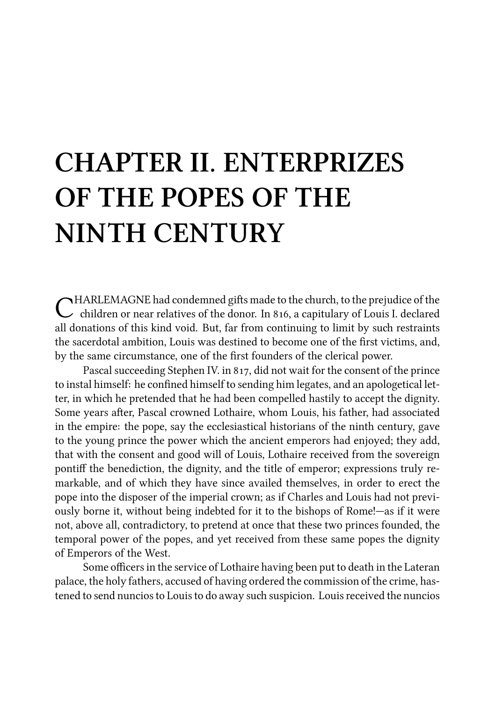# **CHAPTER II. ENTERPRIZES OF THE POPES OF THE NINTH CENTURY**

CHARLEMAGNE had condemned gifts made to the church, to the prejudice of the children or near relatives of the donor. In 816, a capitulary of Louis I. declared  $\nabla$ HARLEMAGNE had condemned gifts made to the church, to the prejudice of the all donations of this kind void. But, far from continuing to limit by such restraints the sacerdotal ambition, Louis was destined to become one of the first victims, and, by the same circumstance, one of the first founders of the clerical power.

Pascal succeeding Stephen IV. in 817, did not wait for the consent of the prince to instal himself: he confined himself to sending him legates, and an apologetical letter, in which he pretended that he had been compelled hastily to accept the dignity. Some years after, Pascal crowned Lothaire, whom Louis, his father, had associated in the empire: the pope, say the ecclesiastical historians of the ninth century, gave to the young prince the power which the ancient emperors had enjoyed; they add, that with the consent and good will of Louis, Lothaire received from the sovereign pontiff the benediction, the dignity, and the title of emperor; expressions truly remarkable, and of which they have since availed themselves, in order to erect the pope into the disposer of the imperial crown; as if Charles and Louis had not previously borne it, without being indebted for it to the bishops of Rome!—as if it were not, above all, contradictory, to pretend at once that these two princes founded, the temporal power of the popes, and yet received from these same popes the dignity of Emperors of the West.

Some officers in the service of Lothaire having been put to death in the Lateran palace, the holy fathers, accused of having ordered the commission of the crime, hastened to send nuncios to Louis to do away such suspicion. Louis received the nuncios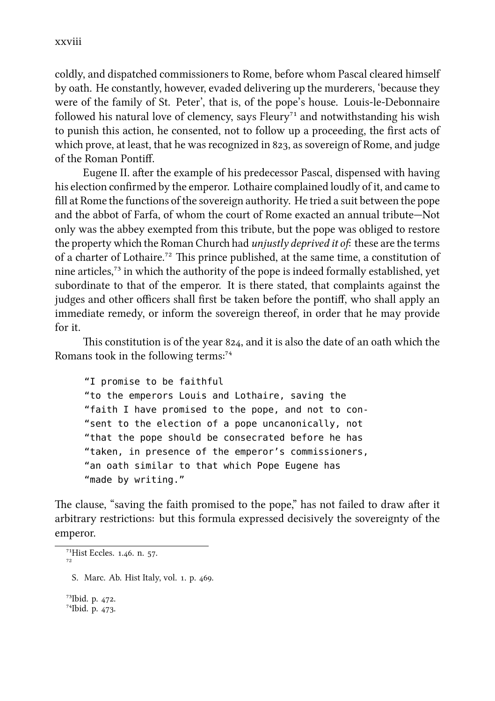coldly, and dispatched commissioners to Rome, before whom Pascal cleared himself by oath. He constantly, however, evaded delivering up the murderers, 'because they were of the family of St. Peter', that is, of the pope's house. Louis-le-Debonnaire followed his natural love of clemency, says Fleury<sup>71</sup> and notwithstanding his wish to punish this action, he consented, not to follow up a proceeding, the first acts of which prove, at least, that he was recognized in 823, as sovereign of Rome, and judge of the Roman Pontiff.

Eugene II. after the example of his predecessor Pascal, dispensed with having his election confirmed by the emperor. Lothaire complained loudly of it, and came to fill at Rome the functions of the sovereign authority. He tried a suit between the pope and the abbot of Farfa, of whom the court of Rome exacted an annual tribute—Not only was the abbey exempted from this tribute, but the pope was obliged to restore the property which the Roman Church had *unjustly deprived it of*: these are the terms of a charter of Lothaire.<sup>72</sup> This prince published, at the same time, a constitution of nine articles, $^{73}$  in which the authority of the pope is indeed formally established, yet subordinate to that of the emperor. It is there stated, that complaints against the judges and other officers shall first be taken before the pontiff, who shall apply an immediate remedy, or inform the sovereign thereof, in order that he may provide for it.

This constitution is of the year 824, and it is also the date of an oath which the Romans took in the following terms:<sup>74</sup>

```
"I promise to be faithful
"to the emperors Louis and Lothaire, saving the
"faith I have promised to the pope, and not to con-
"sent to the election of a pope uncanonically, not
"that the pope should be consecrated before he has
"taken, in presence of the emperor's commissioners,
"an oath similar to that which Pope Eugene has
"made by writing."
```
The clause, "saving the faith promised to the pope," has not failed to draw after it arbitrary restrictions: but this formula expressed decisively the sovereignty of the emperor.

<sup>73</sup>Ibid. p. 472. <sup>74</sup>Ibid. p. 473.

<sup>&</sup>lt;sup>71</sup>Hist Eccles. 1.46. n. 57. ⁷²

S. Marc. Ab. Hist Italy, vol. 1. p. 469.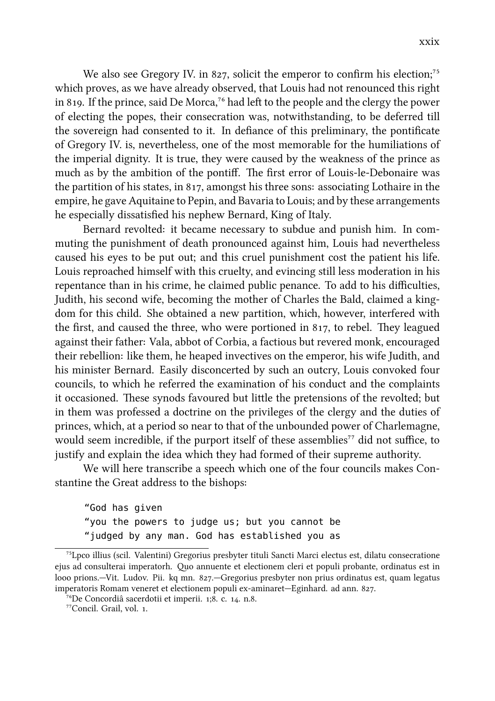We also see Gregory IV. in 827, solicit the emperor to confirm his election;<sup>75</sup> which proves, as we have already observed, that Louis had not renounced this right in 819. If the prince, said De Morca,<sup>76</sup> had left to the people and the clergy the power of electing the popes, their consecration was, notwithstanding, to be deferred till the sovereign had consented to it. In defiance of this preliminary, the pontificate of Gregory IV. is, nevertheless, one of the most memorable for the humiliations of the imperial dignity. It is true, they were caused by the weakness of the prince as much as by the ambition of the pontiff. The first error of Louis-le-Debonaire was the partition of his states, in  $817$ , amongst his three sons: associating Lothaire in the empire, he gave Aquitaine to Pepin, and Bavaria to Louis; and by these arrangements he especially dissatisfied his nephew Bernard, King of Italy.

Bernard revolted: it became necessary to subdue and punish him. In commuting the punishment of death pronounced against him, Louis had nevertheless caused his eyes to be put out; and this cruel punishment cost the patient his life. Louis reproaed himself with this cruelty, and evincing still less moderation in his repentance than in his crime, he claimed public penance. To add to his difficulties, Judith, his second wife, becoming the mother of Charles the Bald, claimed a kingdom for this child. She obtained a new partition, which, however, interfered with the first, and caused the three, who were portioned in  $817$ , to rebel. They leagued against their father: Vala, abbot of Corbia, a factious but revered monk, encouraged their rebellion: like them, he heaped invectives on the emperor, his wife Judith, and his minister Bernard. Easily disconcerted by such an outcry, Louis convoked four councils, to which he referred the examination of his conduct and the complaints it occasioned. These synods favoured but little the pretensions of the revolted; but in them was professed a doctrine on the privileges of the clergy and the duties of princes, which, at a period so near to that of the unbounded power of Charlemagne, would seem incredible, if the purport itself of these assemblies<sup>77</sup> did not suffice, to justify and explain the idea which they had formed of their supreme authority.

We will here transcribe a speech which one of the four councils makes Constantine the Great address to the bishops:

"God has given "you the powers to judge us; but you cannot be "judged by any man. God has established you as

⁷⁵Lpco illius (scil. Valentini) Gregorius presbyter tituli Sancti Marci electus est, dilatu consecratione ejus ad consulterai imperatorh. Quo annuente et electionem cleri et populi probante, ordinatus est in looo prions.—Vit. Ludov. Pii. kq mn. 827.—Gregorius presbyter non prius ordinatus est, quam legatus imperatoris Romam veneret et electionem populi ex-aminaret-Eginhard. ad ann. 827.

<sup>&#</sup>x27;<sup>6</sup>De Concordiâ sacerdotii et imperii. 1;8. c. 14. n.8.

<sup>&</sup>lt;sup>77</sup>Concil. Grail, vol. 1.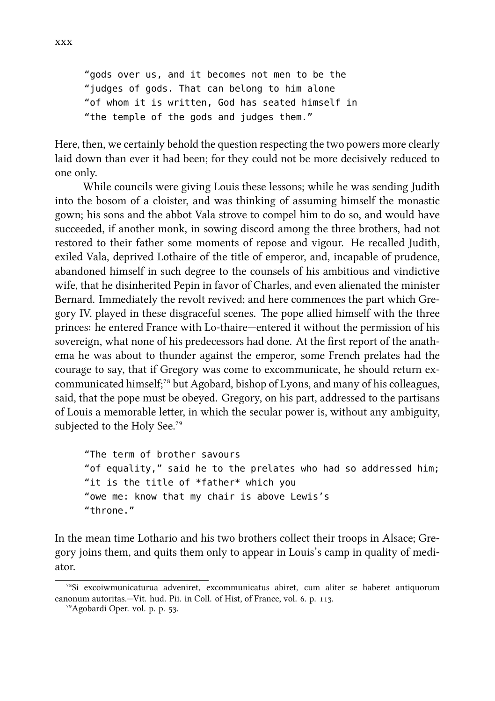"gods over us, and it becomes not men to be the "judges of gods. That can belong to him alone "of whom it is written, God has seated himself in "the temple of the gods and judges them."

Here, then, we certainly behold the question respecting the two powers more clearly laid down than ever it had been; for they could not be more decisively reduced to one only.

While councils were giving Louis these lessons; while he was sending Judith into the bosom of a cloister, and was thinking of assuming himself the monastic gown; his sons and the abbot Vala strove to compel him to do so, and would have succeeded, if another monk, in sowing discord among the three brothers, had not restored to their father some moments of repose and vigour. He recalled Judith, exiled Vala, deprived Lothaire of the title of emperor, and, incapable of prudence, abandoned himself in such degree to the counsels of his ambitious and vindictive wife, that he disinherited Pepin in favor of Charles, and even alienated the minister Bernard. Immediately the revolt revived; and here commences the part which Gregory IV. played in these disgraceful scenes. The pope allied himself with the three princes: he entered France with Lo-thaire—entered it without the permission of his sovereign, what none of his predecessors had done. At the first report of the anathema he was about to thunder against the emperor, some French prelates had the courage to say, that if Gregory was come to excommunicate, he should return excommunicated himself;<sup>78</sup> but Agobard, bishop of Lyons, and many of his colleagues, said, that the pope must be obeyed. Gregory, on his part, addressed to the partisans of Louis a memorable letter, in which the secular power is, without any ambiguity, subjected to the Holy See.<sup>79</sup>

"The term of brother savours "of equality," said he to the prelates who had so addressed him; "it is the title of \*father\* which you "owe me: know that my chair is above Lewis's "throne."

In the mean time Lothario and his two brothers collect their troops in Alsace; Gregory joins them, and quits them only to appear in Louis's camp in quality of mediator.

⁷⁸Si excoiwmunicaturua adveniret, excommunicatus abiret, cum aliter se haberet antiquorum canonum autoritas.—Vit. hud. Pii. in Coll. of Hist, of France, vol. 6. p. 113.

<sup>&</sup>lt;sup>79</sup>Agobardi Oper. vol. p. p. 53.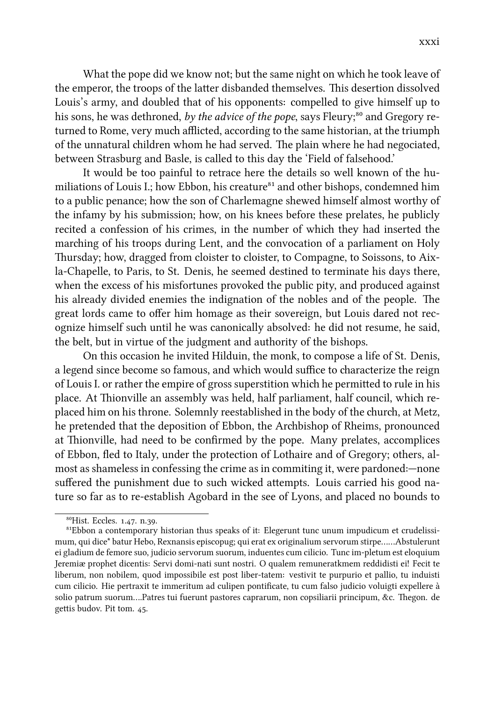What the pope did we know not; but the same night on which he took leave of the emperor, the troops of the latter disbanded themselves. This desertion dissolved Louis's army, and doubled that of his opponents: compelled to give himself up to his sons, he was dethroned, *by the advice of the pope*, says Fleury;<sup>80</sup> and Gregory returned to Rome, very much afflicted, according to the same historian, at the triumph of the unnatural children whom he had served. The plain where he had negociated, between Strasburg and Basle, is called to this day the 'Field of falsehood.'

It would be too painful to retrace here the details so well known of the humiliations of Louis I.; how Ebbon, his creature<sup>81</sup> and other bishops, condemned him to a public penance; how the son of Charlemagne shewed himself almost worthy of the infamy by his submission; how, on his knees before these prelates, he publicly recited a confession of his crimes, in the number of which they had inserted the marching of his troops during Lent, and the convocation of a parliament on Holy ursday; how, dragged from cloister to cloister, to Compagne, to Soissons, to Aixla-Chapelle, to Paris, to St. Denis, he seemed destined to terminate his days there, when the excess of his misfortunes provoked the public pity, and produced against his already divided enemies the indignation of the nobles and of the people. The great lords came to offer him homage as their sovereign, but Louis dared not recognize himself such until he was canonically absolved: he did not resume, he said, the belt, but in virtue of the judgment and authority of the bishops.

On this occasion he invited Hilduin, the monk, to compose a life of St. Denis, a legend since become so famous, and which would suffice to characterize the reign of Louis I. or rather the empire of gross superstition which he permitted to rule in his place. At Thionville an assembly was held, half parliament, half council, which replaced him on his throne. Solemnly reestablished in the body of the church, at Metz, he pretended that the deposition of Ebbon, the Archbishop of Rheims, pronounced at Thionville, had need to be confirmed by the pope. Many prelates, accomplices of Ebbon, fled to Italy, under the protection of Lothaire and of Gregory; others, almost as shameless in confessing the crime as in commiting it, were pardoned:—none suffered the punishment due to such wicked attempts. Louis carried his good nature so far as to re-establish Agobard in the see of Lyons, and placed no bounds to

<sup>&</sup>lt;sup>80</sup>Hist. Eccles. 1.47. n.39.

<sup>&</sup>lt;sup>81</sup>Ebbon a contemporary historian thus speaks of it: Elegerunt tunc unum impudicum et crudelissimum, qui dice\* batur Hebo, Rexnansis episcopug; qui erat ex originalium servorum stirpe……Abstulerunt ei gladium de femore suo, judicio servorum suorum, induentes cum cilicio. Tunc im-pletum est eloquium Jeremiæ prophet dicentis: Servi domi-nati sunt nostri. O qualem remuneratkmem reddidisti ei! Fecit te liberum, non nobilem, quod impossibile est post liber-tatem: vestivit te purpurio et pallio, tu induisti cum cilicio. Hie pertraxit te immeritum ad culipen pontificate, tu cum falso judicio voluigti expellere à solio patrum suorum....Patres tui fuerunt pastores caprarum, non copsiliarii principum, &c. Thegon. de gettis budov. Pit tom. 45.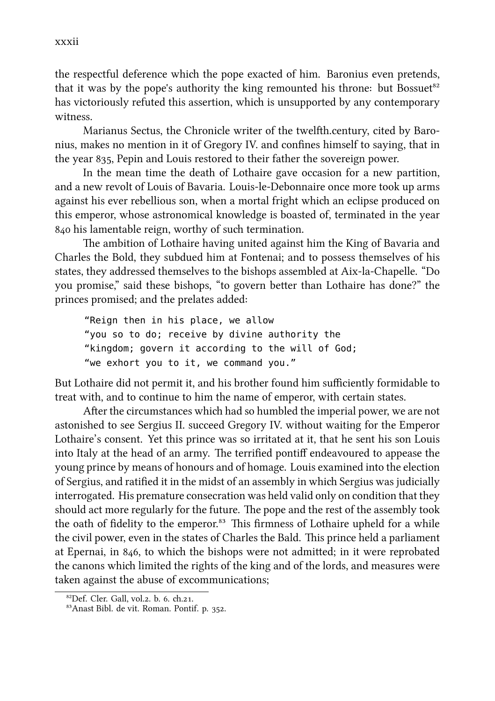the respectful deference which the pope exacted of him. Baronius even pretends, that it was by the pope's authority the king remounted his throne: but Bossuet<sup>82</sup> has victoriously refuted this assertion, which is unsupported by any contemporary witness.

Marianus Sectus, the Chronicle writer of the twelh.century, cited by Baronius, makes no mention in it of Gregory IV. and confines himself to saying, that in the year 835, Pepin and Louis restored to their father the sovereign power.

In the mean time the death of Lothaire gave occasion for a new partition, and a new revolt of Louis of Bavaria. Louis-le-Debonnaire once more took up arms against his ever rebellious son, when a mortal fright which an eclipse produced on this emperor, whose astronomical knowledge is boasted of, terminated in the year 840 his lamentable reign, worthy of such termination.

The ambition of Lothaire having united against him the King of Bavaria and Charles the Bold, they subdued him at Fontenai; and to possess themselves of his states, they addressed themselves to the bishops assembled at Aix-la-Chapelle. "Do you promise," said these bishops, "to govern better than Lothaire has done?" the princes promised; and the prelates added:

```
"Reign then in his place, we allow
"you so to do; receive by divine authority the
"kingdom; govern it according to the will of God;
"we exhort you to it, we command you."
```
But Lothaire did not permit it, and his brother found him sufficiently formidable to treat with, and to continue to him the name of emperor, with certain states.

After the circumstances which had so humbled the imperial power, we are not astonished to see Sergius II. succeed Gregory IV. without waiting for the Emperor Lothaire's consent. Yet this prince was so irritated at it, that he sent his son Louis into Italy at the head of an army. The terrified pontiff endeavoured to appease the young prince by means of honours and of homage. Louis examined into the election of Sergius, and ratified it in the midst of an assembly in which Sergius was judicially interrogated. His premature consecration was held valid only on condition that they should act more regularly for the future. The pope and the rest of the assembly took the oath of fidelity to the emperor.<sup>83</sup> This firmness of Lothaire upheld for a while the civil power, even in the states of Charles the Bald. This prince held a parliament at Epernai, in  $846$ , to which the bishops were not admitted; in it were reprobated the canons which limited the rights of the king and of the lords, and measures were taken against the abuse of excommunications;

 ${}^{82}$ Def. Cler. Gall, vol.2, b. 6, ch.21.

<sup>&</sup>lt;sup>83</sup>Anast Bibl. de vit. Roman. Pontif. p. 352.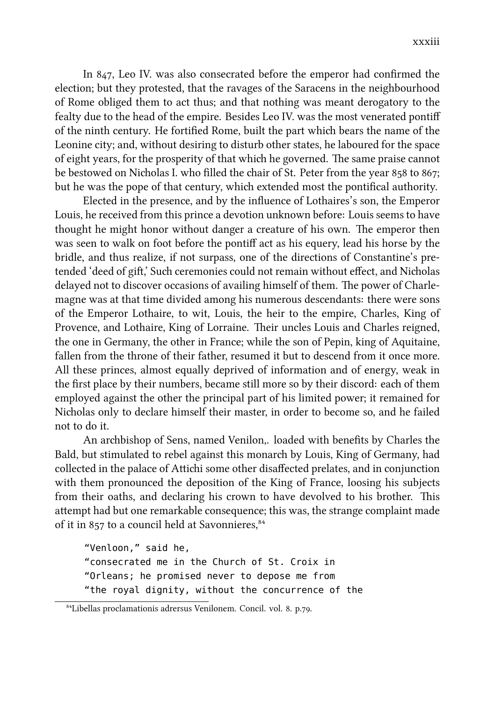In  $847$ , Leo IV. was also consecrated before the emperor had confirmed the election; but they protested, that the ravages of the Saracens in the neighbourhood of Rome obliged them to act thus; and that nothing was meant derogatory to the fealty due to the head of the empire. Besides Leo IV. was the most venerated pontiff of the ninth century. He fortified Rome, built the part which bears the name of the Leonine city; and, without desiring to disturb other states, he laboured for the space of eight years, for the prosperity of that which he governed. The same praise cannot be bestowed on Nicholas I. who filled the chair of St. Peter from the year  $858$  to  $867$ ; but he was the pope of that century, which extended most the pontifical authority.

Elected in the presence, and by the influence of Lothaires's son, the Emperor Louis, he received from this prince a devotion unknown before: Louis seems to have thought he might honor without danger a creature of his own. The emperor then was seen to walk on foot before the pontiff act as his equery, lead his horse by the bridle, and thus realize, if not surpass, one of the directions of Constantine's pretended 'deed of gift,' Such ceremonies could not remain without effect, and Nicholas delayed not to discover occasions of availing himself of them. The power of Charlemagne was at that time divided among his numerous descendants: there were sons of the Emperor Lothaire, to wit, Louis, the heir to the empire, Charles, King of Provence, and Lothaire, King of Lorraine. Their uncles Louis and Charles reigned, the one in Germany, the other in France; while the son of Pepin, king of Aquitaine, fallen from the throne of their father, resumed it but to descend from it once more. All these princes, almost equally deprived of information and of energy, weak in the first place by their numbers, became still more so by their discord: each of them employed against the other the principal part of his limited power; it remained for Nicholas only to declare himself their master, in order to become so, and he failed not to do it.

An archbishop of Sens, named Venilon,. loaded with benefits by Charles the Bald, but stimulated to rebel against this monarch by Louis, King of Germany, had collected in the palace of Attichi some other disaffected prelates, and in conjunction with them pronounced the deposition of the King of France, loosing his subjects from their oaths, and declaring his crown to have devolved to his brother. This attempt had but one remarkable consequence; this was, the strange complaint made of it in 857 to a council held at Savonnieres,<sup>84</sup>

```
"Venloon," said he,
"consecrated me in the Church of St. Croix in
"Orleans; he promised never to depose me from
"the royal dignity, without the concurrence of the
```
<sup>&</sup>lt;sup>84</sup>Libellas proclamationis adrersus Venilonem. Concil. vol. 8. p.79.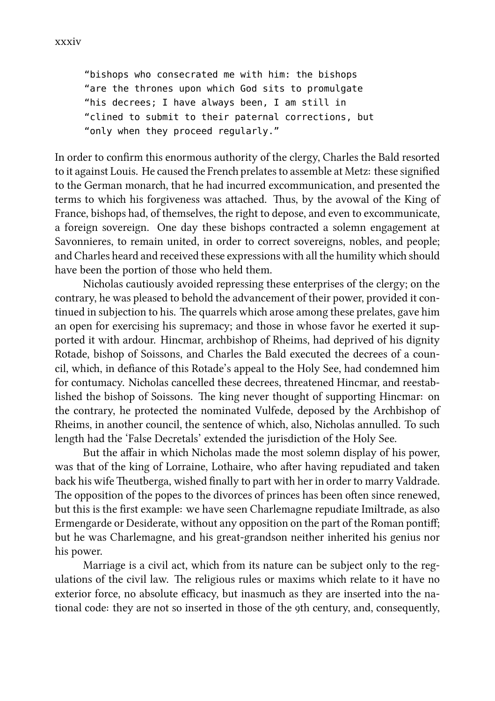"bishops who consecrated me with him: the bishops "are the thrones upon which God sits to promulgate "his decrees; I have always been, I am still in "clined to submit to their paternal corrections, but "only when they proceed regularly."

In order to confirm this enormous authority of the clergy, Charles the Bald resorted to it against Louis. He caused the French prelates to assemble at Metz: these signified to the German monarch, that he had incurred excommunication, and presented the terms to which his forgiveness was attached. Thus, by the avowal of the King of France, bishops had, of themselves, the right to depose, and even to excommunicate, a foreign sovereign. One day these bishops contracted a solemn engagement at Savonnieres, to remain united, in order to correct sovereigns, nobles, and people; and Charles heard and received these expressions with all the humility which should have been the portion of those who held them.

Nicholas cautiously avoided repressing these enterprises of the clergy; on the contrary, he was pleased to behold the advancement of their power, provided it continued in subjection to his. The quarrels which arose among these prelates, gave him an open for exercising his supremacy; and those in whose favor he exerted it supported it with ardour. Hincmar, arbishop of Rheims, had deprived of his dignity Rotade, bishop of Soissons, and Charles the Bald executed the decrees of a council, which, in defiance of this Rotade's appeal to the Holy See, had condemned him for contumacy. Nicholas cancelled these decrees, threatened Hincmar, and reestablished the bishop of Soissons. The king never thought of supporting Hincmar: on the contrary, he protected the nominated Vulfede, deposed by the Archbishop of Rheims, in another council, the sentence of which, also, Nicholas annulled. To such length had the 'False Decretals' extended the jurisdiction of the Holy See.

But the affair in which Nicholas made the most solemn display of his power, was that of the king of Lorraine, Lothaire, who after having repudiated and taken back his wife Theutberga, wished finally to part with her in order to marry Valdrade. The opposition of the popes to the divorces of princes has been often since renewed, but this is the first example: we have seen Charlemagne repudiate Imiltrade, as also Ermengarde or Desiderate, without any opposition on the part of the Roman pontiff; but he was Charlemagne, and his great-grandson neither inherited his genius nor his power.

Marriage is a civil act, which from its nature can be subject only to the regulations of the civil law. The religious rules or maxims which relate to it have no exterior force, no absolute efficacy, but inasmuch as they are inserted into the national code: they are not so inserted in those of the oth century, and, consequently,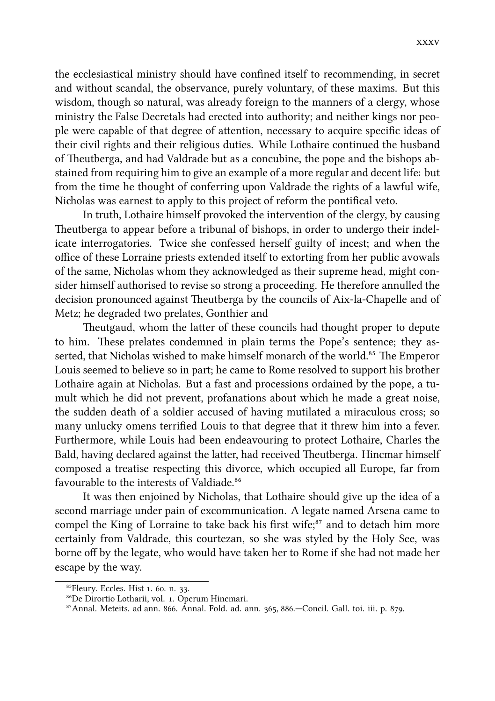the ecclesiastical ministry should have confined itself to recommending, in secret and without scandal, the observance, purely voluntary, of these maxims. But this wisdom, though so natural, was already foreign to the manners of a clergy, whose ministry the False Decretals had erected into authority; and neither kings nor people were capable of that degree of attention, necessary to acquire specific ideas of their civil rights and their religious duties. While Lothaire continued the husband of Theutberga, and had Valdrade but as a concubine, the pope and the bishops abstained from requiring him to give an example of a more regular and decent life: but from the time he thought of conferring upon Valdrade the rights of a lawful wife, Nicholas was earnest to apply to this project of reform the pontifical veto.

In truth, Lothaire himself provoked the intervention of the clergy, by causing Theutberga to appear before a tribunal of bishops, in order to undergo their indelicate interrogatories. Twice she confessed herself guilty of incest; and when the office of these Lorraine priests extended itself to extorting from her public avowals of the same. Nicholas whom they acknowledged as their supreme head, might consider himself authorised to revise so strong a proceeding. He therefore annulled the decision pronounced against Theutberga by the councils of Aix-la-Chapelle and of Metz; he degraded two prelates, Gonthier and

Theutgaud, whom the latter of these councils had thought proper to depute to him. These prelates condemned in plain terms the Pope's sentence; they asserted, that Nicholas wished to make himself monarch of the world.<sup>85</sup> The Emperor Louis seemed to believe so in part; he came to Rome resolved to support his brother Lothaire again at Nicholas. But a fast and processions ordained by the pope, a tumult which he did not prevent, profanations about which he made a great noise, the sudden death of a soldier accused of having mutilated a miraculous cross; so many unlucky omens terrified Louis to that degree that it threw him into a fever. Furthermore, while Louis had been endeavouring to protect Lothaire, Charles the Bald, having declared against the latter, had received Theutberga. Hincmar himself composed a treatise respecting this divorce, which occupied all Europe, far from favourable to the interests of Valdiade.<sup>86</sup>

It was then enjoined by Nicholas, that Lothaire should give up the idea of a second marriage under pain of excommunication. A legate named Arsena came to compel the King of Lorraine to take back his first wife; $^{87}$  and to detach him more certainly from Valdrade, this courtezan, so she was styled by the Holy See, was borne off by the legate, who would have taken her to Rome if she had not made her escape by the way.

<sup>&</sup>lt;sup>85</sup>Fleury. Eccles. Hist 1. 60. n. 33.

⁸⁶De Dirortio Lotharii, vol. . Operum Hincmari.

<sup>&</sup>lt;sup>87</sup>Annal. Meteits. ad ann. 866. Annal. Fold. ad. ann. 365, 886. - Concil. Gall. toi. iii. p. 879.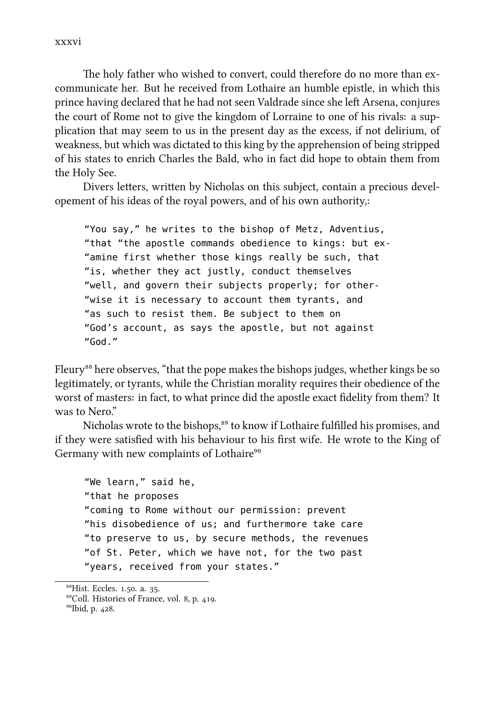xxxvi

The holy father who wished to convert, could therefore do no more than excommunicate her. But he received from Lothaire an humble epistle, in which this prince having declared that he had not seen Valdrade since she left Arsena, conjures the court of Rome not to give the kingdom of Lorraine to one of his rivals: a supplication that may seem to us in the present day as the excess, if not delirium, of weakness, but which was dictated to this king by the apprehension of being stripped of his states to enrich Charles the Bald, who in fact did hope to obtain them from the Holy See.

Divers letters, written by Nicholas on this subject, contain a precious developement of his ideas of the royal powers, and of his own authority,:

"You say," he writes to the bishop of Metz, Adventius, "that "the apostle commands obedience to kings: but ex- "amine first whether those kings really be such, that "is, whether they act justly, conduct themselves "well, and govern their subjects properly; for other- "wise it is necessary to account them tyrants, and "as such to resist them. Be subject to them on "God's account, as says the apostle, but not against "God."

Fleury<sup>88</sup> here observes, "that the pope makes the bishops judges, whether kings be so legitimately, or tyrants, while the Christian morality requires their obedience of the worst of masters: in fact, to what prince did the apostle exact fidelity from them? It was to Nero."

Nicholas wrote to the bishops,<sup>89</sup> to know if Lothaire fulfilled his promises, and if they were satisfied with his behaviour to his first wife. He wrote to the King of Germany with new complaints of Lothaire<sup>90</sup>

```
"We learn," said he,
"that he proposes
"coming to Rome without our permission: prevent
"his disobedience of us; and furthermore take care
"to preserve to us, by secure methods, the revenues
"of St. Peter, which we have not, for the two past
"years, received from your states."
```
<sup>&</sup>lt;sup>88</sup>Hist. Eccles. 1.50. a. 35.

<sup>&</sup>lt;sup>89</sup>Coll. Histories of France, vol. 8, p. 419.

<sup>&</sup>lt;sup>90</sup>Ibid, p. 428.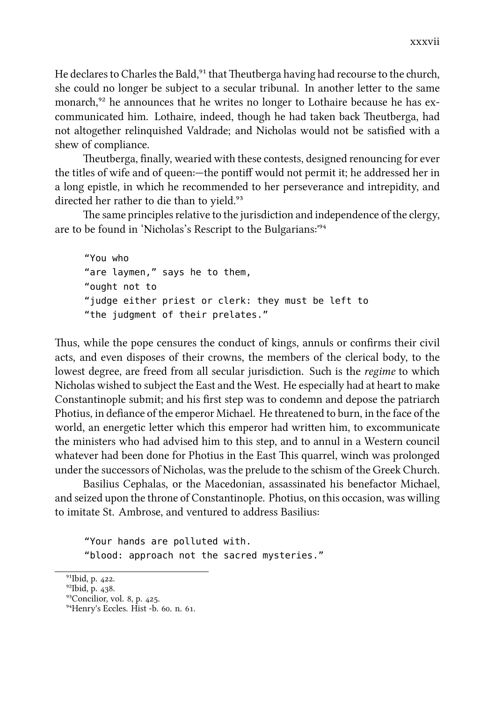He declares to Charles the Bald,<sup>91</sup> that Theutberga having had recourse to the church, she could no longer be subject to a secular tribunal. In another letter to the same monarch,<sup>32</sup> he announces that he writes no longer to Lothaire because he has excommunicated him. Lothaire, indeed, though he had taken back Theutberga, had not altogether relinquished Valdrade; and Nicholas would not be satisfied with a shew of compliance.

Theutberga, finally, wearied with these contests, designed renouncing for ever the titles of wife and of queen:—the pontiff would not permit it; he addressed her in a long epistle, in which he recommended to her perseverance and intrepidity, and directed her rather to die than to yield.<sup>93</sup>

The same principles relative to the jurisdiction and independence of the clergy, are to be found in 'Nicholas's Rescript to the Bulgarians:<sup>194</sup>

"You who "are laymen," says he to them, "ought not to "judge either priest or clerk: they must be left to "the judgment of their prelates."

Thus, while the pope censures the conduct of kings, annuls or confirms their civil acts, and even disposes of their crowns, the members of the clerical body, to the lowest degree, are freed from all secular jurisdiction. Such is the *regime* to which Nicholas wished to subject the East and the West. He especially had at heart to make Constantinople submit; and his first step was to condemn and depose the patriar Photius, in defiance of the emperor Michael. He threatened to burn, in the face of the world, an energetic letter which this emperor had written him, to excommunicate the ministers who had advised him to this step, and to annul in a Western council whatever had been done for Photius in the East This quarrel, winch was prolonged under the successors of Nicholas, was the prelude to the schism of the Greek Church.

Basilius Cephalas, or the Macedonian, assassinated his benefactor Michael, and seized upon the throne of Constantinople. Photius, on this occasion, was willing to imitate St. Ambrose, and ventured to address Basilius:

"Your hands are polluted with. "blood: approach not the sacred mysteries."

<sup>&</sup>lt;sup>91</sup>Ibid, p. 422.

<sup>&</sup>lt;sup>92</sup>Ibid, p. 438.

<sup>&</sup>lt;sup>93</sup>Concilior, vol. 8, p. 425.

<sup>&</sup>lt;sup>94</sup>Henry's Eccles. Hist -b. 60, n. 61.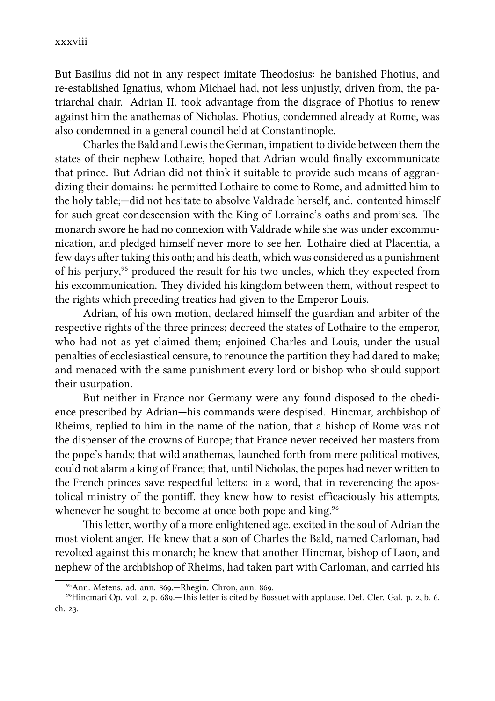But Basilius did not in any respect imitate Theodosius: he banished Photius, and re-established Ignatius, whom Michael had, not less unjustly, driven from, the patriaral air. Adrian II. took advantage from the disgrace of Photius to renew against him the anathemas of Nicholas. Photius, condemned already at Rome, was also condemned in a general council held at Constantinople.

Charles the Bald and Lewis the German, impatient to divide between them the states of their nephew Lothaire, hoped that Adrian would finally excommunicate that prince. But Adrian did not think it suitable to provide such means of aggrandizing their domains: he permitted Lothaire to come to Rome, and admitted him to the holy table;—did not hesitate to absolve Valdrade herself, and. contented himself for such great condescension with the King of Lorraine's oaths and promises. The monarch swore he had no connexion with Valdrade while she was under excommunication, and pledged himself never more to see her. Lothaire died at Placentia, a few days after taking this oath; and his death, which was considered as a punishment of his perjury,<sup>95</sup> produced the result for his two uncles, which they expected from his excommunication. They divided his kingdom between them, without respect to the rights which preceding treaties had given to the Emperor Louis.

Adrian, of his own motion, declared himself the guardian and arbiter of the respective rights of the three princes; decreed the states of Lothaire to the emperor, who had not as yet claimed them; enjoined Charles and Louis, under the usual penalties of ecclesiastical censure, to renounce the partition they had dared to make; and menaced with the same punishment every lord or bishop who should support their usurpation.

But neither in France nor Germany were any found disposed to the obedience prescribed by Adrian-his commands were despised. Hincmar, archbishop of Rheims, replied to him in the name of the nation, that a bishop of Rome was not the dispenser of the crowns of Europe; that France never received her masters from the pope's hands; that wild anathemas, launched forth from mere political motives, could not alarm a king of France; that, until Nicholas, the popes had never written to the French princes save respectful letters: in a word, that in reverencing the apostolical ministry of the pontiff, they knew how to resist efficaciously his attempts, whenever he sought to become at once both pope and king.<sup>96</sup>

This letter, worthy of a more enlightened age, excited in the soul of Adrian the most violent anger. He knew that a son of Charles the Bald, named Carloman, had revolted against this monarch; he knew that another Hincmar, bishop of Laon, and nephew of the arbishop of Rheims, had taken part with Carloman, and carried his

<sup>&</sup>lt;sup>95</sup>Ann. Metens. ad. ann. 869.—Rhegin. Chron, ann. 869.

<sup>&</sup>lt;sup>96</sup>Hincmari Op. vol. 2, p. 689.—This letter is cited by Bossuet with applause. Def. Cler. Gal. p. 2, b. 6, ch. 23.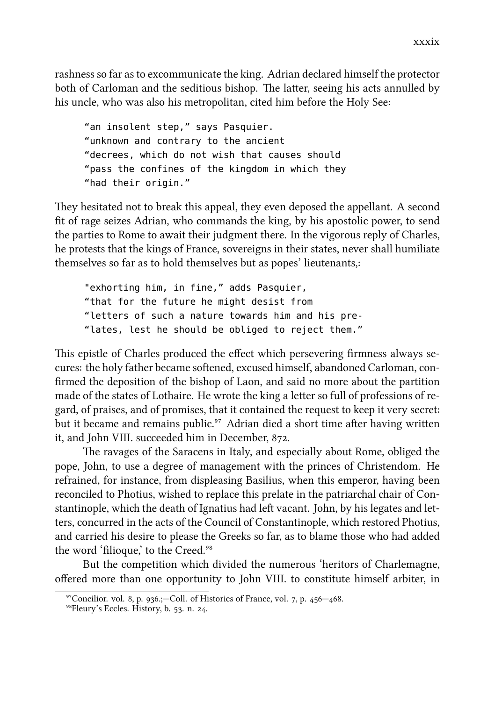rashness so far as to excommunicate the king. Adrian declared himself the protector both of Carloman and the seditious bishop. The latter, seeing his acts annulled by his uncle, who was also his metropolitan, cited him before the Holy See:

"an insolent step," says Pasquier. "unknown and contrary to the ancient "decrees, which do not wish that causes should "pass the confines of the kingdom in which they "had their origin."

They hesitated not to break this appeal, they even deposed the appellant. A second fit of rage seizes Adrian, who commands the king, by his apostolic power, to send the parties to Rome to await their judgment there. In the vigorous reply of Charles, he protests that the kings of France, sovereigns in their states, never shall humiliate themselves so far as to hold themselves but as popes' lieutenants,:

"exhorting him, in fine," adds Pasquier, "that for the future he might desist from "letters of such a nature towards him and his pre- "lates, lest he should be obliged to reject them."

This epistle of Charles produced the effect which persevering firmness always secures: the holy father became softened, excused himself, abandoned Carloman, confirmed the deposition of the bishop of Laon, and said no more about the partition made of the states of Lothaire. He wrote the king a letter so full of professions of regard, of praises, and of promises, that it contained the request to keep it very secret: but it became and remains public.<sup>97</sup> Adrian died a short time after having written it, and John VIII. succeeded him in December, 872.

The ravages of the Saracens in Italy, and especially about Rome, obliged the pope, John, to use a degree of management with the princes of Christendom. He refrained, for instance, from displeasing Basilius, when this emperor, having been reconciled to Photius, wished to replace this prelate in the patriarchal chair of Constantinople, which the death of Ignatius had left vacant. John, by his legates and letters, concurred in the acts of the Council of Constantinople, which restored Photius, and carried his desire to please the Greeks so far, as to blame those who had added the word 'filioque,' to the Creed.<sup>98</sup>

But the competition which divided the numerous 'heritors of Charlemagne, offered more than one opportunity to John VIII. to constitute himself arbiter, in

 $\frac{97}{2}$ Concilior. vol. 8, p. 936.;—Coll. of Histories of France, vol. 7, p. 456—468.

<sup>&</sup>lt;sup>98</sup>Fleury's Eccles. History, b. 53. n. 24.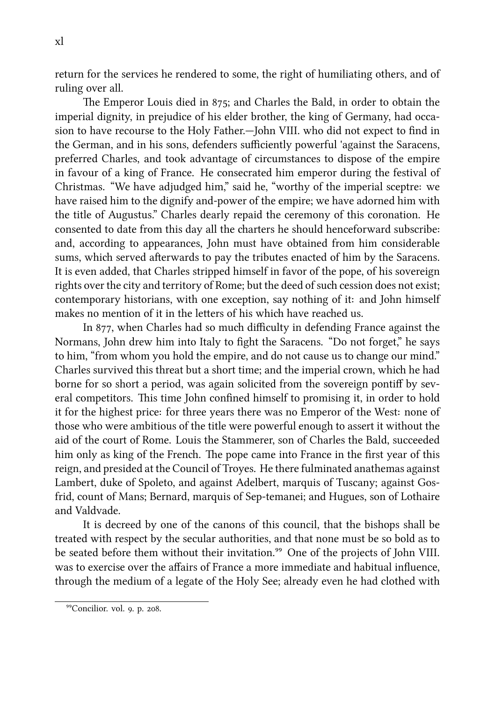return for the services he rendered to some, the right of humiliating others, and of ruling over all.

The Emperor Louis died in 875; and Charles the Bald, in order to obtain the imperial dignity, in prejudice of his elder brother, the king of Germany, had occasion to have recourse to the Holy Father.—John VIII. who did not expect to find in the German, and in his sons, defenders sufficiently powerful 'against the Saracens, preferred Charles, and took advantage of circumstances to dispose of the empire in favour of a king of France. He consecrated him emperor during the festival of Christmas. "We have adjudged him," said he, "worthy of the imperial sceptre: we have raised him to the dignify and-power of the empire; we have adorned him with the title of Augustus." Charles dearly repaid the ceremony of this coronation. He consented to date from this day all the charters he should henceforward subscribe: and, according to appearances, John must have obtained from him considerable sums, which served afterwards to pay the tributes enacted of him by the Saracens. It is even added, that Charles stripped himself in favor of the pope, of his sovereign rights over the city and territory of Rome; but the deed of such cession does not exist; contemporary historians, with one exception, say nothing of it: and John himself makes no mention of it in the letters of his which have reached us.

In 877, when Charles had so much difficulty in defending France against the Normans, John drew him into Italy to fight the Saracens. "Do not forget," he says to him, "from whom you hold the empire, and do not cause us to change our mind." Charles survived this threat but a short time; and the imperial crown, which he had borne for so short a period, was again solicited from the sovereign pontiff by several competitors. This time John confined himself to promising it, in order to hold it for the highest price: for three years there was no Emperor of the West: none of those who were ambitious of the title were powerful enough to assert it without the aid of the court of Rome. Louis the Stammerer, son of Charles the Bald, succeeded him only as king of the French. The pope came into France in the first year of this reign, and presided at the Council of Troyes. He there fulminated anathemas against Lambert, duke of Spoleto, and against Adelbert, marquis of Tuscany; against Gosfrid, count of Mans; Bernard, marquis of Sep-temanei; and Hugues, son of Lothaire and Valdvade.

It is decreed by one of the canons of this council, that the bishops shall be treated with respect by the secular authorities, and that none must be so bold as to be seated before them without their invitation.<sup>99</sup> One of the projects of John VIII. was to exercise over the affairs of France a more immediate and habitual influence, through the medium of a legate of the Holy See; already even he had clothed with

<sup>&</sup>lt;sup>99</sup>Concilior. vol. 9. p. 208.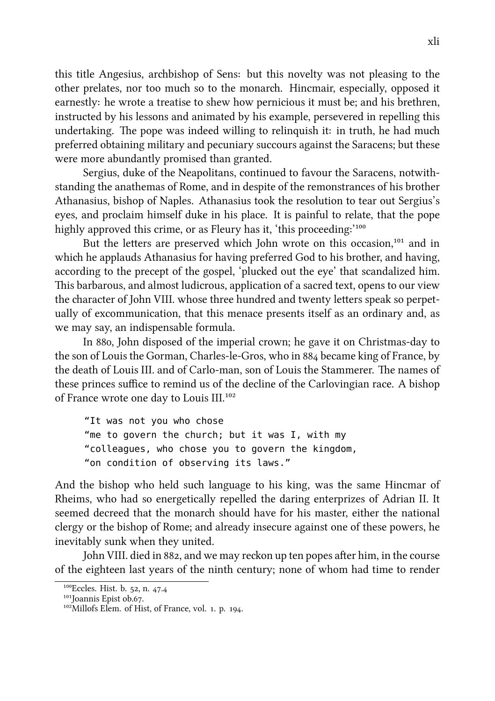this title Angesius, arbishop of Sens: but this novelty was not pleasing to the other prelates, nor too much so to the monarch. Hincmair, especially, opposed it earnestly: he wrote a treatise to shew how pernicious it must be; and his brethren, instructed by his lessons and animated by his example, persevered in repelling this undertaking. The pope was indeed willing to relinquish it: in truth, he had much preferred obtaining military and pecuniary succours against the Saracens; but these were more abundantly promised than granted.

Sergius, duke of the Neapolitans, continued to favour the Saracens, notwithstanding the anathemas of Rome, and in despite of the remonstrances of his brother Athanasius, bishop of Naples. Athanasius took the resolution to tear out Sergius's eyes, and proclaim himself duke in his place. It is painful to relate, that the pope highly approved this crime, or as Fleury has it, 'this proceeding:'<sup>100</sup>

But the letters are preserved which John wrote on this occasion,<sup>101</sup> and in which he applauds Athanasius for having preferred God to his brother, and having, according to the precept of the gospel, 'plucked out the eye' that scandalized him. This barbarous, and almost ludicrous, application of a sacred text, opens to our view the character of John VIII. whose three hundred and twenty letters speak so perpetually of excommunication, that this menace presents itself as an ordinary and, as we may say, an indispensable formula.

In 880, John disposed of the imperial crown; he gave it on Christmas-day to the son of Louis the Gorman, Charles-le-Gros, who in  $884$  became king of France, by the death of Louis III. and of Carlo-man, son of Louis the Stammerer. The names of these princes suffice to remind us of the decline of the Carlovingian race. A bishop of France wrote one day to Louis III.<sup>102</sup>

"It was not you who chose "me to govern the church; but it was I, with my "colleagues, who chose you to govern the kingdom, "on condition of observing its laws."

And the bishop who held such language to his king, was the same Hincmar of Rheims, who had so energetically repelled the daring enterprizes of Adrian II. It seemed decreed that the monarch should have for his master, either the national clergy or the bishop of Rome; and already insecure against one of these powers, he inevitably sunk when they united.

John VIII. died in 882, and we may reckon up ten popes after him, in the course of the eighteen last years of the ninth century; none of whom had time to render

 $^{100}$ Eccles. Hist. b. 52, n. 47.4

<sup>&</sup>lt;sup>101</sup>Joannis Epist ob.67.

 $102$ Millofs Elem. of Hist, of France, vol. 1, p. 194.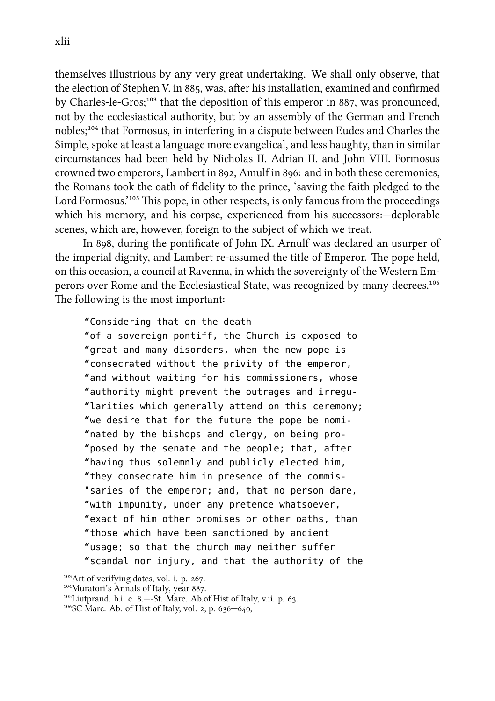themselves illustrious by any very great undertaking. We shall only observe, that the election of Stephen V. in 885, was, after his installation, examined and confirmed by Charles-le-Gros;<sup>103</sup> that the deposition of this emperor in 887, was pronounced, not by the ecclesiastical authority, but by an assembly of the German and Fren nobles;<sup>104</sup> that Formosus, in interfering in a dispute between Eudes and Charles the Simple, spoke at least a language more evangelical, and less haughty, than in similar circumstances had been held by Niolas II. Adrian II. and John VIII. Formosus crowned two emperors, Lambert in 892, Amulf in 896: and in both these ceremonies, the Romans took the oath of fidelity to the prince, 'saving the faith pledged to the Lord Formosus.<sup>'105</sup> This pope, in other respects, is only famous from the proceedings which his memory, and his corpse, experienced from his successors:—deplorable scenes, which are, however, foreign to the subject of which we treat.

In 898, during the pontificate of John IX. Arnulf was declared an usurper of the imperial dignity, and Lambert re-assumed the title of Emperor. The pope held, on this occasion, a council at Ravenna, in which the sovereignty of the Western Emperors over Rome and the Ecclesiastical State, was recognized by many decrees.<sup>106</sup> The following is the most important:

"Considering that on the death "of a sovereign pontiff, the Church is exposed to "great and many disorders, when the new pope is "consecrated without the privity of the emperor, "and without waiting for his commissioners, whose "authority might prevent the outrages and irregu- "larities which generally attend on this ceremony; "we desire that for the future the pope be nomi- "nated by the bishops and clergy, on being pro- "posed by the senate and the people; that, after "having thus solemnly and publicly elected him, "they consecrate him in presence of the commis- "saries of the emperor; and, that no person dare, "with impunity, under any pretence whatsoever, "exact of him other promises or other oaths, than "those which have been sanctioned by ancient "usage; so that the church may neither suffer "scandal nor injury, and that the authority of the

 $103$ Art of verifying dates, vol. i. p. 267.

<sup>&</sup>lt;sup>104</sup>Muratori's Annals of Italy, year 887.

 $^{105}$ Liutprand. b.i. c. 8.—-St. Marc. Ab.of Hist of Italy, v.ii. p. 63.

<sup>&</sup>lt;sup>106</sup>SC Marc. Ab. of Hist of Italy, vol. 2, p.  $636-640$ .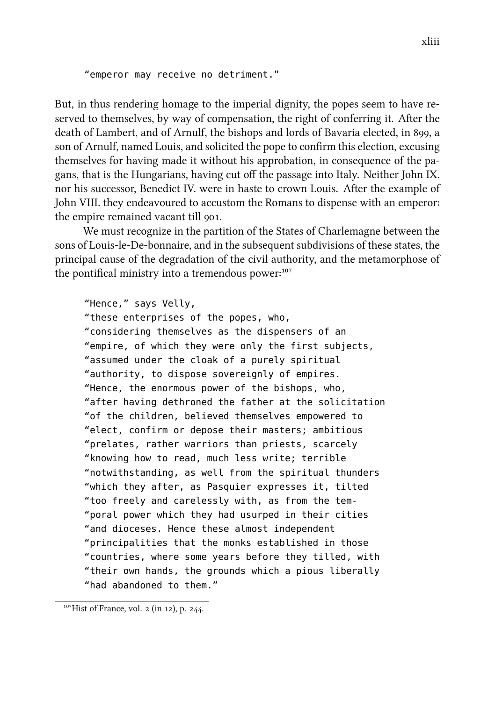"emperor may receive no detriment."

But, in thus rendering homage to the imperial dignity, the popes seem to have reserved to themselves, by way of compensation, the right of conferring it. After the death of Lambert, and of Arnulf, the bishops and lords of Bavaria elected, in 899, a son of Arnulf, named Louis, and solicited the pope to confirm this election, excusing themselves for having made it without his approbation, in consequence of the pagans, that is the Hungarians, having cut off the passage into Italy. Neither John IX. nor his successor, Benedict IV. were in haste to crown Louis. After the example of John VIII. they endeavoured to accustom the Romans to dispense with an emperor: the empire remained vacant till 901.

We must recognize in the partition of the States of Charlemagne between the sons of Louis-le-De-bonnaire, and in the subsequent subdivisions of these states, the principal cause of the degradation of the civil authority, and the metamorphose of the pontifical ministry into a tremendous power: $107$ 

```
"Hence," says Velly,
```
"these enterprises of the popes, who, "considering themselves as the dispensers of an "empire, of which they were only the first subjects, "assumed under the cloak of a purely spiritual "authority, to dispose sovereignly of empires. "Hence, the enormous power of the bishops, who, "after having dethroned the father at the solicitation "of the children, believed themselves empowered to "elect, confirm or depose their masters; ambitious "prelates, rather warriors than priests, scarcely "knowing how to read, much less write; terrible "notwithstanding, as well from the spiritual thunders "which they after, as Pasquier expresses it, tilted "too freely and carelessly with, as from the tem- "poral power which they had usurped in their cities "and dioceses. Hence these almost independent "principalities that the monks established in those "countries, where some years before they tilled, with "their own hands, the grounds which a pious liberally "had abandoned to them."

 $107$ Hist of France, vol. 2 (in 12), p. 244.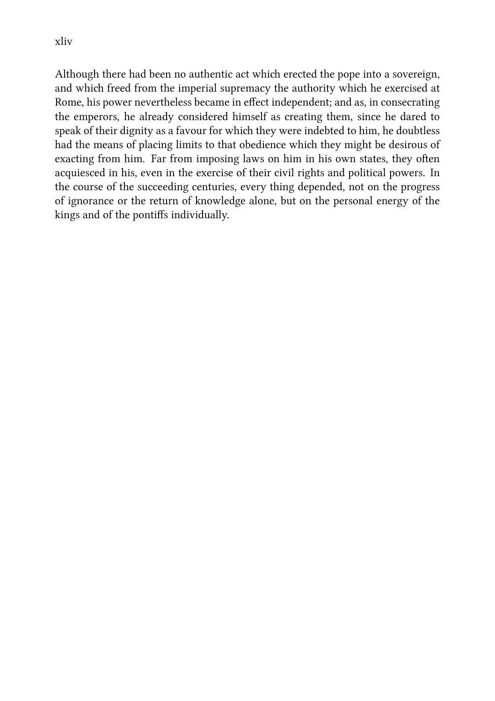Although there had been no authentic act which erected the pope into a sovereign, and which freed from the imperial supremacy the authority which he exercised at Rome, his power nevertheless became in effect independent; and as, in consecrating the emperors, he already considered himself as creating them, since he dared to speak of their dignity as a favour for which they were indebted to him, he doubtless had the means of placing limits to that obedience which they might be desirous of exacting from him. Far from imposing laws on him in his own states, they often acquiesced in his, even in the exercise of their civil rights and political powers. In the course of the succeeding centuries, every thing depended, not on the progress of ignorance or the return of knowledge alone, but on the personal energy of the kings and of the pontiffs individually.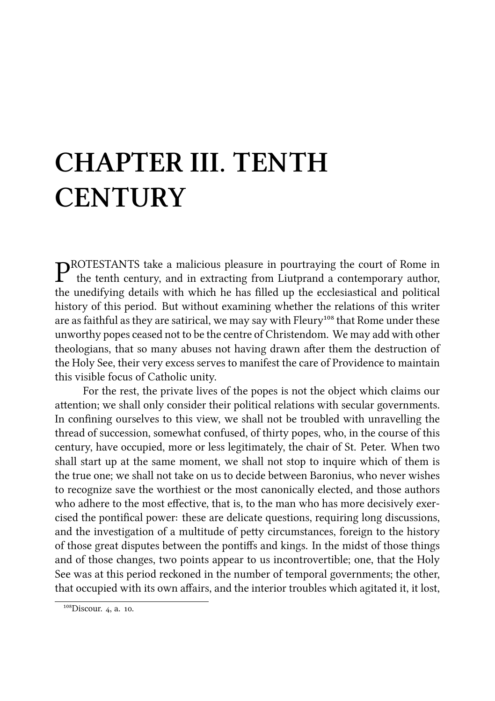## **CHAPTER III. TENTH CENTURY**

 $P^{\text{ROTESTANTS}}$  take a malicious pleasure in pourtraying the court of Rome in the tenth century, and in extracting from Liutprand a contemporary author, the tenth century, and in extracting from Liutprand a contemporary author, the unedifying details with which he has filled up the ecclesiastical and political history of this period. But without examining whether the relations of this writer are as faithful as they are satirical, we may say with Fleury<sup>108</sup> that Rome under these unworthy popes ceased not to be the centre of Christendom. We may add with other theologians, that so many abuses not having drawn after them the destruction of the Holy See, their very excess serves to manifest the care of Providence to maintain this visible focus of Catholic unity.

For the rest, the private lives of the popes is not the object which claims our attention; we shall only consider their political relations with secular governments. In confining ourselves to this view, we shall not be troubled with unravelling the thread of succession, somewhat confused, of thirty popes, who, in the course of this century, have occupied, more or less legitimately, the chair of St. Peter. When two shall start up at the same moment, we shall not stop to inquire which of them is the true one; we shall not take on us to decide between Baronius, who never wishes to recognize save the worthiest or the most canonically elected, and those authors who adhere to the most effective, that is, to the man who has more decisively exercised the pontifical power: these are delicate questions, requiring long discussions, and the investigation of a multitude of petty circumstances, foreign to the history of those great disputes between the pontiffs and kings. In the midst of those things and of those changes, two points appear to us incontrovertible; one, that the Holy See was at this period reckoned in the number of temporal governments; the other, that occupied with its own affairs, and the interior troubles which agitated it, it lost,

 $\overline{^{108}$ Discour. 4, a. 10.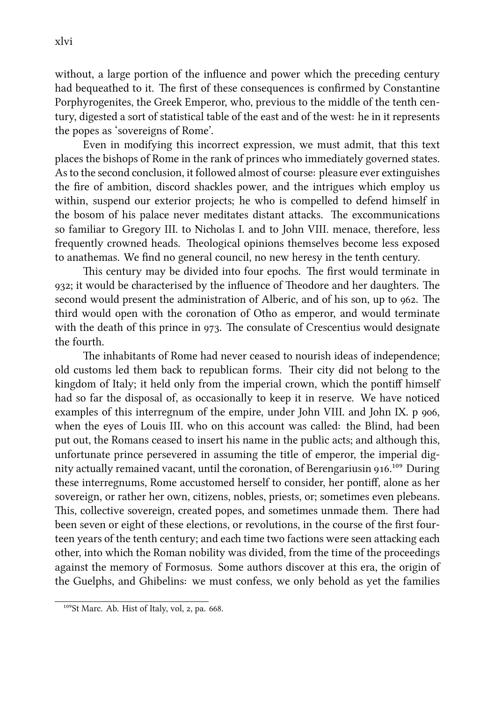without, a large portion of the influence and power which the preceding century had bequeathed to it. The first of these consequences is confirmed by Constantine Porphyrogenites, the Greek Emperor, who, previous to the middle of the tenth century, digested a sort of statistical table of the east and of the west: he in it represents the popes as 'sovereigns of Rome'.

Even in modifying this incorrect expression, we must admit, that this text places the bishops of Rome in the rank of princes who immediately governed states. As to the second conclusion, it followed almost of course: pleasure ever extinguishes the fire of ambition, discord shackles power, and the intrigues which employ us within, suspend our exterior projects; he who is compelled to defend himself in the bosom of his palace never meditates distant attacks. The excommunications so familiar to Gregory III. to Nicholas I. and to John VIII. menace, therefore, less frequently crowned heads. Theological opinions themselves become less exposed to anathemas. We find no general council, no new heresy in the tenth century.

This century may be divided into four epochs. The first would terminate in 932; it would be characterised by the influence of Theodore and her daughters. The second would present the administration of Alberic, and of his son, up to . The third would open with the coronation of Otho as emperor, and would terminate with the death of this prince in 973. The consulate of Crescentius would designate the fourth.

The inhabitants of Rome had never ceased to nourish ideas of independence; old customs led them back to republican forms. Their city did not belong to the kingdom of Italy; it held only from the imperial crown, which the pontiff himself had so far the disposal of, as occasionally to keep it in reserve. We have noticed examples of this interregnum of the empire, under John VIII. and John IX. p 906, when the eyes of Louis III. who on this account was called: the Blind, had been put out, the Romans ceased to insert his name in the public acts; and although this, unfortunate prince persevered in assuming the title of emperor, the imperial dignity actually remained vacant, until the coronation, of Berengariusin 916.<sup>109</sup> During these interregnums, Rome accustomed herself to consider, her pontiff, alone as her sovereign, or rather her own, citizens, nobles, priests, or; sometimes even plebeans. This, collective sovereign, created popes, and sometimes unmade them. There had been seven or eight of these elections, or revolutions, in the course of the first fourteen years of the tenth century; and each time two factions were seen attacking each other, into which the Roman nobility was divided, from the time of the proceedings against the memory of Formosus. Some authors discover at this era, the origin of the Guelphs, and Ghibelins: we must confess, we only behold as yet the families

 $109$ St Marc. Ab. Hist of Italy, vol, 2, pa. 668.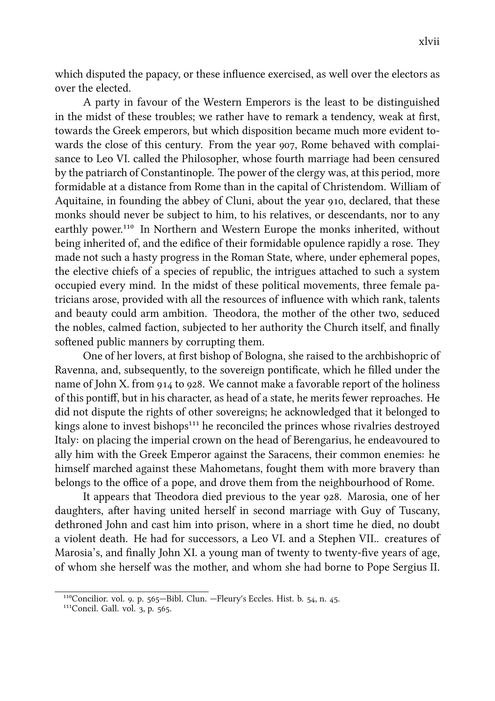which disputed the papacy, or these influence exercised, as well over the electors as over the elected.

A party in favour of the Western Emperors is the least to be distinguished in the midst of these troubles; we rather have to remark a tendency, weak at first, towards the Greek emperors, but which disposition became much more evident towards the close of this century. From the year 907, Rome behaved with complaisance to Leo VI. called the Philosopher, whose fourth marriage had been censured by the patriarch of Constantinople. The power of the clergy was, at this period, more formidable at a distance from Rome than in the capital of Christendom. William of Aquitaine, in founding the abbey of Cluni, about the year 910, declared, that these monks should never be subject to him, to his relatives, or descendants, nor to any earthly power.<sup>110</sup> In Northern and Western Europe the monks inherited, without being inherited of, and the edifice of their formidable opulence rapidly a rose. They made not such a hasty progress in the Roman State, where, under ephemeral popes, the elective chiefs of a species of republic, the intrigues attached to such a system occupied every mind. In the midst of these political movements, three female patricians arose, provided with all the resources of influence with which rank, talents and beauty could arm ambition. Theodora, the mother of the other two, seduced the nobles, calmed faction, subjected to her authority the Church itself, and finally softened public manners by corrupting them.

One of her lovers, at first bishop of Bologna, she raised to the archbishopric of Ravenna, and, subsequently, to the sovereign pontificate, which he filled under the name of John X. from  $914$  to  $928$ . We cannot make a favorable report of the holiness of this pontiff, but in his character, as head of a state, he merits fewer reproaches. He did not dispute the rights of other sovereigns; he acknowledged that it belonged to kings alone to invest bishops $^{111}$  he reconciled the princes whose rivalries destroyed Italy: on placing the imperial crown on the head of Berengarius, he endeavoured to ally him with the Greek Emperor against the Saracens, their common enemies: he himself marched against these Mahometans, fought them with more bravery than belongs to the office of a pope, and drove them from the neighbourhood of Rome.

It appears that Theodora died previous to the year 928. Marosia, one of her daughters, after having united herself in second marriage with Guy of Tuscany, dethroned John and cast him into prison, where in a short time he died, no doubt a violent death. He had for successors, a Leo VI. and a Stephen VII.. creatures of Marosia's, and finally John XI. a young man of twenty to twenty-five years of age, of whom she herself was the mother, and whom she had borne to Pope Sergius II.

 $110$ Concilior. vol. 9. p.  $565$ -Bibl. Clun. -Fleury's Eccles. Hist. b.  $54$ , n.  $45$ .

 $111$ Concil. Gall. vol. 3, p. 565.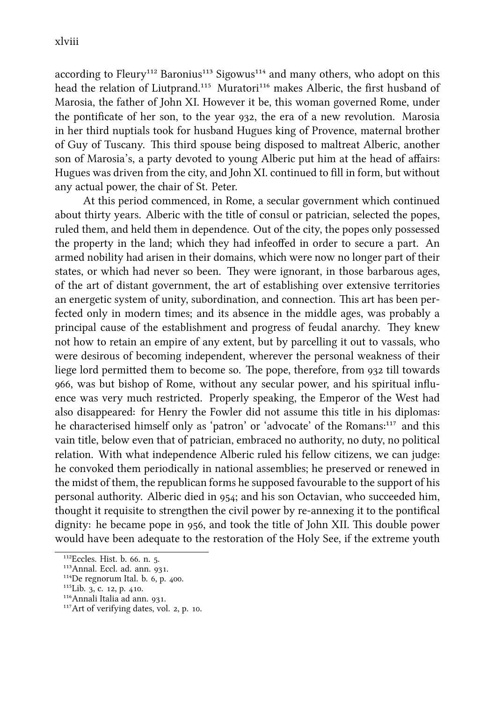according to Fleury<sup>112</sup> Baronius<sup>113</sup> Sigowus<sup>114</sup> and many others, who adopt on this head the relation of Liutprand.<sup>115</sup> Muratori<sup>116</sup> makes Alberic, the first husband of Marosia, the father of John XI. However it be, this woman governed Rome, under the pontificate of her son, to the year 932, the era of a new revolution. Marosia in her third nuptials took for husband Hugues king of Provence, maternal brother of Guy of Tuscany. This third spouse being disposed to maltreat Alberic, another son of Marosia's, a party devoted to young Alberic put him at the head of affairs: Hugues was driven from the city, and John XI. continued to fill in form, but without any actual power, the chair of St. Peter.

At this period commenced, in Rome, a secular government which continued about thirty years. Alberic with the title of consul or patrician, selected the popes, ruled them, and held them in dependence. Out of the city, the popes only possessed the property in the land; which they had infeoffed in order to secure a part. An armed nobility had arisen in their domains, which were now no longer part of their states, or which had never so been. They were ignorant, in those barbarous ages, of the art of distant government, the art of establishing over extensive territories an energetic system of unity, subordination, and connection. This art has been perfected only in modern times; and its absence in the middle ages, was probably a principal cause of the establishment and progress of feudal anarchy. They knew not how to retain an empire of any extent, but by parcelling it out to vassals, who were desirous of becoming independent, wherever the personal weakness of their liege lord permitted them to become so. The pope, therefore, from 932 till towards , was but bishop of Rome, without any secular power, and his spiritual influence was very much restricted. Properly speaking, the Emperor of the West had also disappeared: for Henry the Fowler did not assume this title in his diplomas: he characterised himself only as 'patron' or 'advocate' of the Romans:<sup>117</sup> and this vain title, below even that of patrician, embraced no authority, no duty, no political relation. With what independence Alberic ruled his fellow citizens, we can judge: he convoked them periodically in national assemblies; he preserved or renewed in the midst of them, the republican forms he supposed favourable to the support of his personal authority. Alberic died in 954; and his son Octavian, who succeeded him, thought it requisite to strengthen the civil power by re-annexing it to the pontifical dignity: he became pope in  $956$ , and took the title of John XII. This double power would have been adequate to the restoration of the Holy See, if the extreme youth

 $112$ Eccles. Hist. b. 66. n. 5.

<sup>&</sup>lt;sup>113</sup>Annal. Eccl. ad. ann. 931.

 $114$ De regnorum Ital. b. 6, p. 400.

 $115$ Lib. 3, c. 12, p. 410.

<sup>&</sup>lt;sup>116</sup>Annali Italia ad ann. 931.

 $117$ Art of verifying dates, vol. 2, p. 10.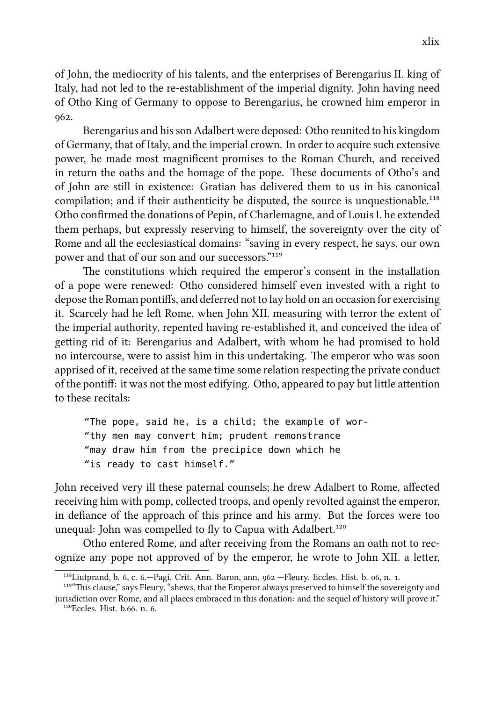of John, the mediocrity of his talents, and the enterprises of Berengarius II. king of Italy, had not led to the re-establishment of the imperial dignity. John having need of Otho King of Germany to oppose to Berengarius, he crowned him emperor in 962.

Berengarius and his son Adalbert were deposed: Otho reunited to his kingdom of Germany, that of Italy, and the imperial crown. In order to acquire such extensive power, he made most magnificent promises to the Roman Church, and received in return the oaths and the homage of the pope. These documents of Otho's and of John are still in existence: Gratian has delivered them to us in his canonical compilation; and if their authenticity be disputed, the source is unquestionable.<sup>118</sup> Otho confirmed the donations of Pepin, of Charlemagne, and of Louis I. he extended them perhaps, but expressly reserving to himself, the sovereignty over the city of Rome and all the ecclesiastical domains: "saving in every respect, he says, our own power and that of our son and our successors."<sup>119</sup>

The constitutions which required the emperor's consent in the installation of a pope were renewed: Otho considered himself even invested with a right to depose the Roman pontiffs, and deferred not to lay hold on an occasion for exercising it. Scarcely had he left Rome, when John XII. measuring with terror the extent of the imperial authority, repented having re-established it, and conceived the idea of getting rid of it: Berengarius and Adalbert, with whom he had promised to hold no intercourse, were to assist him in this undertaking. The emperor who was soon apprised of it, received at the same time some relation respecting the private conduct of the pontiff: it was not the most edifying. Otho, appeared to pay but little attention to these recitals:

"The pope, said he, is a child; the example of wor- "thy men may convert him; prudent remonstrance "may draw him from the precipice down which he "is ready to cast himself."

John received very ill these paternal counsels; he drew Adalbert to Rome, affected receiving him with pomp, collected troops, and openly revolted against the emperor, in defiance of the approach of this prince and his army. But the forces were too unequal: John was compelled to fly to Capua with Adalbert.<sup>120</sup>

Otho entered Rome, and after receiving from the Romans an oath not to recognize any pope not approved of by the emperor, he wrote to John XII. a letter,

 $118$ Liutprand, b. 6, c. 6.—Pagi. Crit. Ann. Baron, ann.  $962$  –Fleury. Eccles. Hist. b. 06, n. 1.

<sup>&</sup>lt;sup>119"</sup>This clause," says Fleury, "shews, that the Emperor always preserved to himself the sovereignty and jurisdiction over Rome, and all places embraced in this donation: and the sequel of history will prove it."  $120$ Eccles. Hist. b.66, n. 6.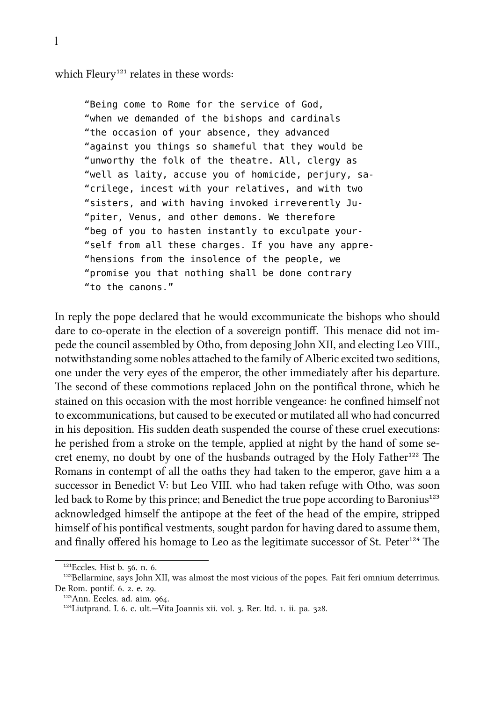which Fleury<sup>121</sup> relates in these words:

"Being come to Rome for the service of God, "when we demanded of the bishops and cardinals "the occasion of your absence, they advanced "against you things so shameful that they would be "unworthy the folk of the theatre. All, clergy as "well as laity, accuse you of homicide, perjury, sa- "crilege, incest with your relatives, and with two "sisters, and with having invoked irreverently Ju- "piter, Venus, and other demons. We therefore "beg of you to hasten instantly to exculpate your- "self from all these charges. If you have any appre- "hensions from the insolence of the people, we "promise you that nothing shall be done contrary "to the canons."

In reply the pope declared that he would excommunicate the bishops who should dare to co-operate in the election of a sovereign pontiff. This menace did not impede the council assembled by Otho, from deposing John XII, and electing Leo VIII., notwithstanding some nobles attached to the family of Alberic excited two seditions, one under the very eyes of the emperor, the other immediately after his departure. The second of these commotions replaced John on the pontifical throne, which he stained on this occasion with the most horrible vengeance: he confined himself not to excommunications, but caused to be executed or mutilated all who had concurred in his deposition. His sudden death suspended the course of these cruel executions: he perished from a stroke on the temple, applied at night by the hand of some secret enemy, no doubt by one of the husbands outraged by the Holy Father<sup>122</sup> The Romans in contempt of all the oaths they had taken to the emperor, gave him a a successor in Benedict V: but Leo VIII. who had taken refuge with Otho, was soon led back to Rome by this prince; and Benedict the true pope according to Baronius<sup>123</sup> acknowledged himself the antipope at the feet of the head of the empire, stripped himself of his pontifical vestments, sought pardon for having dared to assume them, and finally offered his homage to Leo as the legitimate successor of St. Peter<sup>124</sup> The

 $121$ Eccles. Hist b. 56. n. 6.

<sup>&</sup>lt;sup>122</sup>Bellarmine, says John XII, was almost the most vicious of the popes. Fait feri omnium deterrimus. De Rom. pontif. 6. 2. e. 20.

 $123$ Ann. Eccles. ad. aim. 964.

 $124$ Liutprand. I. 6. c. ult.—Vita Joannis xii. vol. 3. Rer. ltd. 1. ii. pa. 328.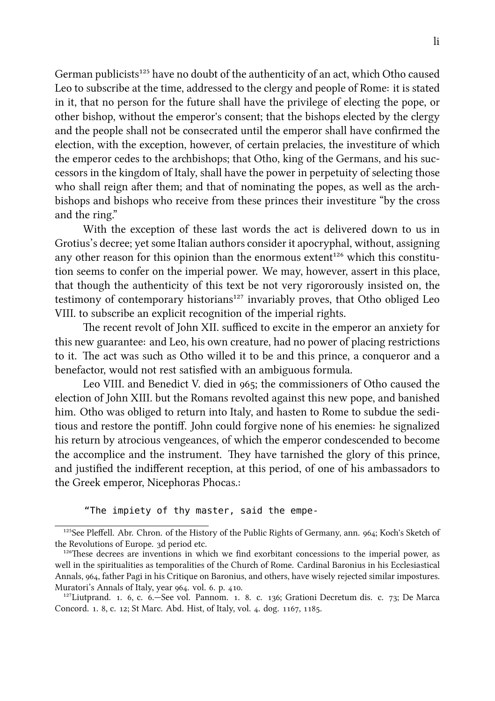German publicists<sup>125</sup> have no doubt of the authenticity of an act, which Otho caused Leo to subscribe at the time, addressed to the clergy and people of Rome: it is stated in it, that no person for the future shall have the privilege of electing the pope, or other bishop, without the emperor's consent; that the bishops elected by the clergy and the people shall not be consecrated until the emperor shall have confirmed the election, with the exception, however, of certain prelacies, the investiture of whi the emperor cedes to the archbishops; that Otho, king of the Germans, and his successors in the kingdom of Italy, shall have the power in perpetuity of selecting those who shall reign after them; and that of nominating the popes, as well as the archbishops and bishops who receive from these princes their investiture "by the cross and the ring."

With the exception of these last words the act is delivered down to us in Grotius's decree; yet some Italian authors consider it apocryphal, without, assigning any other reason for this opinion than the enormous extent<sup>126</sup> which this constitution seems to confer on the imperial power. We may, however, assert in this place, that though the authenticity of this text be not very rigororously insisted on, the testimony of contemporary historians<sup>127</sup> invariably proves, that Otho obliged Leo VIII. to subscribe an explicit recognition of the imperial rights.

The recent revolt of John XII. sufficed to excite in the emperor an anxiety for this new guarantee: and Leo, his own creature, had no power of placing restrictions to it. The act was such as Otho willed it to be and this prince, a conqueror and a benefactor, would not rest satisfied with an ambiguous formula.

Leo VIII. and Benedict V. died in 965; the commissioners of Otho caused the election of John XIII. but the Romans revolted against this new pope, and banished him. Otho was obliged to return into Italy, and hasten to Rome to subdue the seditious and restore the pontiff. John could forgive none of his enemies: he signalized his return by atrocious vengeances, of which the emperor condescended to become the accomplice and the instrument. They have tarnished the glory of this prince, and justified the indifferent reception, at this period, of one of his ambassadors to the Greek emperor, Nicephoras Phocas.:

"The impiety of thy master, said the empe-

 $125$ See Pleffell. Abr. Chron. of the History of the Public Rights of Germany, ann.  $964$ ; Koch's Sketch of the Revolutions of Europe. 3d period etc.

 $126^{\circ}$ These decrees are inventions in which we find exorbitant concessions to the imperial power, as well in the spiritualities as temporalities of the Church of Rome. Cardinal Baronius in his Ecclesiastical Annals, 964, father Pagi in his Critique on Baronius, and others, have wisely rejected similar impostures. Muratori's Annals of Italy, year 964. vol. 6. p. 410.

 $127$ Liutprand. 1. 6, c. 6.—See vol. Pannom. 1. 8. c. 136; Grationi Decretum dis. c. 73; De Marca Concord. 1. 8, c. 12; St Marc. Abd. Hist, of Italy, vol. 4. dog. 1167, 1185.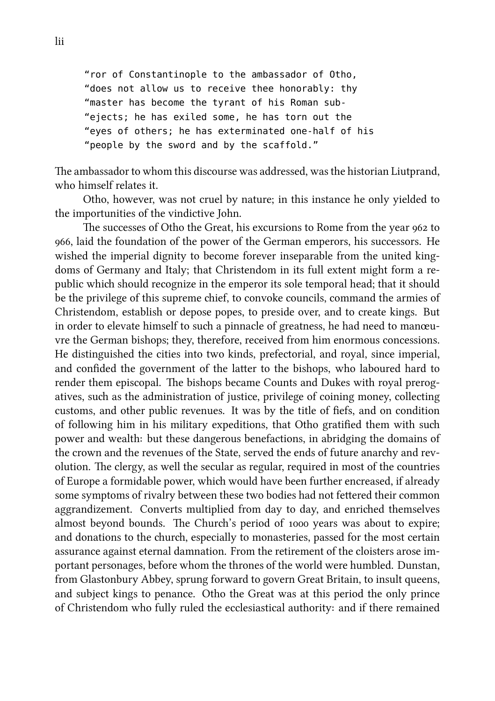"ror of Constantinople to the ambassador of Otho, "does not allow us to receive thee honorably: thy "master has become the tyrant of his Roman sub- "ejects; he has exiled some, he has torn out the "eyes of others; he has exterminated one-half of his "people by the sword and by the scaffold."

The ambassador to whom this discourse was addressed, was the historian Liutprand, who himself relates it.

Otho, however, was not cruel by nature; in this instance he only yielded to the importunities of the vindictive John.

The successes of Otho the Great, his excursions to Rome from the year 962 to , laid the foundation of the power of the German emperors, his successors. He wished the imperial dignity to become forever inseparable from the united kingdoms of Germany and Italy; that Christendom in its full extent might form a republic which should recognize in the emperor its sole temporal head; that it should be the privilege of this supreme chief, to convoke councils, command the armies of Christendom, establish or depose popes, to preside over, and to create kings. But in order to elevate himself to such a pinnacle of greatness, he had need to manœuvre the German bishops; they, therefore, received from him enormous concessions. He distinguished the cities into two kinds, prefectorial, and royal, since imperial, and confided the government of the latter to the bishops, who laboured hard to render them episcopal. The bishops became Counts and Dukes with royal prerogatives, such as the administration of justice, privilege of coining money, collecting customs, and other public revenues. It was by the title of fiefs, and on condition of following him in his military expeditions, that Otho gratified them with su power and wealth: but these dangerous benefactions, in abridging the domains of the crown and the revenues of the State, served the ends of future anarchy and revolution. The clergy, as well the secular as regular, required in most of the countries of Europe a formidable power, which would have been further encreased, if already some symptoms of rivalry between these two bodies had not fettered their common aggrandizement. Converts multiplied from day to day, and enried themselves almost beyond bounds. The Church's period of 1000 years was about to expire; and donations to the church, especially to monasteries, passed for the most certain assurance against eternal damnation. From the retirement of the cloisters arose important personages, before whom the thrones of the world were humbled. Dunstan, from Glastonbury Abbey, sprung forward to govern Great Britain, to insult queens, and subject kings to penance. Otho the Great was at this period the only prince of Christendom who fully ruled the ecclesiastical authority: and if there remained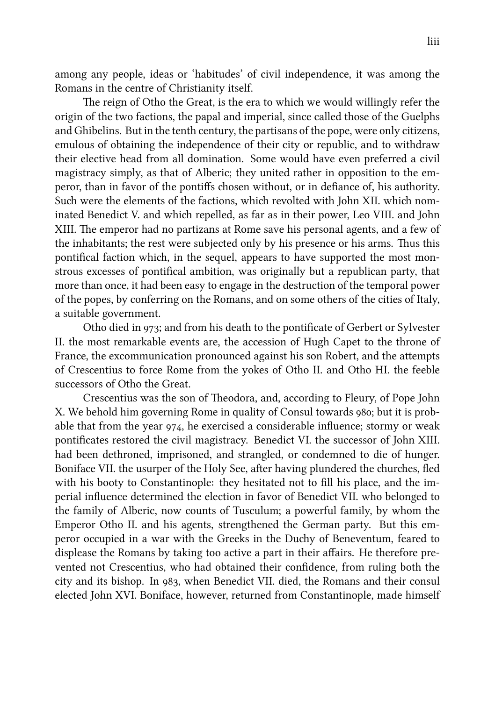among any people, ideas or 'habitudes' of civil independence, it was among the Romans in the centre of Christianity itself.

The reign of Otho the Great, is the era to which we would willingly refer the origin of the two factions, the papal and imperial, since called those of the Guelphs and Ghibelins. But in the tenth century, the partisans of the pope, were only citizens, emulous of obtaining the independence of their city or republic, and to withdraw their elective head from all domination. Some would have even preferred a civil magistracy simply, as that of Alberic; they united rather in opposition to the emperor, than in favor of the pontiffs chosen without, or in defiance of, his authority. Such were the elements of the factions, which revolted with John XII. which nominated Benedict V. and which repelled, as far as in their power, Leo VIII. and John XIII. The emperor had no partizans at Rome save his personal agents, and a few of the inhabitants; the rest were subjected only by his presence or his arms. Thus this pontifical faction which, in the sequel, appears to have supported the most monstrous excesses of pontifical ambition, was originally but a republican party, that more than once, it had been easy to engage in the destruction of the temporal power of the popes, by conferring on the Romans, and on some others of the cities of Italy, a suitable government.

Otho died in 973; and from his death to the pontificate of Gerbert or Sylvester II. the most remarkable events are, the accession of Hugh Capet to the throne of France, the excommunication pronounced against his son Robert, and the attempts of Crescentius to force Rome from the yokes of Otho II. and Otho HI. the feeble successors of Otho the Great.

Crescentius was the son of Theodora, and, according to Fleury, of Pope John X. We behold him governing Rome in quality of Consul towards 980; but it is probable that from the year  $974$ , he exercised a considerable influence; stormy or weak pontificates restored the civil magistracy. Benedict VI. the successor of John XIII. had been dethroned, imprisoned, and strangled, or condemned to die of hunger. Boniface VII. the usurper of the Holy See, after having plundered the churches, fled with his booty to Constantinople: they hesitated not to fill his place, and the imperial influence determined the election in favor of Benedict VII. who belonged to the family of Alberic, now counts of Tusculum; a powerful family, by whom the Emperor Otho II. and his agents, strengthened the German party. But this emperor occupied in a war with the Greeks in the Duchy of Beneventum, feared to displease the Romans by taking too active a part in their affairs. He therefore prevented not Crescentius, who had obtained their confidence, from ruling both the city and its bishop. In , when Benedict VII. died, the Romans and their consul elected John XVI. Boniface, however, returned from Constantinople, made himself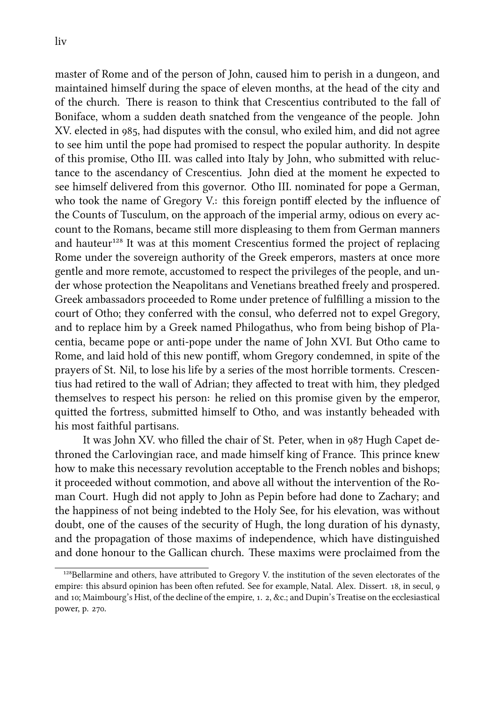master of Rome and of the person of John, caused him to perish in a dungeon, and maintained himself during the space of eleven months, at the head of the city and of the church. There is reason to think that Crescentius contributed to the fall of Boniface, whom a sudden death snatched from the vengeance of the people. John XV. elected in 985, had disputes with the consul, who exiled him, and did not agree to see him until the pope had promised to respect the popular authority. In despite of this promise, Otho III. was called into Italy by John, who submitted with reluctance to the ascendancy of Crescentius. John died at the moment he expected to see himself delivered from this governor. Otho III. nominated for pope a German, who took the name of Gregory V.: this foreign pontiff elected by the influence of the Counts of Tusculum, on the approach of the imperial army, odious on every account to the Romans, became still more displeasing to them from German manners and hauteur<sup>128</sup> It was at this moment Crescentius formed the project of replacing Rome under the sovereign authority of the Greek emperors, masters at once more gentle and more remote, accustomed to respect the privileges of the people, and under whose protection the Neapolitans and Venetians breathed freely and prospered. Greek ambassadors proceeded to Rome under pretence of fulfilling a mission to the court of Otho; they conferred with the consul, who deferred not to expel Gregory, and to replace him by a Greek named Philogathus, who from being bishop of Placentia, became pope or anti-pope under the name of John XVI. But Otho came to Rome, and laid hold of this new pontiff, whom Gregory condemned, in spite of the prayers of St. Nil, to lose his life by a series of the most horrible torments. Crescentius had retired to the wall of Adrian; they affected to treat with him, they pledged themselves to respect his person: he relied on this promise given by the emperor, quitted the fortress, submitted himself to Otho, and was instantly beheaded with his most faithful partisans.

It was John XV, who filled the chair of St. Peter, when in 987 Hugh Capet dethroned the Carlovingian race, and made himself king of France. This prince knew how to make this necessary revolution acceptable to the French nobles and bishops; it proceeded without commotion, and above all without the intervention of the Roman Court. Hugh did not apply to John as Pepin before had done to Zachary; and the happiness of not being indebted to the Holy See, for his elevation, was without doubt, one of the causes of the security of Hugh, the long duration of his dynasty, and the propagation of those maxims of independence, which have distinguished and done honour to the Gallican church. These maxims were proclaimed from the

<sup>&</sup>lt;sup>128</sup>Bellarmine and others, have attributed to Gregory V. the institution of the seven electorates of the empire: this absurd opinion has been often refuted. See for example, Natal. Alex. Dissert. 18, in secul, 9 and 10; Maimbourg's Hist, of the decline of the empire, 1. 2, &c.; and Dupin's Treatise on the ecclesiastical power, p. 270.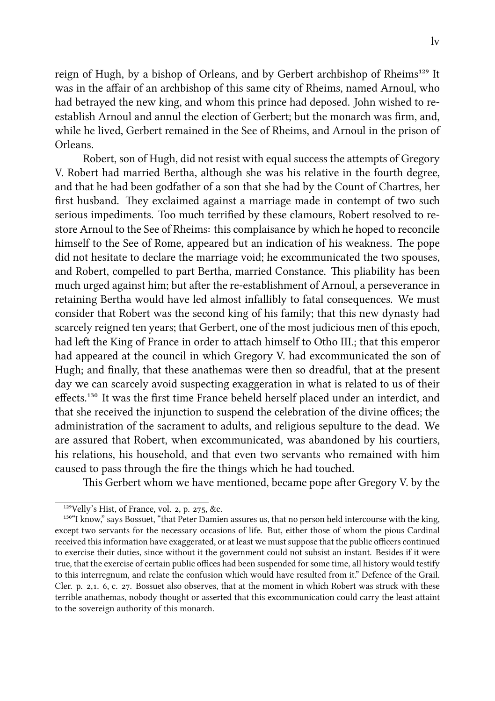reign of Hugh, by a bishop of Orleans, and by Gerbert archbishop of Rheims<sup>129</sup> It was in the affair of an archbishop of this same city of Rheims, named Arnoul, who had betrayed the new king, and whom this prince had deposed. John wished to reestablish Arnoul and annul the election of Gerbert: but the monarch was firm, and, while he lived, Gerbert remained in the See of Rheims, and Arnoul in the prison of Orleans.

Robert, son of Hugh, did not resist with equal success the attempts of Gregory V. Robert had married Bertha, although she was his relative in the fourth degree, and that he had been godfather of a son that she had by the Count of Chartres, her first husband. They exclaimed against a marriage made in contempt of two such serious impediments. Too much terrified by these clamours, Robert resolved to restore Arnoul to the See of Rheims: this complaisance by which he hoped to reconcile himself to the See of Rome, appeared but an indication of his weakness. The pope did not hesitate to declare the marriage void; he excommunicated the two spouses, and Robert, compelled to part Bertha, married Constance. This pliability has been much urged against him; but after the re-establishment of Arnoul, a perseverance in retaining Bertha would have led almost infallibly to fatal consequences. We must consider that Robert was the second king of his family; that this new dynasty had scarcely reigned ten years; that Gerbert, one of the most judicious men of this epoch, had left the King of France in order to attach himself to Otho III.; that this emperor had appeared at the council in which Gregory V. had excommunicated the son of Hugh; and finally, that these anathemas were then so dreadful, that at the present day we can scarcely avoid suspecting exaggeration in what is related to us of their effects.<sup>130</sup> It was the first time France beheld herself placed under an interdict, and that she received the injunction to suspend the celebration of the divine offices; the administration of the sacrament to adults, and religious sepulture to the dead. We are assured that Robert, when excommunicated, was abandoned by his courtiers, his relations, his household, and that even two servants who remained with him caused to pass through the fire the things which he had touched.

This Gerbert whom we have mentioned, became pope after Gregory V. by the

 $129$ Velly's Hist, of France, vol. 2, p. 275, &c.

<sup>&</sup>lt;sup>130</sup>"I know," says Bossuet, "that Peter Damien assures us, that no person held intercourse with the king, except two servants for the necessary occasions of life. But, either those of whom the pious Cardinal received this information have exaggerated, or at least we must suppose that the public officers continued to exercise their duties, since without it the government could not subsist an instant. Besides if it were true, that the exercise of certain public offices had been suspended for some time, all history would testify to this interregnum, and relate the confusion which would have resulted from it." Defence of the Grail. Cler. p.  $2,1$ , 6, c.  $27$ . Bossuet also observes, that at the moment in which Robert was struck with these terrible anathemas, nobody thought or asserted that this excommunication could carry the least attaint to the sovereign authority of this monarch.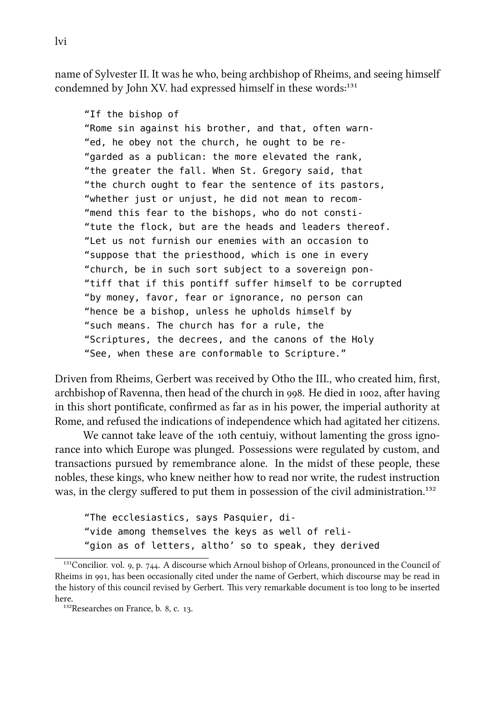name of Sylvester II. It was he who, being archbishop of Rheims, and seeing himself condemned by John XV. had expressed himself in these words:<sup>131</sup>

"If the bishop of

"Rome sin against his brother, and that, often warn- "ed, he obey not the church, he ought to be re- "garded as a publican: the more elevated the rank, "the greater the fall. When St. Gregory said, that "the church ought to fear the sentence of its pastors, "whether just or unjust, he did not mean to recom- "mend this fear to the bishops, who do not consti- "tute the flock, but are the heads and leaders thereof. "Let us not furnish our enemies with an occasion to "suppose that the priesthood, which is one in every "church, be in such sort subject to a sovereign pon- "tiff that if this pontiff suffer himself to be corrupted "by money, favor, fear or ignorance, no person can "hence be a bishop, unless he upholds himself by "such means. The church has for a rule, the "Scriptures, the decrees, and the canons of the Holy "See, when these are conformable to Scripture."

Driven from Rheims, Gerbert was received by Otho the III., who created him, first, archbishop of Ravenna, then head of the church in 998. He died in 1002, after having in this short pontificate, confirmed as far as in his power, the imperial authority at Rome, and refused the indications of independence which had agitated her citizens.

We cannot take leave of the 10th centuiy, without lamenting the gross ignorance into which Europe was plunged. Possessions were regulated by custom, and transactions pursued by remembrance alone. In the midst of these people, these nobles, these kings, who knew neither how to read nor write, the rudest instruction was, in the clergy suffered to put them in possession of the civil administration.<sup>132</sup>

"The ecclesiastics, says Pasquier, di- "vide among themselves the keys as well of reli- "gion as of letters, altho' so to speak, they derived

 $131$ Concilior. vol. 9, p. 744. A discourse which Arnoul bishop of Orleans, pronounced in the Council of Rheims in 991, has been occasionally cited under the name of Gerbert, which discourse may be read in the history of this council revised by Gerbert. This very remarkable document is too long to be inserted here.

 $132$ Researches on France, b. 8, c. 13.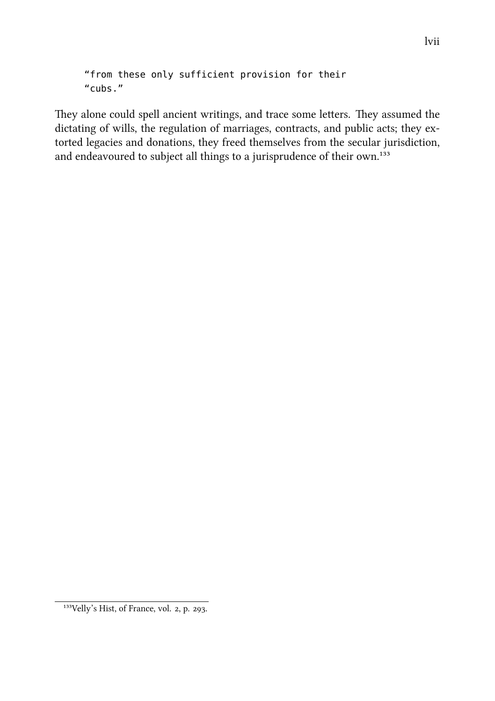```
"from these only sufficient provision for their
"cubs."
```
They alone could spell ancient writings, and trace some letters. They assumed the dictating of wills, the regulation of marriages, contracts, and public acts; they extorted legacies and donations, they freed themselves from the secular jurisdiction, and endeavoured to subject all things to a jurisprudence of their own.<sup>133</sup>

<sup>&</sup>lt;sup>133</sup>Velly's Hist, of France, vol. 2, p. 293.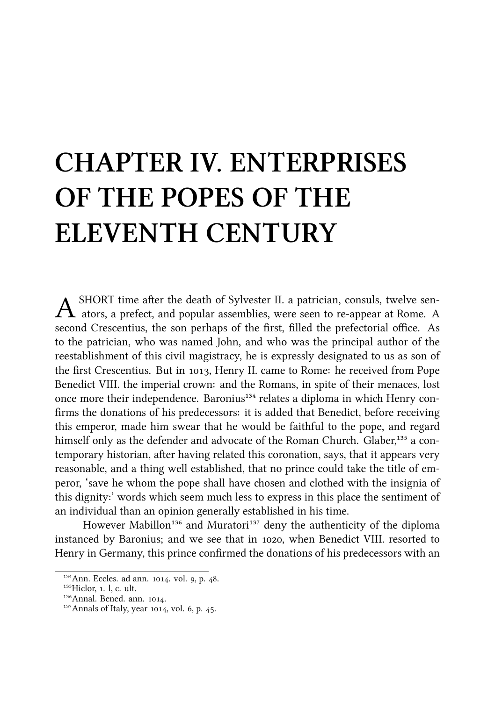## **CHAPTER IV. ENTERPRISES OF THE POPES OF THE ELEVENTH CENTURY**

A SHORT time after the death of Sylvester II. a patrician, consuls, twelve sentators, a prefect, and popular assemblies, were seen to re-appear at Rome. A SHORT time after the death of Sylvester II. a patrician, consuls, twelve sensecond Crescentius, the son perhaps of the first, filled the prefectorial office. As to the patrician, who was named John, and who was the principal author of the reestablishment of this civil magistracy, he is expressly designated to us as son of the first Crescentius. But in 1013, Henry II. came to Rome: he received from Pope Benedict VIII. the imperial crown: and the Romans, in spite of their menaces, lost once more their independence. Baronius<sup>134</sup> relates a diploma in which Henry confirms the donations of his predecessors: it is added that Benedict, before receiving this emperor, made him swear that he would be faithful to the pope, and regard himself only as the defender and advocate of the Roman Church. Glaber,<sup>135</sup> a contemporary historian, after having related this coronation, says, that it appears very reasonable, and a thing well established, that no prince could take the title of emperor, 'save he whom the pope shall have chosen and clothed with the insignia of this dignity:' words which seem much less to express in this place the sentiment of an individual than an opinion generally established in his time.

However Mabillon<sup>136</sup> and Muratori<sup>137</sup> deny the authenticity of the diploma instanced by Baronius; and we see that in 1020, when Benedict VIII. resorted to Henry in Germany, this prince confirmed the donations of his predecessors with an

<sup>&</sup>lt;sup>134</sup>Ann. Eccles. ad ann. 1014. vol. 9, p. 48.

 $135$ Hiclor, 1. l, c. ult.

<sup>&</sup>lt;sup>136</sup>Annal. Bened. ann. 1014.

 $137$ Annals of Italy, year 1014, yol. 6, p. 45.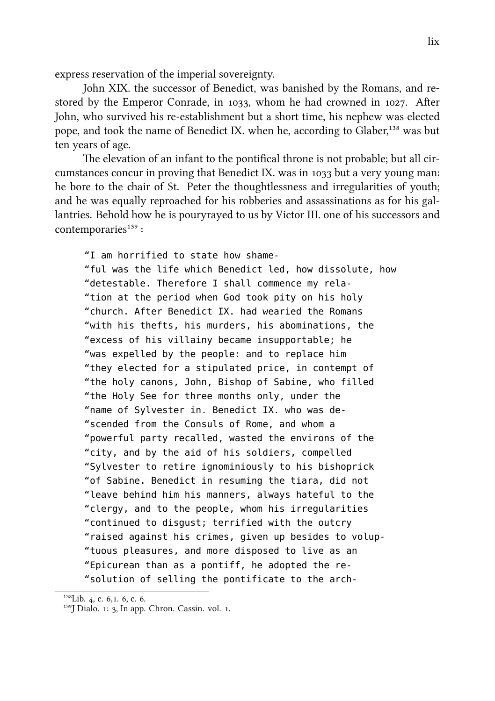express reservation of the imperial sovereignty.

John XIX. the successor of Benedict, was banished by the Romans, and restored by the Emperor Conrade, in 1033, whom he had crowned in 1027. After John, who survived his re-establishment but a short time, his nephew was elected pope, and took the name of Benedict IX. when he, according to Glaber,<sup>138</sup> was but ten years of age.

The elevation of an infant to the pontifical throne is not probable; but all circumstances concur in proving that Benedict IX. was in 1033 but a very young man: he bore to the chair of St. Peter the thoughtlessness and irregularities of youth; and he was equally reproached for his robberies and assassinations as for his gallantries. Behold how he is pouryrayed to us by Victor III. one of his successors and contemporaries<sup>139</sup>:

"I am horrified to state how shame-

"ful was the life which Benedict led, how dissolute, how "detestable. Therefore I shall commence my rela- "tion at the period when God took pity on his holy "church. After Benedict IX. had wearied the Romans "with his thefts, his murders, his abominations, the "excess of his villainy became insupportable; he "was expelled by the people: and to replace him "they elected for a stipulated price, in contempt of "the holy canons, John, Bishop of Sabine, who filled "the Holy See for three months only, under the "name of Sylvester in. Benedict IX. who was de- "scended from the Consuls of Rome, and whom a "powerful party recalled, wasted the environs of the "city, and by the aid of his soldiers, compelled "Sylvester to retire ignominiously to his bishoprick "of Sabine. Benedict in resuming the tiara, did not "leave behind him his manners, always hateful to the "clergy, and to the people, whom his irregularities "continued to disgust; terrified with the outcry "raised against his crimes, given up besides to volup- "tuous pleasures, and more disposed to live as an "Epicurean than as a pontiff, he adopted the re- "solution of selling the pontificate to the arch-

 $138$ Lib. 4, c. 6, 1, 6, c. 6.

 $139$  Dialo.  $1: 3$ , In app. Chron. Cassin. vol. 1.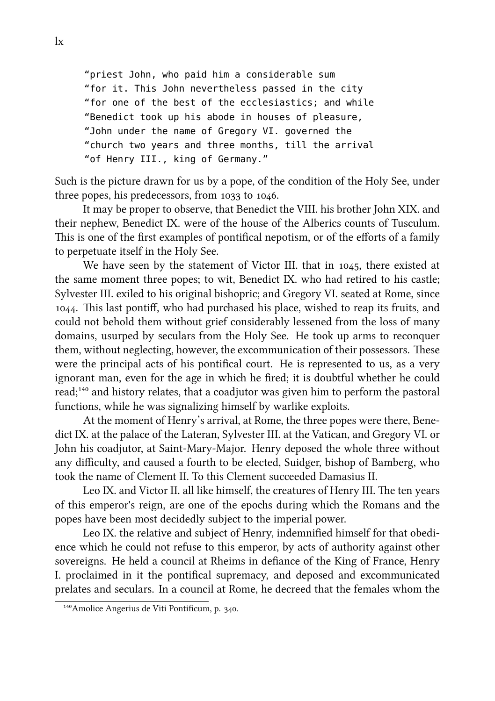"priest John, who paid him a considerable sum "for it. This John nevertheless passed in the city "for one of the best of the ecclesiastics; and while "Benedict took up his abode in houses of pleasure, "John under the name of Gregory VI. governed the "church two years and three months, till the arrival "of Henry III., king of Germany."

Such is the picture drawn for us by a pope, of the condition of the Holy See, under three popes, his predecessors, from  $1033$  to  $1046$ .

It may be proper to observe, that Benedict the VIII. his brother John XIX. and their nephew, Benedict IX. were of the house of the Alberics counts of Tusculum. This is one of the first examples of pontifical nepotism, or of the efforts of a family to perpetuate itself in the Holy See.

We have seen by the statement of Victor III. that in  $1045$ , there existed at the same moment three popes; to wit, Benedict IX. who had retired to his castle; Sylvester III. exiled to his original bishopric; and Gregory VI. seated at Rome, since 1044. This last pontiff, who had purchased his place, wished to reap its fruits, and could not behold them without grief considerably lessened from the loss of many domains, usurped by seculars from the Holy See. He took up arms to reconquer them, without neglecting, however, the excommunication of their possessors. These were the principal acts of his pontifical court. He is represented to us, as a very ignorant man, even for the age in which he fired; it is doubtful whether he could read;<sup>140</sup> and history relates, that a coadjutor was given him to perform the pastoral functions, while he was signalizing himself by warlike exploits.

At the moment of Henry's arrival, at Rome, the three popes were there, Benedict IX. at the palace of the Lateran, Sylvester III. at the Vatican, and Gregory VI. or John his coadjutor, at Saint-Mary-Major. Henry deposed the whole three without any difficulty, and caused a fourth to be elected, Suidger, bishop of Bamberg, who took the name of Clement II. To this Clement succeeded Damasius II.

Leo IX. and Victor II. all like himself, the creatures of Henry III. The ten years of this emperor's reign, are one of the epochs during which the Romans and the popes have been most decidedly subject to the imperial power.

Leo IX. the relative and subject of Henry, indemnified himself for that obedience which he could not refuse to this emperor, by acts of authority against other sovereigns. He held a council at Rheims in defiance of the King of France, Henry I. proclaimed in it the pontifical supremacy, and deposed and excommunicated prelates and seculars. In a council at Rome, he decreed that the females whom the

 $\frac{140}{4}$ Amolice Angerius de Viti Pontificum, p. 340.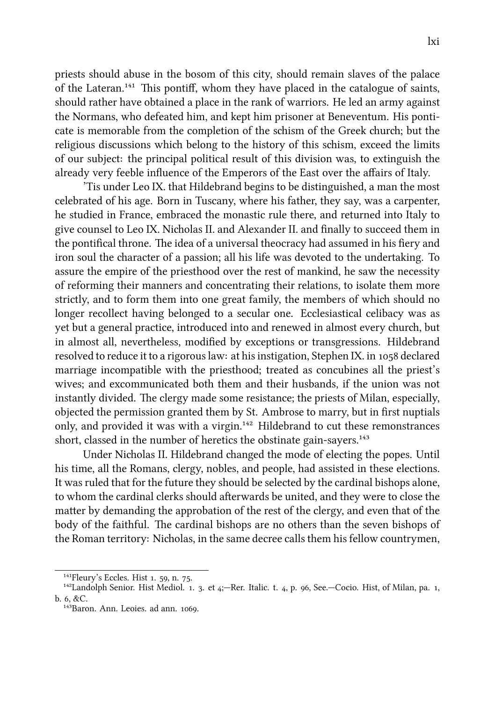priests should abuse in the bosom of this city, should remain slaves of the palace of the Lateran. $^{141}$  This pontiff, whom they have placed in the catalogue of saints, should rather have obtained a place in the rank of warriors. He led an army against the Normans, who defeated him, and kept him prisoner at Beneventum. His ponticate is memorable from the completion of the schism of the Greek church; but the religious discussions which belong to the history of this schism, exceed the limits of our subject: the principal political result of this division was, to extinguish the already very feeble influence of the Emperors of the East over the affairs of Italy.

'Tis under Leo IX. that Hildebrand begins to be distinguished, a man the most celebrated of his age. Born in Tuscany, where his father, they say, was a carpenter, he studied in France, embraced the monastic rule there, and returned into Italy to give counsel to Leo IX. Niolas II. and Alexander II. and finally to succeed them in the pontifical throne. The idea of a universal theocracy had assumed in his fiery and iron soul the aracter of a passion; all his life was devoted to the undertaking. To assure the empire of the priesthood over the rest of mankind, he saw the necessity of reforming their manners and concentrating their relations, to isolate them more strictly, and to form them into one great family, the members of which should no longer recollect having belonged to a secular one. Ecclesiastical celibacy was as yet but a general practice, introduced into and renewed in almost every church, but in almost all, nevertheless, modified by exceptions or transgressions. Hildebrand resolved to reduce it to a rigorous law: at his instigation, Stephen IX. in 1058 declared marriage incompatible with the priesthood; treated as concubines all the priest's wives; and excommunicated both them and their husbands, if the union was not instantly divided. The clergy made some resistance; the priests of Milan, especially, objected the permission granted them by St. Ambrose to marry, but in first nuptials only, and provided it was with a virgin. $142$  Hildebrand to cut these remonstrances short, classed in the number of heretics the obstinate gain-sayers.<sup>143</sup>

Under Nicholas II. Hildebrand changed the mode of electing the popes. Until his time, all the Romans, clergy, nobles, and people, had assisted in these elections. It was ruled that for the future they should be selected by the cardinal bishops alone, to whom the cardinal clerks should afterwards be united, and they were to close the matter by demanding the approbation of the rest of the clergy, and even that of the body of the faithful. The cardinal bishops are no others than the seven bishops of the Roman territory: Nicholas, in the same decree calls them his fellow countrymen,

 $141$ Fleury's Eccles. Hist 1. 59, n. 75.

<sup>&</sup>lt;sup>142</sup>Landolph Senior. Hist Mediol. 1. 3. et  $4;$  -Rer. Italic. t. 4, p. 96, See. - Cocio. Hist, of Milan, pa. 1, b. 6, &C.

<sup>&</sup>lt;sup>143</sup>Baron. Ann. Leoies. ad ann. 1069.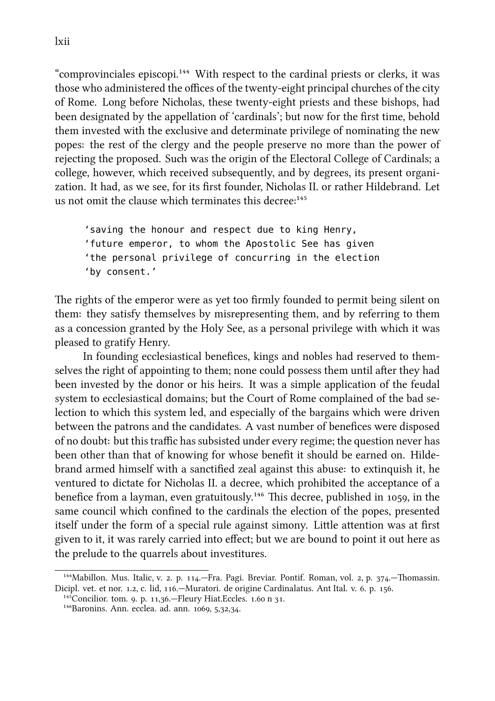"comprovinciales episcopi.<sup>144</sup> With respect to the cardinal priests or clerks, it was those who administered the offices of the twenty-eight principal churches of the city of Rome. Long before Nicholas, these twenty-eight priests and these bishops, had been designated by the appellation of 'cardinals'; but now for the first time, behold them invested with the exclusive and determinate privilege of nominating the new popes: the rest of the clergy and the people preserve no more than the power of rejecting the proposed. Such was the origin of the Electoral College of Cardinals; a college, however, which received subsequently, and by degrees, its present organization. It had, as we see, for its first founder, Nicholas II. or rather Hildebrand. Let us not omit the clause which terminates this decree:<sup>145</sup>

'saving the honour and respect due to king Henry, 'future emperor, to whom the Apostolic See has given 'the personal privilege of concurring in the election 'by consent.'

The rights of the emperor were as yet too firmly founded to permit being silent on them: they satisfy themselves by misrepresenting them, and by referring to them as a concession granted by the Holy See, as a personal privilege with which it was pleased to gratify Henry.

In founding ecclesiastical benefices, kings and nobles had reserved to themselves the right of appointing to them; none could possess them until after they had been invested by the donor or his heirs. It was a simple application of the feudal system to ecclesiastical domains; but the Court of Rome complained of the bad selection to which this system led, and especially of the bargains which were driven between the patrons and the candidates. A vast number of benefices were disposed of no doubt: but this traffic has subsisted under every regime; the question never has been other than that of knowing for whose benefit it should be earned on. Hildebrand armed himself with a sanctified zeal against this abuse: to extinquish it, he ventured to dictate for Nicholas II. a decree, which prohibited the acceptance of a benefice from a layman, even gratuitously.<sup>146</sup> This decree, published in 1059, in the same council which confined to the cardinals the election of the popes, presented itself under the form of a special rule against simony. Little attention was at first given to it, it was rarely carried into effect; but we are bound to point it out here as the prelude to the quarrels about investitures.

<sup>&</sup>lt;sup>144</sup>Mabillon. Mus. Italic, v. 2. p. 114. - Fra. Pagi. Breviar. Pontif. Roman, vol. 2, p. 374. - Thomassin. Dicipl. vet. et nor. 1.2, c. lid, 116.—Muratori. de origine Cardinalatus. Ant Ital. v. 6. p. 156.

 $145$ Concilior. tom. 9. p. 11,36.—Fleury Hiat.Eccles. 1.60 n 31.

 $^{146}$ Baronins. Ann. ecclea. ad. ann.  $1069, 5.32.34$ .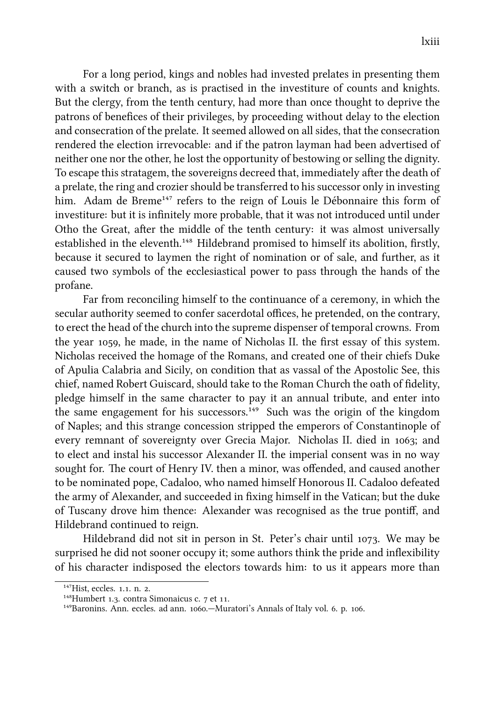For a long period, kings and nobles had invested prelates in presenting them with a switch or branch, as is practised in the investiture of counts and knights. But the clergy, from the tenth century, had more than once thought to deprive the patrons of benefices of their privileges, by proceeding without delay to the election and consecration of the prelate. It seemed allowed on all sides, that the consecration rendered the election irrevocable: and if the patron layman had been advertised of neither one nor the other, he lost the opportunity of bestowing or selling the dignity. To escape this stratagem, the sovereigns decreed that, immediately after the death of a prelate, the ring and crozier should be transferred to his successor only in investing him. Adam de Breme<sup>147</sup> refers to the reign of Louis le Débonnaire this form of investiture: but it is infinitely more probable, that it was not introduced until under Otho the Great, after the middle of the tenth century: it was almost universally established in the eleventh.<sup>148</sup> Hildebrand promised to himself its abolition, firstly, because it secured to laymen the right of nomination or of sale, and further, as it caused two symbols of the ecclesiastical power to pass through the hands of the profane.

Far from reconciling himself to the continuance of a ceremony, in which the secular authority seemed to confer sacerdotal offices, he pretended, on the contrary, to erect the head of the church into the supreme dispenser of temporal crowns. From the year 1059, he made, in the name of Nicholas II. the first essay of this system. Nicholas received the homage of the Romans, and created one of their chiefs Duke of Apulia Calabria and Sicily, on condition that as vassal of the Apostolic See, this chief, named Robert Guiscard, should take to the Roman Church the oath of fidelity, pledge himself in the same character to pay it an annual tribute, and enter into the same engagement for his successors.<sup>149</sup> Such was the origin of the kingdom of Naples; and this strange concession stripped the emperors of Constantinople of every remnant of sovereignty over Grecia Major. Nicholas II. died in 1063; and to elect and instal his successor Alexander II. the imperial consent was in no way sought for. The court of Henry IV, then a minor, was offended, and caused another to be nominated pope, Cadaloo, who named himself Honorous II. Cadaloo defeated the army of Alexander, and succeeded in fixing himself in the Vatican; but the duke of Tuscany drove him thence: Alexander was recognised as the true pontiff, and Hildebrand continued to reign.

Hildebrand did not sit in person in St. Peter's chair until 1073. We may be surprised he did not sooner occupy it; some authors think the pride and inflexibility of his aracter indisposed the electors towards him: to us it appears more than

<sup>&</sup>lt;sup>147</sup>Hist, eccles. 1.1. n. 2.

 $148$ Humbert 1.3. contra Simonaicus c. 7 et 11.

 $^{149}$ Baronins. Ann. eccles. ad ann. 1060.—Muratori's Annals of Italy vol. 6, p. 106.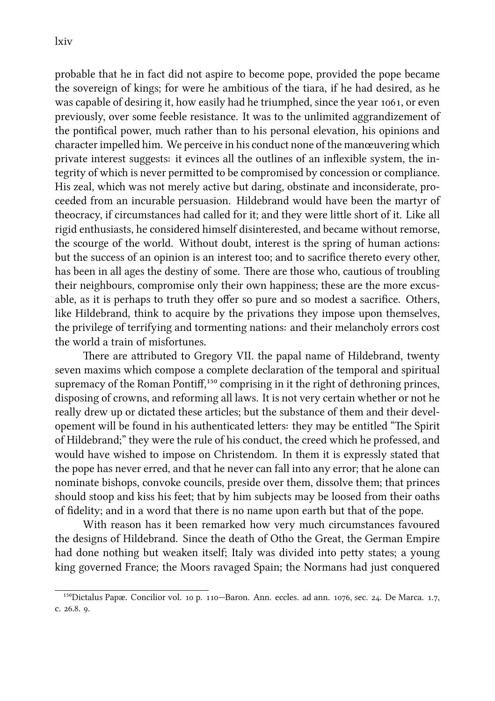probable that he in fact did not aspire to become pope, provided the pope became the sovereign of kings; for were he ambitious of the tiara, if he had desired, as he was capable of desiring it, how easily had he triumphed, since the year 1061, or even previously, over some feeble resistance. It was to the unlimited aggrandizement of the pontifical power, much rather than to his personal elevation, his opinions and character impelled him. We perceive in his conduct none of the manœuvering which private interest suggests: it evinces all the outlines of an inflexible system, the integrity of which is never permitted to be compromised by concession or compliance. His zeal, which was not merely active but daring, obstinate and inconsiderate, proceeded from an incurable persuasion. Hildebrand would have been the martyr of theocracy, if circumstances had called for it; and they were little short of it. Like all rigid enthusiasts, he considered himself disinterested, and became without remorse, the scourge of the world. Without doubt, interest is the spring of human actions: but the success of an opinion is an interest too; and to sacrifice thereto every other, has been in all ages the destiny of some. There are those who, cautious of troubling their neighbours, compromise only their own happiness; these are the more excusable, as it is perhaps to truth they offer so pure and so modest a sacrifice. Others, like Hildebrand, think to acquire by the privations they impose upon themselves, the privilege of terrifying and tormenting nations: and their melancholy errors cost the world a train of misfortunes.

There are attributed to Gregory VII. the papal name of Hildebrand, twenty seven maxims which compose a complete declaration of the temporal and spiritual supremacy of the Roman Pontiff,<sup>150</sup> comprising in it the right of dethroning princes, disposing of crowns, and reforming all laws. It is not very certain whether or not he really drew up or dictated these articles; but the substance of them and their developement will be found in his authenticated letters: they may be entitled "The Spirit of Hildebrand;" they were the rule of his conduct, the creed which he professed, and would have wished to impose on Christendom. In them it is expressly stated that the pope has never erred, and that he never can fall into any error; that he alone can nominate bishops, convoke councils, preside over them, dissolve them; that princes should stoop and kiss his feet; that by him subjects may be loosed from their oaths of fidelity; and in a word that there is no name upon earth but that of the pope.

With reason has it been remarked how very much circumstances favoured the designs of Hildebrand. Since the death of Otho the Great, the German Empire had done nothing but weaken itself: Italy was divided into petty states; a young king governed France; the Moors ravaged Spain; the Normans had just conquered

<sup>&</sup>lt;sup>150</sup>Dictalus Papæ. Concilior vol. 10 p. 110-Baron. Ann. eccles. ad ann. 1076, sec. 24. De Marca. 1.7,  $c. 26.8.9.$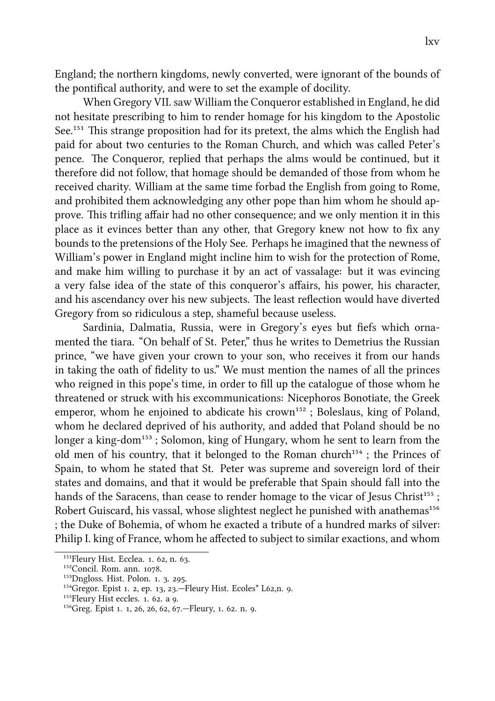England; the northern kingdoms, newly converted, were ignorant of the bounds of the pontifical authority, and were to set the example of docility.

When Gregory VII. saw William the Conqueror established in England, he did not hesitate prescribing to him to render homage for his kingdom to the Apostolic See.<sup>151</sup> This strange proposition had for its pretext, the alms which the English had paid for about two centuries to the Roman Church, and which was called Peter's pence. The Conqueror, replied that perhaps the alms would be continued, but it therefore did not follow, that homage should be demanded of those from whom he received charity. William at the same time forbad the English from going to Rome, and prohibited them acknowledging any other pope than him whom he should approve. This trifling affair had no other consequence; and we only mention it in this place as it evinces better than any other, that Gregory knew not how to fix any bounds to the pretensions of the Holy See. Perhaps he imagined that the newness of William's power in England might incline him to wish for the protection of Rome, and make him willing to purchase it by an act of vassalage: but it was evincing a very false idea of the state of this conqueror's affairs, his power, his character, and his ascendancy over his new subjects. The least reflection would have diverted Gregory from so ridiculous a step, shameful because useless.

Sardinia, Dalmatia, Russia, were in Gregory's eyes but fiefs which ornamented the tiara. "On behalf of St. Peter," thus he writes to Demetrius the Russian prince, "we have given your crown to your son, who receives it from our hands in taking the oath of fidelity to us." We must mention the names of all the princes who reigned in this pope's time, in order to fill up the catalogue of those whom he threatened or struck with his excommunications: Nicephoros Bonotiate, the Greek emperor, whom he enjoined to abdicate his crown<sup>152</sup>; Boleslaus, king of Poland, whom he declared deprived of his authority, and added that Poland should be no longer a king-dom<sup>153</sup>; Solomon, king of Hungary, whom he sent to learn from the old men of his country, that it belonged to the Roman church<sup>154</sup>; the Princes of Spain, to whom he stated that St. Peter was supreme and sovereign lord of their states and domains, and that it would be preferable that Spain should fall into the hands of the Saracens, than cease to render homage to the vicar of Jesus Christ<sup>155</sup>; Robert Guiscard, his vassal, whose slightest neglect he punished with anathemas<sup>156</sup> ; the Duke of Bohemia, of whom he exacted a tribute of a hundred marks of silver: Philip I. king of France, whom he affected to subject to similar exactions, and whom

 $^{151}$ Fleury Hist. Ecclea. 1. 62, n. 63.

<sup>&</sup>lt;sup>152</sup>Concil. Rom. ann. 1078.

 $153$ Dngloss. Hist. Polon. 1. 3. 295.

 $^{154}$ Gregor. Epist 1. 2, ep. 13, 23.—Fleury Hist. Ecoles\* L62,n. 9.

 $^{155}$ Fleury Hist eccles. 1. 62. a 9.

 $^{156}$ Greg. Epist 1. 1, 26, 26, 62, 67. - Fleury, 1. 62. n. 9.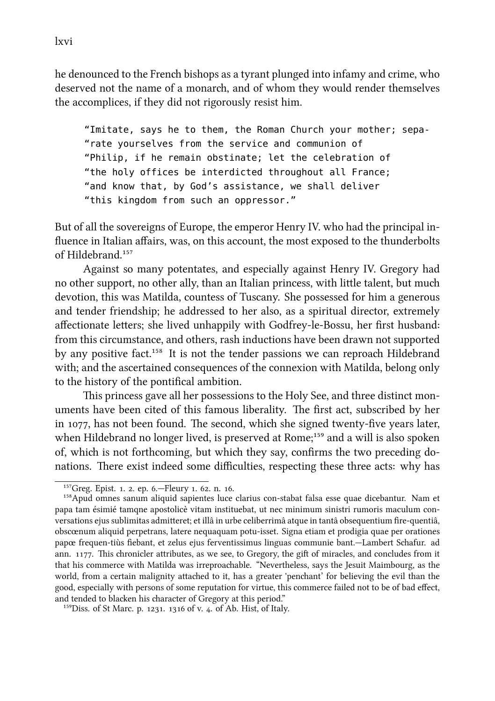he denounced to the French bishops as a tyrant plunged into infamy and crime, who deserved not the name of a monarch, and of whom they would render themselves the accomplices, if they did not rigorously resist him.

"Imitate, says he to them, the Roman Church your mother; sepa- "rate yourselves from the service and communion of "Philip, if he remain obstinate; let the celebration of "the holy offices be interdicted throughout all France; "and know that, by God's assistance, we shall deliver "this kingdom from such an oppressor."

But of all the sovereigns of Europe, the emperor Henry IV. who had the principal influence in Italian affairs, was, on this account, the most exposed to the thunderbolts of Hildebrand.<sup>157</sup>

Against so many potentates, and especially against Henry IV. Gregory had no other support, no other ally, than an Italian princess, with little talent, but much devotion, this was Matilda, countess of Tuscany. She possessed for him a generous and tender friendship; he addressed to her also, as a spiritual director, extremely affectionate letters; she lived unhappily with Godfrey-le-Bossu, her first husband: from this circumstance, and others, rash inductions have been drawn not supported by any positive fact.<sup>158</sup> It is not the tender passions we can reproach Hildebrand with; and the ascertained consequences of the connexion with Matilda, belong only to the history of the pontifical ambition.

This princess gave all her possessions to the Holy See, and three distinct monuments have been cited of this famous liberality. The first act, subscribed by her in 1077, has not been found. The second, which she signed twenty-five years later, when Hildebrand no longer lived, is preserved at Rome;<sup>159</sup> and a will is also spoken of, which is not forthcoming, but which they say, confirms the two preceding donations. There exist indeed some difficulties, respecting these three acts: why has

 $^{157}$ Greg. Epist. 1. 2. ep. 6.—Fleury 1. 62. n. 16.

<sup>&</sup>lt;sup>158</sup>Apud omnes sanum aliquid sapientes luce clarius con-stabat falsa esse quae dicebantur. Nam et papa tam ésimié tamqne apostolicè vitam instituebat, ut nec minimum sinistri rumoris maculum conversations ejus sublimitas admitteret; et illâ in urbe celiberrimâ atque in tantâ obsequentium fire-quentiâ, obscœnum aliquid perpetrans, latere nequaquam potu-isset. Signa etiam et prodigia quae per orationes papœ frequen-tiùs fiebant, et zelus ejus ferventissimus linguas communie bant.—Lambert Schafur. ad ann. 1177. This chronicler attributes, as we see, to Gregory, the gift of miracles, and concludes from it that his commerce with Matilda was irreproachable. "Nevertheless, says the Jesuit Maimbourg, as the world, from a certain malignity attached to it, has a greater 'penchant' for believing the evil than the good, especially with persons of some reputation for virtue, this commerce failed not to be of bad effect, and tended to blacken his character of Gregory at this period."

 $^{159}$ Diss. of St Marc. p. 1231. 1316 of v. 4. of Ab. Hist, of Italy.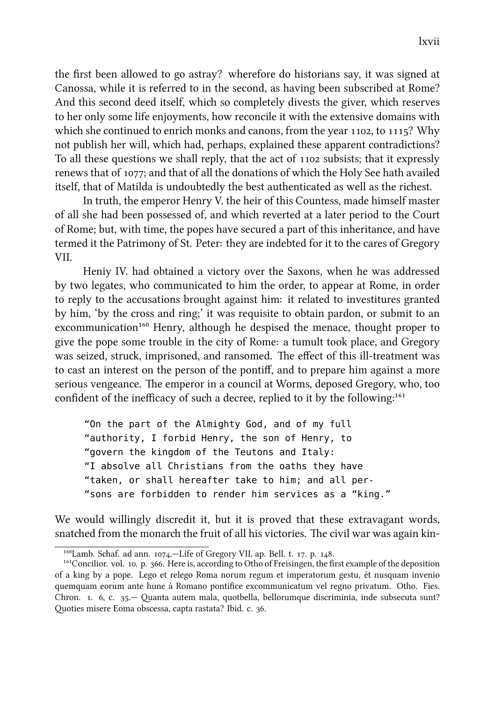the first been allowed to go astray? wherefore do historians say, it was signed at Canossa, while it is referred to in the second, as having been subscribed at Rome? And this second deed itself, which so completely divests the giver, which reserves to her only some life enjoyments, how reconcile it with the extensive domains with which she continued to enrich monks and canons, from the year  $1102$ , to  $1115$ ? Why not publish her will, which had, perhaps, explained these apparent contradictions? To all these questions we shall reply, that the act of  $1102$  subsists; that it expressly renews that of 1077; and that of all the donations of which the Holy See hath availed itself, that of Matilda is undoubtedly the best authenticated as well as the richest.

In truth, the emperor Henry V. the heir of this Countess, made himself master of all she had been possessed of, and which reverted at a later period to the Court of Rome; but, with time, the popes have secured a part of this inheritance, and have termed it the Patrimony of St. Peter: they are indebted for it to the cares of Gregory VII.

Heniy IV. had obtained a victory over the Saxons, when he was addressed by two legates, who communicated to him the order, to appear at Rome, in order to reply to the accusations brought against him: it related to investitures granted by him, 'by the cross and ring;' it was requisite to obtain pardon, or submit to an excommunication<sup>160</sup> Henry, although he despised the menace, thought proper to give the pope some trouble in the city of Rome: a tumult took place, and Gregory was seized, struck, imprisoned, and ransomed. The effect of this ill-treatment was to cast an interest on the person of the pontiff, and to prepare him against a more serious vengeance. The emperor in a council at Worms, deposed Gregory, who, too confident of the inefficacy of such a decree, replied to it by the following:<sup>161</sup>

"On the part of the Almighty God, and of my full "authority, I forbid Henry, the son of Henry, to "govern the kingdom of the Teutons and Italy: "I absolve all Christians from the oaths they have "taken, or shall hereafter take to him; and all per- "sons are forbidden to render him services as a "king."

We would willingly discredit it, but it is proved that these extravagant words, snatched from the monarch the fruit of all his victories. The civil war was again kin-

 $^{160}$ Lamb. Schaf. ad ann.  $1074$ . --Life of Gregory VII. ap. Bell. t. 17. p. 148.

<sup>&</sup>lt;sup>161</sup>Concilior. vol. 10, p. 366. Here is, according to Otho of Freisingen, the first example of the deposition of a king by a pope. Lego et relego Roma norum regum et imperatorum gestu, èt nusquam invenio quemquam eorum ante hune à Romano pontifice excommunicatum vel regno privatum. Otho. Fies. Chron. 1. 6, c. 35. - Quanta autem mala, quotbella, bellorumque discriminia, inde subsecuta sunt? Quoties misere Eoma obscessa, capta rastata? Ibid. c. 36.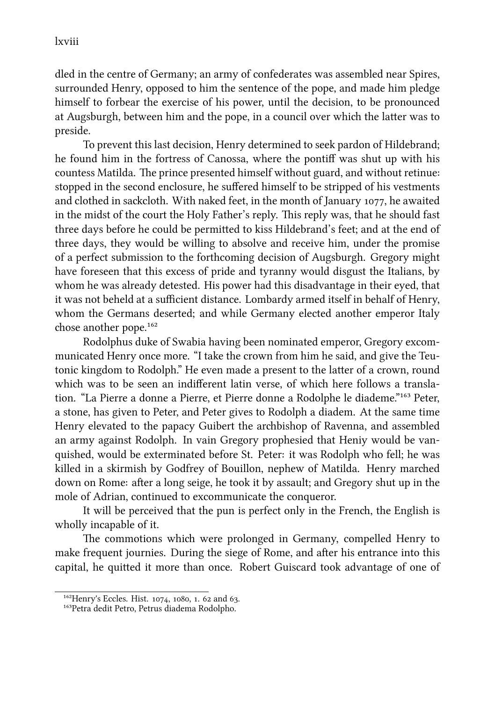lxviii

dled in the centre of Germany; an army of confederates was assembled near Spires, surrounded Henry, opposed to him the sentence of the pope, and made him pledge himself to forbear the exercise of his power, until the decision, to be pronounced at Augsburgh, between him and the pope, in a council over which the latter was to preside.

To prevent this last decision, Henry determined to seek pardon of Hildebrand; he found him in the fortress of Canossa, where the pontiff was shut up with his countess Matilda. The prince presented himself without guard, and without retinue: stopped in the second enclosure, he suffered himself to be stripped of his vestments and clothed in sackcloth. With naked feet, in the month of January 1077, he awaited in the midst of the court the Holy Father's reply. This reply was, that he should fast three days before he could be permitted to kiss Hildebrand's feet; and at the end of three days, they would be willing to absolve and receive him, under the promise of a perfect submission to the forthcoming decision of Augsburgh. Gregory might have foreseen that this excess of pride and tyranny would disgust the Italians, by whom he was already detested. His power had this disadvantage in their eyed, that it was not beheld at a sufficient distance. Lombardy armed itself in behalf of Henry, whom the Germans deserted; and while Germany elected another emperor Italy chose another pope.<sup>162</sup>

Rodolphus duke of Swabia having been nominated emperor, Gregory excommunicated Henry once more. "I take the crown from him he said, and give the Teutonic kingdom to Rodolph." He even made a present to the latter of a crown, round which was to be seen an indifferent latin verse, of which here follows a translation. "La Pierre a donne a Pierre, et Pierre donne a Rodolphe le diademe."<sup>163</sup> Peter, a stone, has given to Peter, and Peter gives to Rodolph a diadem. At the same time Henry elevated to the papacy Guibert the archbishop of Ravenna, and assembled an army against Rodolph. In vain Gregory prophesied that Heniy would be vanquished, would be exterminated before St. Peter: it was Rodolph who fell; he was killed in a skirmish by Godfrey of Bouillon, nephew of Matilda. Henry marched down on Rome: after a long seige, he took it by assault; and Gregory shut up in the mole of Adrian, continued to excommunicate the conqueror.

It will be perceived that the pun is perfect only in the French, the English is wholly incapable of it.

The commotions which were prolonged in Germany, compelled Henry to make frequent journies. During the siege of Rome, and after his entrance into this capital, he quitted it more than once. Robert Guiscard took advantage of one of

<sup>&</sup>lt;sup>162</sup>Henry's Eccles. Hist. 1074, 1080, 1. 62 and 63.

<sup>&</sup>lt;sup>163</sup>Petra dedit Petro, Petrus diadema Rodolpho.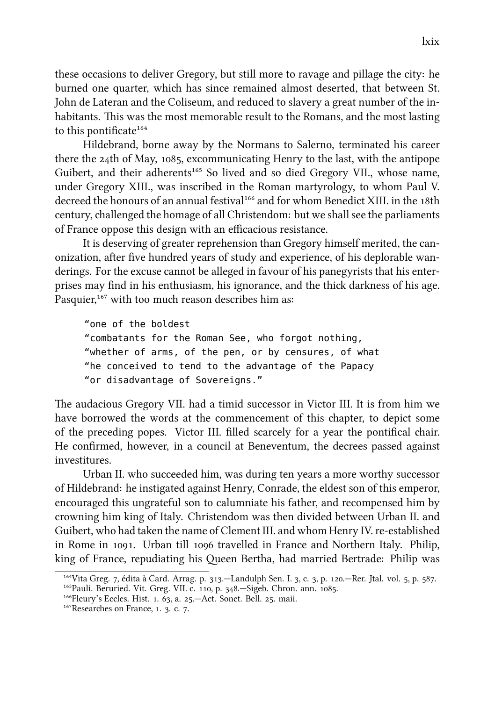these occasions to deliver Gregory, but still more to ravage and pillage the city: he burned one quarter, which has since remained almost deserted, that between St. John de Lateran and the Coliseum, and reduced to slavery a great number of the inhabitants. This was the most memorable result to the Romans, and the most lasting to this pontificate<sup>164</sup>

Hildebrand, borne away by the Normans to Salerno, terminated his career there the  $24$ th of May, 1085, excommunicating Henry to the last, with the antipope Guibert, and their adherents<sup>165</sup> So lived and so died Gregory VII., whose name, under Gregory XIII., was inscribed in the Roman martyrology, to whom Paul V. decreed the honours of an annual festival<sup>166</sup> and for whom Benedict XIII. in the 18th century, challenged the homage of all Christendom: but we shall see the parliaments of France oppose this design with an efficacious resistance.

It is deserving of greater reprehension than Gregory himself merited, the canonization, after five hundred years of study and experience, of his deplorable wanderings. For the excuse cannot be alleged in favour of his panegyrists that his enterprises may find in his enthusiasm, his ignorance, and the thick darkness of his age. Pasquier.<sup>167</sup> with too much reason describes him as:

"one of the boldest "combatants for the Roman See, who forgot nothing, "whether of arms, of the pen, or by censures, of what "he conceived to tend to the advantage of the Papacy "or disadvantage of Sovereigns."

e audacious Gregory VII. had a timid successor in Victor III. It is from him we have borrowed the words at the commencement of this chapter, to depict some of the preceding popes. Victor III. filled scarcely for a year the pontifical air. He confirmed, however, in a council at Beneventum, the decrees passed against investitures.

Urban II. who succeeded him, was during ten years a more worthy successor of Hildebrand: he instigated against Henry, Conrade, the eldest son of this emperor, encouraged this ungrateful son to calumniate his father, and recompensed him by crowning him king of Italy. Christendom was then divided between Urban II. and Guibert, who had taken the name of Clement III. and whom Henry IV. re-established in Rome in 1091. Urban till 1096 travelled in France and Northern Italy. Philip, king of France, repudiating his Queen Bertha, had married Bertrade: Philip was

<sup>&</sup>lt;sup>164</sup>Vita Greg. 7, édita à Card. Arrag. p. 313.—Landulph Sen. I. 3, c. 3, p. 120.—Rer. Jtal. vol. 5, p. 587. <sup>165</sup>Pauli. Beruried. Vit. Greg. VII. c. 110, p. 348. - Sigeb. Chron. ann. 1085.

 $^{166}$ Fleury's Eccles. Hist. 1. 63, a. 25.—Act. Sonet. Bell. 25. maii.

 $167$ Researches on France, 1, 3, c. 7.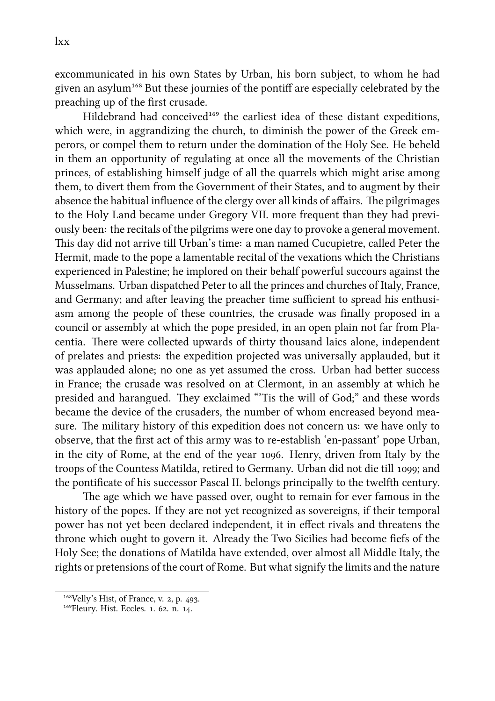excommunicated in his own States by Urban, his born subject, to whom he had given an asylum<sup>168</sup> But these journies of the pontiff are especially celebrated by the preaching up of the first crusade.

Hildebrand had conceived<sup>169</sup> the earliest idea of these distant expeditions, which were, in aggrandizing the church, to diminish the power of the Greek emperors, or compel them to return under the domination of the Holy See. He beheld in them an opportunity of regulating at once all the movements of the Christian princes, of establishing himself judge of all the quarrels which might arise among them, to divert them from the Government of their States, and to augment by their absence the habitual influence of the clergy over all kinds of affairs. The pilgrimages to the Holy Land became under Gregory VII. more frequent than they had previously been: the recitals of the pilgrims were one day to provoke a general movement. is day did not arrive till Urban's time: a man named Cucupietre, called Peter the Hermit, made to the pope a lamentable recital of the vexations which the Christians experienced in Palestine; he implored on their behalf powerful succours against the Musselmans. Urban dispatched Peter to all the princes and churches of Italy, France, and Germany; and after leaving the preacher time sufficient to spread his enthusiasm among the people of these countries, the crusade was finally proposed in a council or assembly at which the pope presided, in an open plain not far from Placentia. There were collected upwards of thirty thousand laics alone, independent of prelates and priests: the expedition projected was universally applauded, but it was applauded alone; no one as yet assumed the cross. Urban had better success in France; the crusade was resolved on at Clermont, in an assembly at which he presided and harangued. They exclaimed "Tis the will of God;" and these words became the device of the crusaders, the number of whom encreased beyond measure. The military history of this expedition does not concern us: we have only to observe, that the first act of this army was to re-establish 'en-passant' pope Urban, in the city of Rome, at the end of the year 1096. Henry, driven from Italy by the troops of the Countess Matilda, retired to Germany. Urban did not die till 1099; and the pontificate of his successor Pascal II. belongs principally to the twelfth century.

The age which we have passed over, ought to remain for ever famous in the history of the popes. If they are not yet recognized as sovereigns, if their temporal power has not yet been declared independent, it in effect rivals and threatens the throne which ought to govern it. Already the Two Sicilies had become fiefs of the Holy See; the donations of Matilda have extended, over almost all Middle Italy, the rights or pretensions of the court of Rome. But what signify the limits and the nature

 $^{168}$ Velly's Hist, of France, v. 2, p. 493.

 $^{169}$ Fleury. Hist. Eccles. 1, 62, n. 14.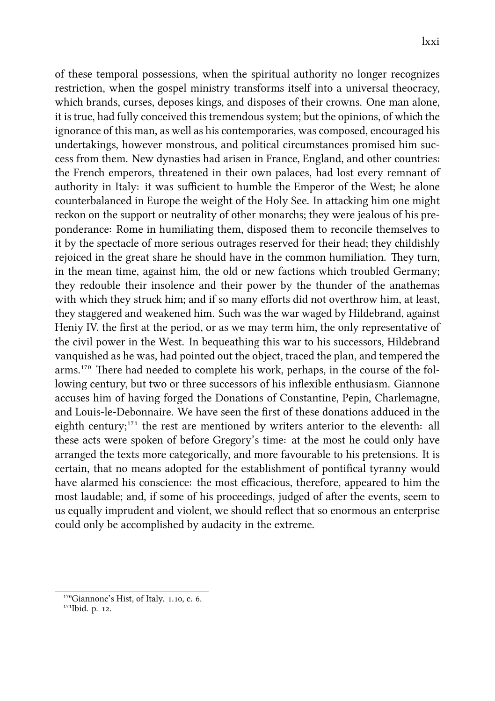of these temporal possessions, when the spiritual authority no longer recognizes restriction, when the gospel ministry transforms itself into a universal theocracy, which brands, curses, deposes kings, and disposes of their crowns. One man alone, it is true, had fully conceived this tremendous system; but the opinions, of which the ignorance of this man, as well as his contemporaries, was composed, encouraged his undertakings, however monstrous, and political circumstances promised him success from them. New dynasties had arisen in France, England, and other countries: the French emperors, threatened in their own palaces, had lost every remnant of authority in Italy: it was sufficient to humble the Emperor of the West; he alone counterbalanced in Europe the weight of the Holy See. In attacking him one might reckon on the support or neutrality of other monarchs; they were jealous of his preponderance: Rome in humiliating them, disposed them to reconcile themselves to it by the spectacle of more serious outrages reserved for their head; they childishly rejoiced in the great share he should have in the common humiliation. They turn, in the mean time, against him, the old or new factions which troubled Germany; they redouble their insolence and their power by the thunder of the anathemas with which they struck him; and if so many efforts did not overthrow him, at least, they staggered and weakened him. Such was the war waged by Hildebrand, against Heniy IV. the first at the period, or as we may term him, the only representative of the civil power in the West. In bequeathing this war to his successors, Hildebrand vanquished as he was, had pointed out the object, traced the plan, and tempered the  $a$ rms.<sup>170</sup> There had needed to complete his work, perhaps, in the course of the following century, but two or three successors of his inflexible enthusiasm. Giannone accuses him of having forged the Donations of Constantine, Pepin, Charlemagne, and Louis-le-Debonnaire. We have seen the first of these donations adduced in the eighth century;<sup>171</sup> the rest are mentioned by writers anterior to the eleventh: all these acts were spoken of before Gregory's time: at the most he could only have arranged the texts more categorically, and more favourable to his pretensions. It is certain, that no means adopted for the establishment of pontifical tyranny would have alarmed his conscience: the most efficacious, therefore, appeared to him the most laudable; and, if some of his proceedings, judged of after the events, seem to us equally imprudent and violent, we should reflect that so enormous an enterprise could only be accomplished by audacity in the extreme.

 $170$ Giannone's Hist, of Italy. 1.10, c. 6.

<sup>&</sup>lt;sup>171</sup>Ibid. p. 12.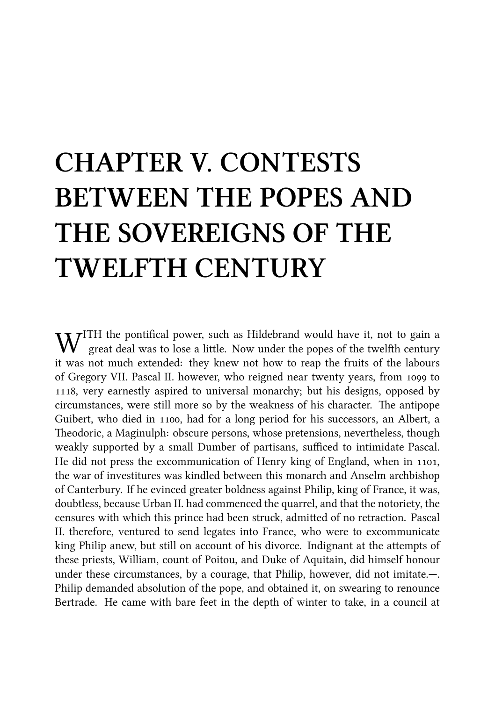## **CHAPTER V. CONTESTS BETWEEN THE POPES AND THE SOVEREIGNS OF THE TWELFTH CENTURY**

 $\rm W^{ITH}$  the pontifical power, such as Hildebrand would have it, not to gain a great deal was to lose a little. Now under the popes of the twelfth century great deal was to lose a little. Now under the popes of the twelfth century it was not much extended: they knew not how to reap the fruits of the labours of Gregory VII. Pascal II. however, who reigned near twenty years, from to 1118, very earnestly aspired to universal monarchy; but his designs, opposed by circumstances, were still more so by the weakness of his character. The antipope Guibert, who died in 1100, had for a long period for his successors, an Albert, a Theodoric, a Maginulph: obscure persons, whose pretensions, nevertheless, though weakly supported by a small Dumber of partisans, sufficed to intimidate Pascal. He did not press the excommunication of Henry king of England, when in 1101, the war of investitures was kindled between this monarch and Anselm archbishop of Canterbury. If he evinced greater boldness against Philip, king of France, it was, doubtless, because Urban II. had commenced the quarrel, and that the notoriety, the censures with which this prince had been struck, admitted of no retraction. Pascal II. therefore, ventured to send legates into France, who were to excommunicate king Philip anew, but still on account of his divorce. Indignant at the attempts of these priests, William, count of Poitou, and Duke of Aquitain, did himself honour under these circumstances, by a courage, that Philip, however, did not imitate.—. Philip demanded absolution of the pope, and obtained it, on swearing to renounce Bertrade. He came with bare feet in the depth of winter to take, in a council at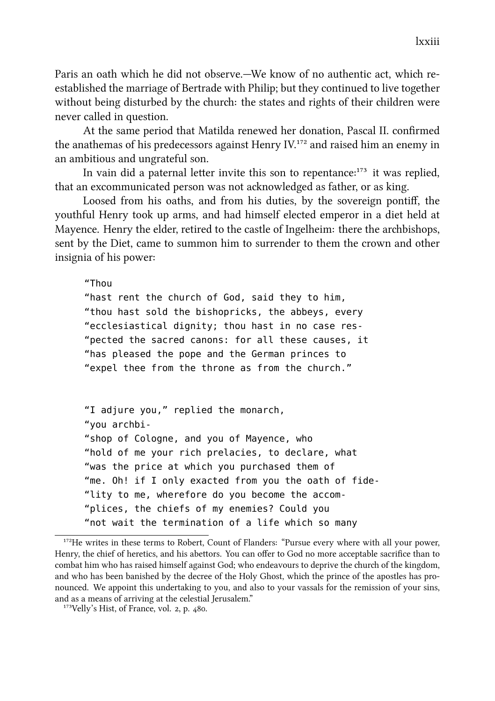Paris an oath which he did not observe.—We know of no authentic act, which reestablished the marriage of Bertrade with Philip; but they continued to live together without being disturbed by the church: the states and rights of their children were never called in question.

At the same period that Matilda renewed her donation, Pascal II. confirmed the anathemas of his predecessors against Henry IV.<sup>172</sup> and raised him an enemy in an ambitious and ungrateful son.

In vain did a paternal letter invite this son to repentance: $173$  it was replied, that an excommunicated person was not acknowledged as father, or as king.

Loosed from his oaths, and from his duties, by the sovereign pontiff, the youthful Henry took up arms, and had himself elected emperor in a diet held at Mayence. Henry the elder, retired to the castle of Ingelheim: there the archbishops, sent by the Diet, came to summon him to surrender to them the crown and other insignia of his power:

"Thou "hast rent the church of God, said they to him, "thou hast sold the bishopricks, the abbeys, every "ecclesiastical dignity; thou hast in no case res- "pected the sacred canons: for all these causes, it "has pleased the pope and the German princes to "expel thee from the throne as from the church." "I adjure you," replied the monarch, "you archbi- "shop of Cologne, and you of Mayence, who "hold of me your rich prelacies, to declare, what "was the price at which you purchased them of "me. Oh! if I only exacted from you the oath of fide- "lity to me, wherefore do you become the accom- "plices, the chiefs of my enemies? Could you "not wait the termination of a life which so many

<sup>&</sup>lt;sup>172</sup>He writes in these terms to Robert, Count of Flanders: "Pursue every where with all your power, Henry, the chief of heretics, and his abettors. You can offer to God no more acceptable sacrifice than to combat him who has raised himself against God; who endeavours to deprive the church of the kingdom, and who has been banished by the decree of the Holy Ghost, which the prince of the apostles has pronounced. We appoint this undertaking to you, and also to your vassals for the remission of your sins, and as a means of arriving at the celestial Jerusalem."

 $173$ Velly's Hist, of France, vol. 2, p. 480.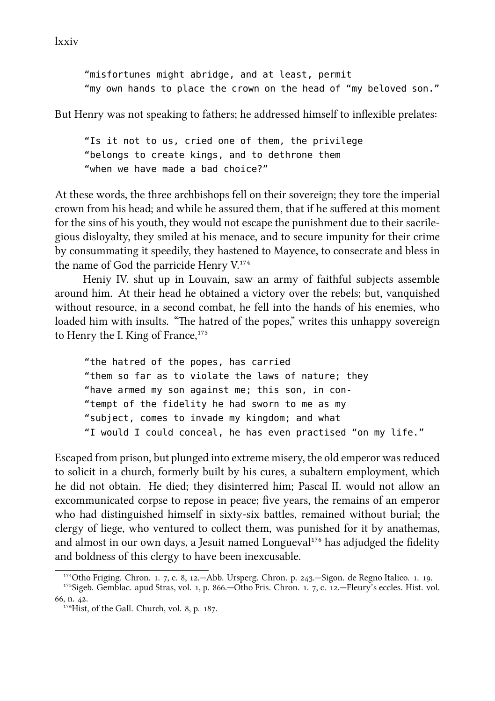lxxiv

"misfortunes might abridge, and at least, permit "my own hands to place the crown on the head of "my beloved son."

But Henry was not speaking to fathers; he addressed himself to inflexible prelates:

"Is it not to us, cried one of them, the privilege "belongs to create kings, and to dethrone them "when we have made a bad choice?"

At these words, the three arbishops fell on their sovereign; they tore the imperial crown from his head; and while he assured them, that if he suffered at this moment for the sins of his youth, they would not escape the punishment due to their sacrilegious disloyalty, they smiled at his menace, and to secure impunity for their crime by consummating it speedily, they hastened to Mayence, to consecrate and bless in the name of God the parricide Henry  $V^{174}$ 

Heniy IV. shut up in Louvain, saw an army of faithful subjects assemble around him. At their head he obtained a victory over the rebels; but, vanquished without resource, in a second combat, he fell into the hands of his enemies, who loaded him with insults. "The hatred of the popes," writes this unhappy sovereign to Henry the I. King of France,<sup>175</sup>

"the hatred of the popes, has carried "them so far as to violate the laws of nature; they "have armed my son against me; this son, in con- "tempt of the fidelity he had sworn to me as my "subject, comes to invade my kingdom; and what "I would I could conceal, he has even practised "on my life."

Escaped from prison, but plunged into extreme misery, the old emperor was reduced to solicit in a church, formerly built by his cures, a subaltern employment, which he did not obtain. He died; they disinterred him; Pascal II. would not allow an excommunicated corpse to repose in peace; five years, the remains of an emperor who had distinguished himself in sixty-six battles, remained without burial; the clergy of liege, who ventured to collect them, was punished for it by anathemas, and almost in our own days, a Jesuit named Longueval<sup> $176$ </sup> has adjudged the fidelity and boldness of this clergy to have been inexcusable.

 $174$ Otho Friging. Chron. 1, 7, c. 8, 12.—Abb. Ursperg. Chron. p. 243.—Sigon. de Regno Italico. 1, 19. <sup>175</sup>Sigeb. Gemblac. apud Stras, vol. 1, p. 866.—Otho Fris. Chron. 1. 7, c. 12.—Fleury's eccles. Hist. vol.

<sup>66,</sup> n. 42.

 $^{176}$ Hist, of the Gall. Church, vol. 8, p.  $187$ .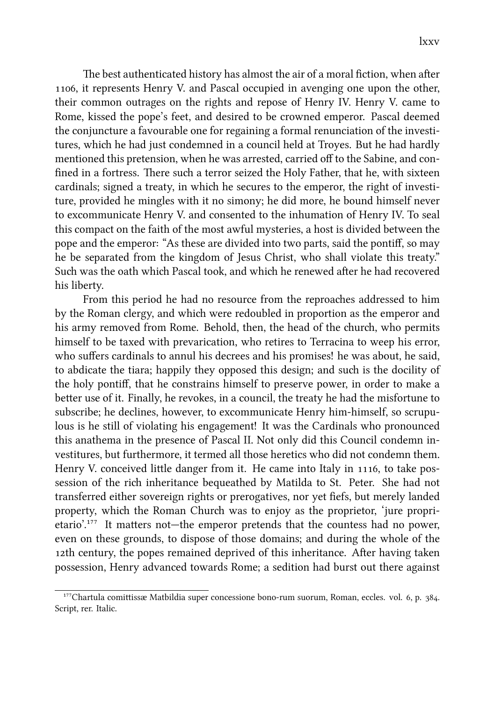The best authenticated history has almost the air of a moral fiction, when after , it represents Henry V. and Pascal occupied in avenging one upon the other, their common outrages on the rights and repose of Henry IV. Henry V. came to Rome, kissed the pope's feet, and desired to be crowned emperor. Pascal deemed the conjuncture a favourable one for regaining a formal renunciation of the investitures, which he had just condemned in a council held at Troyes. But he had hardly mentioned this pretension, when he was arrested, carried off to the Sabine, and confined in a fortress. There such a terror seized the Holy Father, that he, with sixteen cardinals; signed a treaty, in which he secures to the emperor, the right of investiture, provided he mingles with it no simony; he did more, he bound himself never to excommunicate Henry V. and consented to the inhumation of Henry IV. To seal this compact on the faith of the most awful mysteries, a host is divided between the pope and the emperor: "As these are divided into two parts, said the pontiff, so may he be separated from the kingdom of Jesus Christ, who shall violate this treaty." Such was the oath which Pascal took, and which he renewed after he had recovered his liberty.

From this period he had no resource from the reproaches addressed to him by the Roman clergy, and which were redoubled in proportion as the emperor and his army removed from Rome. Behold, then, the head of the church, who permits himself to be taxed with prevarication, who retires to Terracina to weep his error, who suffers cardinals to annul his decrees and his promises! he was about, he said, to abdicate the tiara; happily they opposed this design; and such is the docility of the holy pontiff, that he constrains himself to preserve power, in order to make a better use of it. Finally, he revokes, in a council, the treaty he had the misfortune to subscribe; he declines, however, to excommunicate Henry him-himself, so scrupulous is he still of violating his engagement! It was the Cardinals who pronounced this anathema in the presence of Pascal II. Not only did this Council condemn investitures, but furthermore, it termed all those heretics who did not condemn them. Henry V. conceived little danger from it. He came into Italy in 1116, to take possession of the rich inheritance bequeathed by Matilda to St. Peter. She had not transferred either sovereign rights or prerogatives, nor yet fiefs, but merely landed property, which the Roman Church was to enjoy as the proprietor, 'jure proprietario'.<sup>177</sup> It matters not—the emperor pretends that the countess had no power, even on these grounds, to dispose of those domains; and during the whole of the 12th century, the popes remained deprived of this inheritance. After having taken possession, Henry advanced towards Rome; a sedition had burst out there against

<sup>&</sup>lt;sup>177</sup>Chartula comittissæ Matbildia super concessione bono-rum suorum, Roman, eccles. vol. 6, p. 384. Script, rer. Italic.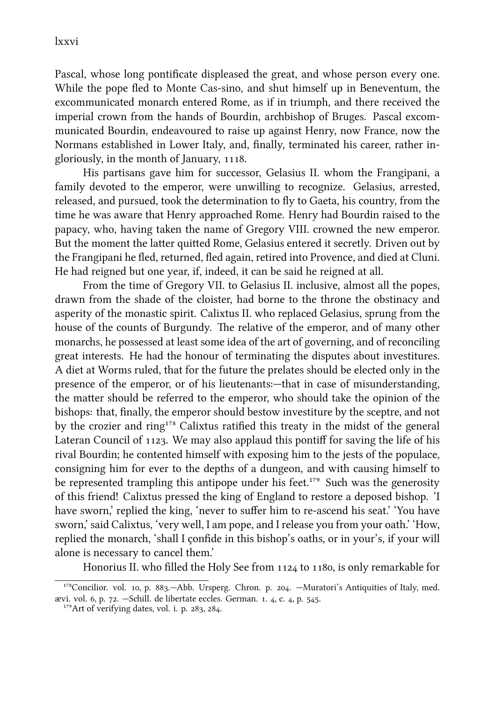lxxvi

Pascal, whose long pontificate displeased the great, and whose person every one. While the pope fled to Monte Cas-sino, and shut himself up in Beneventum, the excommunicated monarch entered Rome, as if in triumph, and there received the imperial crown from the hands of Bourdin, arbishop of Bruges. Pascal excommunicated Bourdin, endeavoured to raise up against Henry, now France, now the Normans established in Lower Italy, and, finally, terminated his career, rather ingloriously, in the month of January, 1118.

His partisans gave him for successor, Gelasius II. whom the Frangipani, a family devoted to the emperor, were unwilling to recognize. Gelasius, arrested, released, and pursued, took the determination to fly to Gaeta, his country, from the time he was aware that Henry approaed Rome. Henry had Bourdin raised to the papacy, who, having taken the name of Gregory VIII. crowned the new emperor. But the moment the latter quitted Rome, Gelasius entered it secretly. Driven out by the Frangipani he fled, returned, fled again, retired into Provence, and died at Cluni. He had reigned but one year, if, indeed, it can be said he reigned at all.

From the time of Gregory VII. to Gelasius II. inclusive, almost all the popes, drawn from the shade of the cloister, had borne to the throne the obstinacy and asperity of the monastic spirit. Calixtus II. who replaced Gelasius, sprung from the house of the counts of Burgundy. The relative of the emperor, and of many other monarchs, he possessed at least some idea of the art of governing, and of reconciling great interests. He had the honour of terminating the disputes about investitures. A diet at Worms ruled, that for the future the prelates should be elected only in the presence of the emperor, or of his lieutenants:—that in case of misunderstanding, the matter should be referred to the emperor, who should take the opinion of the bishops: that, finally, the emperor should bestow investiture by the sceptre, and not by the crozier and ring<sup>178</sup> Calixtus ratified this treaty in the midst of the general Lateran Council of  $1123$ . We may also applaud this pontiff for saving the life of his rival Bourdin; he contented himself with exposing him to the jests of the populace, consigning him for ever to the depths of a dungeon, and with causing himself to be represented trampling this antipope under his feet.<sup>179</sup> Such was the generosity of this friend! Calixtus pressed the king of England to restore a deposed bishop. 'I have sworn,' replied the king, 'never to suffer him to re-ascend his seat.' 'You have sworn,' said Calixtus, 'very well, I am pope, and I release you from your oath.' 'How, replied the monarch, 'shall I confide in this bishop's oaths, or in your's, if your will alone is necessary to cancel them.'

Honorius II. who filled the Holy See from 1124 to 1180, is only remarkable for

<sup>&</sup>lt;sup>178</sup>Concilior. vol. 10, p. 883.—Abb. Ursperg. Chron. p. 204. —Muratori's Antiquities of Italy, med. ævi. vol. 6, p. 72. - Schill. de libertate eccles. German. 1. 4, c. 4, p. 545.

 $179$ Art of verifying dates, vol. i. p. 283, 284.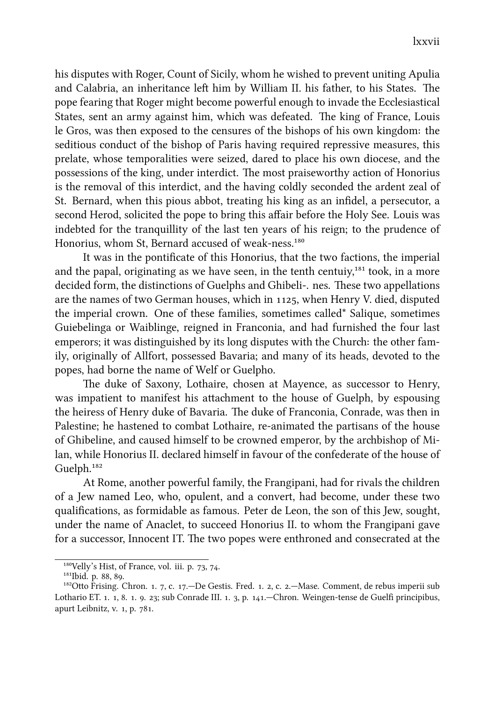his disputes with Roger, Count of Sicily, whom he wished to prevent uniting Apulia and Calabria, an inheritance left him by William II. his father, to his States. The pope fearing that Roger might become powerful enough to invade the Ecclesiastical States, sent an army against him, which was defeated. The king of France, Louis le Gros, was then exposed to the censures of the bishops of his own kingdom: the seditious conduct of the bishop of Paris having required repressive measures, this prelate, whose temporalities were seized, dared to place his own diocese, and the possessions of the king, under interdict. The most praiseworthy action of Honorius is the removal of this interdict, and the having coldly seconded the ardent zeal of St. Bernard, when this pious abbot, treating his king as an infidel, a persecutor, a second Herod, solicited the pope to bring this affair before the Holy See. Louis was indebted for the tranquillity of the last ten years of his reign; to the prudence of Honorius, whom St, Bernard accused of weak-ness.<sup>180</sup>

It was in the pontificate of this Honorius, that the two factions, the imperial and the papal, originating as we have seen, in the tenth centuiy, $181$  took, in a more decided form, the distinctions of Guelphs and Ghibeli-, nes. These two appellations are the names of two German houses, which in 1125, when Henry V, died, disputed the imperial crown. One of these families, sometimes called\* Salique, sometimes Guiebelinga or Waiblinge, reigned in Franconia, and had furnished the four last emperors; it was distinguished by its long disputes with the Church: the other family, originally of Allfort, possessed Bavaria; and many of its heads, devoted to the popes, had borne the name of Welf or Guelpho.

The duke of Saxony, Lothaire, chosen at Mayence, as successor to Henry, was impatient to manifest his attachment to the house of Guelph, by espousing the heiress of Henry duke of Bavaria. The duke of Franconia, Conrade, was then in Palestine; he hastened to combat Lothaire, re-animated the partisans of the house of Ghibeline, and caused himself to be crowned emperor, by the arbishop of Milan, while Honorius II. declared himself in favour of the confederate of the house of Guelph.<sup>182</sup>

At Rome, another powerful family, the Frangipani, had for rivals the children of a Jew named Leo, who, opulent, and a convert, had become, under these two qualifications, as formidable as famous. Peter de Leon, the son of this Jew, sought, under the name of Anaclet, to succeed Honorius II. to whom the Frangipani gave for a successor, Innocent IT. The two popes were enthroned and consecrated at the

<sup>&</sup>lt;sup>180</sup>Velly's Hist, of France, vol. iii. p. 73, 74.

<sup>&</sup>lt;sup>181</sup>Ibid. p. 88, 89.

 $^{182}$ Otto Frising. Chron. 1, 7, c. 17.—De Gestis. Fred. 1, 2, c. 2.—Mase. Comment, de rebus imperii sub Lothario ET. 1. 1, 8. 1. 9. 23; sub Conrade III. 1. 3, p. 141. - Chron. Weingen-tense de Guelfi principibus, apurt Leibnitz, v. 1, p. 781.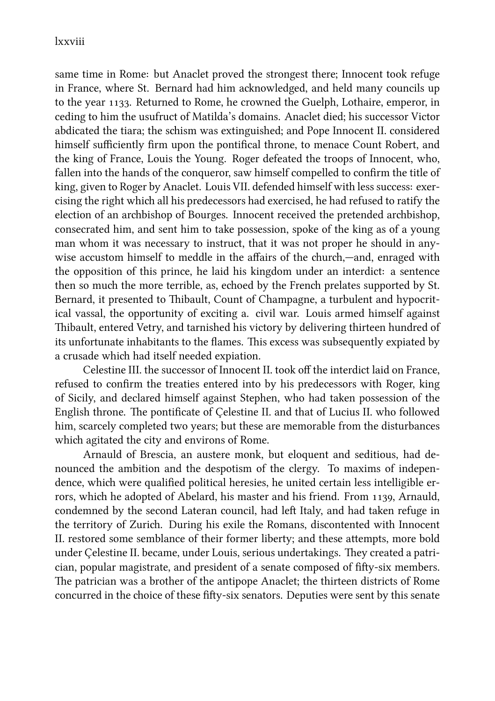## lxxviii

same time in Rome: but Anaclet proved the strongest there; Innocent took refuge in France, where St. Bernard had him acknowledged, and held many councils up to the year 1133. Returned to Rome, he crowned the Guelph, Lothaire, emperor, in ceding to him the usufruct of Matilda's domains. Anaclet died; his successor Victor abdicated the tiara; the schism was extinguished; and Pope Innocent II. considered himself sufficiently firm upon the pontifical throne, to menace Count Robert, and the king of France, Louis the Young. Roger defeated the troops of Innocent, who, fallen into the hands of the conqueror, saw himself compelled to confirm the title of king, given to Roger by Anaclet. Louis VII. defended himself with less success: exercising the right which all his predecessors had exercised, he had refused to ratify the election of an archbishop of Bourges. Innocent received the pretended archbishop, consecrated him, and sent him to take possession, spoke of the king as of a young man whom it was necessary to instruct, that it was not proper he should in anywise accustom himself to meddle in the affairs of the church,—and, enraged with the opposition of this prince, he laid his kingdom under an interdict: a sentence then so much the more terrible, as, echoed by the French prelates supported by St. Bernard, it presented to Thibault, Count of Champagne, a turbulent and hypocritical vassal, the opportunity of exciting a. civil war. Louis armed himself against Thibault, entered Vetry, and tarnished his victory by delivering thirteen hundred of its unfortunate inhabitants to the flames. This excess was subsequently expiated by a crusade which had itself needed expiation.

Celestine III. the successor of Innocent II. took off the interdict laid on France, refused to confirm the treaties entered into by his predecessors with Roger, king of Sicily, and declared himself against Stephen, who had taken possession of the English throne. The pontificate of Çelestine II. and that of Lucius II. who followed him, scarcely completed two years; but these are memorable from the disturbances which agitated the city and environs of Rome.

Arnauld of Brescia, an austere monk, but eloquent and seditious, had denounced the ambition and the despotism of the clergy. To maxims of independence, which were qualified political heresies, he united certain less intelligible errors, which he adopted of Abelard, his master and his friend. From 1139, Arnauld, condemned by the second Lateran council, had left Italy, and had taken refuge in the territory of Zurich. During his exile the Romans, discontented with Innocent II. restored some semblance of their former liberty; and these attempts, more bold under Celestine II. became, under Louis, serious undertakings. They created a patrician, popular magistrate, and president of a senate composed of fiy-six members. The patrician was a brother of the antipope Anaclet; the thirteen districts of Rome concurred in the choice of these fifty-six senators. Deputies were sent by this senate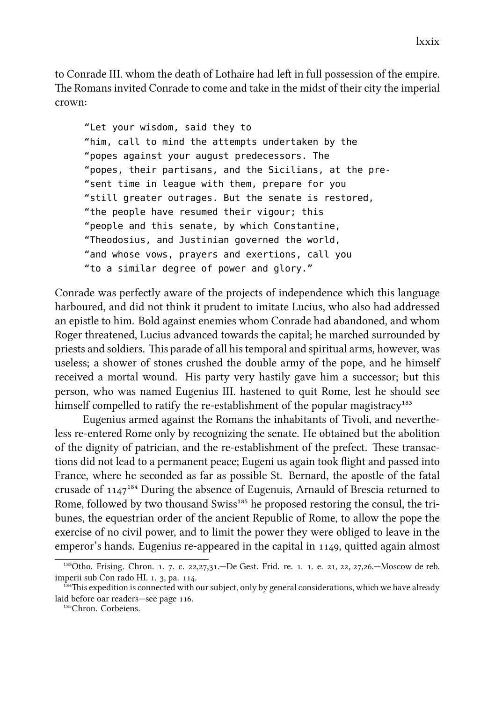to Conrade III. whom the death of Lothaire had left in full possession of the empire. The Romans invited Conrade to come and take in the midst of their city the imperial crown:

"Let your wisdom, said they to "him, call to mind the attempts undertaken by the "popes against your august predecessors. The "popes, their partisans, and the Sicilians, at the pre- "sent time in league with them, prepare for you "still greater outrages. But the senate is restored, "the people have resumed their vigour; this "people and this senate, by which Constantine, "Theodosius, and Justinian governed the world, "and whose vows, prayers and exertions, call you "to a similar degree of power and glory."

Conrade was perfectly aware of the projects of independence which this language harboured, and did not think it prudent to imitate Lucius, who also had addressed an epistle to him. Bold against enemies whom Conrade had abandoned, and whom Roger threatened, Lucius advanced towards the capital; he marched surrounded by priests and soldiers. This parade of all his temporal and spiritual arms, however, was useless; a shower of stones crushed the double army of the pope, and he himself received a mortal wound. His party very hastily gave him a successor; but this person, who was named Eugenius III. hastened to quit Rome, lest he should see himself compelled to ratify the re-establishment of the popular magistracy<sup>183</sup>

Eugenius armed against the Romans the inhabitants of Tivoli, and nevertheless re-entered Rome only by recognizing the senate. He obtained but the abolition of the dignity of patrician, and the re-establishment of the prefect. These transactions did not lead to a permanent peace; Eugeni us again took flight and passed into France, where he seconded as far as possible St. Bernard, the apostle of the fatal crusade of  $1147^{184}$  During the absence of Eugenuis, Arnauld of Brescia returned to Rome, followed by two thousand Swiss<sup>185</sup> he proposed restoring the consul, the tribunes, the equestrian order of the ancient Republic of Rome, to allow the pope the exercise of no civil power, and to limit the power they were obliged to leave in the emperor's hands. Eugenius re-appeared in the capital in  $1149$ , quitted again almost

 $^{183}$ Otho. Frising. Chron. 1. 7. c. 22,27,31.—De Gest. Frid. re. 1. 1. e. 21, 22, 27,26.—Moscow de reb. imperii sub Con rado HI. 1. 3, pa. 114.

<sup>&</sup>lt;sup>184</sup>This expedition is connected with our subject, only by general considerations, which we have already laid before oar readers-see page 116.

<sup>&</sup>lt;sup>185</sup>Chron. Corbeiens.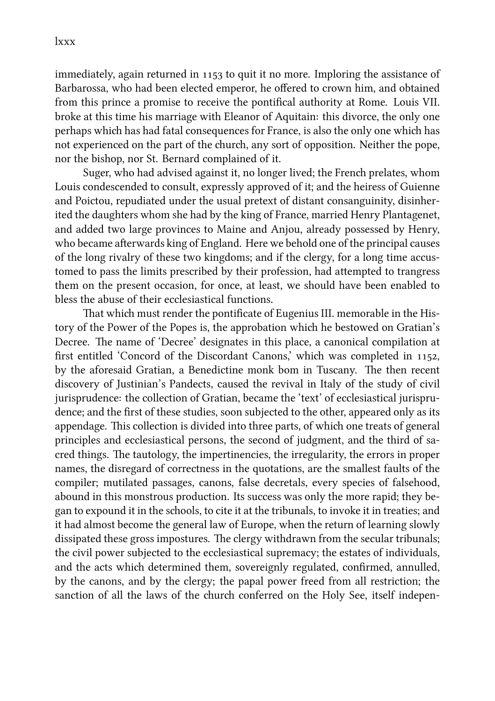immediately, again returned in 1153 to quit it no more. Imploring the assistance of Barbarossa, who had been elected emperor, he offered to crown him, and obtained from this prince a promise to receive the pontifical authority at Rome. Louis VII. broke at this time his marriage with Eleanor of Aquitain: this divorce, the only one perhaps which has had fatal consequences for France, is also the only one which has not experienced on the part of the church, any sort of opposition. Neither the pope, nor the bishop, nor St. Bernard complained of it.

Suger, who had advised against it, no longer lived; the French prelates, whom Louis condescended to consult, expressly approved of it; and the heiress of Guienne and Poictou, repudiated under the usual pretext of distant consanguinity, disinherited the daughters whom she had by the king of France, married Henry Plantagenet, and added two large provinces to Maine and Anjou, already possessed by Henry, who became afterwards king of England. Here we behold one of the principal causes of the long rivalry of these two kingdoms; and if the clergy, for a long time accustomed to pass the limits prescribed by their profession, had attempted to trangress them on the present occasion, for once, at least, we should have been enabled to bless the abuse of their ecclesiastical functions.

That which must render the pontificate of Eugenius III. memorable in the History of the Power of the Popes is, the approbation which he bestowed on Gratian's Decree. The name of 'Decree' designates in this place, a canonical compilation at first entitled 'Concord of the Discordant Canons,' which was completed in  $1152$ , by the aforesaid Gratian, a Benedictine monk bom in Tuscany. The then recent discovery of Justinian's Pandects, caused the revival in Italy of the study of civil jurisprudence: the collection of Gratian, became the 'text' of ecclesiastical jurisprudence; and the first of these studies, soon subjected to the other, appeared only as its appendage. This collection is divided into three parts, of which one treats of general principles and ecclesiastical persons, the second of judgment, and the third of sacred things. The tautology, the impertinencies, the irregularity, the errors in proper names, the disregard of correctness in the quotations, are the smallest faults of the compiler; mutilated passages, canons, false decretals, every species of falsehood, abound in this monstrous production. Its success was only the more rapid; they began to expound it in the schools, to cite it at the tribunals, to invoke it in treaties; and it had almost become the general law of Europe, when the return of learning slowly dissipated these gross impostures. The clergy withdrawn from the secular tribunals; the civil power subjected to the ecclesiastical supremacy; the estates of individuals, and the acts which determined them, sovereignly regulated, confirmed, annulled, by the canons, and by the clergy; the papal power freed from all restriction; the sanction of all the laws of the church conferred on the Holy See, itself indepen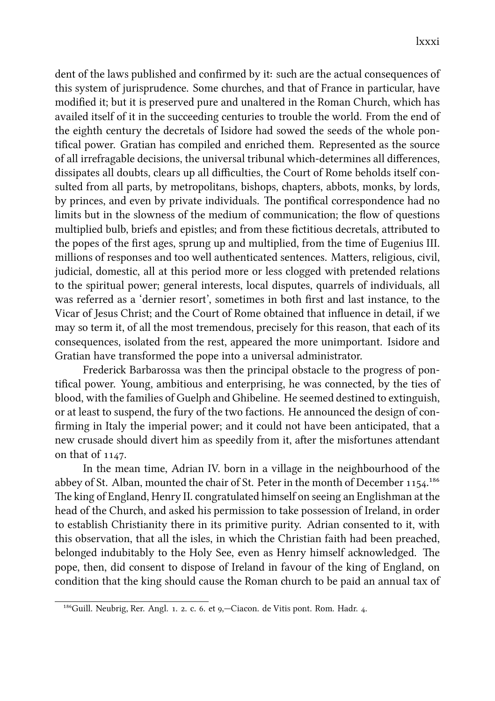dent of the laws published and confirmed by it: such are the actual consequences of this system of jurisprudence. Some churches, and that of France in particular, have modified it; but it is preserved pure and unaltered in the Roman Church, which has availed itself of it in the succeeding centuries to trouble the world. From the end of the eighth century the decretals of Isidore had sowed the seeds of the whole pontifical power. Gratian has compiled and enriched them. Represented as the source of all irrefragable decisions, the universal tribunal which-determines all differences, dissipates all doubts, clears up all difficulties, the Court of Rome beholds itself consulted from all parts, by metropolitans, bishops, chapters, abbots, monks, by lords, by princes, and even by private individuals. The pontifical correspondence had no limits but in the slowness of the medium of communication; the flow of questions multiplied bulb, briefs and epistles; and from these fictitious decretals, aributed to the popes of the first ages, sprung up and multiplied, from the time of Eugenius III. millions of responses and too well authenticated sentences. Matters, religious, civil, judicial, domestic, all at this period more or less clogged with pretended relations to the spiritual power; general interests, local disputes, quarrels of individuals, all was referred as a 'dernier resort', sometimes in both first and last instance, to the Vicar of Jesus Christ; and the Court of Rome obtained that influence in detail, if we may so term it, of all the most tremendous, precisely for this reason, that each of its consequences, isolated from the rest, appeared the more unimportant. Isidore and Gratian have transformed the pope into a universal administrator.

Frederick Barbarossa was then the principal obstacle to the progress of pontifical power. Young, ambitious and enterprising, he was connected, by the ties of blood, with the families of Guelph and Ghibeline. He seemed destined to extinguish, or at least to suspend, the fury of the two factions. He announced the design of confirming in Italy the imperial power; and it could not have been anticipated, that a new crusade should divert him as speedily from it, after the misfortunes attendant on that of  $1147$ .

In the mean time, Adrian IV. born in a village in the neighbourhood of the abbey of St. Alban, mounted the chair of St. Peter in the month of December 1154.<sup>186</sup> e king of England, Henry II. congratulated himself on seeing an Englishman at the head of the Church, and asked his permission to take possession of Ireland, in order to establish Christianity there in its primitive purity. Adrian consented to it, with this observation, that all the isles, in which the Christian faith had been preached, belonged indubitably to the Holy See, even as Henry himself acknowledged. The pope, then, did consent to dispose of Ireland in favour of the king of England, on condition that the king should cause the Roman church to be paid an annual tax of

 $^{186}$ Guill. Neubrig, Rer. Angl. 1. 2. c. 6. et 9,—Ciacon. de Vitis pont. Rom. Hadr. 4.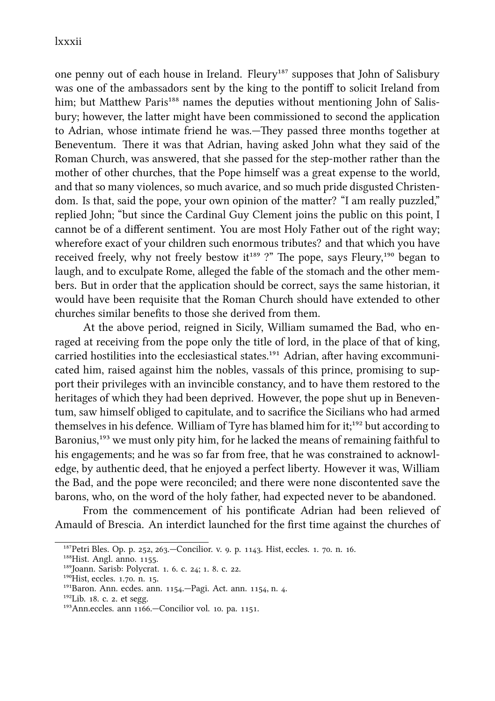lxxxii

one penny out of each house in Ireland. Fleury<sup>187</sup> supposes that John of Salisbury was one of the ambassadors sent by the king to the pontiff to solicit Ireland from him; but Matthew Paris<sup>188</sup> names the deputies without mentioning John of Salisbury; however, the latter might have been commissioned to second the application to Adrian, whose intimate friend he was.—They passed three months together at Beneventum. There it was that Adrian, having asked John what they said of the Roman Church, was answered, that she passed for the step-mother rather than the mother of other churches, that the Pope himself was a great expense to the world, and that so many violences, so much avarice, and so much pride disgusted Christendom. Is that, said the pope, your own opinion of the matter? "I am really puzzled," replied John; "but since the Cardinal Guy Clement joins the public on this point, I cannot be of a different sentiment. You are most Holy Father out of the right way; wherefore exact of your children such enormous tributes? and that which you have received freely, why not freely bestow it<sup>189</sup> ?" The pope, says Fleury,<sup>190</sup> began to laugh, and to exculpate Rome, alleged the fable of the stomach and the other members. But in order that the application should be correct, says the same historian, it would have been requisite that the Roman Church should have extended to other churches similar benefits to those she derived from them.

At the above period, reigned in Sicily, William sumamed the Bad, who enraged at receiving from the pope only the title of lord, in the place of that of king, carried hostilities into the ecclesiastical states.<sup>191</sup> Adrian, after having excommunicated him, raised against him the nobles, vassals of this prince, promising to support their privileges with an invincible constancy, and to have them restored to the heritages of which they had been deprived. However, the pope shut up in Beneventum, saw himself obliged to capitulate, and to sacrifice the Sicilians who had armed themselves in his defence. William of Tyre has blamed him for it;<sup>192</sup> but according to Baronius,<sup>193</sup> we must only pity him, for he lacked the means of remaining faithful to his engagements; and he was so far from free, that he was constrained to acknowledge, by authentic deed, that he enjoyed a perfect liberty. However it was, William the Bad, and the pope were reconciled; and there were none discontented save the barons, who, on the word of the holy father, had expected never to be abandoned.

From the commencement of his pontificate Adrian had been relieved of Amauld of Brescia. An interdict launched for the first time against the churches of

<sup>&</sup>lt;sup>187</sup>Petri Bles. Op. p. 252, 263.—Concilior. v. 9. p. 1143. Hist, eccles. 1. 70. n. 16.

<sup>&</sup>lt;sup>188</sup>Hist. Angl. anno. 1155.

<sup>&</sup>lt;sup>189</sup>Joann. Sarisb: Polycrat. 1. 6. c. 24; 1. 8. c. 22.

<sup>&</sup>lt;sup>190</sup>Hist, eccles. 1.70. n. 15.

<sup>&</sup>lt;sup>191</sup>Baron. Ann. ecdes. ann. 1154. - Pagi. Act. ann. 1154, n. 4.

 $192$ Lib. 18. c. 2. et segg.

 $^{193}$ Ann.eccles. ann  $1166$ —Concilior vol. 10. pa. 1151.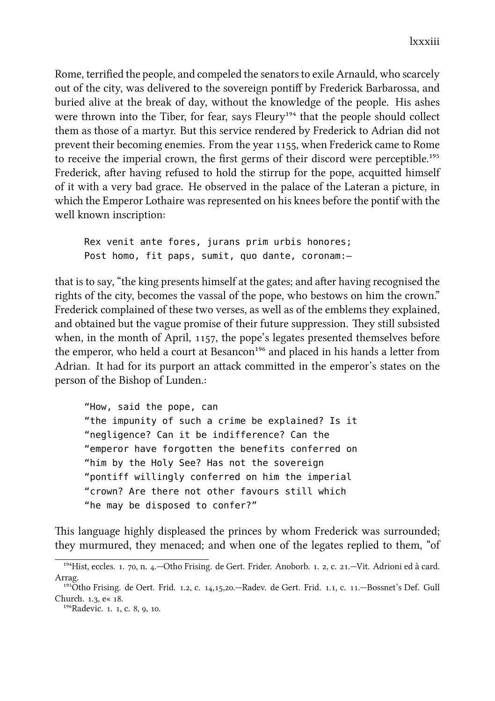Rome, terrified the people, and compeled the senators to exile Arnauld, who scarcely out of the city, was delivered to the sovereign pontiff by Frederick Barbarossa, and buried alive at the break of day, without the knowledge of the people. His ashes were thrown into the Tiber, for fear, says Fleury<sup>194</sup> that the people should collect them as those of a martyr. But this service rendered by Frederick to Adrian did not prevent their becoming enemies. From the year 1155, when Frederick came to Rome to receive the imperial crown, the first germs of their discord were perceptible.<sup>195</sup> Frederick, after having refused to hold the stirrup for the pope, acquitted himself of it with a very bad grace. He observed in the palace of the Lateran a picture, in which the Emperor Lothaire was represented on his knees before the pontif with the well known inscription:

Rex venit ante fores, jurans prim urbis honores; Post homo, fit paps, sumit, quo dante, coronam:—

that is to say, "the king presents himself at the gates; and after having recognised the rights of the city, becomes the vassal of the pope, who bestows on him the crown." Frederick complained of these two verses, as well as of the emblems they explained, and obtained but the vague promise of their future suppression. They still subsisted when, in the month of April, 1157, the pope's legates presented themselves before the emperor, who held a court at Besancon<sup>196</sup> and placed in his hands a letter from Adrian. It had for its purport an attack committed in the emperor's states on the person of the Bishop of Lunden.:

```
"How, said the pope, can
"the impunity of such a crime be explained? Is it
"negligence? Can it be indifference? Can the
"emperor have forgotten the benefits conferred on
"him by the Holy See? Has not the sovereign
"pontiff willingly conferred on him the imperial
"crown? Are there not other favours still which
"he may be disposed to confer?"
```
This language highly displeased the princes by whom Frederick was surrounded; they murmured, they menaced; and when one of the legates replied to them, "of

 $^{194}$ Hist, eccles. 1. 70, n. 4.—Otho Frising. de Gert. Frider. Anoborb. 1. 2, c. 21.—Vit. Adrioni ed à card. Arrag.

 $^{195}$ Otho Frising. de Oert. Frid. 1.2, c. 14,15,20.—Radev. de Gert. Frid. 1.1, c. 11.—Bossnet's Def. Gull  $Church_13$   $ex_18$ 

<sup>&</sup>lt;sup>196</sup>Radevic. 1, 1, c. 8, 9, 10.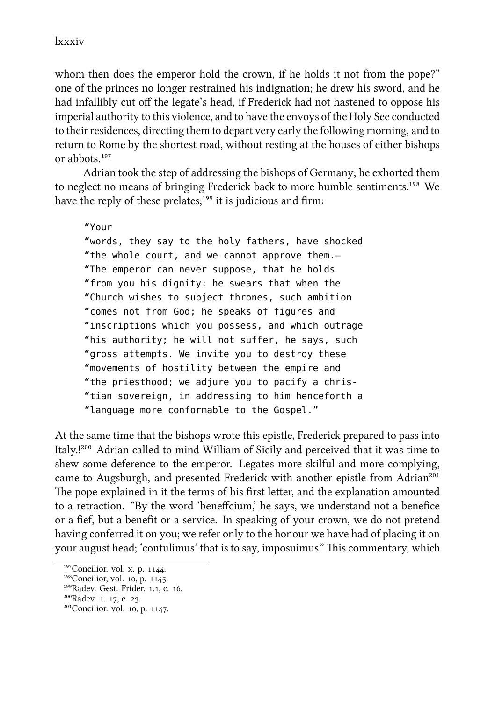## lxxxiv

whom then does the emperor hold the crown, if he holds it not from the pope?" one of the princes no longer restrained his indignation; he drew his sword, and he had infallibly cut off the legate's head, if Frederick had not hastened to oppose his imperial authority to this violence, and to have the envoys of the Holy See conducted to their residences, directing them to depart very early the following morning, and to return to Rome by the shortest road, without resting at the houses of either bishops or abbots<sup>197</sup>

Adrian took the step of addressing the bishops of Germany; he exhorted them to neglect no means of bringing Frederick back to more humble sentiments.<sup>198</sup> We have the reply of these prelates; $^{199}$  it is judicious and firm:

"Your

"words, they say to the holy fathers, have shocked "the whole court, and we cannot approve them.— "The emperor can never suppose, that he holds "from you his dignity: he swears that when the "Church wishes to subject thrones, such ambition "comes not from God; he speaks of figures and "inscriptions which you possess, and which outrage "his authority; he will not suffer, he says, such "gross attempts. We invite you to destroy these "movements of hostility between the empire and "the priesthood; we adjure you to pacify a chris- "tian sovereign, in addressing to him henceforth a "language more conformable to the Gospel."

At the same time that the bishops wrote this epistle, Frederick prepared to pass into Italy.<sup>1200</sup> Adrian called to mind William of Sicily and perceived that it was time to shew some deference to the emperor. Legates more skilful and more complying, came to Augsburgh, and presented Frederick with another epistle from Adrian<sup>201</sup> The pope explained in it the terms of his first letter, and the explanation amounted to a retraction. "By the word 'beneffcium,' he says, we understand not a benefice or a fief, but a benefit or a service. In speaking of your crown, we do not pretend having conferred it on you; we refer only to the honour we have had of placing it on your august head; 'contulimus' that is to say, imposuimus." This commentary, which

<sup>&</sup>lt;sup>197</sup>Concilior. vol. x. p. 1144.

 $198$ Concilior, vol. 10, p. 1145.

<sup>&</sup>lt;sup>199</sup>Radev. Gest. Frider. 1.1, c. 16.

<sup>&</sup>lt;sup>200</sup>Radev. 1, 17, c. 23.

 $^{201}$ Concilior. vol. 10, p. 1147.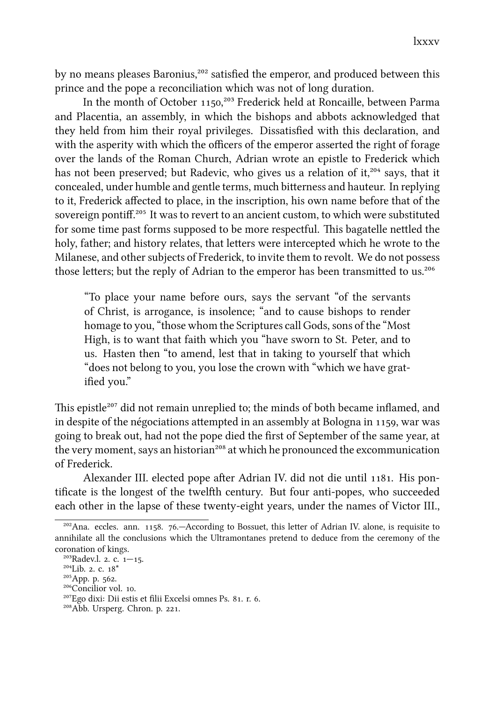by no means pleases Baronius,<sup>202</sup> satisfied the emperor, and produced between this prince and the pope a reconciliation which was not of long duration.

In the month of October 1150,<sup>203</sup> Frederick held at Roncaille, between Parma and Placentia, an assembly, in which the bishops and abbots acknowledged that they held from him their royal privileges. Dissatisfied with this declaration, and with the asperity with which the officers of the emperor asserted the right of forage over the lands of the Roman Church, Adrian wrote an epistle to Frederick which has not been preserved; but Radevic, who gives us a relation of it, $^{204}$  says, that it concealed, under humble and gentle terms, much bitterness and hauteur. In replying to it, Frederick affected to place, in the inscription, his own name before that of the sovereign pontiff.<sup>205</sup> It was to revert to an ancient custom, to which were substituted for some time past forms supposed to be more respectful. This bagatelle nettled the holy, father; and history relates, that letters were intercepted which he wrote to the Milanese, and other subjects of Frederick, to invite them to revolt. We do not possess those letters; but the reply of Adrian to the emperor has been transmitted to us.<sup>206</sup>

"To place your name before ours, says the servant "of the servants of Christ, is arrogance, is insolence; "and to cause bishops to render homage to you, "those whom the Scriptures call Gods, sons of the "Most High, is to want that faith which you "have sworn to St. Peter, and to us. Hasten then "to amend, lest that in taking to yourself that whi " does not belong to you, you lose the crown with "which we have gratified you."

This epistle<sup>207</sup> did not remain unreplied to; the minds of both became inflamed, and in despite of the négociations attempted in an assembly at Bologna in  $1159$ , war was going to break out, had not the pope died the first of September of the same year, at the very moment, says an historian<sup>208</sup> at which he pronounced the excommunication of Frederick.

Alexander III. elected pope after Adrian IV. did not die until 1181. His pontificate is the longest of the twelfth century. But four anti-popes, who succeeded each other in the lapse of these twenty-eight years, under the names of Victor III.,

 $^{202}$ Ana. eccles. ann. 1158. 76.—According to Bossuet, this letter of Adrian IV. alone, is requisite to annihilate all the conclusions which the Ultramontanes pretend to deduce from the ceremony of the coronation of kings.

 $^{203}$ Radev.l. 2. c.  $1 - 15$ .

 $204$ Lib. 2. c.  $18^*$ 

<sup>&</sup>lt;sup>205</sup>App. p. 562.

<sup>&</sup>lt;sup>206</sup>Concilior vol. 10.

<sup>&</sup>lt;sup>207</sup>Ego dixi: Dii estis et filii Excelsi omnes Ps. 81. r. 6.

<sup>&</sup>lt;sup>208</sup>Abb. Ursperg. Chron. p. 221.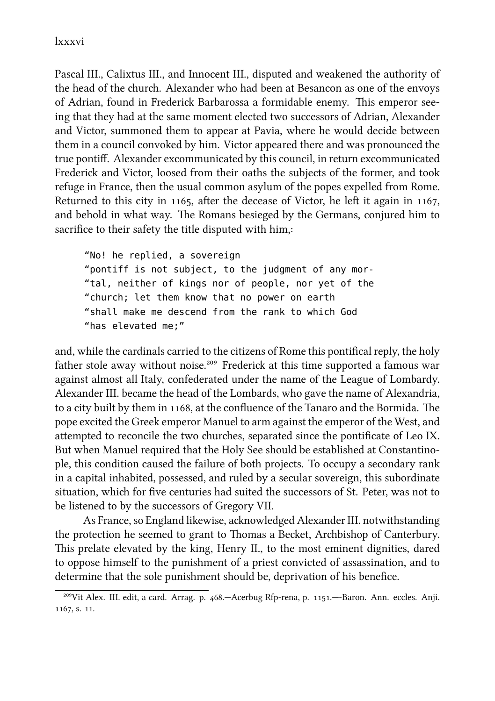lxxxvi

Pascal III., Calixtus III., and Innocent III., disputed and weakened the authority of the head of the church. Alexander who had been at Besancon as one of the envoys of Adrian, found in Frederick Barbarossa a formidable enemy. This emperor seeing that they had at the same moment elected two successors of Adrian, Alexander and Victor, summoned them to appear at Pavia, where he would decide between them in a council convoked by him. Victor appeared there and was pronounced the true pontiff. Alexander excommunicated by this council, in return excommunicated Frederick and Victor, loosed from their oaths the subjects of the former, and took refuge in France, then the usual common asylum of the popes expelled from Rome. Returned to this city in  $1165$ , after the decease of Victor, he left it again in  $1167$ , and behold in what way. The Romans besieged by the Germans, conjured him to sacrifice to their safety the title disputed with him,:

"No! he replied, a sovereign "pontiff is not subject, to the judgment of any mor- "tal, neither of kings nor of people, nor yet of the "church; let them know that no power on earth "shall make me descend from the rank to which God "has elevated me;"

and, while the cardinals carried to the citizens of Rome this pontifical reply, the holy father stole away without noise.<sup>209</sup> Frederick at this time supported a famous war against almost all Italy, confederated under the name of the League of Lombardy. Alexander III. became the head of the Lombards, who gave the name of Alexandria, to a city built by them in 1168, at the confluence of the Tanaro and the Bormida. The pope excited the Greek emperor Manuel to arm against the emperor of the West, and attempted to reconcile the two churches, separated since the pontificate of Leo IX. But when Manuel required that the Holy See should be established at Constantinople, this condition caused the failure of both projects. To occupy a secondary rank in a capital inhabited, possessed, and ruled by a secular sovereign, this subordinate situation, which for five centuries had suited the successors of St. Peter, was not to be listened to by the successors of Gregory VII.

As France, so England likewise, acknowledged Alexander III. notwithstanding the protection he seemed to grant to Thomas a Becket, Archbishop of Canterbury. This prelate elevated by the king, Henry II., to the most eminent dignities, dared to oppose himself to the punishment of a priest convicted of assassination, and to determine that the sole punishment should be, deprivation of his benefice.

<sup>&</sup>lt;sup>209</sup>Vit Alex. III. edit, a card. Arrag. p. 468.—Acerbug Rfp-rena, p. 1151.—-Baron. Ann. eccles. Anji. 1167, s. 11.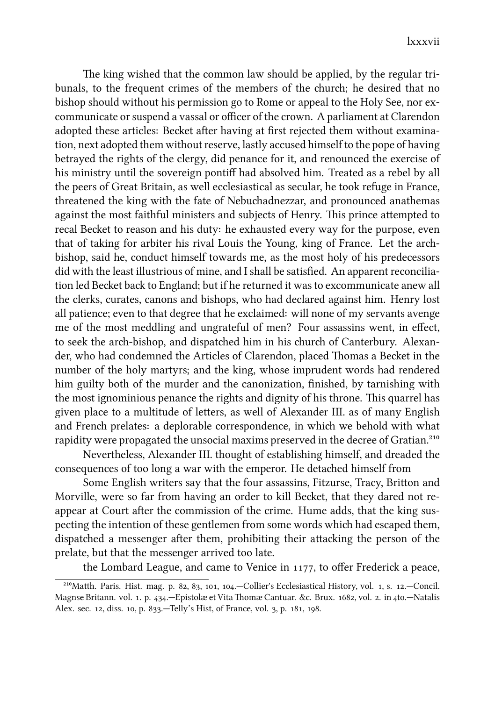The king wished that the common law should be applied, by the regular tribunals, to the frequent crimes of the members of the church; he desired that no bishop should without his permission go to Rome or appeal to the Holy See, nor excommunicate or suspend a vassal or officer of the crown. A parliament at Clarendon adopted these articles: Becket after having at first rejected them without examination, next adopted them without reserve, lastly accused himself to the pope of having betrayed the rights of the clergy, did penance for it, and renounced the exercise of his ministry until the sovereign pontiff had absolved him. Treated as a rebel by all the peers of Great Britain, as well ecclesiastical as secular, he took refuge in France, threatened the king with the fate of Nebuchadnezzar, and pronounced anathemas against the most faithful ministers and subjects of Henry. This prince attempted to recal Becket to reason and his duty: he exhausted every way for the purpose, even that of taking for arbiter his rival Louis the Young, king of France. Let the archbishop, said he, conduct himself towards me, as the most holy of his predecessors did with the least illustrious of mine, and I shall be satisfied. An apparent reconciliation led Becket back to England; but if he returned it was to excommunicate anew all the clerks, curates, canons and bishops, who had declared against him. Henry lost all patience; even to that degree that he exclaimed: will none of my servants avenge me of the most meddling and ungrateful of men? Four assassins went, in effect, to seek the arch-bishop, and dispatched him in his church of Canterbury. Alexander, who had condemned the Articles of Clarendon, placed Thomas a Becket in the number of the holy martyrs; and the king, whose imprudent words had rendered him guilty both of the murder and the canonization, finished, by tarnishing with the most ignominious penance the rights and dignity of his throne. This quarrel has given place to a multitude of letters, as well of Alexander III. as of many English and French prelates: a deplorable correspondence, in which we behold with what rapidity were propagated the unsocial maxims preserved in the decree of Gratian.<sup>210</sup>

Nevertheless, Alexander III. thought of establishing himself, and dreaded the consequences of too long a war with the emperor. He detaed himself from

Some English writers say that the four assassins, Fitzurse, Tracy, Britton and Morville, were so far from having an order to kill Becket, that they dared not reappear at Court after the commission of the crime. Hume adds, that the king suspecting the intention of these gentlemen from some words which had escaped them, dispatched a messenger after them, prohibiting their attacking the person of the prelate, but that the messenger arrived too late.

the Lombard League, and came to Venice in 1177, to offer Frederick a peace,

 $^{210}$ Matth. Paris. Hist. mag. p. 82, 83, 101, 104. - Collier's Ecclesiastical History, vol. 1, s. 12. - Concil. Magnse Britann. vol. 1. p. 434.—Epistolæ et Vita Thomæ Cantuar. &c. Brux. 1682, vol. 2. in 4to.—Natalis Alex. sec. 12, diss. 10, p. 833. - Telly's Hist, of France, vol. 3, p. 181, 198.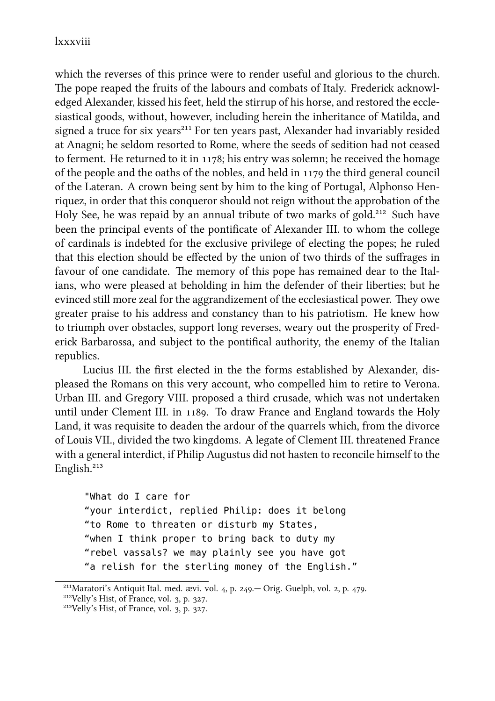lxxxviii

which the reverses of this prince were to render useful and glorious to the church. The pope reaped the fruits of the labours and combats of Italy. Frederick acknowledged Alexander, kissed his feet, held the stirrup of his horse, and restored the ecclesiastical goods, without, however, including herein the inheritance of Matilda, and signed a truce for six years<sup>211</sup> For ten years past, Alexander had invariably resided at Anagni; he seldom resorted to Rome, where the seeds of sedition had not ceased to ferment. He returned to it in  $1178$ ; his entry was solemn; he received the homage of the people and the oaths of the nobles, and held in  $1179$  the third general council of the Lateran. A crown being sent by him to the king of Portugal, Alphonso Henriquez, in order that this conqueror should not reign without the approbation of the Holy See, he was repaid by an annual tribute of two marks of gold.<sup>212</sup> Such have been the principal events of the pontificate of Alexander III. to whom the college of cardinals is indebted for the exclusive privilege of electing the popes; he ruled that this election should be effected by the union of two thirds of the suffrages in favour of one candidate. The memory of this pope has remained dear to the Italians, who were pleased at beholding in him the defender of their liberties; but he evinced still more zeal for the aggrandizement of the ecclesiastical power. They owe greater praise to his address and constancy than to his patriotism. He knew how to triumph over obstacles, support long reverses, weary out the prosperity of Frederick Barbarossa, and subject to the pontifical authority, the enemy of the Italian republics.

Lucius III. the first elected in the the forms established by Alexander, displeased the Romans on this very account, who compelled him to retire to Verona. Urban III. and Gregory VIII. proposed a third crusade, which was not undertaken until under Clement III. in 1189. To draw France and England towards the Holy Land, it was requisite to deaden the ardour of the quarrels which, from the divorce of Louis VII., divided the two kingdoms. A legate of Clement III. threatened France with a general interdict, if Philip Augustus did not hasten to reconcile himself to the English.<sup>213</sup>

"What do I care for "your interdict, replied Philip: does it belong "to Rome to threaten or disturb my States, "when I think proper to bring back to duty my "rebel vassals? we may plainly see you have got "a relish for the sterling money of the English."

 $^{211}$ Maratori's Antiquit Ital. med. ævi. vol. 4, p. 249.— Orig. Guelph, vol. 2, p. 479.

 $^{212}$ Velly's Hist, of France, vol. 3, p. 327.

 $^{213}$ Velly's Hist, of France, vol. 3, p. 327.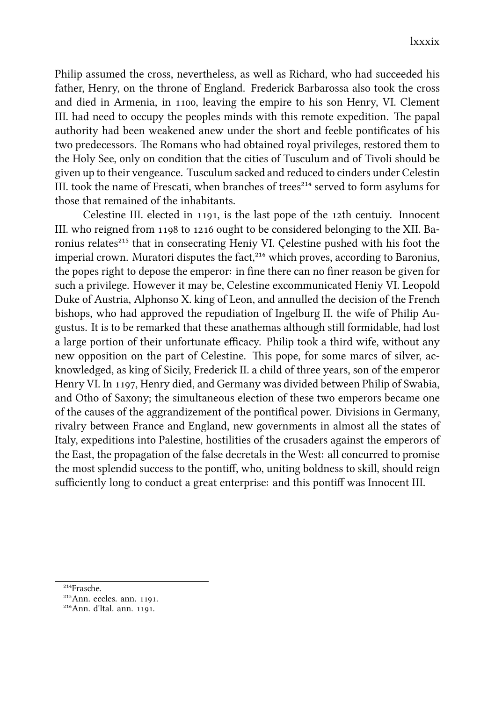Philip assumed the cross, nevertheless, as well as Richard, who had succeeded his father, Henry, on the throne of England. Frederick Barbarossa also took the cross and died in Armenia, in 1100, leaving the empire to his son Henry, VI. Clement III. had need to occupy the peoples minds with this remote expedition. The papal authority had been weakened anew under the short and feeble pontificates of his two predecessors. The Romans who had obtained royal privileges, restored them to the Holy See, only on condition that the cities of Tusculum and of Tivoli should be given up to their vengeance. Tusculum saed and reduced to cinders under Celestin III. took the name of Frescati, when branches of trees<sup>214</sup> served to form asylums for those that remained of the inhabitants.

Celestine III. elected in 1191, is the last pope of the 12th centuiy. Innocent III. who reigned from 1198 to 1216 ought to be considered belonging to the XII. Baronius relates<sup>215</sup> that in consecrating Heniy VI. Çelestine pushed with his foot the imperial crown. Muratori disputes the fact, $^{216}$  which proves, according to Baronius, the popes right to depose the emperor: in fine there can no finer reason be given for such a privilege. However it may be, Celestine excommunicated Heniy VI. Leopold Duke of Austria, Alphonso X. king of Leon, and annulled the decision of the Fren bishops, who had approved the repudiation of Ingelburg II. the wife of Philip Augustus. It is to be remarked that these anathemas although still formidable, had lost a large portion of their unfortunate efficacy. Philip took a third wife, without any new opposition on the part of Celestine. This pope, for some marcs of silver, acknowledged, as king of Sicily, Frederick II. a child of three years, son of the emperor Henry VI. In 1197, Henry died, and Germany was divided between Philip of Swabia, and Otho of Saxony; the simultaneous election of these two emperors became one of the causes of the aggrandizement of the pontifical power. Divisions in Germany, rivalry between France and England, new governments in almost all the states of Italy, expeditions into Palestine, hostilities of the crusaders against the emperors of the East, the propagation of the false decretals in the West: all concurred to promise the most splendid success to the pontiff, who, uniting boldness to skill, should reign sufficiently long to conduct a great enterprise: and this pontiff was Innocent III.

<sup>&</sup>lt;sup>214</sup>Frasche.

 $215$ Ann. eccles. ann. 1191.

 $^{216}$ Ann. d'Ital. ann. 1191.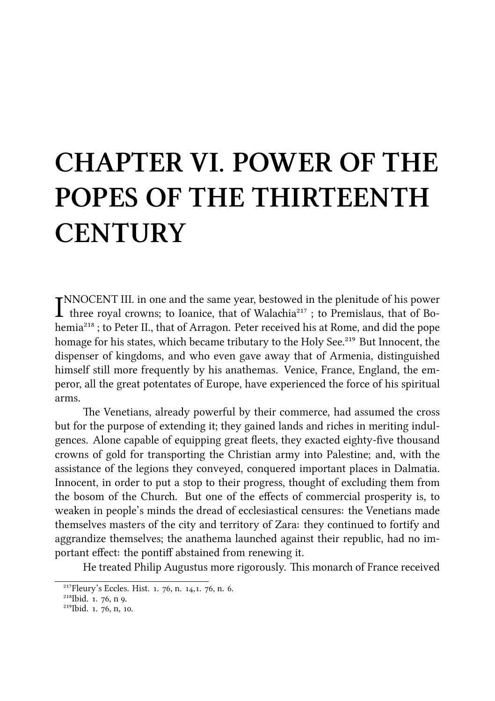## **CHAPTER VI. POWER OF THE POPES OF THE THIRTEENTH CENTURY**

**I**NNOCENT III. in one and the same year, bestowed in the plenitude of his power three royal crowns; to Ioanice, that of Walachia<sup>217</sup>; to Premislaus, that of Bo-NNOCENT III. in one and the same year, bestowed in the plenitude of his power hemia<sup>218</sup>; to Peter II., that of Arragon. Peter received his at Rome, and did the pope homage for his states, which became tributary to the Holy See.<sup>219</sup> But Innocent, the dispenser of kingdoms, and who even gave away that of Armenia, distinguished himself still more frequently by his anathemas. Venice, France, England, the emperor, all the great potentates of Europe, have experienced the force of his spiritual arms.

The Venetians, already powerful by their commerce, had assumed the cross but for the purpose of extending it; they gained lands and riches in meriting indulgences. Alone capable of equipping great fleets, they exacted eighty-five thousand crowns of gold for transporting the Christian army into Palestine; and, with the assistance of the legions they conveyed, conquered important places in Dalmatia. Innocent, in order to put a stop to their progress, thought of excluding them from the bosom of the Church. But one of the effects of commercial prosperity is, to weaken in people's minds the dread of ecclesiastical censures: the Venetians made themselves masters of the city and territory of Zara: they continued to fortify and aggrandize themselves; the anathema launched against their republic, had no important effect: the pontiff abstained from renewing it.

He treated Philip Augustus more rigorously. This monarch of France received

 $^{217}$ Fleury's Eccles. Hist. 1, 76, n. 14, 1, 76, n. 6.

 $^{218}$ Ibid.  $1.76$  n o.

 $^{219}$ Ibid. 1, 76, n, 10.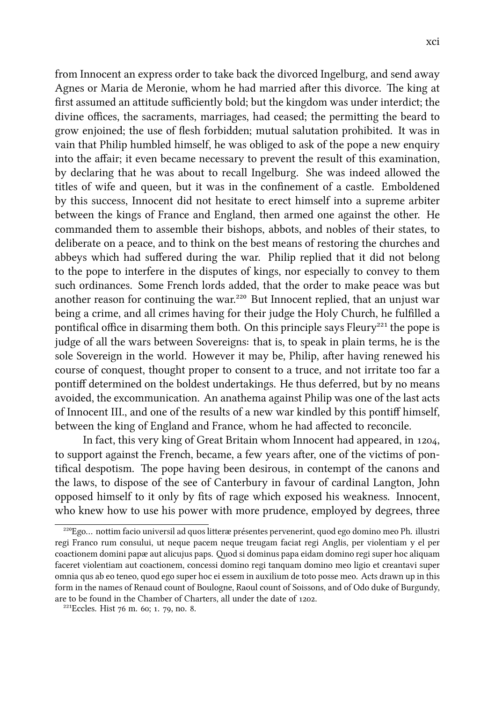from Innocent an express order to take back the divorced Ingelburg, and send away Agnes or Maria de Meronie, whom he had married after this divorce. The king at first assumed an attitude sufficiently bold; but the kingdom was under interdict; the divine offices, the sacraments, marriages, had ceased; the permitting the beard to grow enjoined; the use of flesh forbidden; mutual salutation prohibited. It was in vain that Philip humbled himself, he was obliged to ask of the pope a new enquiry into the affair; it even became necessary to prevent the result of this examination, by declaring that he was about to recall Ingelburg. She was indeed allowed the titles of wife and queen, but it was in the confinement of a castle. Emboldened by this success, Innocent did not hesitate to erect himself into a supreme arbiter between the kings of France and England, then armed one against the other. He commanded them to assemble their bishops, abbots, and nobles of their states, to deliberate on a peace, and to think on the best means of restoring the churches and abbeys which had suffered during the war. Philip replied that it did not belong to the pope to interfere in the disputes of kings, nor especially to convey to them such ordinances. Some French lords added, that the order to make peace was but another reason for continuing the war.<sup>220</sup> But Innocent replied, that an unjust war being a crime, and all crimes having for their judge the Holy Church, he fulfilled a pontifical office in disarming them both. On this principle says Fleury<sup>221</sup> the pope is judge of all the wars between Sovereigns: that is, to speak in plain terms, he is the sole Sovereign in the world. However it may be, Philip, after having renewed his course of conquest, thought proper to consent to a truce, and not irritate too far a pontiff determined on the boldest undertakings. He thus deferred, but by no means avoided, the excommunication. An anathema against Philip was one of the last acts of Innocent III., and one of the results of a new war kindled by this pontiff himself, between the king of England and France, whom he had affected to reconcile.

In fact, this very king of Great Britain whom Innocent had appeared, in 1204, to support against the French, became, a few years after, one of the victims of pontifical despotism. The pope having been desirous, in contempt of the canons and the laws, to dispose of the see of Canterbury in favour of cardinal Langton, John opposed himself to it only by fits of rage which exposed his weakness. Innocent, who knew how to use his power with more prudence, employed by degrees, three

<sup>&</sup>lt;sup>220</sup>Ego... nottim facio universil ad quos litteræ présentes pervenerint, quod ego domino meo Ph. illustri regi Franco rum consului, ut neque pacem neque treugam faciat regi Anglis, per violentiam y el per coactionem domini papæ aut alicujus paps. Quod si dominus papa eidam domino regi super hoc aliquam faceret violentiam aut coactionem, concessi domino regi tanquam domino meo ligio et creantavi super omnia qus ab eo teneo, quod ego super hoc ei essem in auxilium de toto posse meo. Acts drawn up in this form in the names of Renaud count of Boulogne, Raoul count of Soissons, and of Odo duke of Burgundy, are to be found in the Chamber of Charters, all under the date of 1202.

 $221$ Eccles. Hist 76 m. 60; 1. 79, no. 8.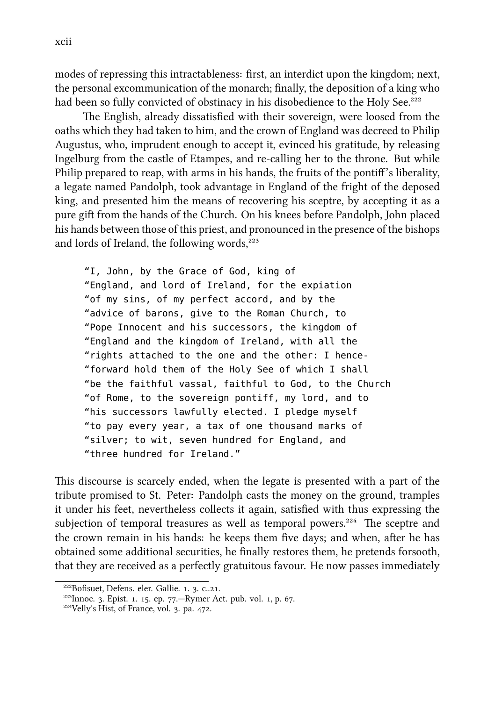modes of repressing this intractableness: first, an interdict upon the kingdom; next, the personal excommunication of the monarch; finally, the deposition of a king who had been so fully convicted of obstinacy in his disobedience to the Holy See.<sup>222</sup>

The English, already dissatisfied with their sovereign, were loosed from the oaths which they had taken to him, and the crown of England was decreed to Philip Augustus, who, imprudent enough to accept it, evinced his gratitude, by releasing Ingelburg from the castle of Etampes, and re-calling her to the throne. But while Philip prepared to reap, with arms in his hands, the fruits of the pontiff's liberality, a legate named Pandolph, took advantage in England of the fright of the deposed king, and presented him the means of recovering his sceptre, by accepting it as a pure gift from the hands of the Church. On his knees before Pandolph, John placed his hands between those of this priest, and pronounced in the presence of the bishops and lords of Ireland, the following words,<sup>223</sup>

"I, John, by the Grace of God, king of "England, and lord of Ireland, for the expiation "of my sins, of my perfect accord, and by the "advice of barons, give to the Roman Church, to "Pope Innocent and his successors, the kingdom of "England and the kingdom of Ireland, with all the "rights attached to the one and the other: I hence- "forward hold them of the Holy See of which I shall "be the faithful vassal, faithful to God, to the Church "of Rome, to the sovereign pontiff, my lord, and to "his successors lawfully elected. I pledge myself "to pay every year, a tax of one thousand marks of "silver; to wit, seven hundred for England, and "three hundred for Ireland."

This discourse is scarcely ended, when the legate is presented with a part of the tribute promised to St. Peter: Pandolph casts the money on the ground, tramples it under his feet, nevertheless collects it again, satisfied with thus expressing the subjection of temporal treasures as well as temporal powers.<sup> $224$ </sup> The sceptre and the crown remain in his hands: he keeps them five days; and when, after he has obtained some additional securities, he finally restores them, he pretends forsooth, that they are received as a perfectly gratuitous favour. He now passes immediately

 $^{222}$ Bofisuet, Defens. eler. Gallie. 1. 3. c. 21.

 $^{223}$ Innoc. 3. Epist. 1. 15. ep. 77.—Rymer Act. pub. vol. 1, p. 67.

 $^{224}$ Velly's Hist, of France, vol. 3. pa. 472.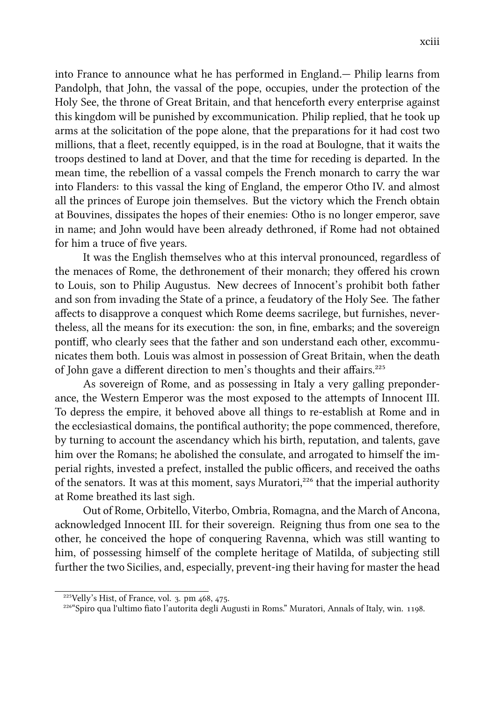into France to announce what he has performed in England.— Philip learns from Pandolph, that John, the vassal of the pope, occupies, under the protection of the Holy See, the throne of Great Britain, and that henceforth every enterprise against this kingdom will be punished by excommunication. Philip replied, that he took up arms at the solicitation of the pope alone, that the preparations for it had cost two millions, that a fleet, recently equipped, is in the road at Boulogne, that it waits the troops destined to land at Dover, and that the time for receding is departed. In the mean time, the rebellion of a vassal compels the French monarch to carry the war into Flanders: to this vassal the king of England, the emperor Otho IV. and almost all the princes of Europe join themselves. But the victory which the French obtain at Bouvines, dissipates the hopes of their enemies: Otho is no longer emperor, save in name; and John would have been already dethroned, if Rome had not obtained for him a truce of five years.

It was the English themselves who at this interval pronounced, regardless of the menaces of Rome, the dethronement of their monarch; they offered his crown to Louis, son to Philip Augustus. New decrees of Innocent's prohibit both father and son from invading the State of a prince, a feudatory of the Holy See. The father affects to disapprove a conquest which Rome deems sacrilege, but furnishes, nevertheless, all the means for its execution: the son, in fine, embarks; and the sovereign pontiff, who clearly sees that the father and son understand each other, excommunicates them both. Louis was almost in possession of Great Britain, when the death of John gave a different direction to men's thoughts and their affairs.<sup>225</sup>

As sovereign of Rome, and as possessing in Italy a very galling preponderance, the Western Emperor was the most exposed to the attempts of Innocent III. To depress the empire, it behoved above all things to re-establish at Rome and in the ecclesiastical domains, the pontifical authority; the pope commenced, therefore, by turning to account the ascendancy which his birth, reputation, and talents, gave him over the Romans; he abolished the consulate, and arrogated to himself the imperial rights, invested a prefect, installed the public officers, and received the oaths of the senators. It was at this moment, says Muratori,<sup>226</sup> that the imperial authority at Rome breathed its last sigh.

Out of Rome, Orbitello, Viterbo, Ombria, Romagna, and the March of Ancona, acknowledged Innocent III. for their sovereign. Reigning thus from one sea to the other, he conceived the hope of conquering Ravenna, which was still wanting to him, of possessing himself of the complete heritage of Matilda, of subjecting still further the two Sicilies, and, especially, prevent-ing their having for master the head

 $^{225}$ Velly's Hist, of France, vol. 3. pm 468, 475.

<sup>&</sup>lt;sup>226</sup>"Spiro qua l'ultimo fiato l'autorita degli Augusti in Roms." Muratori, Annals of Italy, win. 1198.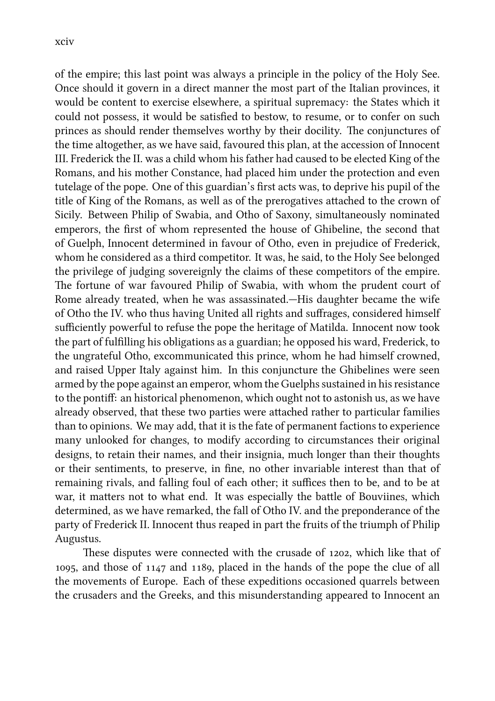of the empire; this last point was always a principle in the policy of the Holy See. Once should it govern in a direct manner the most part of the Italian provinces, it would be content to exercise elsewhere, a spiritual supremacy: the States which it could not possess, it would be satisfied to bestow, to resume, or to confer on su princes as should render themselves worthy by their docility. The conjunctures of the time altogether, as we have said, favoured this plan, at the accession of Innocent III. Frederick the II. was a child whom his father had caused to be elected King of the Romans, and his mother Constance, had placed him under the protection and even tutelage of the pope. One of this guardian's first acts was, to deprive his pupil of the title of King of the Romans, as well as of the prerogatives attached to the crown of Sicily. Between Philip of Swabia, and Otho of Saxony, simultaneously nominated emperors, the first of whom represented the house of Ghibeline, the second that of Guelph, Innocent determined in favour of Otho, even in prejudice of Frederick, whom he considered as a third competitor. It was, he said, to the Holy See belonged the privilege of judging sovereignly the claims of these competitors of the empire. The fortune of war favoured Philip of Swabia, with whom the prudent court of Rome already treated, when he was assassinated.—His daughter became the wife of Otho the IV. who thus having United all rights and suffrages, considered himself sufficiently powerful to refuse the pope the heritage of Matilda. Innocent now took the part of fulfilling his obligations as a guardian; he opposed his ward, Frederick, to the ungrateful Otho, excommunicated this prince, whom he had himself crowned, and raised Upper Italy against him. In this conjuncture the Ghibelines were seen armed by the pope against an emperor, whom the Guelphs sustained in his resistance to the pontiff: an historical phenomenon, which ought not to astonish us, as we have already observed, that these two parties were attached rather to particular families than to opinions. We may add, that it is the fate of permanent factions to experience many unlooked for changes, to modify according to circumstances their original designs, to retain their names, and their insignia, much longer than their thoughts or their sentiments, to preserve, in fine, no other invariable interest than that of remaining rivals, and falling foul of each other; it suffices then to be, and to be at war, it matters not to what end. It was especially the battle of Bouviines, which determined, as we have remarked, the fall of Otho IV. and the preponderance of the party of Frederick II. Innocent thus reaped in part the fruits of the triumph of Philip Augustus.

These disputes were connected with the crusade of 1202, which like that of 1095, and those of  $1147$  and 1189, placed in the hands of the pope the clue of all the movements of Europe. Each of these expeditions occasioned quarrels between the crusaders and the Greeks, and this misunderstanding appeared to Innocent an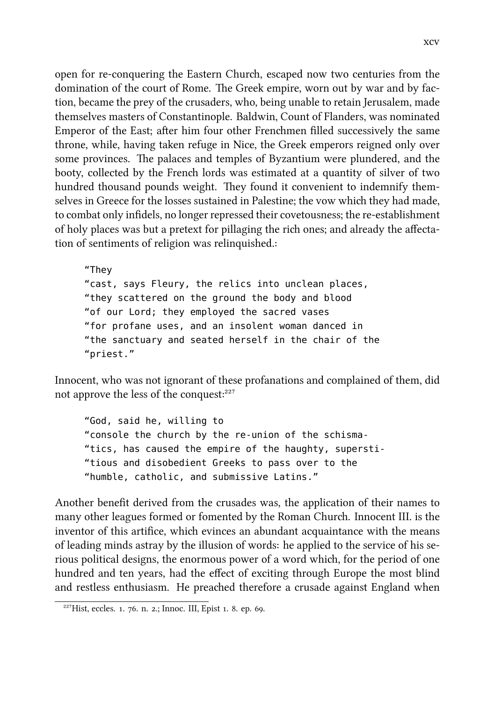open for re-conquering the Eastern Church, escaped now two centuries from the domination of the court of Rome. The Greek empire, worn out by war and by faction, became the prey of the crusaders, who, being unable to retain Jerusalem, made themselves masters of Constantinople. Baldwin, Count of Flanders, was nominated Emperor of the East; after him four other Frenchmen filled successively the same throne, while, having taken refuge in Nice, the Greek emperors reigned only over some provinces. The palaces and temples of Byzantium were plundered, and the booty, collected by the French lords was estimated at a quantity of silver of two hundred thousand pounds weight. They found it convenient to indemnify themselves in Greece for the losses sustained in Palestine; the vow which they had made, to combat only infidels, no longer repressed their covetousness; the re-establishment of holy places was but a pretext for pillaging the rich ones; and already the affectation of sentiments of religion was relinquished.:

"They "cast, says Fleury, the relics into unclean places, "they scattered on the ground the body and blood "of our Lord; they employed the sacred vases "for profane uses, and an insolent woman danced in "the sanctuary and seated herself in the chair of the "priest."

Innocent, who was not ignorant of these profanations and complained of them, did not approve the less of the conquest:<sup>227</sup>

"God, said he, willing to "console the church by the re-union of the schisma- "tics, has caused the empire of the haughty, supersti- "tious and disobedient Greeks to pass over to the "humble, catholic, and submissive Latins."

Another benefit derived from the crusades was, the application of their names to many other leagues formed or fomented by the Roman Church. Innocent III. is the inventor of this artifice, which evinces an abundant acquaintance with the means of leading minds astray by the illusion of words: he applied to the service of his serious political designs, the enormous power of a word which, for the period of one hundred and ten years, had the effect of exciting through Europe the most blind and restless enthusiasm. He preached therefore a crusade against England when

 $^{227}$ Hist, eccles. 1. 76. n. 2.; Innoc. III, Epist 1. 8. ep. 69.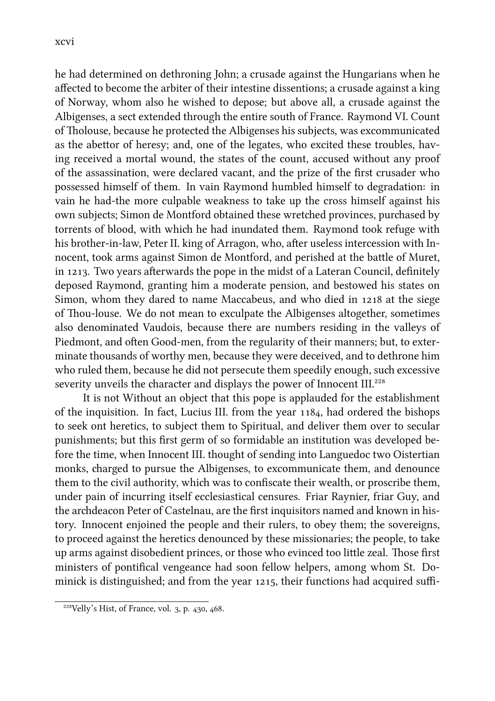he had determined on dethroning John; a crusade against the Hungarians when he affected to become the arbiter of their intestine dissentions; a crusade against a king of Norway, whom also he wished to depose; but above all, a crusade against the Albigenses, a sect extended through the entire south of France. Raymond VI. Count of Tholouse, because he protected the Albigenses his subjects, was excommunicated as the abettor of heresy; and, one of the legates, who excited these troubles, having received a mortal wound, the states of the count, accused without any proof of the assassination, were declared vacant, and the prize of the first crusader who possessed himself of them. In vain Raymond humbled himself to degradation: in vain he had-the more culpable weakness to take up the cross himself against his own subjects; Simon de Montford obtained these wretched provinces, purchased by torrents of blood, with which he had inundated them. Raymond took refuge with his brother-in-law, Peter II. king of Arragon, who, after useless intercession with Innocent, took arms against Simon de Montford, and perished at the battle of Muret, in 1213. Two years afterwards the pope in the midst of a Lateran Council, definitely deposed Raymond, granting him a moderate pension, and bestowed his states on Simon, whom they dared to name Maccabeus, and who died in 1218 at the siege of Thou-louse. We do not mean to exculpate the Albigenses altogether, sometimes also denominated Vaudois, because there are numbers residing in the valleys of Piedmont, and often Good-men, from the regularity of their manners; but, to exterminate thousands of worthy men, because they were deceived, and to dethrone him who ruled them, because he did not persecute them speedily enough, such excessive severity unveils the character and displays the power of Innocent III.<sup>228</sup>

It is not Without an object that this pope is applauded for the establishment of the inquisition. In fact, Lucius III. from the year 1184, had ordered the bishops to seek ont heretics, to subject them to Spiritual, and deliver them over to secular punishments; but this first germ of so formidable an institution was developed before the time, when Innocent III. thought of sending into Languedoc two Oistertian monks, charged to pursue the Albigenses, to excommunicate them, and denounce them to the civil authority, which was to confiscate their wealth, or proscribe them, under pain of incurring itself ecclesiastical censures. Friar Raynier, friar Guy, and the ardeacon Peter of Castelnau, are the first inquisitors named and known in history. Innocent enjoined the people and their rulers, to obey them; the sovereigns, to proceed against the heretics denounced by these missionaries; the people, to take up arms against disobedient princes, or those who evinced too little zeal. Those first ministers of pontifical vengeance had soon fellow helpers, among whom St. Dominick is distinguished; and from the year  $1215$ , their functions had acquired suffi-

 $^{228}$ Velly's Hist, of France, vol. 3, p. 430, 468.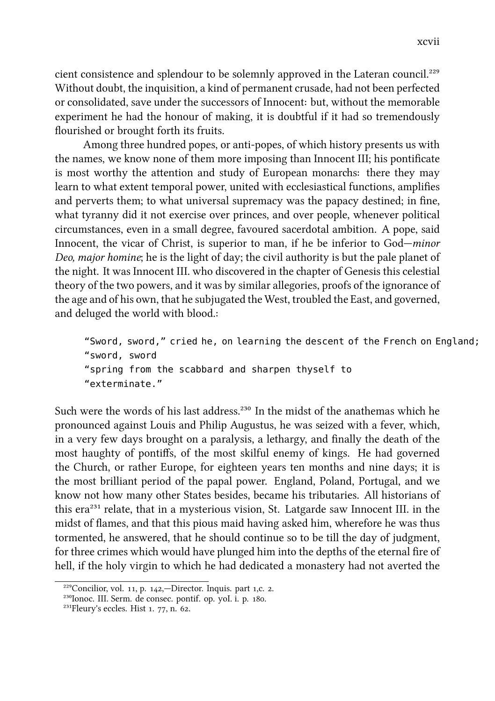xcvii

cient consistence and splendour to be solemnly approved in the Lateran council.<sup>229</sup> Without doubt, the inquisition, a kind of permanent crusade, had not been perfected or consolidated, save under the successors of Innocent: but, without the memorable experiment he had the honour of making, it is doubtful if it had so tremendously flourished or brought forth its fruits.

Among three hundred popes, or anti-popes, of which history presents us with the names, we know none of them more imposing than Innocent III; his pontificate is most worthy the attention and study of European monarchs: there they may learn to what extent temporal power, united with ecclesiastical functions, amplifies and perverts them; to what universal supremacy was the papacy destined; in fine, what tyranny did it not exercise over princes, and over people, whenever political circumstances, even in a small degree, favoured sacerdotal ambition. A pope, said Innocent, the vicar of Christ, is superior to man, if he be inferior to God—*minor Deo, major homine*; he is the light of day; the civil authority is but the pale planet of the night. It was Innocent III, who discovered in the chapter of Genesis this celestial theory of the two powers, and it was by similar allegories, proofs of the ignorance of the age and of his own, that he subjugated the West, troubled the East, and governed, and deluged the world with blood.:

"Sword, sword," cried he, on learning the descent of the French on England; "sword, sword "spring from the scabbard and sharpen thyself to "exterminate."

Such were the words of his last address.<sup>230</sup> In the midst of the anathemas which he pronounced against Louis and Philip Augustus, he was seized with a fever, which, in a very few days brought on a paralysis, a lethargy, and finally the death of the most haughty of pontiffs, of the most skilful enemy of kings. He had governed the Church, or rather Europe, for eighteen years ten months and nine days; it is the most brilliant period of the papal power. England, Poland, Portugal, and we know not how many other States besides, became his tributaries. All historians of this  $era^{231}$  relate, that in a mysterious vision, St. Latgarde saw Innocent III. in the midst of flames, and that this pious maid having asked him, wherefore he was thus tormented, he answered, that he should continue so to be till the day of judgment, for three crimes which would have plunged him into the depths of the eternal fire of hell, if the holy virgin to which he had dedicated a monastery had not averted the

 $229$ Concilior, vol. 11, p. 142,-Director. Inquis. part 1,c. 2.

<sup>&</sup>lt;sup>230</sup>Ionoc. III. Serm. de consec. pontif. op. yoI. i. p. 180.

 $^{231}$ Fleury's eccles. Hist 1. 77, n. 62.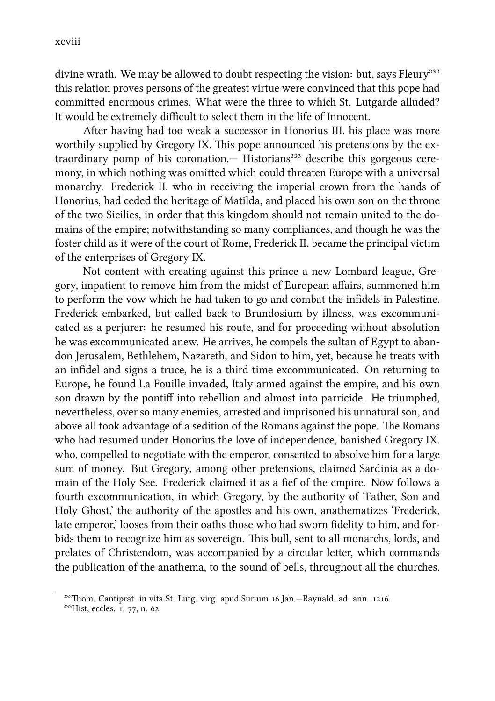divine wrath. We may be allowed to doubt respecting the vision: but, says Fleury<sup>232</sup> this relation proves persons of the greatest virtue were convinced that this pope had committed enormous crimes. What were the three to which St. Lutgarde alluded? It would be extremely difficult to select them in the life of Innocent.

After having had too weak a successor in Honorius III. his place was more worthily supplied by Gregory IX. This pope announced his pretensions by the extraordinary pomp of his coronation.— Historians<sup>233</sup> describe this gorgeous ceremony, in which nothing was omitted which could threaten Europe with a universal monarchy. Frederick II. who in receiving the imperial crown from the hands of Honorius, had ceded the heritage of Matilda, and placed his own son on the throne of the two Sicilies, in order that this kingdom should not remain united to the domains of the empire; notwithstanding so many compliances, and though he was the foster child as it were of the court of Rome, Frederick II. became the principal victim of the enterprises of Gregory IX.

Not content with creating against this prince a new Lombard league, Gregory, impatient to remove him from the midst of European affairs, summoned him to perform the vow which he had taken to go and combat the infidels in Palestine. Frederick embarked, but called back to Brundosium by illness, was excommunicated as a perjurer: he resumed his route, and for proceeding without absolution he was excommunicated anew. He arrives, he compels the sultan of Egypt to abandon Jerusalem, Bethlehem, Nazareth, and Sidon to him, yet, because he treats with an infidel and signs a truce, he is a third time excommunicated. On returning to Europe, he found La Fouille invaded, Italy armed against the empire, and his own son drawn by the pontiff into rebellion and almost into parricide. He triumphed, nevertheless, over so many enemies, arrested and imprisoned his unnatural son, and above all took advantage of a sedition of the Romans against the pope. The Romans who had resumed under Honorius the love of independence, banished Gregory IX. who, compelled to negotiate with the emperor, consented to absolve him for a large sum of money. But Gregory, among other pretensions, claimed Sardinia as a domain of the Holy See. Frederick claimed it as a fief of the empire. Now follows a fourth excommunication, in which Gregory, by the authority of 'Father, Son and Holy Ghost,' the authority of the apostles and his own, anathematizes 'Frederick, late emperor,' looses from their oaths those who had sworn fidelity to him, and forbids them to recognize him as sovereign. This bull, sent to all monarchs, lords, and prelates of Christendom, was accompanied by a circular letter, which commands the publication of the anathema, to the sound of bells, throughout all the churches.

<sup>&</sup>lt;sup>232</sup>Thom. Cantiprat. in vita St. Lutg. virg. apud Surium 16 Jan.—Raynald. ad. ann. 1216.

 $^{233}$ Hist, eccles. 1. 77, n. 62.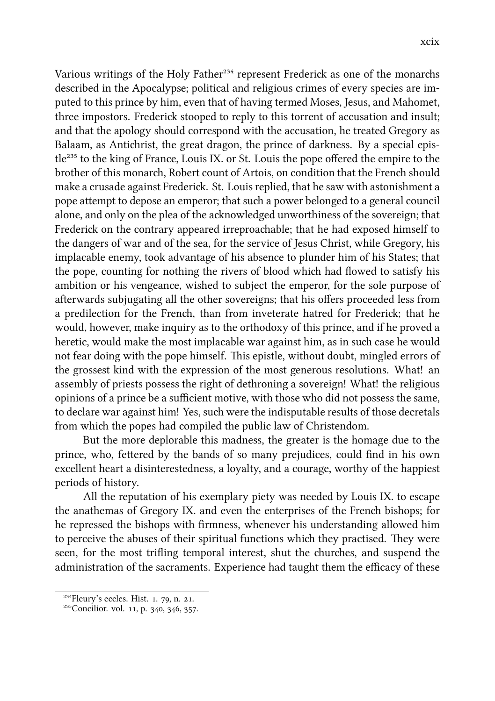Various writings of the Holy Father<sup>234</sup> represent Frederick as one of the monarchs described in the Apocalypse; political and religious crimes of every species are imputed to this prince by him, even that of having termed Moses, Jesus, and Mahomet, three impostors. Frederick stooped to reply to this torrent of accusation and insult; and that the apology should correspond with the accusation, he treated Gregory as Balaam, as Antichrist, the great dragon, the prince of darkness. By a special epistle<sup>235</sup> to the king of France, Louis IX. or St. Louis the pope offered the empire to the brother of this monarch, Robert count of Artois, on condition that the French should make a crusade against Frederick. St. Louis replied, that he saw with astonishment a pope attempt to depose an emperor; that such a power belonged to a general council alone, and only on the plea of the acknowledged unworthiness of the sovereign; that Frederick on the contrary appeared irreproachable; that he had exposed himself to the dangers of war and of the sea, for the service of Jesus Christ, while Gregory, his implacable enemy, took advantage of his absence to plunder him of his States; that the pope, counting for nothing the rivers of blood which had flowed to satisfy his ambition or his vengeance, wished to subject the emperor, for the sole purpose of afterwards subjugating all the other sovereigns; that his offers proceeded less from a predilection for the French, than from inveterate hatred for Frederick; that he would, however, make inquiry as to the orthodoxy of this prince, and if he proved a heretic, would make the most implacable war against him, as in such case he would not fear doing with the pope himself. This epistle, without doubt, mingled errors of the grossest kind with the expression of the most generous resolutions. What! an assembly of priests possess the right of dethroning a sovereign! What! the religious opinions of a prince be a sufficient motive, with those who did not possess the same, to declare war against him! Yes, such were the indisputable results of those decretals from which the popes had compiled the public law of Christendom.

But the more deplorable this madness, the greater is the homage due to the prince, who, feered by the bands of so many prejudices, could find in his own excellent heart a disinterestedness, a loyalty, and a courage, worthy of the happiest periods of history.

All the reputation of his exemplary piety was needed by Louis IX. to escape the anathemas of Gregory IX. and even the enterprises of the French bishops; for he repressed the bishops with firmness, whenever his understanding allowed him to perceive the abuses of their spiritual functions which they practised. They were seen, for the most trifling temporal interest, shut the churches, and suspend the administration of the sacraments. Experience had taught them the efficacy of these

 $^{234}$ Fleury's eccles. Hist. 1. 79, n. 21.

<sup>&</sup>lt;sup>235</sup>Concilior. vol. 11, p. 340, 346, 357.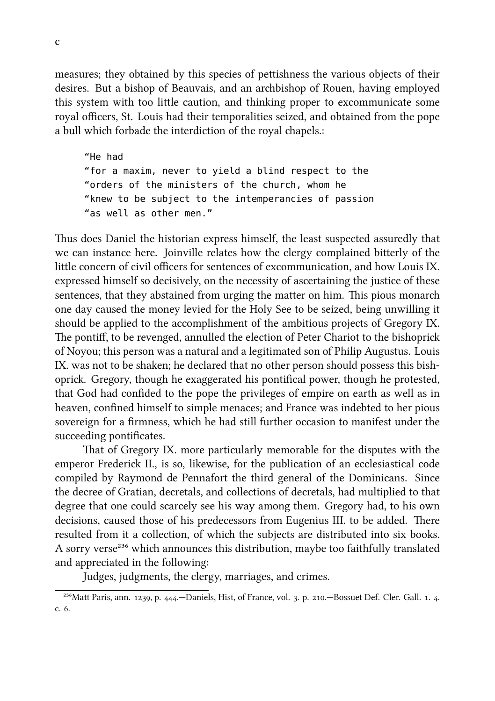measures; they obtained by this species of peishness the various objects of their desires. But a bishop of Beauvais, and an archbishop of Rouen, having employed this system with too little caution, and thinking proper to excommunicate some royal officers, St. Louis had their temporalities seized, and obtained from the pope a bull which forbade the interdiction of the royal chapels.:

"He had "for a maxim, never to yield a blind respect to the "orders of the ministers of the church, whom he "knew to be subject to the intemperancies of passion "as well as other men."

Thus does Daniel the historian express himself, the least suspected assuredly that we can instance here. Joinville relates how the clergy complained bitterly of the lile concern of civil officers for sentences of excommunication, and how Louis IX. expressed himself so decisively, on the necessity of ascertaining the justice of these sentences, that they abstained from urging the matter on him. This pious monarch one day caused the money levied for the Holy See to be seized, being unwilling it should be applied to the accomplishment of the ambitious projects of Gregory IX. The pontiff, to be revenged, annulled the election of Peter Chariot to the bishoprick of Noyou; this person was a natural and a legitimated son of Philip Augustus. Louis IX. was not to be shaken; he declared that no other person should possess this bishoprick. Gregory, though he exaggerated his pontifical power, though he protested, that God had confided to the pope the privileges of empire on earth as well as in heaven, confined himself to simple menaces; and France was indebted to her pious sovereign for a firmness, which he had still further occasion to manifest under the succeeding pontificates.

That of Gregory IX. more particularly memorable for the disputes with the emperor Frederick II., is so, likewise, for the publication of an ecclesiastical code compiled by Raymond de Pennafort the third general of the Dominicans. Since the decree of Gratian, decretals, and collections of decretals, had multiplied to that degree that one could scarcely see his way among them. Gregory had, to his own decisions, caused those of his predecessors from Eugenius III. to be added. There resulted from it a collection, of which the subjects are distributed into six books. A sorry verse<sup>236</sup> which announces this distribution, maybe too faithfully translated and appreciated in the following:

Judges, judgments, the clergy, marriages, and crimes.

<sup>&</sup>lt;sup>236</sup>Matt Paris, ann. 1239, p. 444.—Daniels, Hist, of France, vol. 3. p. 210.—Bossuet Def. Cler. Gall. 1. 4. c.  $6.$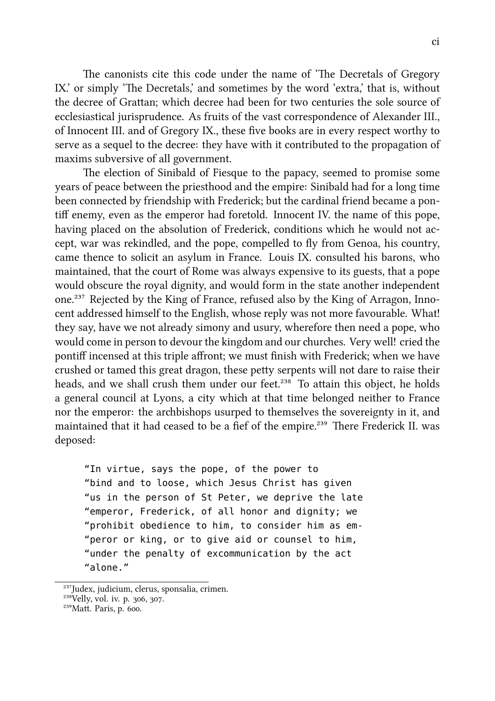The canonists cite this code under the name of 'The Decretals of Gregory IX.' or simply 'The Decretals,' and sometimes by the word 'extra,' that is, without the decree of Grattan; which decree had been for two centuries the sole source of ecclesiastical jurisprudence. As fruits of the vast correspondence of Alexander III., of Innocent III. and of Gregory IX., these five books are in every respect worthy to serve as a sequel to the decree: they have with it contributed to the propagation of maxims subversive of all government.

The election of Sinibald of Fiesque to the papacy, seemed to promise some years of peace between the priesthood and the empire: Sinibald had for a long time been connected by friendship with Frederick; but the cardinal friend became a pontiff enemy, even as the emperor had foretold. Innocent IV. the name of this pope, having placed on the absolution of Frederick, conditions which he would not accept, war was rekindled, and the pope, compelled to fly from Genoa, his country, came thence to solicit an asylum in France. Louis IX. consulted his barons, who maintained, that the court of Rome was always expensive to its guests, that a pope would obscure the royal dignity, and would form in the state another independent one.<sup>237</sup> Rejected by the King of France, refused also by the King of Arragon, Innocent addressed himself to the English, whose reply was not more favourable. What! they say, have we not already simony and usury, wherefore then need a pope, who would come in person to devour the kingdom and our churches. Very well! cried the pontiff incensed at this triple affront; we must finish with Frederick; when we have crushed or tamed this great dragon, these petty serpents will not dare to raise their heads, and we shall crush them under our feet.<sup>238</sup> To attain this object, he holds a general council at Lyons, a city which at that time belonged neither to France nor the emperor: the arbishops usurped to themselves the sovereignty in it, and maintained that it had ceased to be a fief of the empire.<sup>239</sup> There Frederick II. was deposed:

"In virtue, says the pope, of the power to "bind and to loose, which Jesus Christ has given "us in the person of St Peter, we deprive the late "emperor, Frederick, of all honor and dignity; we "prohibit obedience to him, to consider him as em- "peror or king, or to give aid or counsel to him, "under the penalty of excommunication by the act "alone."

<sup>&</sup>lt;sup>237</sup>Judex, judicium, clerus, sponsalia, crimen.

<sup>&</sup>lt;sup>238</sup>Velly, vol. iv. p. 306, 307.

 $239$ Matt. Paris, p. 600.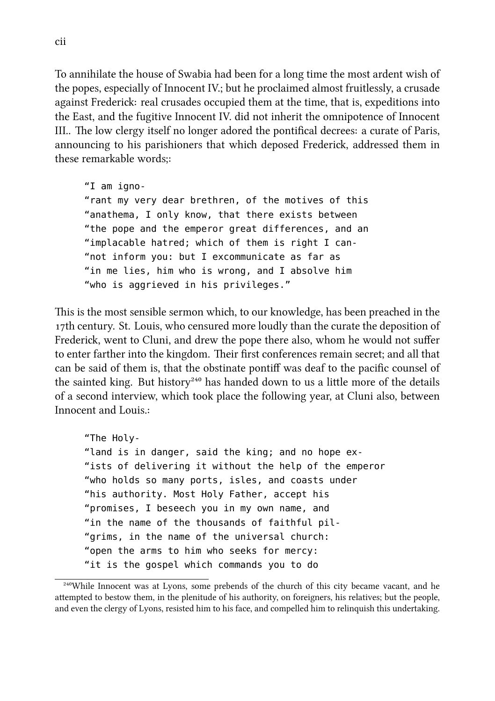To annihilate the house of Swabia had been for a long time the most ardent wish of the popes, especially of Innocent IV.; but he proclaimed almost fruitlessly, a crusade against Frederick: real crusades occupied them at the time, that is, expeditions into the East, and the fugitive Innocent IV. did not inherit the omnipotence of Innocent III.. The low clergy itself no longer adored the pontifical decrees: a curate of Paris, announcing to his parishioners that which deposed Frederick, addressed them in these remarkable words;:

"I am igno- "rant my very dear brethren, of the motives of this "anathema, I only know, that there exists between "the pope and the emperor great differences, and an "implacable hatred; which of them is right I can- "not inform you: but I excommunicate as far as "in me lies, him who is wrong, and I absolve him "who is aggrieved in his privileges."

This is the most sensible sermon which, to our knowledge, has been preached in the 17th century. St. Louis, who censured more loudly than the curate the deposition of Frederick, went to Cluni, and drew the pope there also, whom he would not suffer to enter farther into the kingdom. Their first conferences remain secret; and all that can be said of them is, that the obstinate pontiff was deaf to the pacific counsel of the sainted king. But history<sup>240</sup> has handed down to us a little more of the details of a second interview, which took place the following year, at Cluni also, between Innocent and Louis.:

```
"The Holy-
"land is in danger, said the king; and no hope ex-
"ists of delivering it without the help of the emperor
"who holds so many ports, isles, and coasts under
"his authority. Most Holy Father, accept his
"promises, I beseech you in my own name, and
"in the name of the thousands of faithful pil-
"grims, in the name of the universal church:
"open the arms to him who seeks for mercy:
"it is the gospel which commands you to do
```
<sup>&</sup>lt;sup>240</sup>While Innocent was at Lyons, some prebends of the church of this city became vacant, and he attempted to bestow them, in the plenitude of his authority, on foreigners, his relatives; but the people, and even the clergy of Lyons, resisted him to his face, and compelled him to relinquish this undertaking.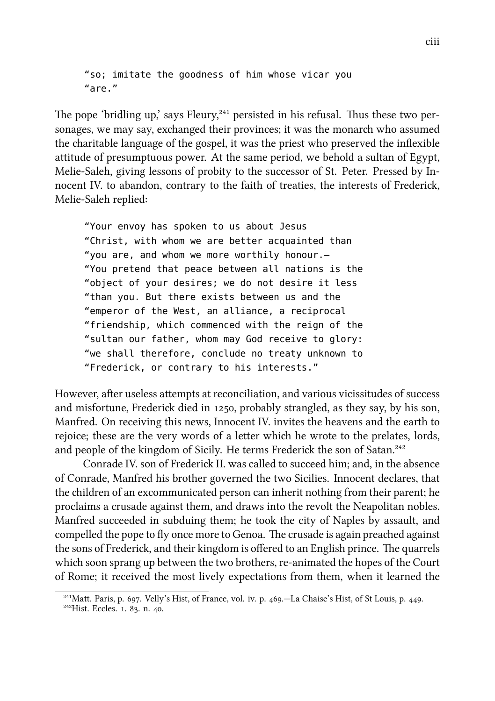"so; imitate the goodness of him whose vicar you "are."

The pope 'bridling up,' says Fleury, $^{241}$  persisted in his refusal. Thus these two personages, we may say, exchanged their provinces; it was the monarch who assumed the charitable language of the gospel, it was the priest who preserved the inflexible attitude of presumptuous power. At the same period, we behold a sultan of Egypt, Melie-Saleh, giving lessons of probity to the successor of St. Peter. Pressed by Innocent IV. to abandon, contrary to the faith of treaties, the interests of Frederick, Melie-Saleh replied:

"Your envoy has spoken to us about Jesus "Christ, with whom we are better acquainted than "you are, and whom we more worthily honour.— "You pretend that peace between all nations is the "object of your desires; we do not desire it less "than you. But there exists between us and the "emperor of the West, an alliance, a reciprocal "friendship, which commenced with the reign of the "sultan our father, whom may God receive to glory: "we shall therefore, conclude no treaty unknown to "Frederick, or contrary to his interests."

However, after useless attempts at reconciliation, and various vicissitudes of success and misfortune, Frederick died in  $1250$ , probably strangled, as they say, by his son, Manfred. On receiving this news, Innocent IV. invites the heavens and the earth to rejoice; these are the very words of a letter which he wrote to the prelates, lords, and people of the kingdom of Sicily. He terms Frederick the son of Satan.<sup>242</sup>

Conrade IV. son of Frederick II. was called to succeed him; and, in the absence of Conrade, Manfred his brother governed the two Sicilies. Innocent declares, that the children of an excommunicated person can inherit nothing from their parent; he proclaims a crusade against them, and draws into the revolt the Neapolitan nobles. Manfred succeeded in subduing them; he took the city of Naples by assault, and compelled the pope to fly once more to Genoa. The crusade is again preached against the sons of Frederick, and their kingdom is offered to an English prince. The quarrels which soon sprang up between the two brothers, re-animated the hopes of the Court of Rome; it received the most lively expectations from them, when it learned the

 $^{241}$ Matt. Paris, p. 697. Velly's Hist, of France, vol. iv. p. 469.—La Chaise's Hist, of St Louis, p. 449.

 $^{242}$ Hist. Eccles. 1. 83. n. 40.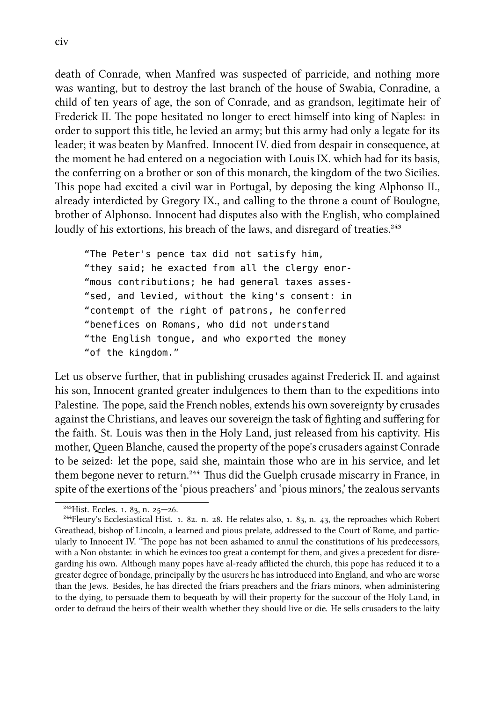death of Conrade, when Manfred was suspected of parricide, and nothing more was wanting, but to destroy the last branch of the house of Swabia, Conradine, a child of ten years of age, the son of Conrade, and as grandson, legitimate heir of Frederick II. The pope hesitated no longer to erect himself into king of Naples: in order to support this title, he levied an army; but this army had only a legate for its leader; it was beaten by Manfred. Innocent IV. died from despair in consequence, at the moment he had entered on a negociation with Louis IX. which had for its basis, the conferring on a brother or son of this monarch, the kingdom of the two Sicilies. This pope had excited a civil war in Portugal, by deposing the king Alphonso II., already interdicted by Gregory IX., and calling to the throne a count of Boulogne, brother of Alphonso. Innocent had disputes also with the English, who complained loudly of his extortions, his breach of the laws, and disregard of treaties.<sup>243</sup>

"The Peter's pence tax did not satisfy him, "they said; he exacted from all the clergy enor- "mous contributions; he had general taxes asses- "sed, and levied, without the king's consent: in "contempt of the right of patrons, he conferred "benefices on Romans, who did not understand "the English tongue, and who exported the money "of the kingdom."

Let us observe further, that in publishing crusades against Frederick II. and against his son, Innocent granted greater indulgences to them than to the expeditions into Palestine. The pope, said the French nobles, extends his own sovereignty by crusades against the Christians, and leaves our sovereign the task of fighting and suffering for the faith. St. Louis was then in the Holy Land, just released from his captivity. His mother, Queen Blanche, caused the property of the pope's crusaders against Conrade to be seized: let the pope, said she, maintain those who are in his service, and let them begone never to return.<sup>244</sup> Thus did the Guelph crusade miscarry in France, in spite of the exertions of the 'pious preachers' and 'pious minors,' the zealous servants

 $\frac{243}{11}$ Hist. Eccles. 1. 83, n. 25–26.

 $^{244}$ Fleury's Ecclesiastical Hist. 1. 82. n. 28. He relates also, 1. 83, n. 43, the reproaches which Robert Greathead, bishop of Lincoln, a learned and pious prelate, addressed to the Court of Rome, and particularly to Innocent IV. "The pope has not been ashamed to annul the constitutions of his predecessors, with a Non obstante: in which he evinces too great a contempt for them, and gives a precedent for disregarding his own. Although many popes have al-ready afflicted the church, this pope has reduced it to a greater degree of bondage, principally by the usurers he has introduced into England, and who are worse than the Jews. Besides, he has directed the friars preachers and the friars minors, when administering to the dying, to persuade them to bequeath by will their property for the succour of the Holy Land, in order to defraud the heirs of their wealth whether they should live or die. He sells crusaders to the laity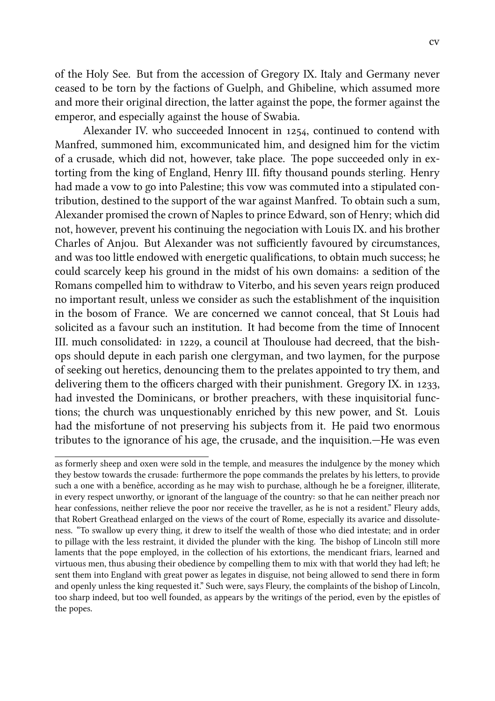of the Holy See. But from the accession of Gregory IX. Italy and Germany never ceased to be torn by the factions of Guelph, and Ghibeline, which assumed more and more their original direction, the latter against the pope, the former against the emperor, and especially against the house of Swabia.

Alexander IV. who succeeded Innocent in 1254, continued to contend with Manfred, summoned him, excommunicated him, and designed him for the victim of a crusade, which did not, however, take place. The pope succeeded only in extorting from the king of England, Henry III. fifty thousand pounds sterling. Henry had made a vow to go into Palestine; this vow was commuted into a stipulated contribution, destined to the support of the war against Manfred. To obtain such a sum, Alexander promised the crown of Naples to prince Edward, son of Henry; which did not, however, prevent his continuing the negociation with Louis IX. and his brother Charles of Anjou. But Alexander was not sufficiently favoured by circumstances, and was too little endowed with energetic qualifications, to obtain much success; he could scarcely keep his ground in the midst of his own domains: a sedition of the Romans compelled him to withdraw to Viterbo, and his seven years reign produced no important result, unless we consider as such the establishment of the inquisition in the bosom of France. We are concerned we cannot conceal, that St Louis had solicited as a favour such an institution. It had become from the time of Innocent III. much consolidated: in 1229, a council at Thoulouse had decreed, that the bishops should depute in each parish one clergyman, and two laymen, for the purpose of seeking out heretics, denouncing them to the prelates appointed to try them, and delivering them to the officers charged with their punishment. Gregory IX. in  $1233$ . had invested the Dominicans, or brother preachers, with these inquisitorial functions; the church was unquestionably enriched by this new power, and St. Louis had the misfortune of not preserving his subjects from it. He paid two enormous tributes to the ignorance of his age, the crusade, and the inquisition.—He was even

as formerly sheep and oxen were sold in the temple, and measures the indulgence by the money whi they bestow towards the crusade: furthermore the pope commands the prelates by his letters, to provide such a one with a benèfice, according as he may wish to purchase, although he be a foreigner, illiterate, in every respect unworthy, or ignorant of the language of the country: so that he can neither preach nor hear confessions, neither relieve the poor nor receive the traveller, as he is not a resident." Fleury adds, that Robert Greathead enlarged on the views of the court of Rome, especially its avarice and dissoluteness. "To swallow up every thing, it drew to itself the wealth of those who died intestate; and in order to pillage with the less restraint, it divided the plunder with the king. The bishop of Lincoln still more laments that the pope employed, in the collection of his extortions, the mendicant friars, learned and virtuous men, thus abusing their obedience by compelling them to mix with that world they had left; he sent them into England with great power as legates in disguise, not being allowed to send there in form and openly unless the king requested it." Such were, says Fleury, the complaints of the bishop of Lincoln, too sharp indeed, but too well founded, as appears by the writings of the period, even by the epistles of the popes.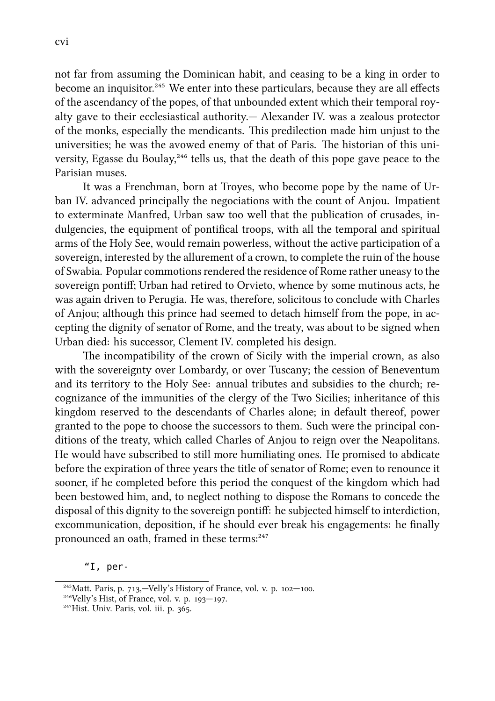not far from assuming the Dominican habit, and ceasing to be a king in order to become an inquisitor.<sup>245</sup> We enter into these particulars, because they are all effects of the ascendancy of the popes, of that unbounded extent which their temporal royalty gave to their ecclesiastical authority.— Alexander IV. was a zealous protector of the monks, especially the mendicants. This predilection made him unjust to the universities; he was the avowed enemy of that of Paris. The historian of this university, Egasse du Boulay,<sup>246</sup> tells us, that the death of this pope gave peace to the Parisian muses.

It was a Frenchman, born at Troyes, who become pope by the name of Urban IV. advanced principally the negociations with the count of Anjou. Impatient to exterminate Manfred, Urban saw too well that the publication of crusades, indulgencies, the equipment of pontifical troops, with all the temporal and spiritual arms of the Holy See, would remain powerless, without the active participation of a sovereign, interested by the allurement of a crown, to complete the ruin of the house of Swabia. Popular commotions rendered the residence of Rome rather uneasy to the sovereign pontiff; Urban had retired to Orvieto, whence by some mutinous acts, he was again driven to Perugia. He was, therefore, solicitous to conclude with Charles of Anjou; although this prince had seemed to detach himself from the pope, in accepting the dignity of senator of Rome, and the treaty, was about to be signed when Urban died: his successor, Clement IV. completed his design.

The incompatibility of the crown of Sicily with the imperial crown, as also with the sovereignty over Lombardy, or over Tuscany; the cession of Beneventum and its territory to the Holy See: annual tributes and subsidies to the church; recognizance of the immunities of the clergy of the Two Sicilies; inheritance of this kingdom reserved to the descendants of Charles alone; in default thereof, power granted to the pope to choose the successors to them. Such were the principal conditions of the treaty, which called Charles of Anjou to reign over the Neapolitans. He would have subscribed to still more humiliating ones. He promised to abdicate before the expiration of three years the title of senator of Rome; even to renounce it sooner, if he completed before this period the conquest of the kingdom which had been bestowed him, and, to neglect nothing to dispose the Romans to concede the disposal of this dignity to the sovereign pontiff: he subjected himself to interdiction, excommunication, deposition, if he should ever break his engagements: he finally pronounced an oath, framed in these terms:<sup>247</sup>

"I, per-

 $^{245}$ Matt. Paris, p. 713,-Velly's History of France, vol. v. p. 102-100.

 $^{246}$ Velly's Hist, of France, vol. v. p.  $193-197$ .

 $^{247}$ Hist. Univ. Paris, vol. iii. p.  $365$ .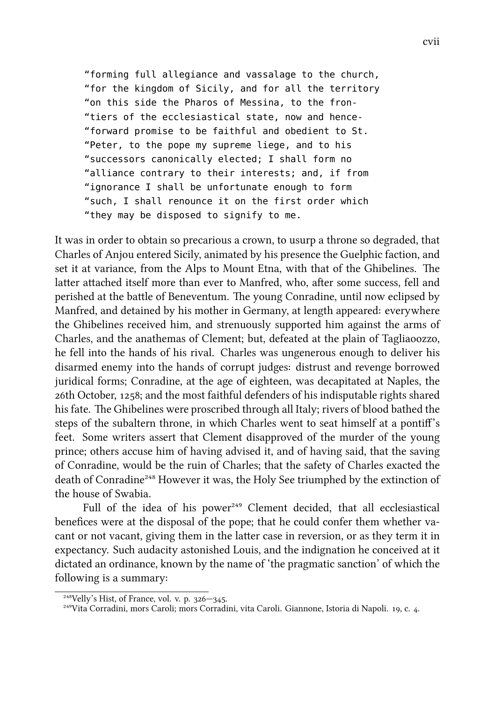"forming full allegiance and vassalage to the church, "for the kingdom of Sicily, and for all the territory "on this side the Pharos of Messina, to the fron- "tiers of the ecclesiastical state, now and hence- "forward promise to be faithful and obedient to St. "Peter, to the pope my supreme liege, and to his "successors canonically elected; I shall form no "alliance contrary to their interests; and, if from "ignorance I shall be unfortunate enough to form "such, I shall renounce it on the first order which "they may be disposed to signify to me.

It was in order to obtain so precarious a crown, to usurp a throne so degraded, that Charles of Anjou entered Sicily, animated by his presence the Guelphic faction, and set it at variance, from the Alps to Mount Etna, with that of the Ghibelines. The latter attached itself more than ever to Manfred, who, after some success, fell and perished at the battle of Beneventum. The young Conradine, until now eclipsed by Manfred, and detained by his mother in Germany, at length appeared: everywhere the Ghibelines received him, and strenuously supported him against the arms of Charles, and the anathemas of Clement; but, defeated at the plain of Tagliaoozzo, he fell into the hands of his rival. Charles was ungenerous enough to deliver his disarmed enemy into the hands of corrupt judges: distrust and revenge borrowed juridical forms; Conradine, at the age of eighteen, was decapitated at Naples, the 26th October, 1258; and the most faithful defenders of his indisputable rights shared his fate. The Ghibelines were proscribed through all Italy; rivers of blood bathed the steps of the subaltern throne, in which Charles went to seat himself at a pontiff's feet. Some writers assert that Clement disapproved of the murder of the young prince; others accuse him of having advised it, and of having said, that the saving of Conradine, would be the ruin of Charles; that the safety of Charles exacted the death of Conradine<sup>248</sup> However it was, the Holy See triumphed by the extinction of the house of Swabia.

Full of the idea of his power<sup>249</sup> Clement decided, that all ecclesiastical benefices were at the disposal of the pope; that he could confer them whether vacant or not vacant, giving them in the latter case in reversion, or as they term it in expectancy. Such audacity astonished Louis, and the indignation he conceived at it dictated an ordinance, known by the name of 'the pragmatic sanction' of which the following is a summary:

 $^{248}$ Velly's Hist, of France, vol. v. p. 326-345.

<sup>&</sup>lt;sup>249</sup>Vita Corradini, mors Caroli; mors Corradini, vita Caroli. Giannone, Istoria di Napoli. 19, c. 4.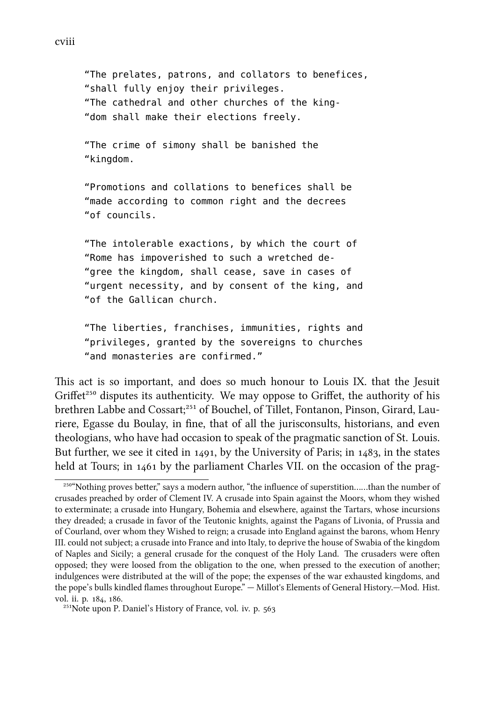"The prelates, patrons, and collators to benefices, "shall fully enjoy their privileges. "The cathedral and other churches of the king- "dom shall make their elections freely.

"The crime of simony shall be banished the "kingdom.

"Promotions and collations to benefices shall be "made according to common right and the decrees "of councils.

"The intolerable exactions, by which the court of "Rome has impoverished to such a wretched de- "gree the kingdom, shall cease, save in cases of "urgent necessity, and by consent of the king, and "of the Gallican church.

"The liberties, franchises, immunities, rights and "privileges, granted by the sovereigns to churches "and monasteries are confirmed."

This act is so important, and does so much honour to Louis IX, that the Jesuit Griffet<sup>250</sup> disputes its authenticity. We may oppose to Griffet, the authority of his brethren Labbe and Cossart:<sup>251</sup> of Bouchel, of Tillet, Fontanon, Pinson, Girard, Lauriere, Egasse du Boulay, in fine, that of all the jurisconsults, historians, and even theologians, who have had occasion to speak of the pragmatic sanction of St. Louis. But further, we see it cited in  $1491$ , by the University of Paris; in  $1483$ , in the states held at Tours; in 1461 by the parliament Charles VII. on the occasion of the prag-

cviii

<sup>&</sup>lt;sup>250</sup>"Nothing proves better," says a modern author, "the influence of superstition......than the number of crusades preaed by order of Clement IV. A crusade into Spain against the Moors, whom they wished to exterminate; a crusade into Hungary, Bohemia and elsewhere, against the Tartars, whose incursions they dreaded; a crusade in favor of the Teutonic knights, against the Pagans of Livonia, of Prussia and of Courland, over whom they Wished to reign; a crusade into England against the barons, whom Henry III. could not subject; a crusade into France and into Italy, to deprive the house of Swabia of the kingdom of Naples and Sicily; a general crusade for the conquest of the Holy Land. The crusaders were often opposed; they were loosed from the obligation to the one, when pressed to the execution of another; indulgences were distributed at the will of the pope; the expenses of the war exhausted kingdoms, and the pope's bulls kindled flames throughout Europe." — Millot's Elements of General History.—Mod. Hist. vol. ii. p. 184, 186.

<sup>&</sup>lt;sup>251</sup>Note upon P. Daniel's History of France, vol. iv. p. 563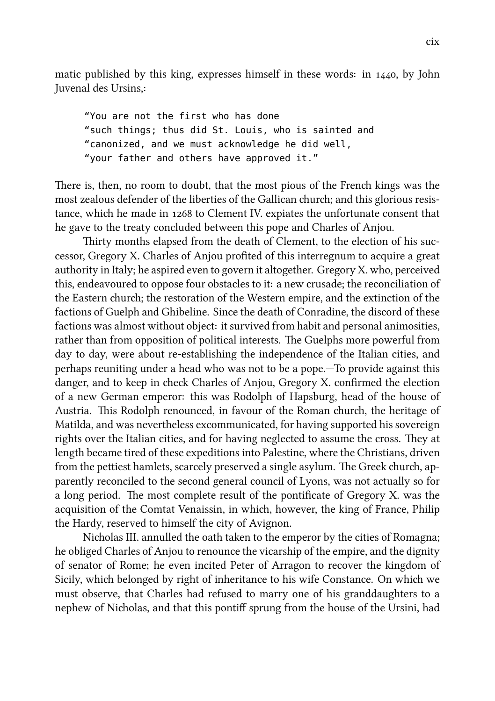matic published by this king, expresses himself in these words: in  $1440$ , by John Juvenal des Ursins,:

"You are not the first who has done "such things; thus did St. Louis, who is sainted and "canonized, and we must acknowledge he did well, "your father and others have approved it."

There is, then, no room to doubt, that the most pious of the French kings was the most zealous defender of the liberties of the Gallican church; and this glorious resistance, which he made in 1268 to Clement IV. expiates the unfortunate consent that he gave to the treaty concluded between this pope and Charles of Anjou.

Thirty months elapsed from the death of Clement, to the election of his successor, Gregory X. Charles of Anjou profited of this interregnum to acquire a great authority in Italy; he aspired even to govern it altogether. Gregory X. who, perceived this, endeavoured to oppose four obstacles to it: a new crusade; the reconciliation of the Eastern church; the restoration of the Western empire, and the extinction of the factions of Guelph and Ghibeline. Since the death of Conradine, the discord of these factions was almost without object: it survived from habit and personal animosities, rather than from opposition of political interests. The Guelphs more powerful from day to day, were about re-establishing the independence of the Italian cities, and perhaps reuniting under a head who was not to be a pope.—To provide against this danger, and to keep in check Charles of Anjou, Gregory X. confirmed the election of a new German emperor: this was Rodolph of Hapsburg, head of the house of Austria. This Rodolph renounced, in favour of the Roman church, the heritage of Matilda, and was nevertheless excommunicated, for having supported his sovereign rights over the Italian cities, and for having neglected to assume the cross. They at length became tired of these expeditions into Palestine, where the Christians, driven from the pettiest hamlets, scarcely preserved a single asylum. The Greek church, apparently reconciled to the second general council of Lyons, was not actually so for a long period. The most complete result of the pontificate of Gregory X. was the acquisition of the Comtat Venaissin, in which, however, the king of France, Philip the Hardy, reserved to himself the city of Avignon.

Nicholas III. annulled the oath taken to the emperor by the cities of Romagna; he obliged Charles of Anjou to renounce the vicarship of the empire, and the dignity of senator of Rome; he even incited Peter of Arragon to recover the kingdom of Sicily, which belonged by right of inheritance to his wife Constance. On which we must observe, that Charles had refused to marry one of his granddaughters to a nephew of Nicholas, and that this pontiff sprung from the house of the Ursini, had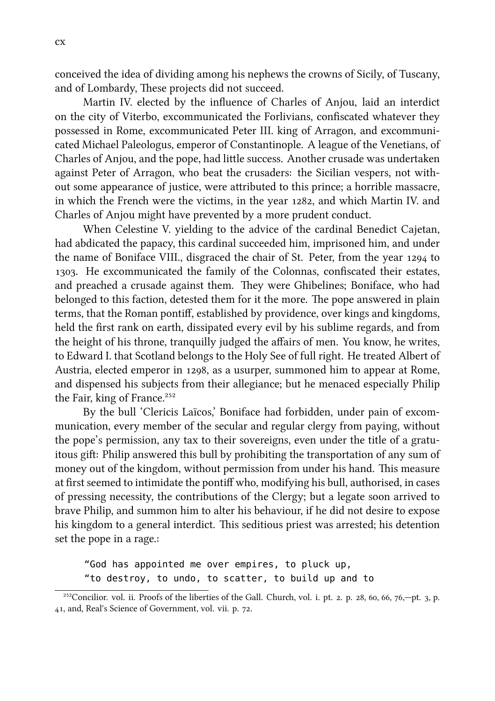conceived the idea of dividing among his nephews the crowns of Sicily, of Tuscany, and of Lombardy, These projects did not succeed.

Martin IV. elected by the influence of Charles of Anjou, laid an interdict on the city of Viterbo, excommunicated the Forlivians, confiscated whatever they possessed in Rome, excommunicated Peter III. king of Arragon, and excommunicated Michael Paleologus, emperor of Constantinople. A league of the Venetians, of Charles of Anjou, and the pope, had little success. Another crusade was undertaken against Peter of Arragon, who beat the crusaders: the Sicilian vespers, not without some appearance of justice, were aributed to this prince; a horrible massacre, in which the French were the victims, in the year 1282, and which Martin IV. and Charles of Anjou might have prevented by a more prudent conduct.

When Celestine V. yielding to the advice of the cardinal Benedict Cajetan, had abdicated the papacy, this cardinal succeeded him, imprisoned him, and under the name of Boniface VIII., disgraced the chair of St. Peter, from the year 1294 to . He excommunicated the family of the Colonnas, confiscated their estates, and preached a crusade against them. They were Ghibelines: Boniface, who had belonged to this faction, detested them for it the more. The pope answered in plain terms, that the Roman pontiff, established by providence, over kings and kingdoms, held the first rank on earth, dissipated every evil by his sublime regards, and from the height of his throne, tranquilly judged the affairs of men. You know, he writes, to Edward I. that Scotland belongs to the Holy See of full right. He treated Albert of Austria, elected emperor in 1298, as a usurper, summoned him to appear at Rome, and dispensed his subjects from their allegiance; but he menaced especially Philip the Fair, king of France.<sup>252</sup>

By the bull 'Clericis Laïcos,' Boniface had forbidden, under pain of excommunication, every member of the secular and regular clergy from paying, without the pope's permission, any tax to their sovereigns, even under the title of a gratuitous gift: Philip answered this bull by prohibiting the transportation of any sum of money out of the kingdom, without permission from under his hand. This measure at first seemed to intimidate the pontiff who, modifying his bull, authorised, in cases of pressing necessity, the contributions of the Clergy; but a legate soon arrived to brave Philip, and summon him to alter his behaviour, if he did not desire to expose his kingdom to a general interdict. This seditious priest was arrested; his detention set the pope in a rage.:

"God has appointed me over empires, to pluck up, "to destroy, to undo, to scatter, to build up and to

 $^{252}$ Concilior. vol. ii. Proofs of the liberties of the Gall. Church, vol. i. pt. 2. p. 28, 60, 66, 76,-pt. 3, p. 41, and, Real's Science of Government, vol. vii. p. 72.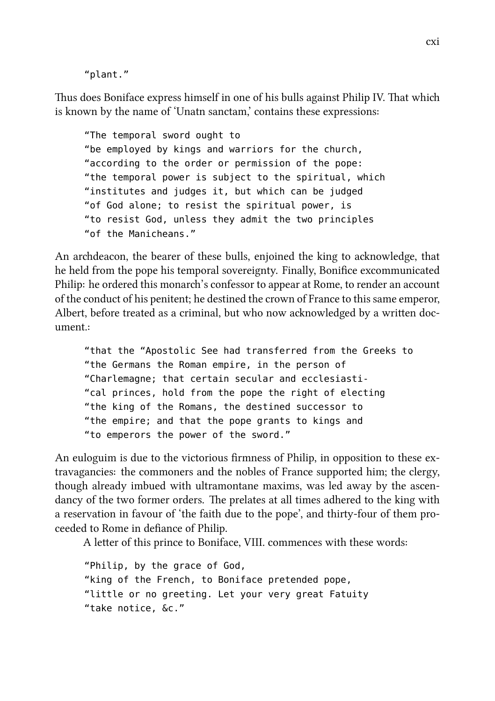"plant."

Thus does Boniface express himself in one of his bulls against Philip IV. That which is known by the name of 'Unatn sanctam,' contains these expressions:

"The temporal sword ought to "be employed by kings and warriors for the church, "according to the order or permission of the pope: "the temporal power is subject to the spiritual, which "institutes and judges it, but which can be judged "of God alone; to resist the spiritual power, is "to resist God, unless they admit the two principles "of the Manicheans."

An archdeacon, the bearer of these bulls, enjoined the king to acknowledge, that he held from the pope his temporal sovereignty. Finally, Bonifice excommunicated Philip: he ordered this monarch's confessor to appear at Rome, to render an account of the conduct of his penitent; he destined the crown of France to this same emperor, Albert, before treated as a criminal, but who now acknowledged by a written document.:

"that the "Apostolic See had transferred from the Greeks to "the Germans the Roman empire, in the person of "Charlemagne; that certain secular and ecclesiasti- "cal princes, hold from the pope the right of electing "the king of the Romans, the destined successor to "the empire; and that the pope grants to kings and "to emperors the power of the sword."

An euloguim is due to the victorious firmness of Philip, in opposition to these extravagancies: the commoners and the nobles of France supported him; the clergy, though already imbued with ultramontane maxims, was led away by the ascendancy of the two former orders. The prelates at all times adhered to the king with a reservation in favour of 'the faith due to the pope', and thirty-four of them proceeded to Rome in defiance of Philip.

A letter of this prince to Boniface, VIII. commences with these words:

"Philip, by the grace of God, "king of the French, to Boniface pretended pope, "little or no greeting. Let your very great Fatuity "take notice, &c."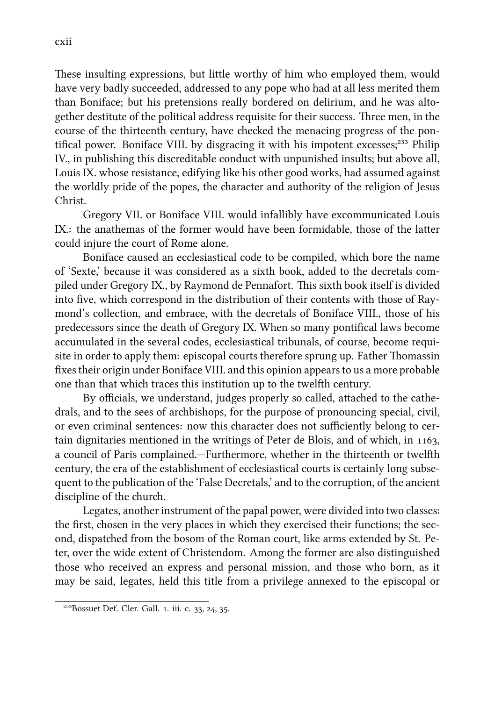These insulting expressions, but little worthy of him who employed them, would have very badly succeeded, addressed to any pope who had at all less merited them than Boniface; but his pretensions really bordered on delirium, and he was altogether destitute of the political address requisite for their success. Three men, in the course of the thirteenth century, have checked the menacing progress of the pontifical power. Boniface VIII. by disgracing it with his impotent excesses;<sup>253</sup> Philip IV., in publishing this discreditable conduct with unpunished insults; but above all, Louis IX. whose resistance, edifying like his other good works, had assumed against the worldly pride of the popes, the character and authority of the religion of Jesus Christ.

Gregory VII. or Boniface VIII. would infallibly have excommunicated Louis IX.: the anathemas of the former would have been formidable, those of the latter could injure the court of Rome alone.

Boniface caused an ecclesiastical code to be compiled, which bore the name of 'Sexte,' because it was considered as a sixth book, added to the decretals compiled under Gregory IX., by Raymond de Pennafort. is sixth book itself is divided into five, which correspond in the distribution of their contents with those of Raymond's collection, and embrace, with the decretals of Boniface VIII., those of his predecessors since the death of Gregory IX. When so many pontifical laws become accumulated in the several codes, ecclesiastical tribunals, of course, become requisite in order to apply them: episcopal courts therefore sprung up. Father Thomassin fixes their origin under Boniface VIII. and this opinion appears to us a more probable one than that which traces this institution up to the twelfth century.

By officials, we understand, judges properly so called, attached to the cathedrals, and to the sees of archbishops, for the purpose of pronouncing special, civil, or even criminal sentences: now this aracter does not sufficiently belong to certain dignitaries mentioned in the writings of Peter de Blois, and of which, in  $1163$ , a council of Paris complained.—Furthermore, whether in the thirteenth or twelfth century, the era of the establishment of ecclesiastical courts is certainly long subsequent to the publication of the 'False Decretals,' and to the corruption, of the ancient discipline of the church.

Legates, another instrument of the papal power, were divided into two classes: the first, chosen in the very places in which they exercised their functions; the second, dispated from the bosom of the Roman court, like arms extended by St. Peter, over the wide extent of Christendom. Among the former are also distinguished those who received an express and personal mission, and those who born, as it may be said, legates, held this title from a privilege annexed to the episcopal or

<sup>&</sup>lt;sup>253</sup>Bossuet Def. Cler. Gall. 1. iii. c. 33, 24, 35.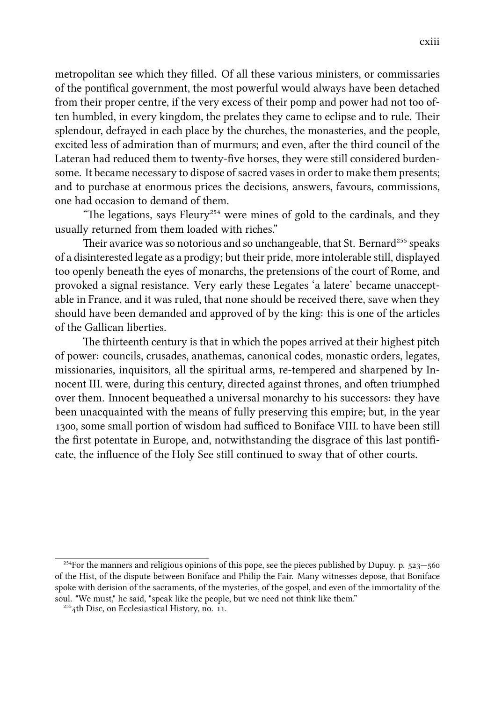metropolitan see which they filled. Of all these various ministers, or commissaries of the pontifical government, the most powerful would always have been detaed from their proper centre, if the very excess of their pomp and power had not too often humbled, in every kingdom, the prelates they came to eclipse and to rule. Their splendour, defrayed in each place by the churches, the monasteries, and the people, excited less of admiration than of murmurs; and even, after the third council of the Lateran had reduced them to twenty-five horses, they were still considered burdensome. It became necessary to dispose of sacred vases in order to make them presents; and to purchase at enormous prices the decisions, answers, favours, commissions, one had occasion to demand of them.

"The legations, says Fleury<sup>254</sup> were mines of gold to the cardinals, and they usually returned from them loaded with riches."

Their avarice was so notorious and so unchangeable, that St. Bernard<sup>255</sup> speaks of a disinterested legate as a prodigy; but their pride, more intolerable still, displayed too openly beneath the eyes of monarchs, the pretensions of the court of Rome, and provoked a signal resistance. Very early these Legates 'a latere' became unacceptable in France, and it was ruled, that none should be received there, save when they should have been demanded and approved of by the king: this is one of the articles of the Gallican liberties.

The thirteenth century is that in which the popes arrived at their highest pitch of power: councils, crusades, anathemas, canonical codes, monastic orders, legates, missionaries, inquisitors, all the spiritual arms, re-tempered and sharpened by Innocent III. were, during this century, directed against thrones, and often triumphed over them. Innocent bequeathed a universal monarchy to his successors: they have been unacquainted with the means of fully preserving this empire; but, in the year 1300, some small portion of wisdom had sufficed to Boniface VIII. to have been still the first potentate in Europe, and, notwithstanding the disgrace of this last pontificate, the influence of the Holy See still continued to sway that of other courts.

 $^{254}$ For the manners and religious opinions of this pope, see the pieces published by Dupuy. p.  $523 - 560$ of the Hist, of the dispute between Boniface and Philip the Fair. Many witnesses depose, that Boniface spoke with derision of the sacraments, of the mysteries, of the gospel, and even of the immortality of the soul. "We must," he said, "speak like the people, but we need not think like them."

 $^{255}$ 4th Disc, on Ecclesiastical History, no. 11.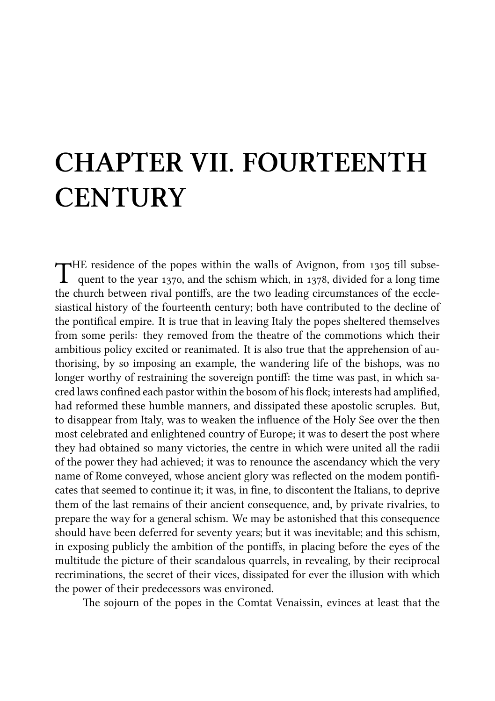## **CHAPTER VII. FOURTEENTH CENTURY**

THE residence of the popes within the walls of Avignon, from 1305 till subsequent to the year 1370, and the schism which, in 1378, divided for a long time quent to the year 1370, and the schism which, in 1378, divided for a long time the church between rival pontiffs, are the two leading circumstances of the ecclesiastical history of the fourteenth century; both have contributed to the decline of the pontifical empire. It is true that in leaving Italy the popes sheltered themselves from some perils: they removed from the theatre of the commotions which their ambitious policy excited or reanimated. It is also true that the apprehension of authorising, by so imposing an example, the wandering life of the bishops, was no longer worthy of restraining the sovereign pontiff: the time was past, in which sacred laws confined each pastor within the bosom of his flock; interests had amplified, had reformed these humble manners, and dissipated these apostolic scruples. But, to disappear from Italy, was to weaken the influence of the Holy See over the then most celebrated and enlightened country of Europe; it was to desert the post where they had obtained so many victories, the centre in which were united all the radii of the power they had achieved; it was to renounce the ascendancy which the very name of Rome conveyed, whose ancient glory was reflected on the modem pontificates that seemed to continue it; it was, in fine, to discontent the Italians, to deprive them of the last remains of their ancient consequence, and, by private rivalries, to prepare the way for a general schism. We may be astonished that this consequence should have been deferred for seventy years; but it was inevitable; and this schism, in exposing publicly the ambition of the pontiffs, in placing before the eyes of the multitude the picture of their scandalous quarrels, in revealing, by their reciprocal recriminations, the secret of their vices, dissipated for ever the illusion with whi the power of their predecessors was environed.

The sojourn of the popes in the Comtat Venaissin, evinces at least that the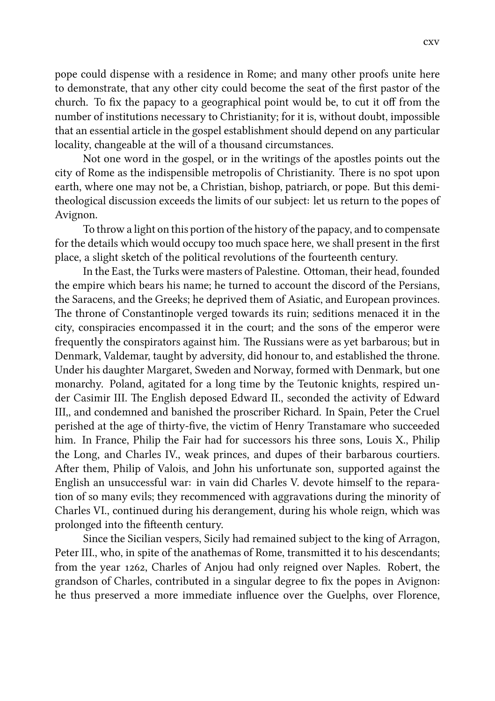pope could dispense with a residence in Rome; and many other proofs unite here to demonstrate, that any other city could become the seat of the first pastor of the church. To fix the papacy to a geographical point would be, to cut it off from the number of institutions necessary to Christianity; for it is, without doubt, impossible that an essential article in the gospel establishment should depend on any particular locality, changeable at the will of a thousand circumstances.

Not one word in the gospel, or in the writings of the apostles points out the city of Rome as the indispensible metropolis of Christianity. There is no spot upon earth, where one may not be, a Christian, bishop, patriarch, or pope. But this demitheological discussion exceeds the limits of our subject: let us return to the popes of Avignon.

To throw a light on this portion of the history of the papacy, and to compensate for the details which would occupy too much space here, we shall present in the first place, a slight sketch of the political revolutions of the fourteenth century.

In the East, the Turks were masters of Palestine. Ottoman, their head, founded the empire which bears his name; he turned to account the discord of the Persians, the Saracens, and the Greeks; he deprived them of Asiatic, and European provinces. e throne of Constantinople verged towards its ruin; seditions menaced it in the city, conspiracies encompassed it in the court; and the sons of the emperor were frequently the conspirators against him. The Russians were as yet barbarous; but in Denmark, Valdemar, taught by adversity, did honour to, and established the throne. Under his daughter Margaret, Sweden and Norway, formed with Denmark, but one monarchy. Poland, agitated for a long time by the Teutonic knights, respired under Casimir III. The English deposed Edward II., seconded the activity of Edward III,, and condemned and banished the proscriber Richard. In Spain, Peter the Cruel perished at the age of thirty-five, the victim of Henry Transtamare who succeeded him. In France, Philip the Fair had for successors his three sons, Louis X., Philip the Long, and Charles IV., weak princes, and dupes of their barbarous courtiers. After them, Philip of Valois, and John his unfortunate son, supported against the English an unsuccessful war: in vain did Charles V. devote himself to the reparation of so many evils; they recommenced with aggravations during the minority of Charles VI., continued during his derangement, during his whole reign, which was prolonged into the fifteenth century.

Since the Sicilian vespers, Sicily had remained subject to the king of Arragon, Peter III., who, in spite of the anathemas of Rome, transmitted it to his descendants; from the year 1262. Charles of Anjou had only reigned over Naples. Robert, the grandson of Charles, contributed in a singular degree to fix the popes in Avignon: he thus preserved a more immediate influence over the Guelphs, over Florence,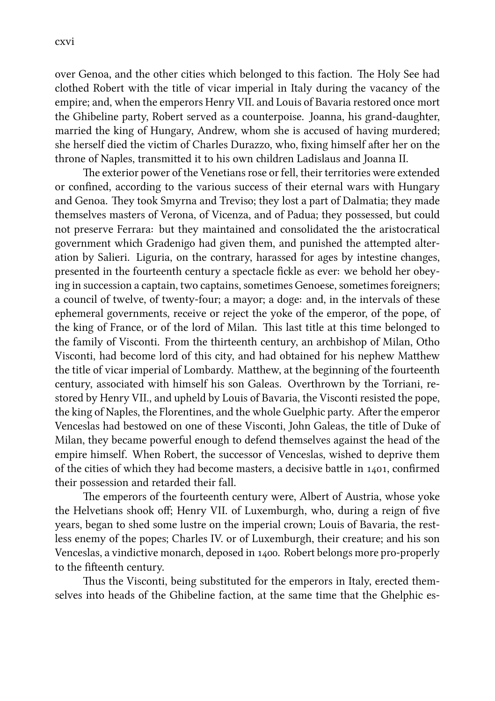over Genoa, and the other cities which belonged to this faction. The Holy See had clothed Robert with the title of vicar imperial in Italy during the vacancy of the empire; and, when the emperors Henry VII. and Louis of Bavaria restored once mort the Ghibeline party, Robert served as a counterpoise. Joanna, his grand-daughter, married the king of Hungary, Andrew, whom she is accused of having murdered; she herself died the victim of Charles Durazzo, who, fixing himself after her on the throne of Naples, transmitted it to his own children Ladislaus and Joanna II.

The exterior power of the Venetians rose or fell, their territories were extended or confined, according to the various success of their eternal wars with Hungary and Genoa. They took Smyrna and Treviso; they lost a part of Dalmatia; they made themselves masters of Verona, of Vicenza, and of Padua; they possessed, but could not preserve Ferrara: but they maintained and consolidated the the aristocratical government which Gradenigo had given them, and punished the attempted alteration by Salieri. Liguria, on the contrary, harassed for ages by intestine changes, presented in the fourteenth century a spectacle fickle as ever: we behold her obeying in succession a captain, two captains, sometimes Genoese, sometimes foreigners; a council of twelve, of twenty-four; a mayor; a doge: and, in the intervals of these ephemeral governments, receive or reject the yoke of the emperor, of the pope, of the king of France, or of the lord of Milan. This last title at this time belonged to the family of Visconti. From the thirteenth century, an arbishop of Milan, Otho Visconti, had become lord of this city, and had obtained for his nephew Matthew the title of vicar imperial of Lombardy. Matthew, at the beginning of the fourteenth century, associated with himself his son Galeas. Overthrown by the Torriani, restored by Henry VII., and upheld by Louis of Bavaria, the Visconti resisted the pope, the king of Naples, the Florentines, and the whole Guelphic party. After the emperor Venceslas had bestowed on one of these Visconti, John Galeas, the title of Duke of Milan, they became powerful enough to defend themselves against the head of the empire himself. When Robert, the successor of Venceslas, wished to deprive them of the cities of which they had become masters, a decisive battle in  $1401$ , confirmed their possession and retarded their fall.

The emperors of the fourteenth century were, Albert of Austria, whose yoke the Helvetians shook off; Henry VII. of Luxemburgh, who, during a reign of five years, began to shed some lustre on the imperial crown; Louis of Bavaria, the restless enemy of the popes; Charles IV. or of Luxemburgh, their creature; and his son Venceslas, a vindictive monarch, deposed in 1400. Robert belongs more pro-properly to the fifteenth century.

Thus the Visconti, being substituted for the emperors in Italy, erected themselves into heads of the Ghibeline faction, at the same time that the Ghelphic es-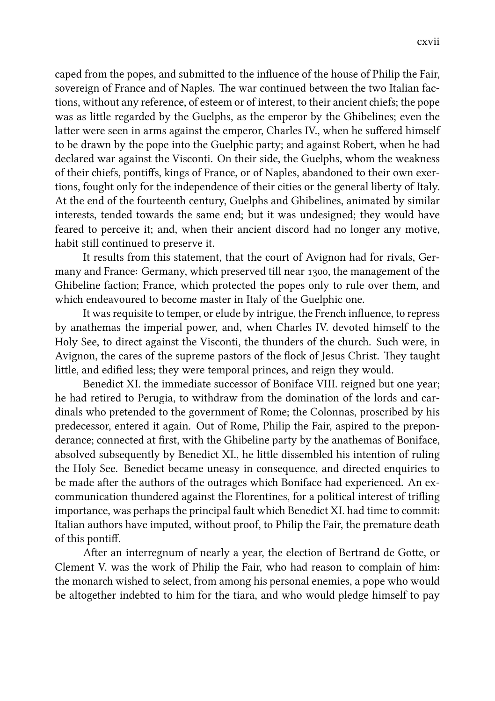cxvii

caped from the popes, and submitted to the influence of the house of Philip the Fair, sovereign of France and of Naples. The war continued between the two Italian factions, without any reference, of esteem or of interest, to their ancient chiefs; the pope was as little regarded by the Guelphs, as the emperor by the Ghibelines; even the latter were seen in arms against the emperor, Charles IV., when he suffered himself to be drawn by the pope into the Guelphic party; and against Robert, when he had declared war against the Visconti. On their side, the Guelphs, whom the weakness of their chiefs, pontiffs, kings of France, or of Naples, abandoned to their own exertions, fought only for the independence of their cities or the general liberty of Italy. At the end of the fourteenth century, Guelphs and Ghibelines, animated by similar interests, tended towards the same end; but it was undesigned; they would have feared to perceive it; and, when their ancient discord had no longer any motive, habit still continued to preserve it.

It results from this statement, that the court of Avignon had for rivals, Germany and France: Germany, which preserved till near 1300, the management of the Ghibeline faction: France, which protected the popes only to rule over them, and which endeavoured to become master in Italy of the Guelphic one.

It was requisite to temper, or elude by intrigue, the French influence, to repress by anathemas the imperial power, and, when Charles IV. devoted himself to the Holy See, to direct against the Visconti, the thunders of the church. Such were, in Avignon, the cares of the supreme pastors of the flock of Jesus Christ. They taught little, and edified less; they were temporal princes, and reign they would.

Benedict XI. the immediate successor of Boniface VIII. reigned but one year; he had retired to Perugia, to withdraw from the domination of the lords and cardinals who pretended to the government of Rome; the Colonnas, proscribed by his predecessor, entered it again. Out of Rome, Philip the Fair, aspired to the preponderance; connected at first, with the Ghibeline party by the anathemas of Boniface, absolved subsequently by Benedict XI., he little dissembled his intention of ruling the Holy See. Benedict became uneasy in consequence, and directed enquiries to be made after the authors of the outrages which Boniface had experienced. An excommunication thundered against the Florentines, for a political interest of trifling importance, was perhaps the principal fault which Benedict XI. had time to commit: Italian authors have imputed, without proof, to Philip the Fair, the premature death of this pontiff.

After an interregnum of nearly a year, the election of Bertrand de Gotte, or Clement V. was the work of Philip the Fair, who had reason to complain of him: the monarch wished to select, from among his personal enemies, a pope who would be altogether indebted to him for the tiara, and who would pledge himself to pay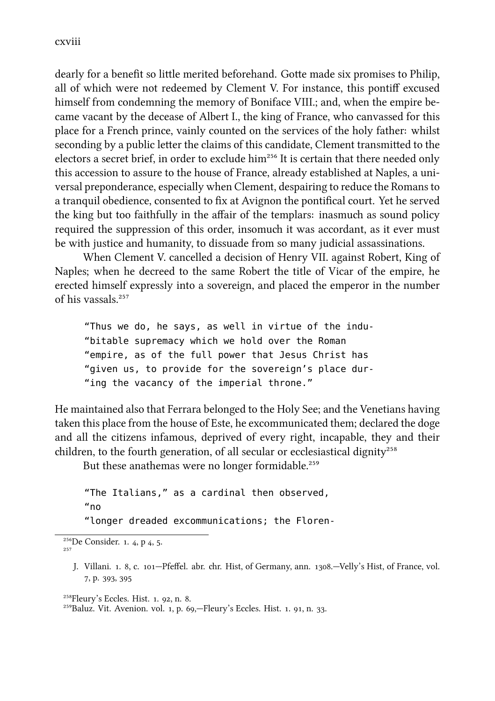cxviii

dearly for a benefit so little merited beforehand. Gotte made six promises to Philip, all of which were not redeemed by Clement V. For instance, this pontiff excused himself from condemning the memory of Boniface VIII.; and, when the empire became vacant by the decease of Albert I., the king of France, who canvassed for this place for a French prince, vainly counted on the services of the holy father: whilst seconding by a public letter the claims of this candidate, Clement transmitted to the electors a secret brief, in order to exclude him<sup>256</sup> It is certain that there needed only this accession to assure to the house of France, already established at Naples, a universal preponderance, especially when Clement, despairing to reduce the Romans to a tranquil obedience, consented to fix at Avignon the pontifical court. Yet he served the king but too faithfully in the affair of the templars: inasmuch as sound policy required the suppression of this order, insomuch it was accordant, as it ever must be with justice and humanity, to dissuade from so many judicial assassinations.

When Clement V. cancelled a decision of Henry VII. against Robert, King of Naples; when he decreed to the same Robert the title of Vicar of the empire, he erected himself expressly into a sovereign, and placed the emperor in the number of his vassals<sup>257</sup>

"Thus we do, he says, as well in virtue of the indu- "bitable supremacy which we hold over the Roman "empire, as of the full power that Jesus Christ has "given us, to provide for the sovereign's place dur- "ing the vacancy of the imperial throne."

He maintained also that Ferrara belonged to the Holy See; and the Venetians having taken this place from the house of Este, he excommunicated them; declared the doge and all the citizens infamous, deprived of every right, incapable, they and their children, to the fourth generation, of all secular or ecclesiastical dignity<sup>258</sup>

But these anathemas were no longer formidable.<sup>259</sup>

"The Italians," as a cardinal then observed, "no "longer dreaded excommunications; the Floren-

 $\overline{^{256}}$ De Consider. 1. 4, p 4, 5.  $25.5$ 

 $^{258}$ Fleury's Eccles. Hist. 1. 92, n. 8.

J. Villani. 1. 8, c. 101-Pfeffel. abr. chr. Hist, of Germany, ann. 1308.-Velly's Hist, of France, vol. 7, p. 393, 395

 $^{259}$ Baluz. Vit. Avenion. vol. 1, p. 69,—Fleury's Eccles. Hist. 1. 91, n. 33.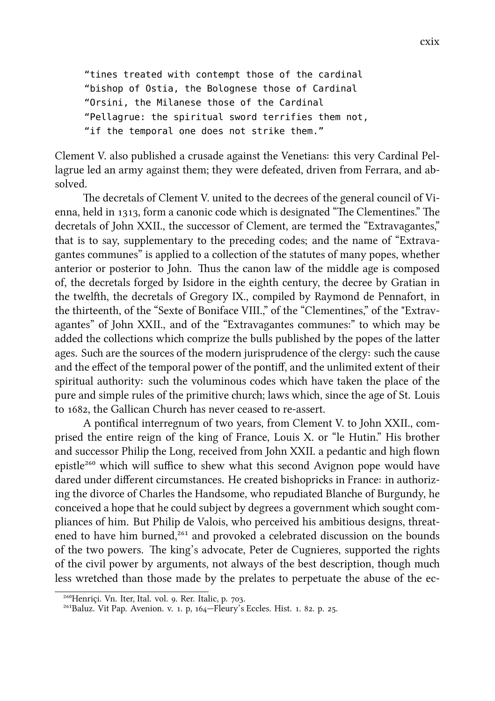"tines treated with contempt those of the cardinal "bishop of Ostia, the Bolognese those of Cardinal "Orsini, the Milanese those of the Cardinal "Pellagrue: the spiritual sword terrifies them not, "if the temporal one does not strike them."

Clement V. also published a crusade against the Venetians: this very Cardinal Pellagrue led an army against them; they were defeated, driven from Ferrara, and absolved.

The decretals of Clement V. united to the decrees of the general council of Vienna, held in 1313, form a canonic code which is designated "The Clementines." The decretals of John XXII., the successor of Clement, are termed the "Extravagantes," that is to say, supplementary to the preceding codes; and the name of "Extravagantes communes" is applied to a collection of the statutes of many popes, whether anterior or posterior to John. Thus the canon law of the middle age is composed of, the decretals forged by Isidore in the eighth century, the decree by Gratian in the twelfth, the decretals of Gregory IX., compiled by Raymond de Pennafort, in the thirteenth, of the "Sexte of Boniface VIII.," of the "Clementines," of the "Extravagantes" of John XXII., and of the "Extravagantes communes:" to which may be added the collections which comprize the bulls published by the popes of the latter ages. Such are the sources of the modern jurisprudence of the clergy: such the cause and the effect of the temporal power of the pontiff, and the unlimited extent of their spiritual authority: such the voluminous codes which have taken the place of the pure and simple rules of the primitive church; laws which, since the age of St. Louis to 1682, the Gallican Church has never ceased to re-assert.

A pontifical interregnum of two years, from Clement V. to John XXII., comprised the entire reign of the king of France, Louis X. or "le Hutin." His brother and successor Philip the Long, received from John XXII. a pedantic and high flown epistle<sup>260</sup> which will suffice to shew what this second Avignon pope would have dared under different circumstances. He created bishopricks in France: in authorizing the divorce of Charles the Handsome, who repudiated Blanche of Burgundy, he conceived a hope that he could subject by degrees a government which sought compliances of him. But Philip de Valois, who perceived his ambitious designs, threatened to have him burned,<sup>261</sup> and provoked a celebrated discussion on the bounds of the two powers. The king's advocate, Peter de Cugnieres, supported the rights of the civil power by arguments, not always of the best description, though mu less wretched than those made by the prelates to perpetuate the abuse of the ec-

<sup>&</sup>lt;sup>260</sup>Henrici. Vn. Iter, Ital. vol. 9. Rer. Italic, p. 703.

 $^{264}$ Baluz. Vit Pap. Avenion. v. 1. p,  $164$ –Fleury's Eccles. Hist. 1. 82. p. 25.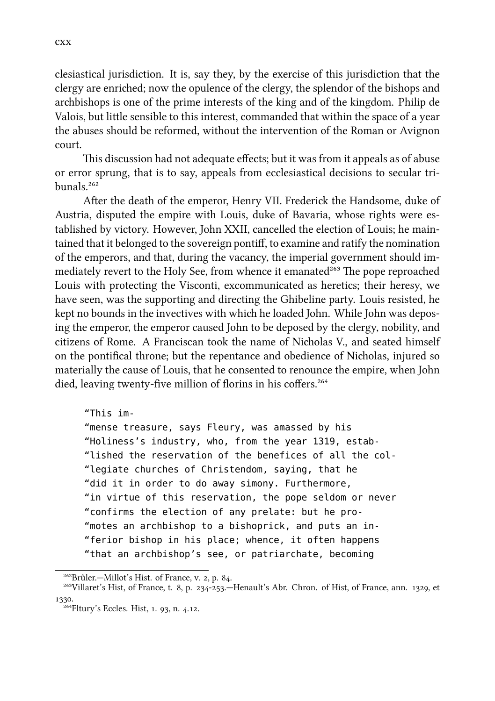clesiastical jurisdiction. It is, say they, by the exercise of this jurisdiction that the clergy are enried; now the opulence of the clergy, the splendor of the bishops and arbishops is one of the prime interests of the king and of the kingdom. Philip de Valois, but little sensible to this interest, commanded that within the space of a year the abuses should be reformed, without the intervention of the Roman or Avignon court.

This discussion had not adequate effects; but it was from it appeals as of abuse or error sprung, that is to say, appeals from ecclesiastical decisions to secular tribunals<sup>262</sup>

After the death of the emperor, Henry VII. Frederick the Handsome, duke of Austria, disputed the empire with Louis, duke of Bavaria, whose rights were established by victory. However, John XXII, cancelled the election of Louis; he maintained that it belonged to the sovereign pontiff, to examine and ratify the nomination of the emperors, and that, during the vacancy, the imperial government should immediately revert to the Holy See, from whence it emanated $^{263}$  The pope reproached Louis with protecting the Visconti, excommunicated as heretics; their heresy, we have seen, was the supporting and directing the Ghibeline party. Louis resisted, he kept no bounds in the invectives with which he loaded John. While John was deposing the emperor, the emperor caused John to be deposed by the clergy, nobility, and citizens of Rome. A Franciscan took the name of Nicholas V., and seated himself on the pontifical throne; but the repentance and obedience of Nicholas, injured so materially the cause of Louis, that he consented to renounce the empire, when John died, leaving twenty-five million of florins in his coffers.<sup>264</sup>

```
"This im-
"mense treasure, says Fleury, was amassed by his
"Holiness's industry, who, from the year 1319, estab-
"lished the reservation of the benefices of all the col-
"legiate churches of Christendom, saying, that he
"did it in order to do away simony. Furthermore,
"in virtue of this reservation, the pope seldom or never
"confirms the election of any prelate: but he pro-
"motes an archbishop to a bishoprick, and puts an in-
"ferior bishop in his place; whence, it often happens
"that an archbishop's see, or patriarchate, becoming
```
<sup>&</sup>lt;sup>262</sup>Brûler.—Millot's Hist. of France, v. 2, p. 84.

 $^{263}$ Villaret's Hist, of France, t. 8, p.  $234$ - $253$ . -Henault's Abr. Chron. of Hist, of France, ann. 1329, et 1330.

<sup>&</sup>lt;sup>264</sup>Fltury's Eccles. Hist, 1. 93, n. 4.12.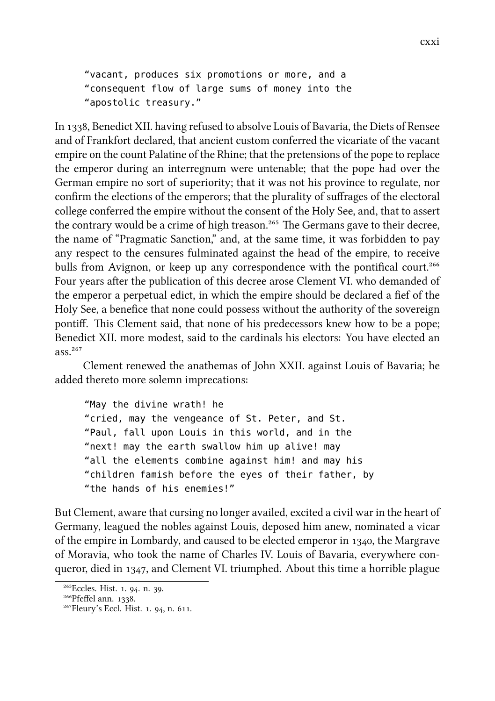"vacant, produces six promotions or more, and a "consequent flow of large sums of money into the "apostolic treasury."

In 1338. Benedict XII. having refused to absolve Louis of Bavaria, the Diets of Rensee and of Frankfort declared, that ancient custom conferred the vicariate of the vacant empire on the count Palatine of the Rhine; that the pretensions of the pope to replace the emperor during an interregnum were untenable; that the pope had over the German empire no sort of superiority; that it was not his province to regulate, nor confirm the elections of the emperors; that the plurality of suffrages of the electoral college conferred the empire without the consent of the Holy See, and, that to assert the contrary would be a crime of high treason.<sup>265</sup> The Germans gave to their decree, the name of "Pragmatic Sanction," and, at the same time, it was forbidden to pay any respect to the censures fulminated against the head of the empire, to receive bulls from Avignon, or keep up any correspondence with the pontifical court.<sup>266</sup> Four years after the publication of this decree arose Clement VI. who demanded of the emperor a perpetual edict, in which the empire should be declared a fief of the Holy See, a benefice that none could possess without the authority of the sovereign pontiff. This Clement said, that none of his predecessors knew how to be a pope; Benedict XII. more modest, said to the cardinals his electors: You have elected an ass $^{267}$ 

Clement renewed the anathemas of John XXII. against Louis of Bavaria; he added thereto more solemn imprecations:

"May the divine wrath! he "cried, may the vengeance of St. Peter, and St. "Paul, fall upon Louis in this world, and in the "next! may the earth swallow him up alive! may "all the elements combine against him! and may his "children famish before the eyes of their father, by "the hands of his enemies!"

But Clement, aware that cursing no longer availed, excited a civil war in the heart of Germany, leagued the nobles against Louis, deposed him anew, nominated a vicar of the empire in Lombardy, and caused to be elected emperor in 1340, the Margrave of Moravia, who took the name of Charles IV. Louis of Bavaria, everywhere conqueror, died in  $1347$ , and Clement VI. triumphed. About this time a horrible plague

<sup>&</sup>lt;sup>265</sup>Eccles. Hist. 1, 94, n. 39.

<sup>&</sup>lt;sup>266</sup>Pfeffel ann. 1338.

 $^{267}$ Fleury's Eccl. Hist. 1. 94, n. 611.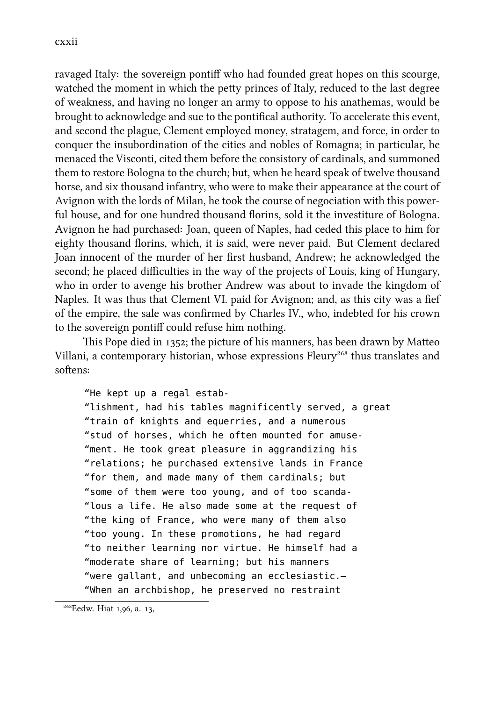ravaged Italy: the sovereign pontiff who had founded great hopes on this scourge, watched the moment in which the petty princes of Italy, reduced to the last degree of weakness, and having no longer an army to oppose to his anathemas, would be brought to acknowledge and sue to the pontifical authority. To accelerate this event, and second the plague, Clement employed money, stratagem, and force, in order to conquer the insubordination of the cities and nobles of Romagna; in particular, he menaced the Visconti, cited them before the consistory of cardinals, and summoned them to restore Bologna to the church; but, when he heard speak of twelve thousand horse, and six thousand infantry, who were to make their appearance at the court of Avignon with the lords of Milan, he took the course of negociation with this powerful house, and for one hundred thousand florins, sold it the investiture of Bologna. Avignon he had purchased: Joan, queen of Naples, had ceded this place to him for eighty thousand florins, which, it is said, were never paid. But Clement declared Joan innocent of the murder of her first husband, Andrew; he acknowledged the second; he placed difficulties in the way of the projects of Louis, king of Hungary, who in order to avenge his brother Andrew was about to invade the kingdom of Naples. It was thus that Clement VI. paid for Avignon; and, as this city was a fief of the empire, the sale was confirmed by Charles IV., who, indebted for his crown to the sovereign pontiff could refuse him nothing.

This Pope died in 1352; the picture of his manners, has been drawn by Matteo Villani, a contemporary historian, whose expressions Fleury<sup>268</sup> thus translates and softens:

"He kept up a regal estab-

"lishment, had his tables magnificently served, a great "train of knights and equerries, and a numerous "stud of horses, which he often mounted for amuse- "ment. He took great pleasure in aggrandizing his "relations; he purchased extensive lands in France "for them, and made many of them cardinals; but "some of them were too young, and of too scanda- "lous a life. He also made some at the request of "the king of France, who were many of them also "too young. In these promotions, he had regard "to neither learning nor virtue. He himself had a "moderate share of learning; but his manners "were gallant, and unbecoming an ecclesiastic.— "When an archbishop, he preserved no restraint

 $^{268}$ Eedw. Hiat 1,96, a. 13,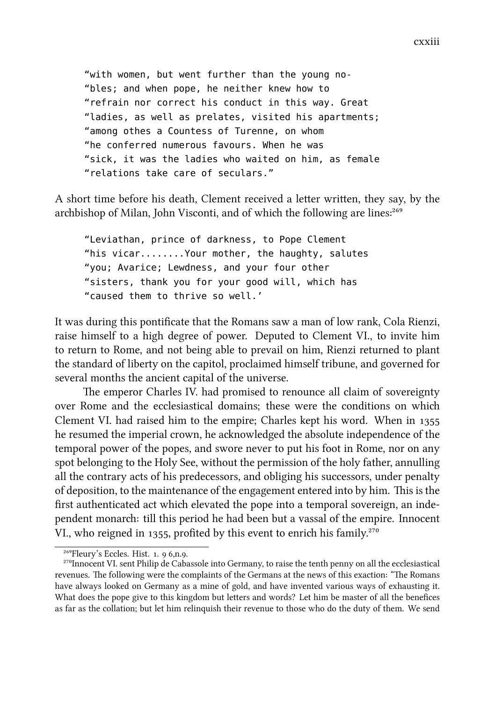"with women, but went further than the young no- "bles; and when pope, he neither knew how to "refrain nor correct his conduct in this way. Great "ladies, as well as prelates, visited his apartments; "among othes a Countess of Turenne, on whom "he conferred numerous favours. When he was "sick, it was the ladies who waited on him, as female "relations take care of seculars."

A short time before his death, Clement received a letter written, they say, by the archbishop of Milan, John Visconti, and of which the following are lines:<sup>269</sup>

"Leviathan, prince of darkness, to Pope Clement "his vicar........Your mother, the haughty, salutes "you; Avarice; Lewdness, and your four other "sisters, thank you for your good will, which has "caused them to thrive so well.'

It was during this pontificate that the Romans saw a man of low rank, Cola Rienzi, raise himself to a high degree of power. Deputed to Clement VI., to invite him to return to Rome, and not being able to prevail on him, Rienzi returned to plant the standard of liberty on the capitol, proclaimed himself tribune, and governed for several months the ancient capital of the universe.

The emperor Charles IV. had promised to renounce all claim of sovereignty over Rome and the ecclesiastical domains; these were the conditions on whi Clement VI. had raised him to the empire; Charles kept his word. When in he resumed the imperial crown, he acknowledged the absolute independence of the temporal power of the popes, and swore never to put his foot in Rome, nor on any spot belonging to the Holy See, without the permission of the holy father, annulling all the contrary acts of his predecessors, and obliging his successors, under penalty of deposition, to the maintenance of the engagement entered into by him. This is the first authenticated act which elevated the pope into a temporal sovereign, an independent monarch: till this period he had been but a vassal of the empire. Innocent VI., who reigned in 1355, profited by this event to enrich his family.<sup>270</sup>

 $^{269}$ Fleury's Eccles. Hist. 1, 96.n.9.

<sup>&</sup>lt;sup>270</sup>Innocent VI. sent Philip de Cabassole into Germany, to raise the tenth penny on all the ecclesiastical revenues. The following were the complaints of the Germans at the news of this exaction: "The Romans have always looked on Germany as a mine of gold, and have invented various ways of exhausting it. What does the pope give to this kingdom but letters and words? Let him be master of all the benefices as far as the collation; but let him relinquish their revenue to those who do the duty of them. We send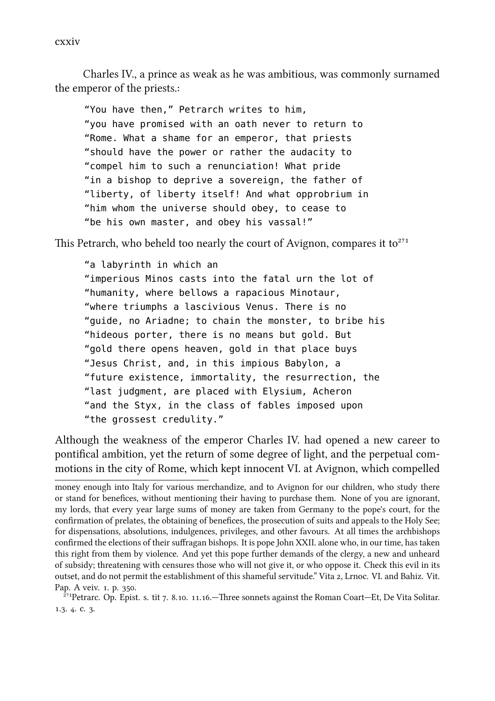cxxiv

Charles IV., a prince as weak as he was ambitious, was commonly surnamed the emperor of the priests.:

"You have then," Petrarch writes to him, "you have promised with an oath never to return to "Rome. What a shame for an emperor, that priests "should have the power or rather the audacity to "compel him to such a renunciation! What pride "in a bishop to deprive a sovereign, the father of "liberty, of liberty itself! And what opprobrium in "him whom the universe should obey, to cease to "be his own master, and obey his vassal!"

This Petrarch, who beheld too nearly the court of Avignon, compares it to<sup> $271$ </sup>

"a labyrinth in which an "imperious Minos casts into the fatal urn the lot of "humanity, where bellows a rapacious Minotaur, "where triumphs a lascivious Venus. There is no "guide, no Ariadne; to chain the monster, to bribe his "hideous porter, there is no means but gold. But "gold there opens heaven, gold in that place buys "Jesus Christ, and, in this impious Babylon, a "future existence, immortality, the resurrection, the "last judgment, are placed with Elysium, Acheron "and the Styx, in the class of fables imposed upon "the grossest credulity."

Although the weakness of the emperor Charles IV. had opened a new career to pontifical ambition, yet the return of some degree of light, and the perpetual commotions in the city of Rome, which kept innocent VI. at Avignon, which compelled

money enough into Italy for various merchandize, and to Avignon for our children, who study there or stand for benefices, without mentioning their having to purchase them. None of you are ignorant, my lords, that every year large sums of money are taken from Germany to the pope's court, for the confirmation of prelates, the obtaining of benefices, the prosecution of suits and appeals to the Holy See; for dispensations, absolutions, indulgences, privileges, and other favours. At all times the arbishops confirmed the elections of their suffragan bishops. It is pope John XXII. alone who, in our time, has taken this right from them by violence. And yet this pope further demands of the clergy, a new and unheard of subsidy; threatening with censures those who will not give it, or who oppose it. Check this evil in its outset, and do not permit the establishment of this shameful servitude." Vita 2, Lrnoc. VI. and Bahiz. Vit. Pap. A veiv. 1. p. 350.

 $^{271}$ Petrarc. Op. Epist. s. tit 7. 8.10. 11.16.—Three sonnets against the Roman Coart—Et, De Vita Solitar. 1.3. 4.  $c. 3$ .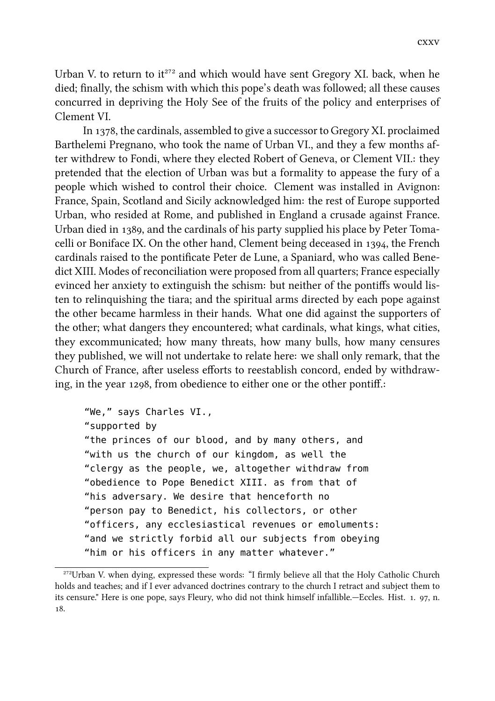Urban V. to return to it<sup>272</sup> and which would have sent Gregory XI. back, when he died; finally, the schism with which this pope's death was followed; all these causes concurred in depriving the Holy See of the fruits of the policy and enterprises of Clement VI.

In 1378, the cardinals, assembled to give a successor to Gregory XI. proclaimed Barthelemi Pregnano, who took the name of Urban VI., and they a few months after withdrew to Fondi, where they elected Robert of Geneva, or Clement VII.: they pretended that the election of Urban was but a formality to appease the fury of a people which wished to control their choice. Clement was installed in Avignon: France, Spain, Scotland and Sicily acknowledged him: the rest of Europe supported Urban, who resided at Rome, and published in England a crusade against France. Urban died in 1389, and the cardinals of his party supplied his place by Peter Tomacelli or Boniface IX. On the other hand, Clement being deceased in 1394, the French cardinals raised to the pontificate Peter de Lune, a Spaniard, who was called Benedict XIII. Modes of reconciliation were proposed from all quarters; France especially evinced her anxiety to extinguish the schism: but neither of the pontiffs would listen to relinquishing the tiara; and the spiritual arms directed by each pope against the other became harmless in their hands. What one did against the supporters of the other; what dangers they encountered; what cardinals, what kings, what cities, they excommunicated; how many threats, how many bulls, how many censures they published, we will not undertake to relate here: we shall only remark, that the Church of France, after useless efforts to reestablish concord, ended by withdrawing, in the year 1298, from obedience to either one or the other pontiff.:

```
"We," says Charles VI.,
"supported by
"the princes of our blood, and by many others, and
"with us the church of our kingdom, as well the
"clergy as the people, we, altogether withdraw from
"obedience to Pope Benedict XIII. as from that of
"his adversary. We desire that henceforth no
"person pay to Benedict, his collectors, or other
"officers, any ecclesiastical revenues or emoluments:
"and we strictly forbid all our subjects from obeying
"him or his officers in any matter whatever."
```
<sup>&</sup>lt;sup>272</sup>Urban V. when dying, expressed these words: "I firmly believe all that the Holy Catholic Church holds and teaches; and if I ever advanced doctrines contrary to the church I retract and subject them to its censure." Here is one pope, says Fleury, who did not think himself infallible.—Eccles. Hist. 1, 97, n. 18.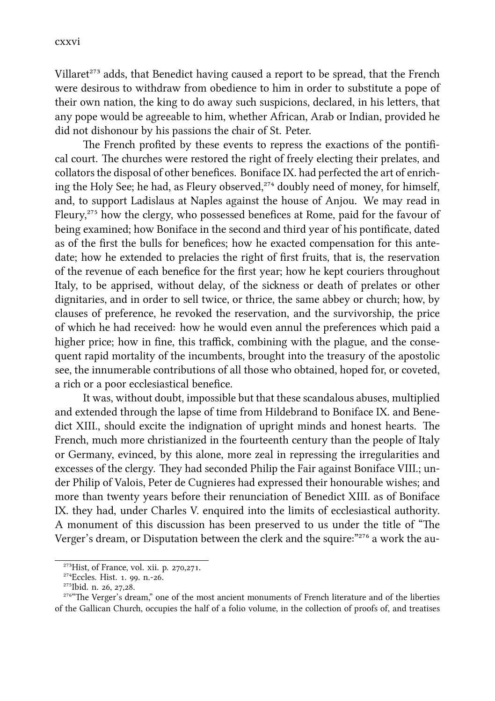Villaret<sup>273</sup> adds, that Benedict having caused a report to be spread, that the French were desirous to withdraw from obedience to him in order to substitute a pope of their own nation, the king to do away such suspicions, declared, in his letters, that any pope would be agreeable to him, whether African, Arab or Indian, provided he did not dishonour by his passions the chair of St. Peter.

The French profited by these events to repress the exactions of the pontifical court. The churches were restored the right of freely electing their prelates, and collators the disposal of other benefices. Boniface IX. had perfected the art of enriching the Holy See; he had, as Fleury observed,<sup>274</sup> doubly need of money, for himself, and, to support Ladislaus at Naples against the house of Anjou. We may read in Fleury,<sup>275</sup> how the clergy, who possessed benefices at Rome, paid for the favour of being examined; how Boniface in the second and third year of his pontificate, dated as of the first the bulls for benefices; how he exacted compensation for this antedate; how he extended to prelacies the right of first fruits, that is, the reservation of the revenue of each benefice for the first year; how he kept couriers throughout Italy, to be apprised, without delay, of the sickness or death of prelates or other dignitaries, and in order to sell twice, or thrice, the same abbey or church; how, by clauses of preference, he revoked the reservation, and the survivorship, the price of which he had received: how he would even annul the preferences which paid a higher price; how in fine, this traffick, combining with the plague, and the consequent rapid mortality of the incumbents, brought into the treasury of the apostolic see, the innumerable contributions of all those who obtained, hoped for, or coveted, a rich or a poor ecclesiastical benefice.

It was, without doubt, impossible but that these scandalous abuses, multiplied and extended through the lapse of time from Hildebrand to Boniface IX. and Benedict XIII., should excite the indignation of upright minds and honest hearts. The French, much more christianized in the fourteenth century than the people of Italy or Germany, evinced, by this alone, more zeal in repressing the irregularities and excesses of the clergy. They had seconded Philip the Fair against Boniface VIII.; under Philip of Valois, Peter de Cugnieres had expressed their honourable wishes; and more than twenty years before their renunciation of Benedict XIII. as of Boniface IX. they had, under Charles V. enquired into the limits of ecclesiastical authority. A monument of this discussion has been preserved to us under the title of "The Verger's dream, or Disputation between the clerk and the squire:"276 a work the au-

<sup>&</sup>lt;sup>273</sup>Hist, of France, vol. xii. p. 270,271.

<sup>&</sup>lt;sup>274</sup>Eccles. Hist. 1. 99. n.-26.

<sup>&</sup>lt;sup>275</sup>Ibid. n. 26, 27,28.

<sup>&</sup>lt;sup>276</sup>"The Verger's dream," one of the most ancient monuments of French literature and of the liberties of the Gallican Church, occupies the half of a folio volume, in the collection of proofs of, and treatises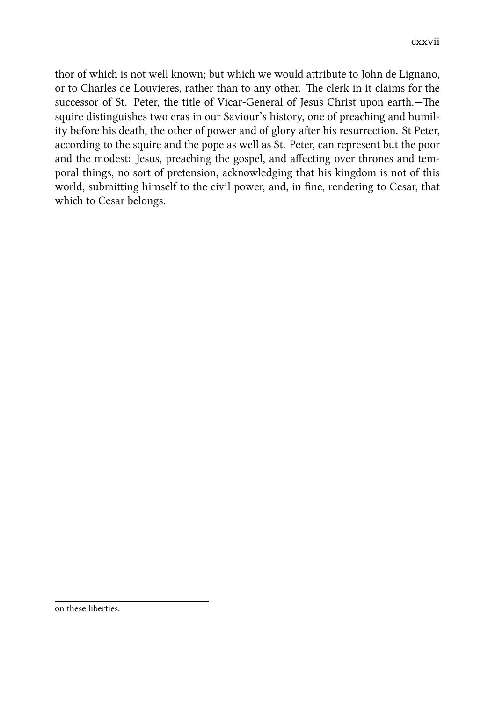thor of which is not well known; but which we would attribute to John de Lignano, or to Charles de Louvieres, rather than to any other. The clerk in it claims for the successor of St. Peter, the title of Vicar-General of Jesus Christ upon earth.—The squire distinguishes two eras in our Saviour's history, one of preaching and humility before his death, the other of power and of glory after his resurrection. St Peter, according to the squire and the pope as well as St. Peter, can represent but the poor and the modest: Jesus, preaching the gospel, and affecting over thrones and temporal things, no sort of pretension, acknowledging that his kingdom is not of this world, submitting himself to the civil power, and, in fine, rendering to Cesar, that which to Cesar belongs.

on these liberties.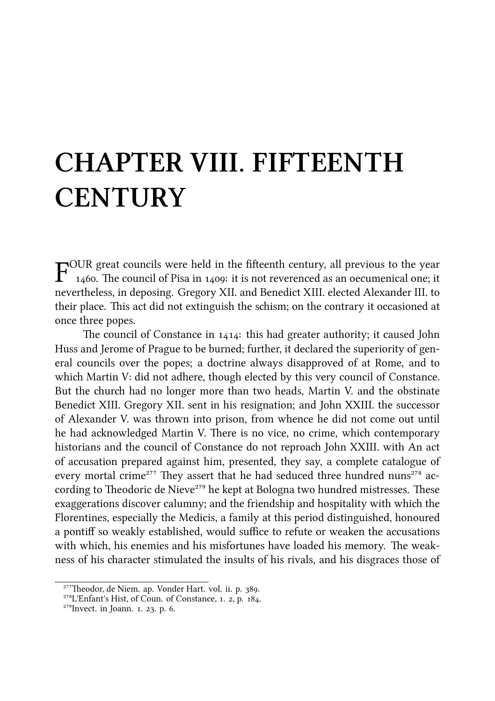## **CHAPTER VIII. FIFTEENTH CENTURY**

 $\Gamma_{\scriptscriptstyle{1460.}}^{\rm{OUR}}$  great councils were held in the fifteenth century, all previous to the year 1460. The council of Pisa in 1409: it is not reverenced as an oecumenical one; it  $1460$ . The council of Pisa in  $1409$ : it is not reverenced as an oecumenical one; it nevertheless, in deposing. Gregory XII. and Benedict XIII. elected Alexander III. to their place. This act did not extinguish the schism; on the contrary it occasioned at once three popes.

The council of Constance in  $1414$ : this had greater authority; it caused John Huss and Jerome of Prague to be burned; further, it declared the superiority of general councils over the popes; a doctrine always disapproved of at Rome, and to which Martin V: did not adhere, though elected by this very council of Constance. But the church had no longer more than two heads, Martin V. and the obstinate Benedict XIII. Gregory XII. sent in his resignation; and John XXIII. the successor of Alexander V. was thrown into prison, from whence he did not come out until he had acknowledged Martin V. There is no vice, no crime, which contemporary historians and the council of Constance do not reproach John XXIII. with An act of accusation prepared against him, presented, they say, a complete catalogue of every mortal crime<sup> $277$ </sup> They assert that he had seduced three hundred nuns<sup> $278$ </sup> according to Theodoric de Nieve<sup>279</sup> he kept at Bologna two hundred mistresses. These exaggerations discover calumny; and the friendship and hospitality with which the Florentines, especially the Medicis, a family at this period distinguished, honoured a pontiff so weakly established, would suffice to refute or weaken the accusations with which, his enemies and his misfortunes have loaded his memory. The weakness of his character stimulated the insults of his rivals, and his disgraces those of

<sup>&</sup>lt;sup>277</sup>Theodor, de Niem. ap. Vonder Hart. vol. ii. p. 389.

 $^{278}$ L'Enfant's Hist, of Coun. of Constance, 1. 2, p. 184.

 $^{279}$ Invect. in Joann. 1, 23, p. 6.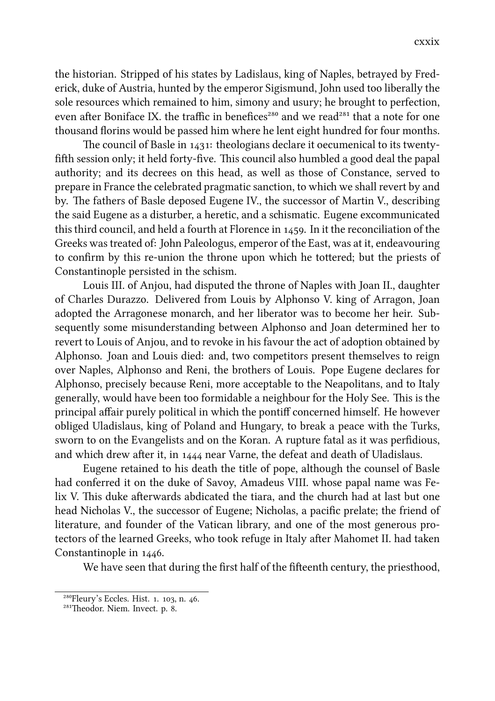the historian. Stripped of his states by Ladislaus, king of Naples, betrayed by Frederick, duke of Austria, hunted by the emperor Sigismund, John used too liberally the sole resources which remained to him, simony and usury; he brought to perfection, even after Boniface IX, the traffic in benefices<sup>280</sup> and we read<sup>281</sup> that a note for one thousand florins would be passed him where he lent eight hundred for four months.

The council of Basle in 1431: theologians declare it oecumenical to its twentyfifth session only; it held forty-five. This council also humbled a good deal the papal authority; and its decrees on this head, as well as those of Constance, served to prepare in France the celebrated pragmatic sanction, to which we shall revert by and by. The fathers of Basle deposed Eugene IV., the successor of Martin V., describing the said Eugene as a disturber, a heretic, and a schismatic. Eugene excommunicated this third council, and held a fourth at Florence in  $1459$ . In it the reconciliation of the Greeks was treated of: John Paleologus, emperor of the East, was at it, endeavouring to confirm by this re-union the throne upon which he tottered; but the priests of Constantinople persisted in the schism.

Louis III. of Anjou, had disputed the throne of Naples with Joan II., daughter of Charles Durazzo. Delivered from Louis by Alphonso V. king of Arragon, Joan adopted the Arragonese monarch, and her liberator was to become her heir. Subsequently some misunderstanding between Alphonso and Joan determined her to revert to Louis of Anjou, and to revoke in his favour the act of adoption obtained by Alphonso. Joan and Louis died: and, two competitors present themselves to reign over Naples, Alphonso and Reni, the brothers of Louis. Pope Eugene declares for Alphonso, precisely because Reni, more acceptable to the Neapolitans, and to Italy generally, would have been too formidable a neighbour for the Holy See. This is the principal affair purely political in which the pontiff concerned himself. He however obliged Uladislaus, king of Poland and Hungary, to break a peace with the Turks, sworn to on the Evangelists and on the Koran. A rupture fatal as it was perfidious, and which drew after it, in 1444 near Varne, the defeat and death of Uladislaus.

Eugene retained to his death the title of pope, although the counsel of Basle had conferred it on the duke of Savoy, Amadeus VIII. whose papal name was Felix V. This duke afterwards abdicated the tiara, and the church had at last but one head Nicholas V., the successor of Eugene; Nicholas, a pacific prelate; the friend of literature, and founder of the Vatican library, and one of the most generous protectors of the learned Greeks, who took refuge in Italy after Mahomet II. had taken Constantinople in 1446.

We have seen that during the first half of the fifteenth century, the priesthood,

<sup>&</sup>lt;sup>280</sup>Fleury's Eccles. Hist. 1. 103, n. 46.

<sup>&</sup>lt;sup>281</sup>Theodor. Niem. Invect. p. 8.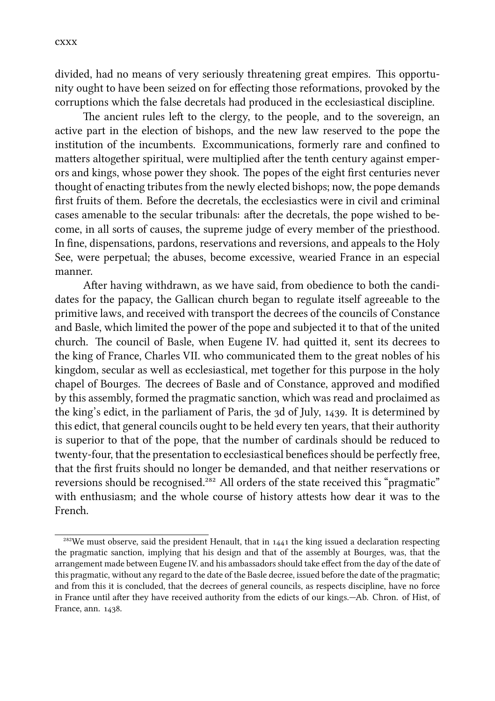divided, had no means of very seriously threatening great empires. This opportunity ought to have been seized on for effecting those reformations, provoked by the corruptions which the false decretals had produced in the ecclesiastical discipline.

The ancient rules left to the clergy, to the people, and to the sovereign, an active part in the election of bishops, and the new law reserved to the pope the institution of the incumbents. Excommunications, formerly rare and confined to matters altogether spiritual, were multiplied after the tenth century against emperors and kings, whose power they shook. The popes of the eight first centuries never thought of enacting tributes from the newly elected bishops; now, the pope demands first fruits of them. Before the decretals, the ecclesiastics were in civil and criminal cases amenable to the secular tribunals: after the decretals, the pope wished to become, in all sorts of causes, the supreme judge of every member of the priesthood. In fine, dispensations, pardons, reservations and reversions, and appeals to the Holy See, were perpetual; the abuses, become excessive, wearied France in an especial manner.

After having withdrawn, as we have said, from obedience to both the candidates for the papacy, the Gallican church began to regulate itself agreeable to the primitive laws, and received with transport the decrees of the councils of Constance and Basle, which limited the power of the pope and subjected it to that of the united church. The council of Basle, when Eugene IV. had quitted it, sent its decrees to the king of France, Charles VII. who communicated them to the great nobles of his kingdom, secular as well as ecclesiastical, met together for this purpose in the holy chapel of Bourges. The decrees of Basle and of Constance, approved and modified by this assembly, formed the pragmatic sanction, which was read and proclaimed as the king's edict, in the parliament of Paris, the 3d of July,  $1439$ . It is determined by this edict, that general councils ought to be held every ten years, that their authority is superior to that of the pope, that the number of cardinals should be reduced to twenty-four, that the presentation to ecclesiastical benefices should be perfectly free, that the first fruits should no longer be demanded, and that neither reservations or reversions should be recognised.<sup>282</sup> All orders of the state received this "pragmatic" with enthusiasm; and the whole course of history attests how dear it was to the French.

 $^{282}\text{We must observe, said the president Henault, that in 1441 the king issued a declaration respectively.}$ the pragmatic sanction, implying that his design and that of the assembly at Bourges, was, that the arrangement made between Eugene IV. and his ambassadors should take effect from the day of the date of this pragmatic, without any regard to the date of the Basle decree, issued before the date of the pragmatic; and from this it is concluded, that the decrees of general councils, as respects discipline, have no force in France until after they have received authority from the edicts of our kings.—Ab. Chron. of Hist, of France, ann. 1438.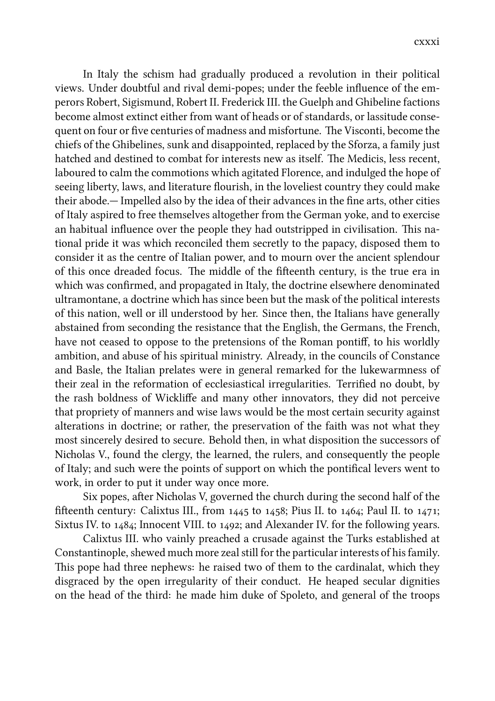In Italy the schism had gradually produced a revolution in their political views. Under doubtful and rival demi-popes; under the feeble influence of the emperors Robert, Sigismund, Robert II. Frederick III. the Guelph and Ghibeline factions become almost extinct either from want of heads or of standards, or lassitude consequent on four or five centuries of madness and misfortune. The Visconti, become the chiefs of the Ghibelines, sunk and disappointed, replaced by the Sforza, a family just hatched and destined to combat for interests new as itself. The Medicis, less recent, laboured to calm the commotions which agitated Florence, and indulged the hope of seeing liberty, laws, and literature flourish, in the loveliest country they could make their abode.— Impelled also by the idea of their advances in the fine arts, other cities of Italy aspired to free themselves altogether from the German yoke, and to exercise an habitual influence over the people they had outstripped in civilisation. This national pride it was which reconciled them secretly to the papacy, disposed them to consider it as the centre of Italian power, and to mourn over the ancient splendour of this once dreaded focus. The middle of the fifteenth century, is the true era in which was confirmed, and propagated in Italy, the doctrine elsewhere denominated ultramontane, a doctrine which has since been but the mask of the political interests of this nation, well or ill understood by her. Since then, the Italians have generally abstained from seconding the resistance that the English, the Germans, the French, have not ceased to oppose to the pretensions of the Roman pontiff, to his worldly ambition, and abuse of his spiritual ministry. Already, in the councils of Constance and Basle, the Italian prelates were in general remarked for the lukewarmness of their zeal in the reformation of ecclesiastical irregularities. Terrified no doubt, by the rash boldness of Wickliffe and many other innovators, they did not perceive that propriety of manners and wise laws would be the most certain security against alterations in doctrine; or rather, the preservation of the faith was not what they most sincerely desired to secure. Behold then, in what disposition the successors of Nicholas V., found the clergy, the learned, the rulers, and consequently the people of Italy; and such were the points of support on which the pontifical levers went to work, in order to put it under way once more.

Six popes, after Nicholas V, governed the church during the second half of the fifteenth century: Calixtus III., from  $1445$  to  $1458$ ; Pius II. to  $1464$ ; Paul II. to  $1471$ ; Sixtus IV. to  $1484$ ; Innocent VIII. to  $1492$ ; and Alexander IV. for the following years.

Calixtus III. who vainly preached a crusade against the Turks established at Constantinople, shewed much more zeal still for the particular interests of his family. This pope had three nephews: he raised two of them to the cardinalat, which they disgraced by the open irregularity of their conduct. He heaped secular dignities on the head of the third: he made him duke of Spoleto, and general of the troops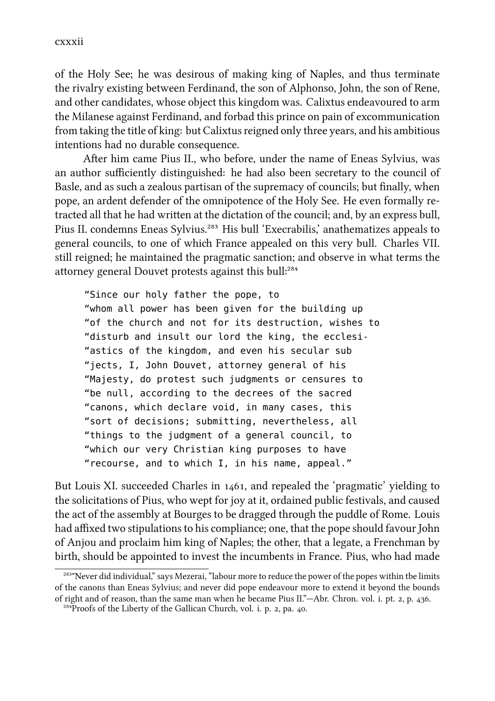of the Holy See; he was desirous of making king of Naples, and thus terminate the rivalry existing between Ferdinand, the son of Alphonso, John, the son of Rene, and other candidates, whose object this kingdom was. Calixtus endeavoured to arm the Milanese against Ferdinand, and forbad this prince on pain of excommunication from taking the title of king: but Calixtus reigned only three years, and his ambitious intentions had no durable consequence.

After him came Pius II., who before, under the name of Eneas Sylvius, was an author sufficiently distinguished: he had also been secretary to the council of Basle, and as such a zealous partisan of the supremacy of councils; but finally, when pope, an ardent defender of the omnipotence of the Holy See. He even formally retracted all that he had written at the dictation of the council; and, by an express bull, Pius II. condemns Eneas Sylvius.<sup>283</sup> His bull 'Execrabilis,' anathematizes appeals to general councils, to one of which France appealed on this very bull. Charles VII. still reigned; he maintained the pragmatic sanction; and observe in what terms the attorney general Douvet protests against this bull:<sup>284</sup>

"Since our holy father the pope, to "whom all power has been given for the building up "of the church and not for its destruction, wishes to "disturb and insult our lord the king, the ecclesi- "astics of the kingdom, and even his secular sub "jects, I, John Douvet, attorney general of his "Majesty, do protest such judgments or censures to "be null, according to the decrees of the sacred "canons, which declare void, in many cases, this "sort of decisions; submitting, nevertheless, all "things to the judgment of a general council, to "which our very Christian king purposes to have "recourse, and to which I, in his name, appeal."

But Louis XI. succeeded Charles in 1461, and repealed the 'pragmatic' yielding to the solicitations of Pius, who wept for joy at it, ordained public festivals, and caused the act of the assembly at Bourges to be dragged through the puddle of Rome. Louis had affixed two stipulations to his compliance; one, that the pope should favour John of Anjou and proclaim him king of Naples; the other, that a legate, a Frenman by birth, should be appointed to invest the incumbents in France. Pius, who had made

<sup>&</sup>lt;sup>283</sup>"Never did individual," says Mezerai, "labour more to reduce the power of the popes within tbe limits of the canons than Eneas Sylvius; and never did pope endeavour more to extend it beyond the bounds of right and of reason, than the same man when he became Pius II."—Abr. Chron. vol. i. pt. 2, p. 436.

 $^{284}$ Proofs of the Liberty of the Gallican Church, vol. i. p. 2, pa. 40.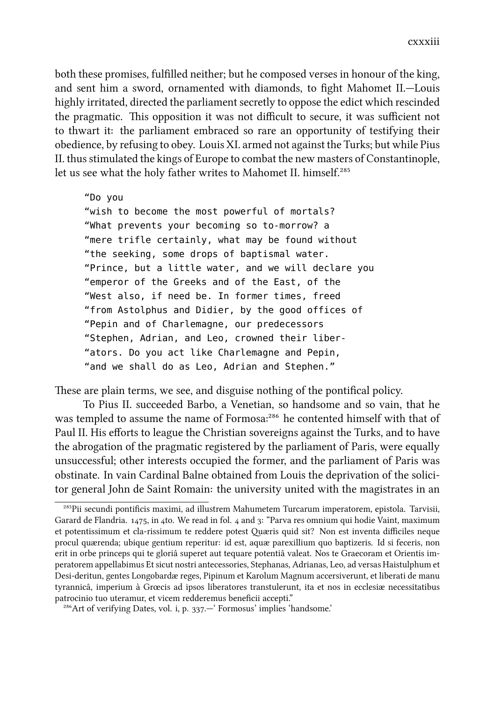both these promises, fulfilled neither; but he composed verses in honour of the king, and sent him a sword, ornamented with diamonds, to fight Mahomet II.—Louis highly irritated, directed the parliament secretly to oppose the edict which rescinded the pragmatic. This opposition it was not difficult to secure, it was sufficient not to thwart it: the parliament embraced so rare an opportunity of testifying their obedience, by refusing to obey. Louis XI. armed not against the Turks; but while Pius II. thus stimulated the kings of Europe to combat the new masters of Constantinople, let us see what the holy father writes to Mahomet II. himself.<sup>285</sup>

"Do you "wish to become the most powerful of mortals? "What prevents your becoming so to-morrow? a "mere trifle certainly, what may be found without "the seeking, some drops of baptismal water. "Prince, but a little water, and we will declare you "emperor of the Greeks and of the East, of the "West also, if need be. In former times, freed "from Astolphus and Didier, by the good offices of "Pepin and of Charlemagne, our predecessors "Stephen, Adrian, and Leo, crowned their liber- "ators. Do you act like Charlemagne and Pepin, "and we shall do as Leo, Adrian and Stephen."

These are plain terms, we see, and disguise nothing of the pontifical policy.

To Pius II. succeeded Barbo, a Venetian, so handsome and so vain, that he was templed to assume the name of Formosa:<sup>286</sup> he contented himself with that of Paul II. His efforts to league the Christian sovereigns against the Turks, and to have the abrogation of the pragmatic registered by the parliament of Paris, were equally unsuccessful; other interests occupied the former, and the parliament of Paris was obstinate. In vain Cardinal Balne obtained from Louis the deprivation of the solicitor general John de Saint Romain: the university united with the magistrates in an

<sup>&</sup>lt;sup>285</sup>Pii secundi pontificis maximi, ad illustrem Mahumetem Turcarum imperatorem, epistola. Tarvisii, Garard de Flandria. 1475, in 4to. We read in fol. 4 and 3: "Parva res omnium qui hodie Vaint, maximum et potentissimum et cla-rissimum te reddere potest Quæris quid sit? Non est inventa difficiles neque procul quærenda; ubique gentium reperitur: id est, aquæ parexillium quo baptizeris. Id si feceris, non erit in orbe princeps qui te gloriâ superet aut tequare potentiâ valeat. Nos te Graecoram et Orientis imperatorem appellabimus Et sicut nostri antecessories, Stephanas, Adrianas, Leo, ad versas Haistulphum et Desi-deritun, gentes Longobardæ reges, Pipinum et Karolum Magnum accersiverunt, et liberati de manu tyrannicâ, imperium à Grœcis ad ipsos liberatores transtulerunt, ita et nos in ecclesiæ necessitatibus patrocinio tuo uteramur, et vicem redderemus beneficii accepti."

<sup>&</sup>lt;sup>286</sup>Art of verifying Dates, vol. i, p. 337 .— 'Formosus' implies 'handsome.'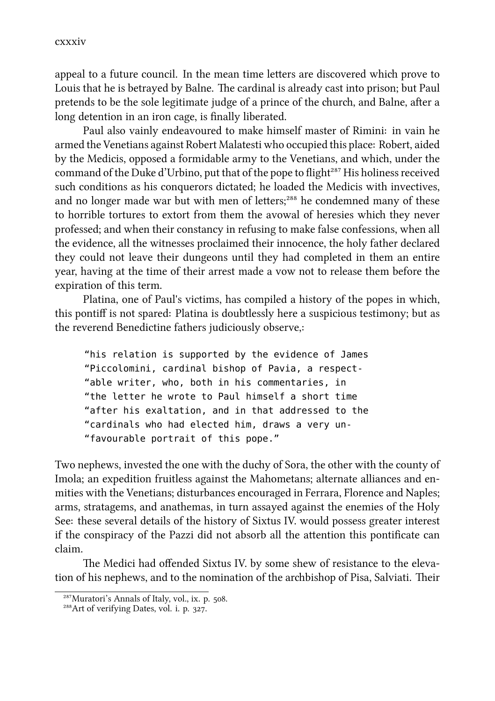cxxxiv

appeal to a future council. In the mean time letters are discovered which prove to Louis that he is betrayed by Balne. The cardinal is already cast into prison; but Paul pretends to be the sole legitimate judge of a prince of the church, and Balne, after a long detention in an iron cage, is finally liberated.

Paul also vainly endeavoured to make himself master of Rimini: in vain he armed the Venetians against Robert Malatesti who occupied this place: Robert, aided by the Medicis, opposed a formidable army to the Venetians, and which, under the command of the Duke d'Urbino, put that of the pope to flight<sup>287</sup> His holiness received such conditions as his conquerors dictated; he loaded the Medicis with invectives, and no longer made war but with men of letters;<sup>288</sup> he condemned many of these to horrible tortures to extort from them the avowal of heresies which they never professed; and when their constancy in refusing to make false confessions, when all the evidence, all the witnesses proclaimed their innocence, the holy father declared they could not leave their dungeons until they had completed in them an entire year, having at the time of their arrest made a vow not to release them before the expiration of this term.

Platina, one of Paul's victims, has compiled a history of the popes in which. this pontiff is not spared: Platina is doubtlessly here a suspicious testimony; but as the reverend Benedictine fathers judiciously observe,:

"his relation is supported by the evidence of James "Piccolomini, cardinal bishop of Pavia, a respect- "able writer, who, both in his commentaries, in "the letter he wrote to Paul himself a short time "after his exaltation, and in that addressed to the "cardinals who had elected him, draws a very un- "favourable portrait of this pope."

Two nephews, invested the one with the duchy of Sora, the other with the county of Imola; an expedition fruitless against the Mahometans; alternate alliances and enmities with the Venetians; disturbances encouraged in Ferrara, Florence and Naples; arms, stratagems, and anathemas, in turn assayed against the enemies of the Holy See: these several details of the history of Sixtus IV. would possess greater interest if the conspiracy of the Pazzi did not absorb all the attention this pontificate can claim.

The Medici had offended Sixtus IV. by some shew of resistance to the elevation of his nephews, and to the nomination of the archbishop of Pisa, Salviati. Their

<sup>&</sup>lt;sup>287</sup>Muratori's Annals of Italy, vol., ix. p. 508.

<sup>&</sup>lt;sup>288</sup>Art of verifying Dates, vol. i. p. 327.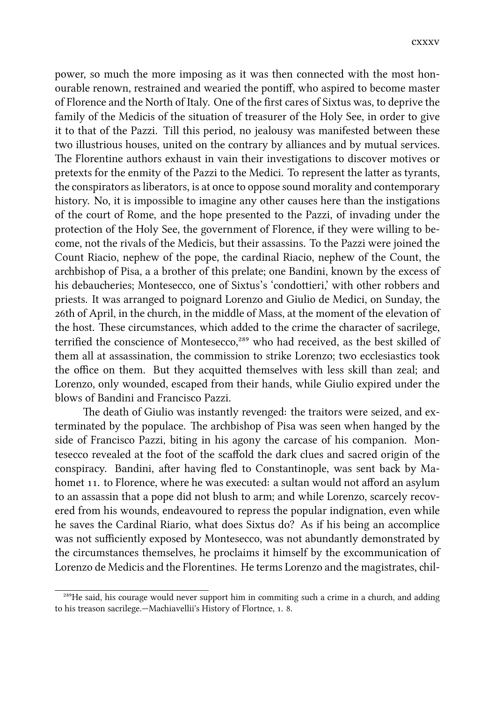power, so much the more imposing as it was then connected with the most honourable renown, restrained and wearied the pontiff, who aspired to become master of Florence and the North of Italy. One of the first cares of Sixtus was, to deprive the family of the Medicis of the situation of treasurer of the Holy See, in order to give it to that of the Pazzi. Till this period, no jealousy was manifested between these two illustrious houses, united on the contrary by alliances and by mutual services. The Florentine authors exhaust in vain their investigations to discover motives or pretexts for the enmity of the Pazzi to the Medici. To represent the latter as tyrants, the conspirators as liberators, is at once to oppose sound morality and contemporary history. No, it is impossible to imagine any other causes here than the instigations of the court of Rome, and the hope presented to the Pazzi, of invading under the protection of the Holy See, the government of Florence, if they were willing to become, not the rivals of the Medicis, but their assassins. To the Pazzi were joined the Count Riacio, nephew of the pope, the cardinal Riacio, nephew of the Count, the archbishop of Pisa, a a brother of this prelate; one Bandini, known by the excess of his debaucheries; Montesecco, one of Sixtus's 'condottieri,' with other robbers and priests. It was arranged to poignard Lorenzo and Giulio de Medici, on Sunday, the 26th of April, in the church, in the middle of Mass, at the moment of the elevation of the host. These circumstances, which added to the crime the character of sacrilege, terrified the conscience of Montesecco,<sup>289</sup> who had received, as the best skilled of them all at assassination, the commission to strike Lorenzo; two ecclesiastics took the office on them. But they acquitted themselves with less skill than zeal; and Lorenzo, only wounded, escaped from their hands, while Giulio expired under the blows of Bandini and Francisco Pazzi.

The death of Giulio was instantly revenged: the traitors were seized, and exterminated by the populace. The archbishop of Pisa was seen when hanged by the side of Francisco Pazzi, biting in his agony the carcase of his companion. Montesecco revealed at the foot of the scaffold the dark clues and sacred origin of the conspiracy. Bandini, after having fled to Constantinople, was sent back by Mahomet 11. to Florence, where he was executed: a sultan would not afford an asylum to an assassin that a pope did not blush to arm; and while Lorenzo, scarcely recovered from his wounds, endeavoured to repress the popular indignation, even while he saves the Cardinal Riario, what does Sixtus do? As if his being an accomplice was not sufficiently exposed by Montesecco, was not abundantly demonstrated by the circumstances themselves, he proclaims it himself by the excommunication of Lorenzo de Medicis and the Florentines. He terms Lorenzo and the magistrates, chil-

<sup>&</sup>lt;sup>289</sup>He said, his courage would never support him in commiting such a crime in a church, and adding to his treason sacrilege.—Machiavellii's History of Flortnce, 1. 8.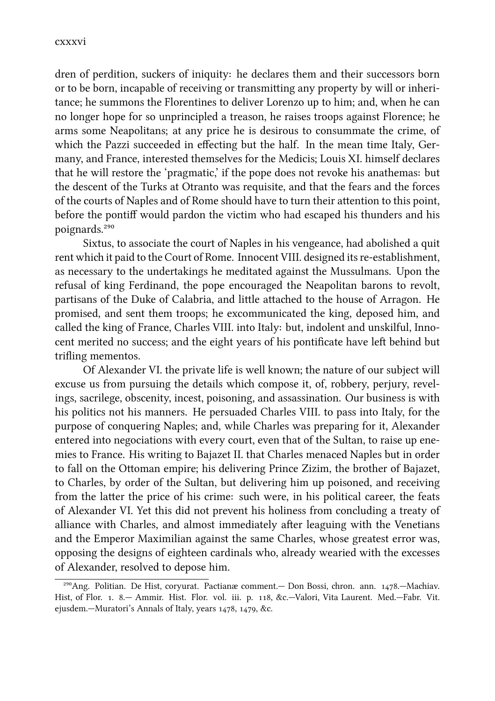dren of perdition, suckers of iniquity: he declares them and their successors born or to be born, incapable of receiving or transmiing any property by will or inheritance; he summons the Florentines to deliver Lorenzo up to him; and, when he can no longer hope for so unprincipled a treason, he raises troops against Florence; he arms some Neapolitans; at any price he is desirous to consummate the crime, of which the Pazzi succeeded in effecting but the half. In the mean time Italy, Germany, and France, interested themselves for the Medicis; Louis XI. himself declares that he will restore the 'pragmatic,' if the pope does not revoke his anathemas: but the descent of the Turks at Otranto was requisite, and that the fears and the forces of the courts of Naples and of Rome should have to turn their attention to this point, before the pontiff would pardon the victim who had escaped his thunders and his poignards.<sup>290</sup>

Sixtus, to associate the court of Naples in his vengeance, had abolished a quit rent which it paid to the Court of Rome. Innocent VIII. designed its re-establishment, as necessary to the undertakings he meditated against the Mussulmans. Upon the refusal of king Ferdinand, the pope encouraged the Neapolitan barons to revolt, partisans of the Duke of Calabria, and little attached to the house of Arragon. He promised, and sent them troops; he excommunicated the king, deposed him, and called the king of France, Charles VIII. into Italy: but, indolent and unskilful, Innocent merited no success; and the eight years of his pontificate have left behind but trifling mementos.

Of Alexander VI. the private life is well known; the nature of our subject will excuse us from pursuing the details which compose it, of, robbery, perjury, revelings, sacrilege, obscenity, incest, poisoning, and assassination. Our business is with his politics not his manners. He persuaded Charles VIII. to pass into Italy, for the purpose of conquering Naples; and, while Charles was preparing for it, Alexander entered into negociations with every court, even that of the Sultan, to raise up enemies to France. His writing to Bajazet II. that Charles menaced Naples but in order to fall on the Ottoman empire; his delivering Prince Zizim, the brother of Bajazet, to Charles, by order of the Sultan, but delivering him up poisoned, and receiving from the latter the price of his crime: such were, in his political career, the feats of Alexander VI. Yet this did not prevent his holiness from concluding a treaty of alliance with Charles, and almost immediately after leaguing with the Venetians and the Emperor Maximilian against the same Charles, whose greatest error was, opposing the designs of eighteen cardinals who, already wearied with the excesses of Alexander, resolved to depose him.

 $^{290}$ Ang. Politian. De Hist, coryurat. Pactianæ comment.— Don Bossi, chron. ann. 1478.—Machiav. Hist, of Flor. 1. 8. - Ammir. Hist. Flor. vol. iii. p. 118, &c. - Valori, Vita Laurent. Med. - Fabr. Vit. ejusdem.—Muratori's Annals of Italy, years  $1478$ ,  $1479$ , &c.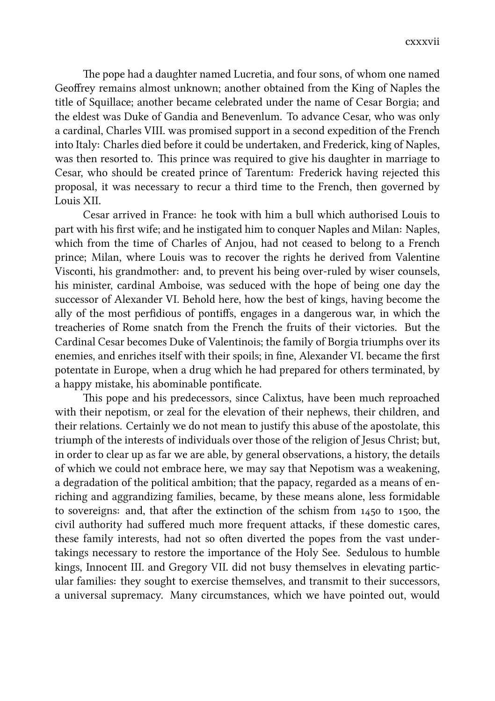e pope had a daughter named Lucretia, and four sons, of whom one named Geoffrey remains almost unknown; another obtained from the King of Naples the title of Squillace; another became celebrated under the name of Cesar Borgia; and the eldest was Duke of Gandia and Benevenlum. To advance Cesar, who was only a cardinal, Charles VIII. was promised support in a second expedition of the Fren into Italy: Charles died before it could be undertaken, and Frederick, king of Naples, was then resorted to. This prince was required to give his daughter in marriage to Cesar, who should be created prince of Tarentum: Frederick having rejected this proposal, it was necessary to recur a third time to the French, then governed by Louis XII.

Cesar arrived in France: he took with him a bull which authorised Louis to part with his first wife; and he instigated him to conquer Naples and Milan: Naples, which from the time of Charles of Anjou, had not ceased to belong to a French prince; Milan, where Louis was to recover the rights he derived from Valentine Visconti, his grandmother: and, to prevent his being over-ruled by wiser counsels, his minister, cardinal Amboise, was seduced with the hope of being one day the successor of Alexander VI. Behold here, how the best of kings, having become the ally of the most perfidious of pontiffs, engages in a dangerous war, in which the treacheries of Rome snatch from the French the fruits of their victories. But the Cardinal Cesar becomes Duke of Valentinois; the family of Borgia triumphs over its enemies, and enries itself with their spoils; in fine, Alexander VI. became the first potentate in Europe, when a drug which he had prepared for others terminated, by a happy mistake, his abominable pontificate.

This pope and his predecessors, since Calixtus, have been much reproached with their nepotism, or zeal for the elevation of their nephews, their children, and their relations. Certainly we do not mean to justify this abuse of the apostolate, this triumph of the interests of individuals over those of the religion of Jesus Christ; but, in order to clear up as far we are able, by general observations, a history, the details of which we could not embrace here, we may say that Nepotism was a weakening, a degradation of the political ambition; that the papacy, regarded as a means of enriching and aggrandizing families, became, by these means alone, less formidable to sovereigns: and, that after the extinction of the schism from  $1450$  to  $1500$ , the civil authority had suffered much more frequent attacks, if these domestic cares, these family interests, had not so often diverted the popes from the vast undertakings necessary to restore the importance of the Holy See. Sedulous to humble kings, Innocent III. and Gregory VII. did not busy themselves in elevating particular families: they sought to exercise themselves, and transmit to their successors, a universal supremacy. Many circumstances, which we have pointed out, would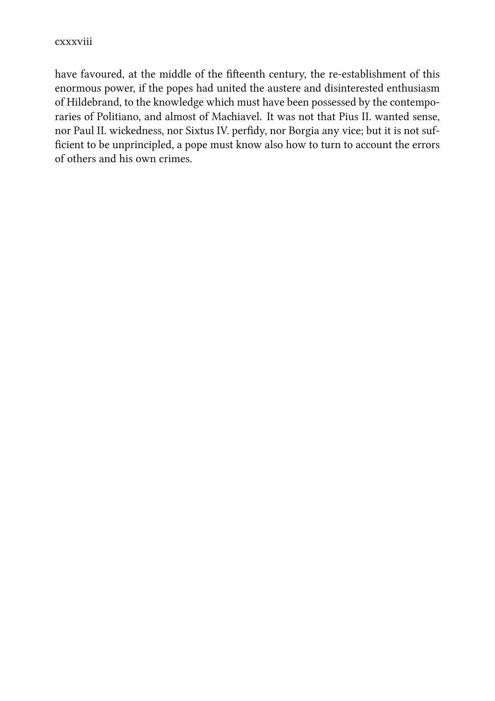have favoured, at the middle of the fifteenth century, the re-establishment of this enormous power, if the popes had united the austere and disinterested enthusiasm of Hildebrand, to the knowledge which must have been possessed by the contemporaries of Politiano, and almost of Machiavel. It was not that Pius II. wanted sense, nor Paul II. wiedness, nor Sixtus IV. perfidy, nor Borgia any vice; but it is not sufficient to be unprincipled, a pope must know also how to turn to account the errors of others and his own crimes.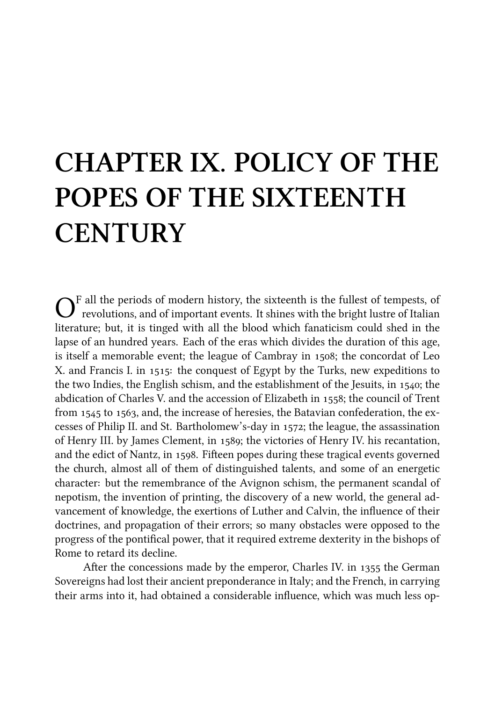## **CHAPTER IX. POLICY OF THE POPES OF THE SIXTEENTH CENTURY**

 $\mathbf{O}^{\mathrm{F}}$  all the periods of modern history, the sixteenth is the fullest of tempests, of revolutions, and of important events. It shines with the bright lustre of Italian  $\sum$ F all the periods of modern history, the sixteenth is the fullest of tempests, of literature; but, it is tinged with all the blood which fanaticism could shed in the lapse of an hundred years. Each of the eras which divides the duration of this age, is itself a memorable event; the league of Cambray in 1508; the concordat of Leo X. and Francis I. in 1515: the conquest of Egypt by the Turks, new expeditions to the two Indies, the English schism, and the establishment of the Jesuits, in  $1540$ ; the abdication of Charles V. and the accession of Elizabeth in 1558; the council of Trent from  $1545$  to  $1563$ , and, the increase of heresies, the Batavian confederation, the excesses of Philip II. and St. Bartholomew's-day in 1572; the league, the assassination of Henry III. by James Clement, in 1589; the victories of Henry IV. his recantation, and the edict of Nantz, in 1598. Fifteen popes during these tragical events governed the church, almost all of them of distinguished talents, and some of an energetic character: but the remembrance of the Avignon schism, the permanent scandal of nepotism, the invention of printing, the discovery of a new world, the general advancement of knowledge, the exertions of Luther and Calvin, the influence of their doctrines, and propagation of their errors; so many obstacles were opposed to the progress of the pontifical power, that it required extreme dexterity in the bishops of Rome to retard its decline.

After the concessions made by the emperor, Charles IV. in 1355 the German Sovereigns had lost their ancient preponderance in Italy; and the French, in carrying their arms into it, had obtained a considerable influence, which was much less op-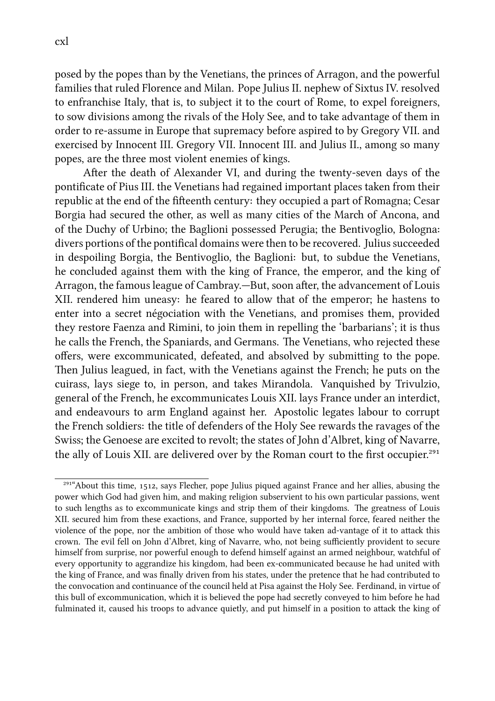posed by the popes than by the Venetians, the princes of Arragon, and the powerful families that ruled Florence and Milan. Pope Julius II. nephew of Sixtus IV. resolved to enfranchise Italy, that is, to subject it to the court of Rome, to expel foreigners, to sow divisions among the rivals of the Holy See, and to take advantage of them in order to re-assume in Europe that supremacy before aspired to by Gregory VII. and exercised by Innocent III. Gregory VII. Innocent III. and Julius II., among so many popes, are the three most violent enemies of kings.

After the death of Alexander VI, and during the twenty-seven days of the pontificate of Pius III. the Venetians had regained important places taken from their republic at the end of the fifteenth century: they occupied a part of Romagna; Cesar Borgia had secured the other, as well as many cities of the March of Ancona, and of the Duy of Urbino; the Baglioni possessed Perugia; the Bentivoglio, Bologna: divers portions of the pontifical domains were then to be recovered. Julius succeeded in despoiling Borgia, the Bentivoglio, the Baglioni: but, to subdue the Venetians, he concluded against them with the king of France, the emperor, and the king of Arragon, the famous league of Cambray.—But, soon after, the advancement of Louis XII. rendered him uneasy: he feared to allow that of the emperor; he hastens to enter into a secret négociation with the Venetians, and promises them, provided they restore Faenza and Rimini, to join them in repelling the 'barbarians'; it is thus he calls the French, the Spaniards, and Germans. The Venetians, who rejected these offers, were excommunicated, defeated, and absolved by submiing to the pope. Then Julius leagued, in fact, with the Venetians against the French; he puts on the cuirass, lays siege to, in person, and takes Mirandola. Vanquished by Trivulzio, general of the French, he excommunicates Louis XII. lays France under an interdict, and endeavours to arm England against her. Apostolic legates labour to corrupt the French soldiers: the title of defenders of the Holy See rewards the ravages of the Swiss; the Genoese are excited to revolt; the states of John d'Albret, king of Navarre, the ally of Louis XII. are delivered over by the Roman court to the first occupier.<sup>291</sup>

<sup>&</sup>lt;sup>291"</sup>About this time, 1512, says Flecher, pope Julius piqued against France and her allies, abusing the power which God had given him, and making religion subservient to his own particular passions, went to such lengths as to excommunicate kings and strip them of their kingdoms. The greatness of Louis XII. secured him from these exactions, and France, supported by her internal force, feared neither the violence of the pope, nor the ambition of those who would have taken ad-vantage of it to attack this crown. The evil fell on John d'Albret, king of Navarre, who, not being sufficiently provident to secure himself from surprise, nor powerful enough to defend himself against an armed neighbour, watchful of every opportunity to aggrandize his kingdom, had been ex-communicated because he had united with the king of France, and was finally driven from his states, under the pretence that he had contributed to the convocation and continuance of the council held at Pisa against the Holy See. Ferdinand, in virtue of this bull of excommunication, which it is believed the pope had secretly conveyed to him before he had fulminated it, caused his troops to advance quietly, and put himself in a position to attack the king of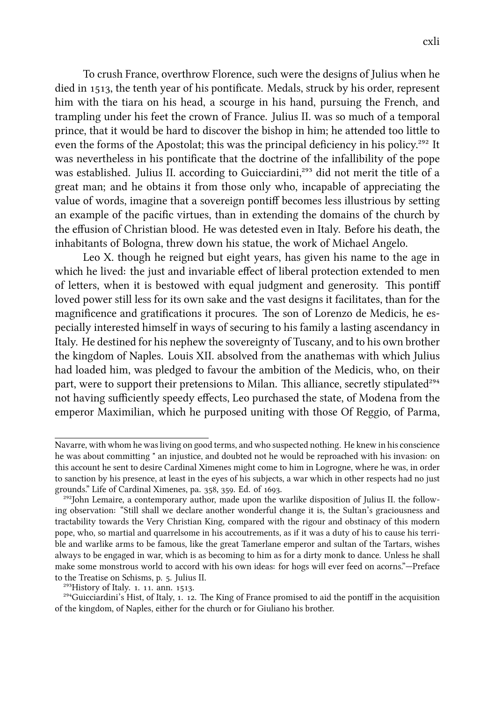To crush France, overthrow Florence, such were the designs of Julius when he died in 1513, the tenth year of his pontificate. Medals, struck by his order, represent him with the tiara on his head, a scourge in his hand, pursuing the French, and trampling under his feet the crown of France. Julius II. was so much of a temporal prince, that it would be hard to discover the bishop in him; he attended too little to even the forms of the Apostolat; this was the principal deficiency in his policy.<sup>292</sup> It was nevertheless in his pontificate that the doctrine of the infallibility of the pope was established. Julius II. according to Guicciardini,<sup>293</sup> did not merit the title of a great man; and he obtains it from those only who, incapable of appreciating the value of words, imagine that a sovereign pontiff becomes less illustrious by seing an example of the pacific virtues, than in extending the domains of the church by the effusion of Christian blood. He was detested even in Italy. Before his death, the inhabitants of Bologna, threw down his statue, the work of Michael Angelo.

Leo X. though he reigned but eight years, has given his name to the age in which he lived: the just and invariable effect of liberal protection extended to men of letters, when it is bestowed with equal judgment and generosity. This pontiff loved power still less for its own sake and the vast designs it facilitates, than for the magnificence and gratifications it procures. The son of Lorenzo de Medicis, he especially interested himself in ways of securing to his family a lasting ascendancy in Italy. He destined for his nephew the sovereignty of Tuscany, and to his own brother the kingdom of Naples. Louis XII. absolved from the anathemas with which Julius had loaded him, was pledged to favour the ambition of the Medicis, who, on their part, were to support their pretensions to Milan. This alliance, secretly stipulated<sup>294</sup> not having sufficiently speedy effects, Leo purchased the state, of Modena from the emperor Maximilian, which he purposed uniting with those Of Reggio, of Parma,

Navarre, with whom he was living on good terms, and who suspected nothing. He knew in his conscience he was about committing " an injustice, and doubted not he would be reproached with his invasion: on this account he sent to desire Cardinal Ximenes might come to him in Logrogne, where he was, in order to sanction by his presence, at least in the eyes of his subjects, a war which in other respects had no just grounds." Life of Cardinal Ximenes, pa. 358, 359. Ed. of 1693.

<sup>&</sup>lt;sup>292</sup>John Lemaire, a contemporary author, made upon the warlike disposition of Julius II. the following observation: "Still shall we declare another wonderful change it is, the Sultan's graciousness and tractability towards the Very Christian King, compared with the rigour and obstinacy of this modern pope, who, so martial and quarrelsome in his accoutrements, as if it was a duty of his to cause his terrible and warlike arms to be famous, like the great Tamerlane emperor and sultan of the Tartars, wishes always to be engaged in war, which is as becoming to him as for a dirty monk to dance. Unless he shall make some monstrous world to accord with his own ideas: for hogs will ever feed on acorns."—Preface to the Treatise on Schisms, p. 5. Julius II.

 $^{293}$ History of Italy. 1. 11. ann. 1513.

 $^{294}$ Guicciardini's Hist, of Italy, 1. 12. The King of France promised to aid the pontiff in the acquisition of the kingdom, of Naples, either for the church or for Giuliano his brother.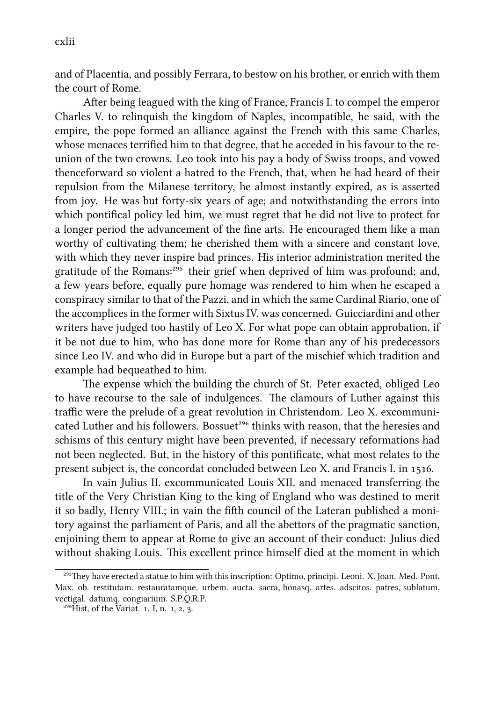and of Placentia, and possibly Ferrara, to bestow on his brother, or enrich with them the court of Rome.

After being leagued with the king of France, Francis I. to compel the emperor Charles V. to relinquish the kingdom of Naples, incompatible, he said, with the empire, the pope formed an alliance against the French with this same Charles, whose menaces terrified him to that degree, that he acceded in his favour to the reunion of the two crowns. Leo took into his pay a body of Swiss troops, and vowed thenceforward so violent a hatred to the French, that, when he had heard of their repulsion from the Milanese territory, he almost instantly expired, as is asserted from joy. He was but forty-six years of age; and notwithstanding the errors into which pontifical policy led him, we must regret that he did not live to protect for a longer period the advancement of the fine arts. He encouraged them like a man worthy of cultivating them; he cherished them with a sincere and constant love, with which they never inspire bad princes. His interior administration merited the gratitude of the Romans:<sup>295</sup> their grief when deprived of him was profound; and, a few years before, equally pure homage was rendered to him when he escaped a conspiracy similar to that of the Pazzi, and in which the same Cardinal Riario, one of the accomplices in the former with Sixtus IV. was concerned. Guicciardini and other writers have judged too hastily of Leo X. For what pope can obtain approbation, if it be not due to him, who has done more for Rome than any of his predecessors since Leo IV. and who did in Europe but a part of the mischief which tradition and example had bequeathed to him.

The expense which the building the church of St. Peter exacted, obliged Leo to have recourse to the sale of indulgences. The clamours of Luther against this traffic were the prelude of a great revolution in Christendom. Leo X. excommunicated Luther and his followers. Bossuet<sup>296</sup> thinks with reason, that the heresies and schisms of this century might have been prevented, if necessary reformations had not been neglected. But, in the history of this pontificate, what most relates to the present subject is, the concordat concluded between Leo X. and Francis I. in 1516.

In vain Julius II. excommunicated Louis XII. and menaced transferring the title of the Very Christian King to the king of England who was destined to merit it so badly, Henry VIII.; in vain the fih council of the Lateran published a monitory against the parliament of Paris, and all the abettors of the pragmatic sanction, enjoining them to appear at Rome to give an account of their conduct: Julius died without shaking Louis. This excellent prince himself died at the moment in which

<sup>&</sup>lt;sup>295</sup>They have erected a statue to him with this inscription: Optimo, principi. Leoni. X. Joan. Med. Pont. Max. ob. restitutam. restauratamque. urbem. aucta. sacra, bonasq. artes. adscitos. patres, sublatum, vectigal. datumq. congiarium. S.P.Q.R.P.

<sup>&</sup>lt;sup>296</sup>Hist, of the Variat. 1, I, n. 1, 2, 3.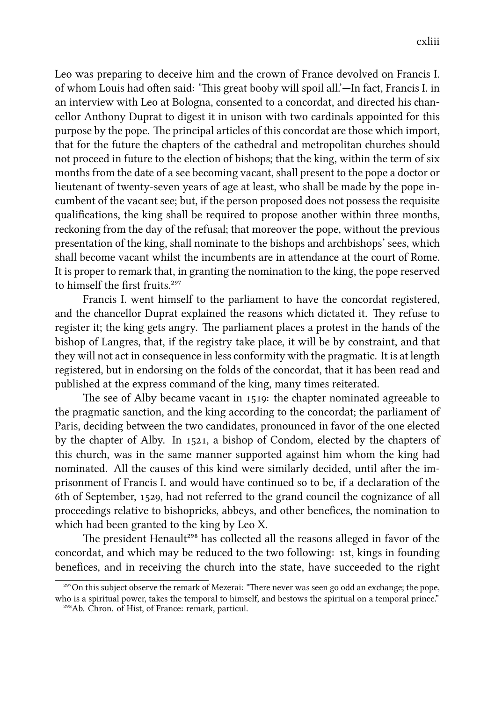Leo was preparing to deceive him and the crown of France devolved on Francis I. of whom Louis had often said: 'This great booby will spoil all.'—In fact, Francis I. in an interview with Leo at Bologna, consented to a concordat, and directed his chancellor Anthony Duprat to digest it in unison with two cardinals appointed for this purpose by the pope. The principal articles of this concordat are those which import, that for the future the chapters of the cathedral and metropolitan churches should not proceed in future to the election of bishops; that the king, within the term of six months from the date of a see becoming vacant, shall present to the pope a doctor or lieutenant of twenty-seven years of age at least, who shall be made by the pope incumbent of the vacant see; but, if the person proposed does not possess the requisite qualifications, the king shall be required to propose another within three months, reckoning from the day of the refusal; that moreover the pope, without the previous presentation of the king, shall nominate to the bishops and arbishops' sees, whi shall become vacant whilst the incumbents are in attendance at the court of Rome. It is proper to remark that, in granting the nomination to the king, the pope reserved to himself the first fruits<sup>297</sup>

Francis I. went himself to the parliament to have the concordat registered, and the chancellor Duprat explained the reasons which dictated it. They refuse to register it; the king gets angry. The parliament places a protest in the hands of the bishop of Langres, that, if the registry take place, it will be by constraint, and that they will not act in consequence in less conformity with the pragmatic. It is at length registered, but in endorsing on the folds of the concordat, that it has been read and published at the express command of the king, many times reiterated.

The see of Alby became vacant in 1519: the chapter nominated agreeable to the pragmatic sanction, and the king according to the concordat; the parliament of Paris, deciding between the two candidates, pronounced in favor of the one elected by the chapter of Alby. In 1521, a bishop of Condom, elected by the chapters of this church, was in the same manner supported against him whom the king had nominated. All the causes of this kind were similarly decided, until after the imprisonment of Francis I. and would have continued so to be, if a declaration of the 6th of September, 1529, had not referred to the grand council the cognizance of all proceedings relative to bishopricks, abbeys, and other benefices, the nomination to which had been granted to the king by Leo X.

The president Henault<sup>298</sup> has collected all the reasons alleged in favor of the concordat, and which may be reduced to the two following: 1st, kings in founding benefices, and in receiving the church into the state, have succeeded to the right

 $^{297}$ On this subject observe the remark of Mezerai: "There never was seen go odd an exchange; the pope, who is a spiritual power, takes the temporal to himself, and bestows the spiritual on a temporal prince."

<sup>&</sup>lt;sup>298</sup>Ab. Chron. of Hist, of France: remark, particul.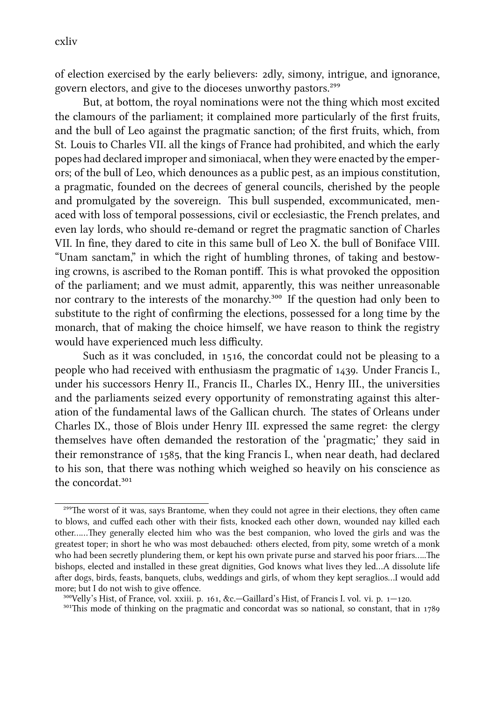of election exercised by the early believers: dly, simony, intrigue, and ignorance, govern electors, and give to the dioceses unworthy pastors.<sup>299</sup>

But, at bottom, the royal nominations were not the thing which most excited the clamours of the parliament; it complained more particularly of the first fruits, and the bull of Leo against the pragmatic sanction; of the first fruits, which, from St. Louis to Charles VII. all the kings of France had prohibited, and which the early popes had declared improper and simoniacal, when they were enacted by the emperors; of the bull of Leo, which denounces as a public pest, as an impious constitution, a pragmatic, founded on the decrees of general councils, erished by the people and promulgated by the sovereign. This bull suspended, excommunicated, menaced with loss of temporal possessions, civil or ecclesiastic, the French prelates, and even lay lords, who should re-demand or regret the pragmatic sanction of Charles VII. In fine, they dared to cite in this same bull of Leo X. the bull of Boniface VIII. "Unam sanctam," in which the right of humbling thrones, of taking and bestowing crowns, is ascribed to the Roman pontiff. This is what provoked the opposition of the parliament; and we must admit, apparently, this was neither unreasonable nor contrary to the interests of the monarchy.<sup>300</sup> If the question had only been to substitute to the right of confirming the elections, possessed for a long time by the monarch, that of making the choice himself, we have reason to think the registry would have experienced much less difficulty.

Such as it was concluded, in 1516, the concordat could not be pleasing to a people who had received with enthusiasm the pragmatic of  $1439$ . Under Francis I., under his successors Henry II., Francis II., Charles IX., Henry III., the universities and the parliaments seized every opportunity of remonstrating against this alteration of the fundamental laws of the Gallican church. The states of Orleans under Charles IX., those of Blois under Henry III. expressed the same regret: the clergy themselves have often demanded the restoration of the 'pragmatic;' they said in their remonstrance of 1585, that the king Francis I., when near death, had declared to his son, that there was nothing which weighed so heavily on his conscience as the concordat.<sup>301</sup>

<sup>&</sup>lt;sup>299</sup>The worst of it was, says Brantome, when they could not agree in their elections, they often came to blows, and cuffed each other with their fists, knocked each other down, wounded nay killed each other......They generally elected him who was the best companion, who loved the girls and was the greatest toper; in short he who was most debauched: others elected, from pity, some wretch of a monk who had been secretly plundering them, or kept his own private purse and starved his poor friars.....The bishops, elected and installed in these great dignities, God knows what lives they led…A dissolute life after dogs, birds, feasts, banquets, clubs, weddings and girls, of whom they kept seraglios...I would add more; but I do not wish to give offence.

 $300V$ elly's Hist, of France, vol. xxiii. p. 161, &c.—Gaillard's Hist, of Francis I. vol. vi. p. 1—120.

 $301$  This mode of thinking on the pragmatic and concordat was so national, so constant, that in 1789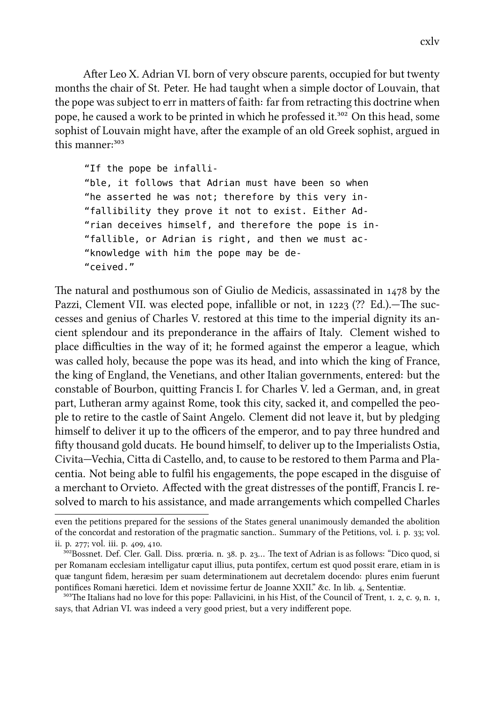After Leo X. Adrian VI. born of very obscure parents, occupied for but twenty months the chair of St. Peter. He had taught when a simple doctor of Louvain, that the pope was subject to err in matters of faith: far from retracting this doctrine when pope, he caused a work to be printed in which he professed it.<sup>302</sup> On this head, some sophist of Louvain might have, after the example of an old Greek sophist, argued in this manner:<sup>303</sup>

```
"If the pope be infalli-
"ble, it follows that Adrian must have been so when
"he asserted he was not; therefore by this very in-
"fallibility they prove it not to exist. Either Ad-
"rian deceives himself, and therefore the pope is in-
"fallible, or Adrian is right, and then we must ac-
"knowledge with him the pope may be de-
"ceived."
```
The natural and posthumous son of Giulio de Medicis, assassinated in  $1478$  by the Pazzi, Clement VII. was elected pope, infallible or not, in 1223 (?? Ed.).—The successes and genius of Charles V. restored at this time to the imperial dignity its ancient splendour and its preponderance in the affairs of Italy. Clement wished to place difficulties in the way of it; he formed against the emperor a league, whi was called holy, because the pope was its head, and into which the king of France, the king of England, the Venetians, and other Italian governments, entered: but the constable of Bourbon, quitting Francis I. for Charles V. led a German, and, in great part, Lutheran army against Rome, took this city, sacked it, and compelled the people to retire to the castle of Saint Angelo. Clement did not leave it, but by pledging himself to deliver it up to the officers of the emperor, and to pay three hundred and fifty thousand gold ducats. He bound himself, to deliver up to the Imperialists Ostia, Civita—Vechia, Citta di Castello, and, to cause to be restored to them Parma and Placentia. Not being able to fulfil his engagements, the pope escaped in the disguise of a merchant to Orvieto. Affected with the great distresses of the pontiff, Francis I. resolved to march to his assistance, and made arrangements which compelled Charles

even the petitions prepared for the sessions of the States general unanimously demanded the abolition of the concordat and restoration of the pragmatic sanction.. Summary of the Petitions, vol. i. p. 33; vol. ii. p. 277; vol. iii. p. 409, 410.

<sup>&</sup>lt;sup>302</sup>Bossnet. Def. Cler. Gall. Diss. prœria. n. 38. p. 23... The text of Adrian is as follows: "Dico quod, si per Romanam ecclesiam intelligatur caput illius, puta pontifex, certum est quod possit erare, etiam in is quæ tangunt fidem, heræsim per suam determinationem aut decretalem docendo: plures enim fuerunt pontifices Romani hæretici. Idem et novissime fertur de Joanne XXII." &c. In lib. 4, Sententiæ.

 $303$ The Italians had no love for this pope: Pallavicini, in his Hist, of the Council of Trent, 1, 2, c. 9, n. 1, says, that Adrian VI. was indeed a very good priest, but a very indifferent pope.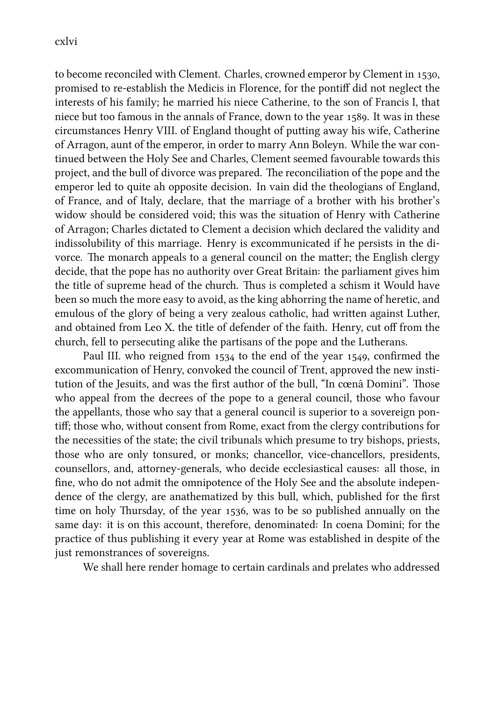cxlvi

to become reconciled with Clement. Charles, crowned emperor by Clement in 1530, promised to re-establish the Medicis in Florence, for the pontiff did not neglect the interests of his family; he married his niece Catherine, to the son of Francis I, that niece but too famous in the annals of France, down to the year 1589. It was in these circumstances Henry VIII. of England thought of puing away his wife, Catherine of Arragon, aunt of the emperor, in order to marry Ann Boleyn. While the war continued between the Holy See and Charles, Clement seemed favourable towards this project, and the bull of divorce was prepared. The reconciliation of the pope and the emperor led to quite ah opposite decision. In vain did the theologians of England, of France, and of Italy, declare, that the marriage of a brother with his brother's widow should be considered void; this was the situation of Henry with Catherine of Arragon; Charles dictated to Clement a decision which declared the validity and indissolubility of this marriage. Henry is excommunicated if he persists in the divorce. The monarch appeals to a general council on the matter; the English clergy decide, that the pope has no authority over Great Britain: the parliament gives him the title of supreme head of the church. Thus is completed a schism it Would have been so much the more easy to avoid, as the king abhorring the name of heretic, and emulous of the glory of being a very zealous catholic, had written against Luther, and obtained from Leo X. the title of defender of the faith. Henry, cut off from the church, fell to persecuting alike the partisans of the pope and the Lutherans.

Paul III. who reigned from  $1534$  to the end of the year  $1549$ , confirmed the excommunication of Henry, convoked the council of Trent, approved the new institution of the Jesuits, and was the first author of the bull, "In cœnâ Domini". Those who appeal from the decrees of the pope to a general council, those who favour the appellants, those who say that a general council is superior to a sovereign pontiff; those who, without consent from Rome, exact from the clergy contributions for the necessities of the state; the civil tribunals which presume to try bishops, priests, those who are only tonsured, or monks; chancellor, vice-chancellors, presidents, counsellors, and, attorney-generals, who decide ecclesiastical causes: all those, in fine, who do not admit the omnipotence of the Holy See and the absolute independence of the clergy, are anathematized by this bull, which, published for the first time on holy Thursday, of the year  $1536$ , was to be so published annually on the same day: it is on this account, therefore, denominated: In coena Domini; for the practice of thus publishing it every year at Rome was established in despite of the just remonstrances of sovereigns.

We shall here render homage to certain cardinals and prelates who addressed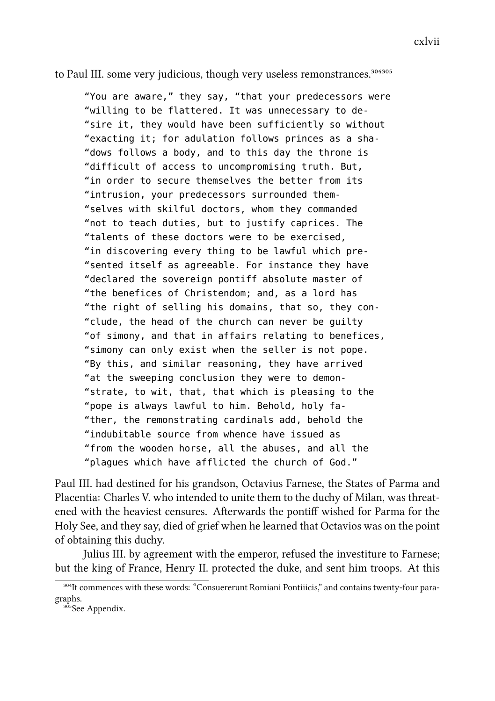to Paul III. some very judicious, though very useless remonstrances.<sup>304305</sup>

"You are aware," they say, "that your predecessors were "willing to be flattered. It was unnecessary to de- "sire it, they would have been sufficiently so without "exacting it; for adulation follows princes as a sha- "dows follows a body, and to this day the throne is "difficult of access to uncompromising truth. But, "in order to secure themselves the better from its "intrusion, your predecessors surrounded them- "selves with skilful doctors, whom they commanded "not to teach duties, but to justify caprices. The "talents of these doctors were to be exercised, "in discovering every thing to be lawful which pre- "sented itself as agreeable. For instance they have "declared the sovereign pontiff absolute master of "the benefices of Christendom; and, as a lord has "the right of selling his domains, that so, they con- "clude, the head of the church can never be guilty "of simony, and that in affairs relating to benefices, "simony can only exist when the seller is not pope. "By this, and similar reasoning, they have arrived "at the sweeping conclusion they were to demon- "strate, to wit, that, that which is pleasing to the "pope is always lawful to him. Behold, holy fa- "ther, the remonstrating cardinals add, behold the "indubitable source from whence have issued as "from the wooden horse, all the abuses, and all the "plagues which have afflicted the church of God."

Paul III. had destined for his grandson, Octavius Farnese, the States of Parma and Placentia: Charles V. who intended to unite them to the duchy of Milan, was threatened with the heaviest censures. Afterwards the pontiff wished for Parma for the Holy See, and they say, died of grief when he learned that Octavios was on the point of obtaining this duy.

Julius III. by agreement with the emperor, refused the investiture to Farnese; but the king of France, Henry II. protected the duke, and sent him troops. At this

<sup>304</sup>It commences with these words: "Consuererunt Romiani Pontiiicis," and contains twenty-four paragraphs.

<sup>&</sup>lt;sup>305</sup>See Appendix.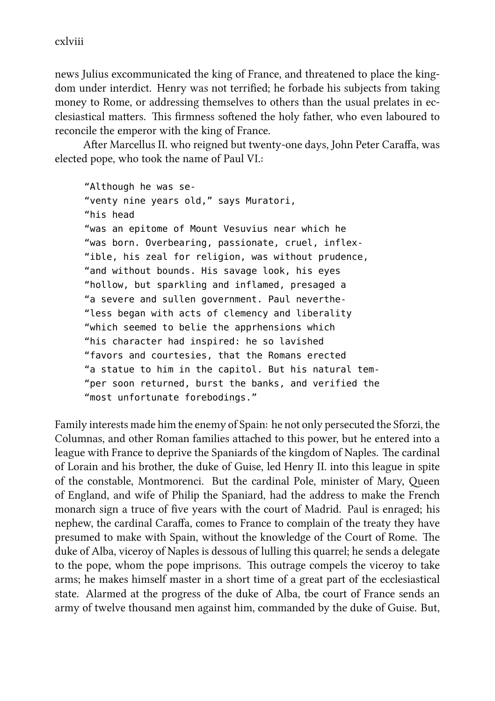news Julius excommunicated the king of France, and threatened to place the kingdom under interdict. Henry was not terrified; he forbade his subjects from taking money to Rome, or addressing themselves to others than the usual prelates in ecclesiastical matters. This firmness softened the holy father, who even laboured to reconcile the emperor with the king of France.

After Marcellus II. who reigned but twenty-one days, John Peter Caraffa, was elected pope, who took the name of Paul VI.:

"Although he was se- "venty nine years old," says Muratori, "his head "was an epitome of Mount Vesuvius near which he "was born. Overbearing, passionate, cruel, inflex- "ible, his zeal for religion, was without prudence, "and without bounds. His savage look, his eyes "hollow, but sparkling and inflamed, presaged a "a severe and sullen government. Paul neverthe- "less began with acts of clemency and liberality "which seemed to belie the apprhensions which "his character had inspired: he so lavished "favors and courtesies, that the Romans erected "a statue to him in the capitol. But his natural tem- "per soon returned, burst the banks, and verified the "most unfortunate forebodings."

Family interests made him the enemy of Spain: he not only persecuted the Sforzi, the Columnas, and other Roman families attached to this power, but he entered into a league with France to deprive the Spaniards of the kingdom of Naples. The cardinal of Lorain and his brother, the duke of Guise, led Henry II. into this league in spite of the constable, Montmorenci. But the cardinal Pole, minister of Mary, Queen of England, and wife of Philip the Spaniard, had the address to make the Fren monarch sign a truce of five years with the court of Madrid. Paul is enraged; his nephew, the cardinal Caraffa, comes to France to complain of the treaty they have presumed to make with Spain, without the knowledge of the Court of Rome. The duke of Alba, viceroy of Naples is dessous of lulling this quarrel; he sends a delegate to the pope, whom the pope imprisons. This outrage compels the viceroy to take arms; he makes himself master in a short time of a great part of the ecclesiastical state. Alarmed at the progress of the duke of Alba, tbe court of France sends an army of twelve thousand men against him, commanded by the duke of Guise. But,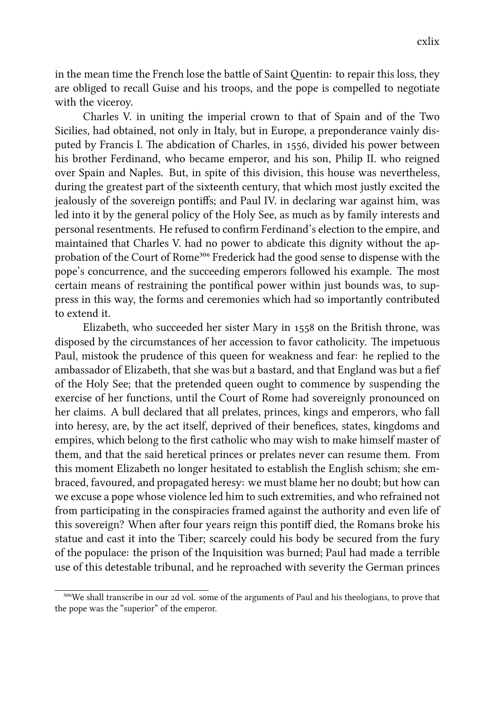in the mean time the French lose the battle of Saint Quentin: to repair this loss, they are obliged to recall Guise and his troops, and the pope is compelled to negotiate with the viceroy.

Charles V. in uniting the imperial crown to that of Spain and of the Two Sicilies, had obtained, not only in Italy, but in Europe, a preponderance vainly disputed by Francis I. The abdication of Charles, in 1556, divided his power between his brother Ferdinand, who became emperor, and his son, Philip II. who reigned over Spain and Naples. But, in spite of this division, this house was nevertheless, during the greatest part of the sixteenth century, that which most justly excited the jealously of the sovereign pontiffs; and Paul IV. in declaring war against him, was led into it by the general policy of the Holy See, as much as by family interests and personal resentments. He refused to confirm Ferdinand's election to the empire, and maintained that Charles V. had no power to abdicate this dignity without the approbation of the Court of Rome<sup>306</sup> Frederick had the good sense to dispense with the pope's concurrence, and the succeeding emperors followed his example. The most certain means of restraining the pontifical power within just bounds was, to suppress in this way, the forms and ceremonies which had so importantly contributed to extend it.

Elizabeth, who succeeded her sister Mary in 1558 on the British throne, was disposed by the circumstances of her accession to favor catholicity. The impetuous Paul, mistook the prudence of this queen for weakness and fear: he replied to the ambassador of Elizabeth, that she was but a bastard, and that England was but a fief of the Holy See; that the pretended queen ought to commence by suspending the exercise of her functions, until the Court of Rome had sovereignly pronounced on her claims. A bull declared that all prelates, princes, kings and emperors, who fall into heresy, are, by the act itself, deprived of their benefices, states, kingdoms and empires, which belong to the first catholic who may wish to make himself master of them, and that the said heretical princes or prelates never can resume them. From this moment Elizabeth no longer hesitated to establish the English schism; she embraced, favoured, and propagated heresy: we must blame her no doubt; but how can we excuse a pope whose violence led him to such extremities, and who refrained not from participating in the conspiracies framed against the authority and even life of this sovereign? When after four years reign this pontiff died, the Romans broke his statue and cast it into the Tiber; scarcely could his body be secured from the fury of the populace: the prison of the Inquisition was burned; Paul had made a terrible use of this detestable tribunal, and he reproached with severity the German princes

<sup>306</sup>We shall transcribe in our 2d vol. some of the arguments of Paul and his theologians, to prove that the pope was the "superior" of the emperor.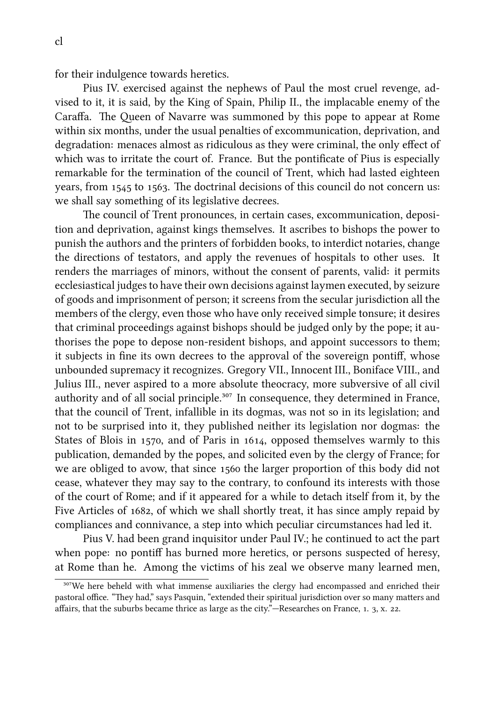for their indulgence towards heretics.

Pius IV. exercised against the nephews of Paul the most cruel revenge, advised to it, it is said, by the King of Spain, Philip II., the implacable enemy of the Caraffa. The Queen of Navarre was summoned by this pope to appear at Rome within six months, under the usual penalties of excommunication, deprivation, and degradation: menaces almost as ridiculous as they were criminal, the only effect of which was to irritate the court of. France. But the pontificate of Pius is especially remarkable for the termination of the council of Trent, which had lasted eighteen years, from  $1545$  to  $1563$ . The doctrinal decisions of this council do not concern us: we shall say something of its legislative decrees.

The council of Trent pronounces, in certain cases, excommunication, deposition and deprivation, against kings themselves. It ascribes to bishops the power to punish the authors and the printers of forbidden books, to interdict notaries, change the directions of testators, and apply the revenues of hospitals to other uses. It renders the marriages of minors, without the consent of parents, valid: it permits ecclesiastical judges to have their own decisions against laymen executed, by seizure of goods and imprisonment of person; it screens from the secular jurisdiction all the members of the clergy, even those who have only received simple tonsure; it desires that criminal proceedings against bishops should be judged only by the pope; it authorises the pope to depose non-resident bishops, and appoint successors to them; it subjects in fine its own decrees to the approval of the sovereign pontiff, whose unbounded supremacy it recognizes. Gregory VII., Innocent III., Boniface VIII., and Julius III., never aspired to a more absolute theocracy, more subversive of all civil authority and of all social principle.<sup>307</sup> In consequence, they determined in France, that the council of Trent, infallible in its dogmas, was not so in its legislation; and not to be surprised into it, they published neither its legislation nor dogmas: the States of Blois in 1570, and of Paris in 1614, opposed themselves warmly to this publication, demanded by the popes, and solicited even by the clergy of France; for we are obliged to avow, that since 1560 the larger proportion of this body did not cease, whatever they may say to the contrary, to confound its interests with those of the court of Rome; and if it appeared for a while to detach itself from it, by the Five Articles of 1682, of which we shall shortly treat, it has since amply repaid by compliances and connivance, a step into which peculiar circumstances had led it.

Pius V. had been grand inquisitor under Paul IV.; he continued to act the part when pope: no pontiff has burned more heretics, or persons suspected of heresy, at Rome than he. Among the victims of his zeal we observe many learned men,

<sup>&</sup>lt;sup>307</sup>We here beheld with what immense auxiliaries the clergy had encompassed and enriched their pastoral office. "They had," says Pasquin, "extended their spiritual jurisdiction over so many matters and affairs, that the suburbs became thrice as large as the city."—Researches on France,  $1$ .  $3$ ,  $x$ .  $22$ .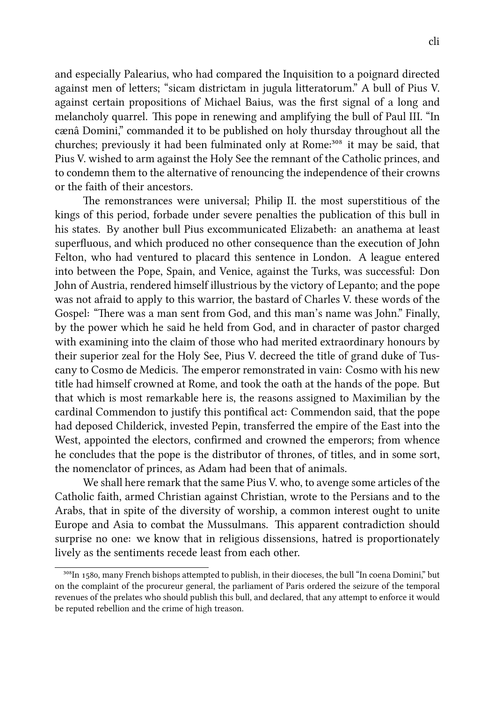and especially Palearius, who had compared the Inquisition to a poignard directed against men of letters; "sicam districtam in jugula litteratorum." A bull of Pius V. against certain propositions of Michael Baius, was the first signal of a long and melancholy quarrel. This pope in renewing and amplifying the bull of Paul III. "In cænâ Domini," commanded it to be published on holy thursday throughout all the churches; previously it had been fulminated only at Rome:<sup>308</sup> it may be said, that Pius V. wished to arm against the Holy See the remnant of the Catholic princes, and to condemn them to the alternative of renouncing the independence of their crowns or the faith of their ancestors.

The remonstrances were universal; Philip II. the most superstitious of the kings of this period, forbade under severe penalties the publication of this bull in his states. By another bull Pius excommunicated Elizabeth: an anathema at least superfluous, and which produced no other consequence than the execution of John Felton, who had ventured to placard this sentence in London. A league entered into between the Pope, Spain, and Venice, against the Turks, was successful: Don John of Austria, rendered himself illustrious by the victory of Lepanto; and the pope was not afraid to apply to this warrior, the bastard of Charles V. these words of the Gospel: "There was a man sent from God, and this man's name was John." Finally, by the power which he said he held from God, and in character of pastor charged with examining into the claim of those who had merited extraordinary honours by their superior zeal for the Holy See, Pius V. decreed the title of grand duke of Tuscany to Cosmo de Medicis. The emperor remonstrated in vain: Cosmo with his new title had himself crowned at Rome, and took the oath at the hands of the pope. But that which is most remarkable here is, the reasons assigned to Maximilian by the cardinal Commendon to justify this pontifical act: Commendon said, that the pope had deposed Childerick, invested Pepin, transferred the empire of the East into the West, appointed the electors, confirmed and crowned the emperors; from whence he concludes that the pope is the distributor of thrones, of titles, and in some sort, the nomenclator of princes, as Adam had been that of animals.

We shall here remark that the same Pius V. who, to avenge some articles of the Catholic faith, armed Christian against Christian, wrote to the Persians and to the Arabs, that in spite of the diversity of worship, a common interest ought to unite Europe and Asia to combat the Mussulmans. This apparent contradiction should surprise no one: we know that in religious dissensions, hatred is proportionately lively as the sentiments recede least from each other.

<sup>&</sup>lt;sup>308</sup>In 1580, many French bishops attempted to publish, in their dioceses, the bull "In coena Domini," but on the complaint of the procureur general, the parliament of Paris ordered the seizure of the temporal revenues of the prelates who should publish this bull, and declared, that any attempt to enforce it would be reputed rebellion and the crime of high treason.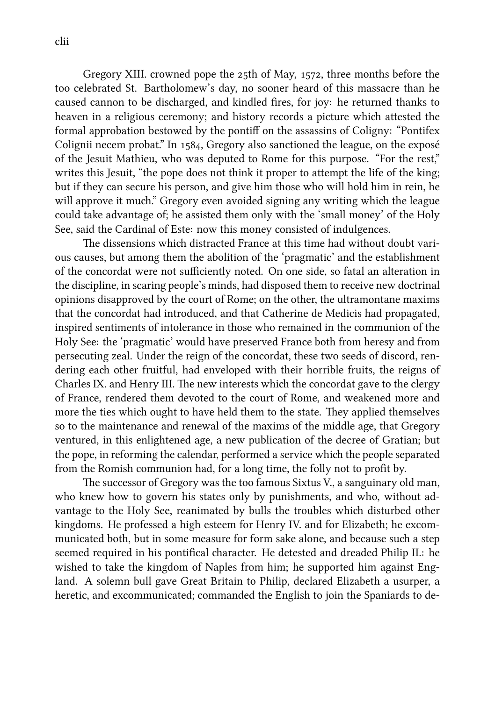Gregory XIII. crowned pope the  $25th$  of May,  $1572$ , three months before the too celebrated St. Bartholomew's day, no sooner heard of this massacre than he caused cannon to be discharged, and kindled fires, for joy: he returned thanks to heaven in a religious ceremony; and history records a picture which attested the formal approbation bestowed by the pontiff on the assassins of Coligny: "Pontifex Colignii necem probat." In 1584, Gregory also sanctioned the league, on the exposé of the Jesuit Mathieu, who was deputed to Rome for this purpose. "For the rest," writes this Jesuit, "the pope does not think it proper to attempt the life of the king; but if they can secure his person, and give him those who will hold him in rein, he will approve it much." Gregory even avoided signing any writing which the league could take advantage of; he assisted them only with the 'small money' of the Holy See, said the Cardinal of Este: now this money consisted of indulgences.

The dissensions which distracted France at this time had without doubt various causes, but among them the abolition of the 'pragmatic' and the establishment of the concordat were not sufficiently noted. On one side, so fatal an alteration in the discipline, in scaring people's minds, had disposed them to receive new doctrinal opinions disapproved by the court of Rome; on the other, the ultramontane maxims that the concordat had introduced, and that Catherine de Medicis had propagated, inspired sentiments of intolerance in those who remained in the communion of the Holy See: the 'pragmatic' would have preserved France both from heresy and from persecuting zeal. Under the reign of the concordat, these two seeds of discord, rendering each other fruitful, had enveloped with their horrible fruits, the reigns of Charles IX. and Henry III. The new interests which the concordat gave to the clergy of France, rendered them devoted to the court of Rome, and weakened more and more the ties which ought to have held them to the state. They applied themselves so to the maintenance and renewal of the maxims of the middle age, that Gregory ventured, in this enlightened age, a new publication of the decree of Gratian; but the pope, in reforming the calendar, performed a service which the people separated from the Romish communion had, for a long time, the folly not to profit by.

The successor of Gregory was the too famous Sixtus V., a sanguinary old man, who knew how to govern his states only by punishments, and who, without advantage to the Holy See, reanimated by bulls the troubles which disturbed other kingdoms. He professed a high esteem for Henry IV. and for Elizabeth; he excommunicated both, but in some measure for form sake alone, and because such a step seemed required in his pontifical character. He detested and dreaded Philip II.: he wished to take the kingdom of Naples from him; he supported him against England. A solemn bull gave Great Britain to Philip, declared Elizabeth a usurper, a heretic, and excommunicated; commanded the English to join the Spaniards to de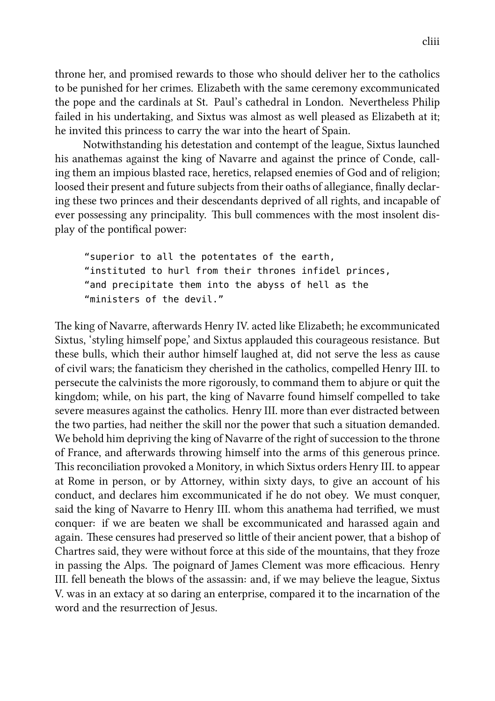throne her, and promised rewards to those who should deliver her to the catholics to be punished for her crimes. Elizabeth with the same ceremony excommunicated the pope and the cardinals at St. Paul's cathedral in London. Nevertheless Philip failed in his undertaking, and Sixtus was almost as well pleased as Elizabeth at it; he invited this princess to carry the war into the heart of Spain.

Notwithstanding his detestation and contempt of the league, Sixtus launched his anathemas against the king of Navarre and against the prince of Conde, calling them an impious blasted race, heretics, relapsed enemies of God and of religion; loosed their present and future subjects from their oaths of allegiance, finally declaring these two princes and their descendants deprived of all rights, and incapable of ever possessing any principality. This bull commences with the most insolent display of the pontifical power:

"superior to all the potentates of the earth, "instituted to hurl from their thrones infidel princes, "and precipitate them into the abyss of hell as the "ministers of the devil."

The king of Navarre, afterwards Henry IV. acted like Elizabeth; he excommunicated Sixtus, 'styling himself pope,' and Sixtus applauded this courageous resistance. But these bulls, which their author himself laughed at, did not serve the less as cause of civil wars; the fanaticism they erished in the catholics, compelled Henry III. to persecute the calvinists the more rigorously, to command them to abjure or quit the kingdom; while, on his part, the king of Navarre found himself compelled to take severe measures against the catholics. Henry III. more than ever distracted between the two parties, had neither the skill nor the power that such a situation demanded. We behold him depriving the king of Navarre of the right of succession to the throne of France, and afterwards throwing himself into the arms of this generous prince. This reconciliation provoked a Monitory, in which Sixtus orders Henry III. to appear at Rome in person, or by Attorney, within sixty days, to give an account of his conduct, and declares him excommunicated if he do not obey. We must conquer, said the king of Navarre to Henry III. whom this anathema had terrified, we must conquer: if we are beaten we shall be excommunicated and harassed again and again. These censures had preserved so little of their ancient power, that a bishop of Chartres said, they were without force at this side of the mountains, that they froze in passing the Alps. The poignard of James Clement was more efficacious. Henry III. fell beneath the blows of the assassin: and, if we may believe the league, Sixtus V. was in an extacy at so daring an enterprise, compared it to the incarnation of the word and the resurrection of Jesus.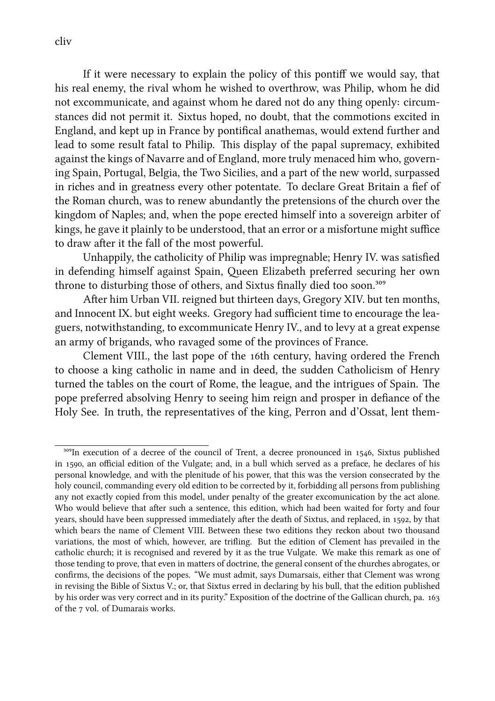If it were necessary to explain the policy of this pontiff we would say, that his real enemy, the rival whom he wished to overthrow, was Philip, whom he did not excommunicate, and against whom he dared not do any thing openly: circumstances did not permit it. Sixtus hoped, no doubt, that the commotions excited in England, and kept up in France by pontifical anathemas, would extend further and lead to some result fatal to Philip. This display of the papal supremacy, exhibited against the kings of Navarre and of England, more truly menaced him who, governing Spain, Portugal, Belgia, the Two Sicilies, and a part of the new world, surpassed in riches and in greatness every other potentate. To declare Great Britain a fief of the Roman church, was to renew abundantly the pretensions of the church over the kingdom of Naples; and, when the pope erected himself into a sovereign arbiter of kings, he gave it plainly to be understood, that an error or a misfortune might suffice to draw after it the fall of the most powerful.

Unhappily, the catholicity of Philip was impregnable; Henry IV. was satisfied in defending himself against Spain, Queen Elizabeth preferred securing her own throne to disturbing those of others, and Sixtus finally died too soon.<sup>309</sup>

After him Urban VII. reigned but thirteen days, Gregory XIV, but ten months, and Innocent IX. but eight weeks. Gregory had sufficient time to encourage the leaguers, notwithstanding, to excommunicate Henry IV., and to levy at a great expense an army of brigands, who ravaged some of the provinces of France.

Clement VIII., the last pope of the 16th century, having ordered the French to choose a king catholic in name and in deed, the sudden Catholicism of Henry turned the tables on the court of Rome, the league, and the intrigues of Spain. The pope preferred absolving Henry to seeing him reign and prosper in defiance of the Holy See. In truth, the representatives of the king, Perron and d'Ossat, lent them-

 $309$ In execution of a decree of the council of Trent, a decree pronounced in 1546, Sixtus published in 1590, an official edition of the Vulgate; and, in a bull which served as a preface, he declares of his personal knowledge, and with the plenitude of his power, that this was the version consecrated by the holy council, commanding every old edition to be corrected by it, forbidding all persons from publishing any not exactly copied from this model, under penalty of the greater excomunication by the act alone. Who would believe that after such a sentence, this edition, which had been waited for forty and four years, should have been suppressed immediately after the death of Sixtus, and replaced, in 1592, by that which bears the name of Clement VIII. Between these two editions they reckon about two thousand variations, the most of which, however, are trifling. But the edition of Clement has prevailed in the catholic church; it is recognised and revered by it as the true Vulgate. We make this remark as one of those tending to prove, that even in matters of doctrine, the general consent of the churches abrogates, or confirms, the decisions of the popes. "We must admit, says Dumarsais, either that Clement was wrong in revising the Bible of Sixtus V.; or, that Sixtus erred in declaring by his bull, that the edition published by his order was very correct and in its purity." Exposition of the doctrine of the Gallican church, pa. 163 of the 7 vol. of Dumarais works.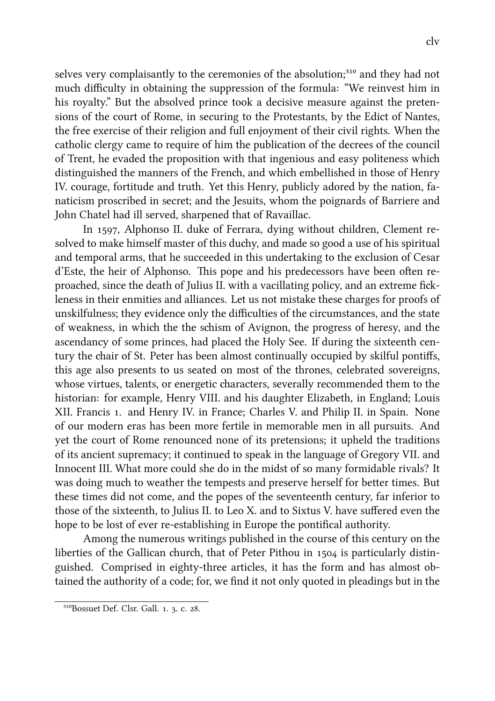selves very complaisantly to the ceremonies of the absolution;<sup>310</sup> and they had not much difficulty in obtaining the suppression of the formula: "We reinvest him in his royalty." But the absolved prince took a decisive measure against the pretensions of the court of Rome, in securing to the Protestants, by the Edict of Nantes, the free exercise of their religion and full enjoyment of their civil rights. When the catholic clergy came to require of him the publication of the decrees of the council of Trent, he evaded the proposition with that ingenious and easy politeness whi distinguished the manners of the French, and which embellished in those of Henry IV. courage, fortitude and truth. Yet this Henry, publicly adored by the nation, fanaticism proscribed in secret; and the Jesuits, whom the poignards of Barriere and John Chatel had ill served, sharpened that of Ravaillac.

In 1597, Alphonso II. duke of Ferrara, dying without children, Clement resolved to make himself master of this duchy, and made so good a use of his spiritual and temporal arms, that he succeeded in this undertaking to the exclusion of Cesar d'Este, the heir of Alphonso. This pope and his predecessors have been often reproached, since the death of Julius II, with a vacillating policy, and an extreme fickleness in their enmities and alliances. Let us not mistake these charges for proofs of unskilfulness; they evidence only the difficulties of the circumstances, and the state of weakness, in which the the schism of Avignon, the progress of heresy, and the ascendancy of some princes, had placed the Holy See. If during the sixteenth century the chair of St. Peter has been almost continually occupied by skilful pontiffs, this age also presents to us seated on most of the thrones, celebrated sovereigns, whose virtues, talents, or energetic characters, severally recommended them to the historian: for example, Henry VIII. and his daughter Elizabeth, in England; Louis XII. Francis 1. and Henry IV. in France; Charles V. and Philip II. in Spain. None of our modern eras has been more fertile in memorable men in all pursuits. And yet the court of Rome renounced none of its pretensions; it upheld the traditions of its ancient supremacy; it continued to speak in the language of Gregory VII. and Innocent III. What more could she do in the midst of so many formidable rivals? It was doing much to weather the tempests and preserve herself for better times. But these times did not come, and the popes of the seventeenth century, far inferior to those of the sixteenth, to Julius II. to Leo X. and to Sixtus V. have suffered even the hope to be lost of ever re-establishing in Europe the pontifical authority.

Among the numerous writings published in the course of this century on the liberties of the Gallican church, that of Peter Pithou in  $1504$  is particularly distinguished. Comprised in eighty-three articles, it has the form and has almost obtained the authority of a code; for, we find it not only quoted in pleadings but in the

 $310$ Bossuet Def. Clsr. Gall. 1. 3. c. 28.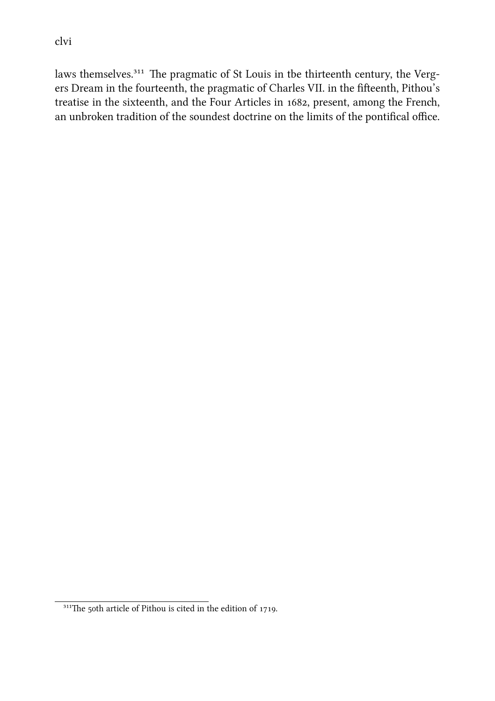laws themselves.<sup>311</sup> The pragmatic of St Louis in tbe thirteenth century, the Vergers Dream in the fourteenth, the pragmatic of Charles VII. in the fifteenth, Pithou's treatise in the sixteenth, and the Four Articles in 1682, present, among the French, an unbroken tradition of the soundest doctrine on the limits of the pontifical office.

 $311$ The 50th article of Pithou is cited in the edition of 1719.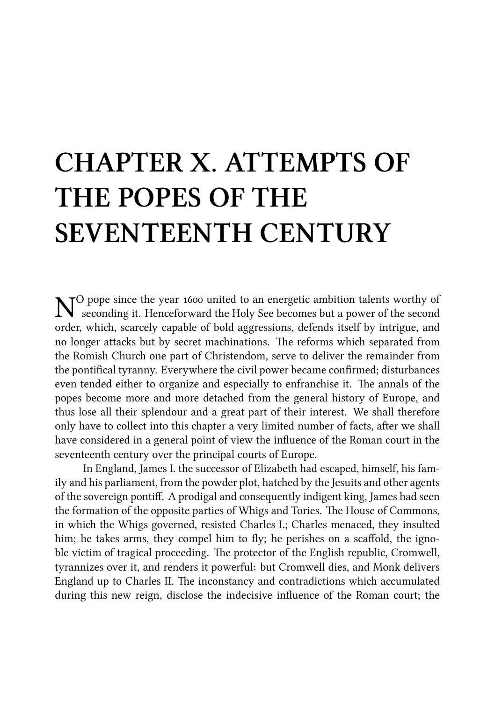## **CHAPTER X. ATTEMPTS OF THE POPES OF THE SEVENTEENTH CENTURY**

 $\mathbf{N}^{\text{O}}$  pope since the year 1600 united to an energetic ambition talents worthy of seconding it. Henceforward the Holy See becomes but a power of the second seconding it. Henceforward the Holy See becomes but a power of the second order, which, scarcely capable of bold aggressions, defends itself by intrigue, and no longer attacks but by secret machinations. The reforms which separated from the Romish Church one part of Christendom, serve to deliver the remainder from the pontifical tyranny. Everywhere the civil power became confirmed; disturbances even tended either to organize and especially to enfranchise it. The annals of the popes become more and more detaed from the general history of Europe, and thus lose all their splendour and a great part of their interest. We shall therefore only have to collect into this chapter a very limited number of facts, after we shall have considered in a general point of view the influence of the Roman court in the seventeenth century over the principal courts of Europe.

In England, James I. the successor of Elizabeth had escaped, himself, his family and his parliament, from the powder plot, hatched by the Jesuits and other agents of the sovereign pontiff. A prodigal and consequently indigent king, James had seen the formation of the opposite parties of Whigs and Tories. The House of Commons, in which the Whigs governed, resisted Charles I.; Charles menaced, they insulted him; he takes arms, they compel him to fly; he perishes on a scaffold, the ignoble victim of tragical proceeding. The protector of the English republic, Cromwell, tyrannizes over it, and renders it powerful: but Cromwell dies, and Monk delivers England up to Charles II. The inconstancy and contradictions which accumulated during this new reign, disclose the indecisive influence of the Roman court; the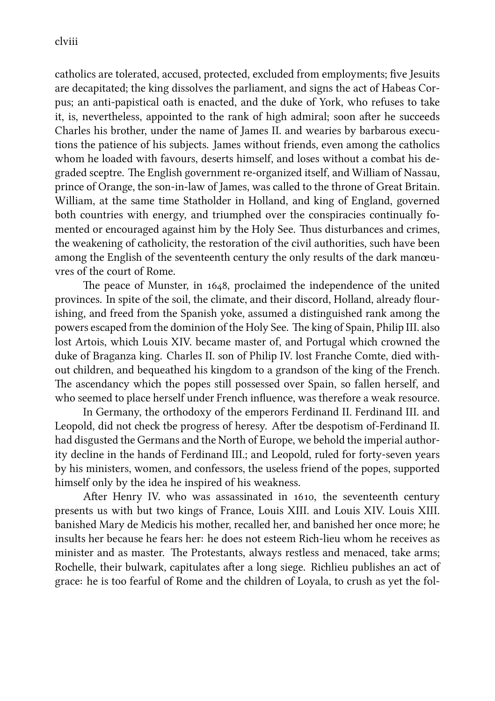catholics are tolerated, accused, protected, excluded from employments; five Jesuits are decapitated; the king dissolves the parliament, and signs the act of Habeas Corpus; an anti-papistical oath is enacted, and the duke of York, who refuses to take it, is, nevertheless, appointed to the rank of high admiral; soon after he succeeds Charles his brother, under the name of James II. and wearies by barbarous executions the patience of his subjects. James without friends, even among the catholics whom he loaded with favours, deserts himself, and loses without a combat his degraded sceptre. The English government re-organized itself, and William of Nassau, prince of Orange, the son-in-law of James, was called to the throne of Great Britain. William, at the same time Statholder in Holland, and king of England, governed both countries with energy, and triumphed over the conspiracies continually fomented or encouraged against him by the Holy See. Thus disturbances and crimes, the weakening of catholicity, the restoration of the civil authorities, such have been among the English of the seventeenth century the only results of the dark manœuvres of the court of Rome.

The peace of Munster, in  $1648$ , proclaimed the independence of the united provinces. In spite of the soil, the climate, and their discord, Holland, already flourishing, and freed from the Spanish yoke, assumed a distinguished rank among the powers escaped from the dominion of the Holy See. The king of Spain, Philip III. also lost Artois, which Louis XIV. became master of, and Portugal which crowned the duke of Braganza king. Charles II. son of Philip IV. lost Franche Comte, died without children, and bequeathed his kingdom to a grandson of the king of the French. The ascendancy which the popes still possessed over Spain, so fallen herself, and who seemed to place herself under French influence, was therefore a weak resource.

In Germany, the orthodoxy of the emperors Ferdinand II. Ferdinand III. and Leopold, did not check tbe progress of heresy. After tbe despotism of-Ferdinand II. had disgusted the Germans and the North of Europe, we behold the imperial authority decline in the hands of Ferdinand III.; and Leopold, ruled for forty-seven years by his ministers, women, and confessors, the useless friend of the popes, supported himself only by the idea he inspired of his weakness.

After Henry IV. who was assassinated in 1610, the seventeenth century presents us with but two kings of France, Louis XIII. and Louis XIV. Louis XIII. banished Mary de Medicis his mother, recalled her, and banished her once more; he insults her because he fears her: he does not esteem Rich-lieu whom he receives as minister and as master. The Protestants, always restless and menaced, take arms; Rochelle, their bulwark, capitulates after a long siege. Richlieu publishes an act of grace: he is too fearful of Rome and the children of Loyala, to crush as yet the fol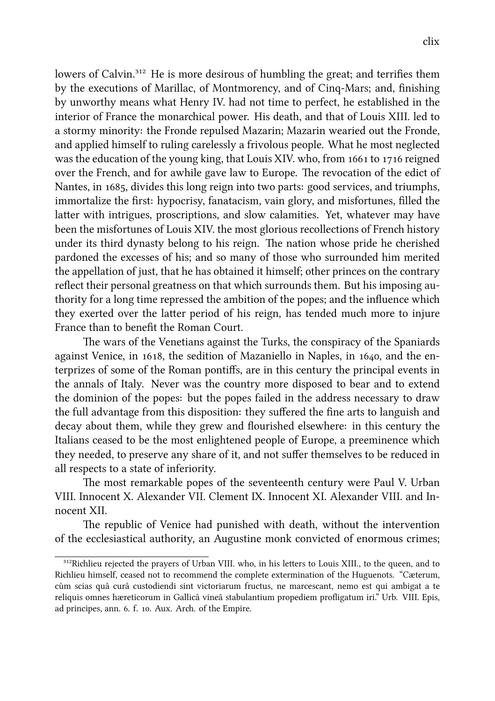lowers of Calvin.<sup>312</sup> He is more desirous of humbling the great; and terrifies them by the executions of Marillac, of Montmorency, and of Cinq-Mars; and, finishing by unworthy means what Henry IV. had not time to perfect, he established in the interior of France the monarchical power. His death, and that of Louis XIII. led to a stormy minority: the Fronde repulsed Mazarin; Mazarin wearied out the Fronde, and applied himself to ruling carelessly a frivolous people. What he most neglected was the education of the young king, that Louis XIV. who, from 1661 to 1716 reigned over the French, and for awhile gave law to Europe. The revocation of the edict of Nantes, in 1685, divides this long reign into two parts: good services, and triumphs, immortalize the first: hypocrisy, fanatacism, vain glory, and misfortunes, filled the latter with intrigues, proscriptions, and slow calamities. Yet, whatever may have been the misfortunes of Louis XIV. the most glorious recollections of French history under its third dynasty belong to his reign. The nation whose pride he cherished pardoned the excesses of his; and so many of those who surrounded him merited the appellation of just, that he has obtained it himself; other princes on the contrary reflect their personal greatness on that which surrounds them. But his imposing authority for a long time repressed the ambition of the popes; and the influence whi they exerted over the latter period of his reign, has tended much more to injure France than to benefit the Roman Court.

The wars of the Venetians against the Turks, the conspiracy of the Spaniards against Venice, in  $1618$ , the sedition of Mazaniello in Naples, in  $1640$ , and the enterprizes of some of the Roman pontiffs, are in this century the principal events in the annals of Italy. Never was the country more disposed to bear and to extend the dominion of the popes: but the popes failed in the address necessary to draw the full advantage from this disposition: they suffered the fine arts to languish and decay about them, while they grew and flourished elsewhere: in this century the Italians ceased to be the most enlightened people of Europe, a preeminence whi they needed, to preserve any share of it, and not suffer themselves to be reduced in all respects to a state of inferiority.

The most remarkable popes of the seventeenth century were Paul V. Urban VIII. Innocent X. Alexander VII. Clement IX. Innocent XI. Alexander VIII. and Innocent XII.

The republic of Venice had punished with death, without the intervention of the ecclesiastical authority, an Augustine monk convicted of enormous crimes;

<sup>312</sup> Richlieu rejected the prayers of Urban VIII. who, in his letters to Louis XIII., to the queen, and to Richlieu himself, ceased not to recommend the complete extermination of the Huguenots. "Cæterum, cùm scias quâ curâ custodiendi sint victoriarum fructus, ne marcescant, nemo est qui ambigat a te reliquis omnes hæreticorum in Gallicâ vineâ stabulantium propediem profligatum iri." Urb. VIII. Epis, ad principes, ann. 6. f. 10. Aux. Arch. of the Empire.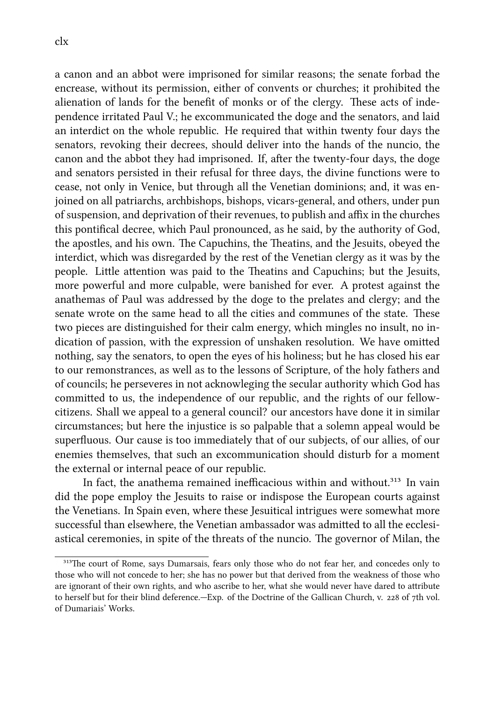a canon and an abbot were imprisoned for similar reasons; the senate forbad the encrease, without its permission, either of convents or churches; it prohibited the alienation of lands for the benefit of monks or of the clergy. These acts of independence irritated Paul V.; he excommunicated the doge and the senators, and laid an interdict on the whole republic. He required that within twenty four days the senators, revoking their decrees, should deliver into the hands of the nuncio, the canon and the abbot they had imprisoned. If, after the twenty-four days, the doge and senators persisted in their refusal for three days, the divine functions were to cease, not only in Venice, but through all the Venetian dominions; and, it was enjoined on all patriarchs, archbishops, bishops, vicars-general, and others, under pun of suspension, and deprivation of their revenues, to publish and affix in the churches this pontifical decree, which Paul pronounced, as he said, by the authority of God, the apostles, and his own. The Capuchins, the Theatins, and the Jesuits, obeyed the interdict, which was disregarded by the rest of the Venetian clergy as it was by the people. Little attention was paid to the Theatins and Capuchins; but the Jesuits, more powerful and more culpable, were banished for ever. A protest against the anathemas of Paul was addressed by the doge to the prelates and clergy; and the senate wrote on the same head to all the cities and communes of the state. These two pieces are distinguished for their calm energy, which mingles no insult, no indication of passion, with the expression of unshaken resolution. We have omitted nothing, say the senators, to open the eyes of his holiness; but he has closed his ear to our remonstrances, as well as to the lessons of Scripture, of the holy fathers and of councils; he perseveres in not acknowleging the secular authority which God has committed to us, the independence of our republic, and the rights of our fellowcitizens. Shall we appeal to a general council? our ancestors have done it in similar circumstances; but here the injustice is so palpable that a solemn appeal would be superfluous. Our cause is too immediately that of our subjects, of our allies, of our enemies themselves, that such an excommunication should disturb for a moment the external or internal peace of our republic.

In fact, the anathema remained inefficacious within and without. $313$  In vain did the pope employ the Jesuits to raise or indispose the European courts against the Venetians. In Spain even, where these Jesuitical intrigues were somewhat more successful than elsewhere, the Venetian ambassador was admitted to all the ecclesiastical ceremonies, in spite of the threats of the nuncio. The governor of Milan, the

<sup>313</sup>The court of Rome, says Dumarsais, fears only those who do not fear her, and concedes only to those who will not concede to her; she has no power but that derived from the weakness of those who are ignorant of their own rights, and who ascribe to her, what she would never have dared to attribute to herself but for their blind deference.—Exp. of the Doctrine of the Gallican Church, v. 228 of 7th vol. of Dumariais' Works.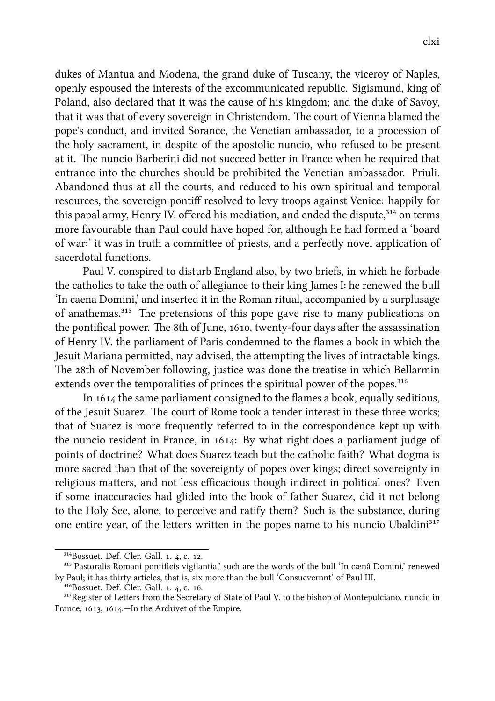dukes of Mantua and Modena, the grand duke of Tuscany, the viceroy of Naples, openly espoused the interests of the excommunicated republic. Sigismund, king of Poland, also declared that it was the cause of his kingdom; and the duke of Savoy, that it was that of every sovereign in Christendom. The court of Vienna blamed the pope's conduct, and invited Sorance, the Venetian ambassador, to a procession of the holy sacrament, in despite of the apostolic nuncio, who refused to be present at it. The nuncio Barberini did not succeed better in France when he required that entrance into the churches should be prohibited the Venetian ambassador. Priuli. Abandoned thus at all the courts, and reduced to his own spiritual and temporal resources, the sovereign pontiff resolved to levy troops against Venice: happily for this papal army, Henry IV. offered his mediation, and ended the dispute, $3^{14}$  on terms more favourable than Paul could have hoped for, although he had formed a 'board of war:' it was in truth a committee of priests, and a perfectly novel application of sacerdotal functions.

Paul V, conspired to disturb England also, by two briefs, in which he forbade the catholics to take the oath of allegiance to their king James I: he renewed the bull 'In caena Domini,' and inserted it in the Roman ritual, accompanied by a surplusage of anathemas.<sup>315</sup> The pretensions of this pope gave rise to many publications on the pontifical power. The 8th of June, 1610, twenty-four days after the assassination of Henry IV. the parliament of Paris condemned to the flames a book in which the Jesuit Mariana permitted, nay advised, the attempting the lives of intractable kings. The 28th of November following, justice was done the treatise in which Bellarmin extends over the temporalities of princes the spiritual power of the popes.<sup>316</sup>

In 1614 the same parliament consigned to the flames a book, equally seditious, of the Jesuit Suarez. The court of Rome took a tender interest in these three works; that of Suarez is more frequently referred to in the correspondence kept up with the nuncio resident in France, in  $1614$ : By what right does a parliament judge of points of doctrine? What does Suarez teach but the catholic faith? What dogma is more sacred than that of the sovereignty of popes over kings; direct sovereignty in religious matters, and not less efficacious though indirect in political ones? Even if some inaccuracies had glided into the book of father Suarez, did it not belong to the Holy See, alone, to perceive and ratify them? Such is the substance, during one entire year, of the letters written in the popes name to his nuncio Ubaldini $317$ 

<sup>&</sup>lt;sup>314</sup>Bossuet. Def. Cler. Gall. 1. 4, c. 12.

<sup>315&#</sup>x27;Pastoralis Romani pontificis vigilantia,' such are the words of the bull 'In cænâ Domini,' renewed by Paul; it has thirty articles, that is, six more than the bull 'Consuevernnt' of Paul III.

 $316$ Bossuet. Def. Cler. Gall. 1. 4, c. 16.

<sup>&</sup>lt;sup>317</sup>Register of Letters from the Secretary of State of Paul V. to the bishop of Montepulciano, nuncio in France, 1613, 1614.—In the Archivet of the Empire.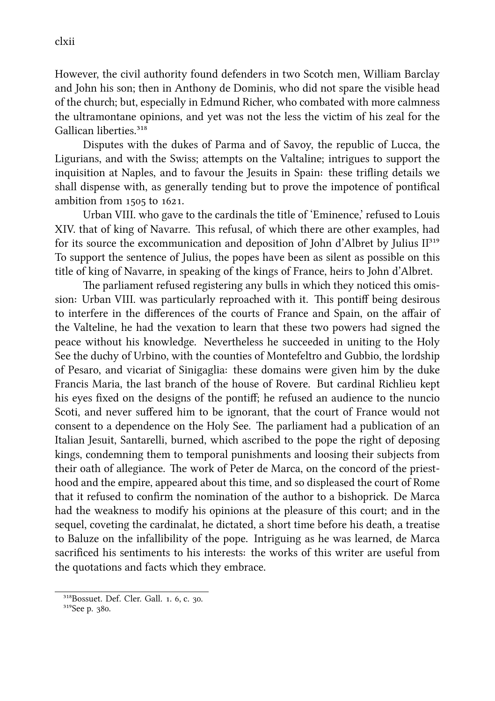clxii

However, the civil authority found defenders in two Scotch men, William Barclay and John his son; then in Anthony de Dominis, who did not spare the visible head of the church; but, especially in Edmund Richer, who combated with more calmness the ultramontane opinions, and yet was not the less the victim of his zeal for the Gallican liberties.<sup>318</sup>

Disputes with the dukes of Parma and of Savoy, the republic of Lucca, the Ligurians, and with the Swiss; attempts on the Valtaline; intrigues to support the inquisition at Naples, and to favour the Jesuits in Spain: these trifling details we shall dispense with, as generally tending but to prove the impotence of pontifical ambition from  $1505$  to  $1621$ .

Urban VIII. who gave to the cardinals the title of 'Eminence,' refused to Louis XIV. that of king of Navarre. This refusal, of which there are other examples, had for its source the excommunication and deposition of John d'Albret by Julius  $II^{319}$ To support the sentence of Julius, the popes have been as silent as possible on this title of king of Navarre, in speaking of the kings of France, heirs to John d'Albret.

The parliament refused registering any bulls in which they noticed this omission: Urban VIII. was particularly reproached with it. This pontiff being desirous to interfere in the differences of the courts of France and Spain, on the affair of the Valteline, he had the vexation to learn that these two powers had signed the peace without his knowledge. Nevertheless he succeeded in uniting to the Holy See the duchy of Urbino, with the counties of Montefeltro and Gubbio, the lordship of Pesaro, and vicariat of Sinigaglia: these domains were given him by the duke Francis Maria, the last branch of the house of Rovere. But cardinal Richlieu kept his eyes fixed on the designs of the pontiff; he refused an audience to the nuncio Scoti, and never suffered him to be ignorant, that the court of France would not consent to a dependence on the Holy See. The parliament had a publication of an Italian Jesuit, Santarelli, burned, which ascribed to the pope the right of deposing kings, condemning them to temporal punishments and loosing their subjects from their oath of allegiance. The work of Peter de Marca, on the concord of the priesthood and the empire, appeared about this time, and so displeased the court of Rome that it refused to confirm the nomination of the author to a bishoprick. De Marca had the weakness to modify his opinions at the pleasure of this court; and in the sequel, coveting the cardinalat, he dictated, a short time before his death, a treatise to Baluze on the infallibility of the pope. Intriguing as he was learned, de Marca sacrificed his sentiments to his interests: the works of this writer are useful from the quotations and facts which they embrace.

<sup>318</sup>Bossuet. Def. Cler. Gall. 1. 6, c. 30.

<sup>&</sup>lt;sup>319</sup>See p. 380.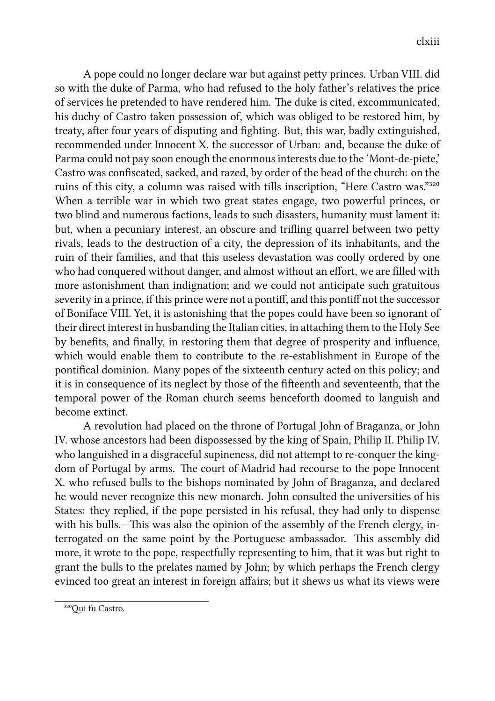A pope could no longer declare war but against petty princes. Urban VIII. did so with the duke of Parma, who had refused to the holy father's relatives the price of services he pretended to have rendered him. The duke is cited, excommunicated, his duchy of Castro taken possession of, which was obliged to be restored him, by treaty, after four years of disputing and fighting. But, this war, badly extinguished, recommended under Innocent X. the successor of Urban: and, because the duke of Parma could not pay soon enough the enormous interests due to the 'Mont-de-piete,' Castro was confiscated, sacked, and razed, by order of the head of the church: on the ruins of this city, a column was raised with tills inscription, "Here Castro was."<sup>320</sup> When a terrible war in which two great states engage, two powerful princes, or two blind and numerous factions, leads to such disasters, humanity must lament it: but, when a pecuniary interest, an obscure and trifling quarrel between two petty rivals, leads to the destruction of a city, the depression of its inhabitants, and the ruin of their families, and that this useless devastation was coolly ordered by one who had conquered without danger, and almost without an effort, we are filled with more astonishment than indignation; and we could not anticipate such gratuitous severity in a prince, if this prince were not a pontiff, and this pontiff not the successor of Boniface VIII. Yet, it is astonishing that the popes could have been so ignorant of their direct interest in husbanding the Italian cities, in attaching them to the Holy See by benefits, and finally, in restoring them that degree of prosperity and influence, which would enable them to contribute to the re-establishment in Europe of the pontifical dominion. Many popes of the sixteenth century acted on this policy; and it is in consequence of its neglect by those of the fifteenth and seventeenth, that the temporal power of the Roman church seems henceforth doomed to languish and become extinct.

A revolution had placed on the throne of Portugal John of Braganza, or John IV. whose ancestors had been dispossessed by the king of Spain, Philip II. Philip IV. who languished in a disgraceful supineness, did not attempt to re-conquer the kingdom of Portugal by arms. The court of Madrid had recourse to the pope Innocent X. who refused bulls to the bishops nominated by John of Braganza, and declared he would never recognize this new monarch. John consulted the universities of his States: they replied, if the pope persisted in his refusal, they had only to dispense with his bulls.—This was also the opinion of the assembly of the French clergy, interrogated on the same point by the Portuguese ambassador. This assembly did more, it wrote to the pope, respectfully representing to him, that it was but right to grant the bulls to the prelates named by John; by which perhaps the French clergy evinced too great an interest in foreign affairs; but it shews us what its views were

<sup>&</sup>lt;sup>320</sup>Oui fu Castro.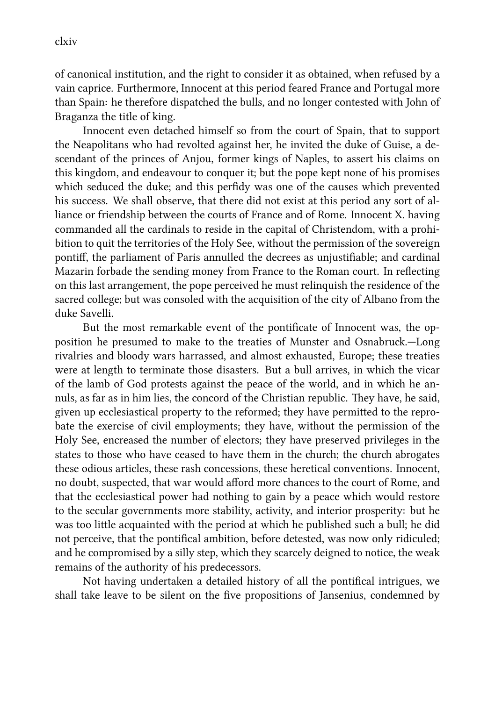clxiv

of canonical institution, and the right to consider it as obtained, when refused by a vain caprice. Furthermore, Innocent at this period feared France and Portugal more than Spain: he therefore dispated the bulls, and no longer contested with John of Braganza the title of king.

Innocent even detaed himself so from the court of Spain, that to support the Neapolitans who had revolted against her, he invited the duke of Guise, a descendant of the princes of Anjou, former kings of Naples, to assert his claims on this kingdom, and endeavour to conquer it; but the pope kept none of his promises which seduced the duke; and this perfidy was one of the causes which prevented his success. We shall observe, that there did not exist at this period any sort of alliance or friendship between the courts of France and of Rome. Innocent X. having commanded all the cardinals to reside in the capital of Christendom, with a prohibition to quit the territories of the Holy See, without the permission of the sovereign pontiff, the parliament of Paris annulled the decrees as unjustifiable; and cardinal Mazarin forbade the sending money from France to the Roman court. In reflecting on this last arrangement, the pope perceived he must relinquish the residence of the sacred college; but was consoled with the acquisition of the city of Albano from the duke Savelli.

But the most remarkable event of the pontificate of Innocent was, the opposition he presumed to make to the treaties of Munster and Osnabruck.—Long rivalries and bloody wars harrassed, and almost exhausted, Europe; these treaties were at length to terminate those disasters. But a bull arrives, in which the vicar of the lamb of God protests against the peace of the world, and in which he annuls, as far as in him lies, the concord of the Christian republic. They have, he said, given up ecclesiastical property to the reformed; they have permitted to the reprobate the exercise of civil employments; they have, without the permission of the Holy See, encreased the number of electors; they have preserved privileges in the states to those who have ceased to have them in the church; the church abrogates these odious articles, these rash concessions, these heretical conventions. Innocent, no doubt, suspected, that war would afford more chances to the court of Rome, and that the ecclesiastical power had nothing to gain by a peace which would restore to the secular governments more stability, activity, and interior prosperity: but he was too little acquainted with the period at which he published such a bull; he did not perceive, that the pontifical ambition, before detested, was now only ridiculed; and he compromised by a silly step, which they scarcely deigned to notice, the weak remains of the authority of his predecessors.

Not having undertaken a detailed history of all the pontifical intrigues, we shall take leave to be silent on the five propositions of Jansenius, condemned by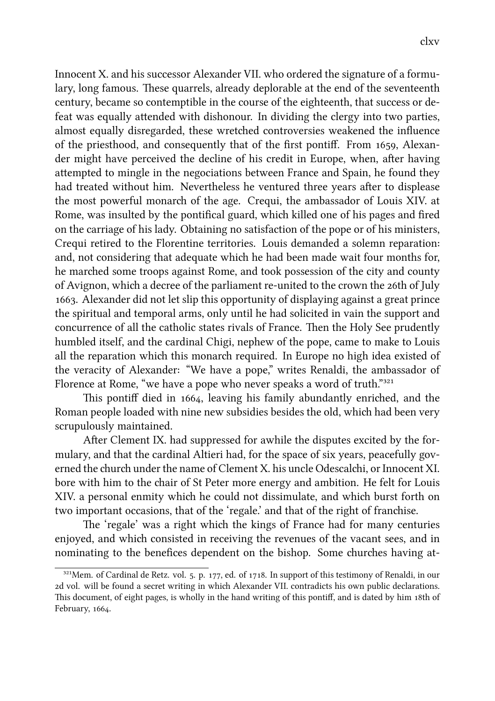Innocent X. and his successor Alexander VII. who ordered the signature of a formulary, long famous. These quarrels, already deplorable at the end of the seventeenth century, became so contemptible in the course of the eighteenth, that success or defeat was equally attended with dishonour. In dividing the clergy into two parties, almost equally disregarded, these wreted controversies weakened the influence of the priesthood, and consequently that of the first pontiff. From 1659, Alexander might have perceived the decline of his credit in Europe, when, after having attempted to mingle in the negociations between France and Spain, he found they had treated without him. Nevertheless he ventured three years after to displease the most powerful monarch of the age. Crequi, the ambassador of Louis XIV. at Rome, was insulted by the pontifical guard, which killed one of his pages and fired on the carriage of his lady. Obtaining no satisfaction of the pope or of his ministers, Crequi retired to the Florentine territories. Louis demanded a solemn reparation: and, not considering that adequate which he had been made wait four months for, he marched some troops against Rome, and took possession of the city and county of Avignon, which a decree of the parliament re-united to the crown the 26th of July . Alexander did not let slip this opportunity of displaying against a great prince the spiritual and temporal arms, only until he had solicited in vain the support and concurrence of all the catholic states rivals of France. Then the Holy See prudently humbled itself, and the cardinal Chigi, nephew of the pope, came to make to Louis all the reparation which this monarch required. In Europe no high idea existed of the veracity of Alexander: "We have a pope," writes Renaldi, the ambassador of Florence at Rome, "we have a pope who never speaks a word of truth."<sup>321</sup>

This pontiff died in 1664, leaving his family abundantly enriched, and the Roman people loaded with nine new subsidies besides the old, which had been very scrupulously maintained.

After Clement IX. had suppressed for awhile the disputes excited by the formulary, and that the cardinal Altieri had, for the space of six years, peacefully governed the church under the name of Clement X, his uncle Odescalchi, or Innocent XI. bore with him to the chair of St Peter more energy and ambition. He felt for Louis XIV. a personal enmity which he could not dissimulate, and which burst forth on two important occasions, that of the 'regale.' and that of the right of franchise.

The 'regale' was a right which the kings of France had for many centuries enjoyed, and which consisted in receiving the revenues of the vacant sees, and in nominating to the benefices dependent on the bishop. Some churches having at-

<sup>&</sup>lt;sup>321</sup>Mem. of Cardinal de Retz. vol. 5. p. 177, ed. of 1718. In support of this testimony of Renaldi, in our 2d vol. will be found a secret writing in which Alexander VII. contradicts his own public declarations. This document, of eight pages, is wholly in the hand writing of this pontiff, and is dated by him 18th of February, 1664.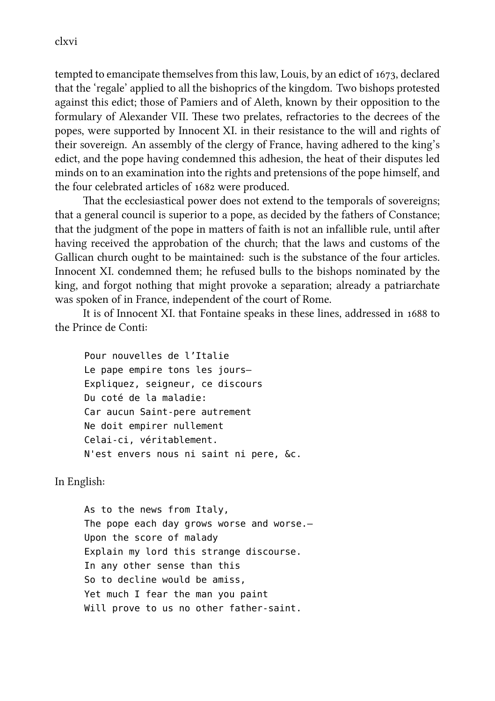tempted to emancipate themselves from this law, Louis, by an edict of 1673, declared that the 'regale' applied to all the bishoprics of the kingdom. Two bishops protested against this edict; those of Pamiers and of Aleth, known by their opposition to the formulary of Alexander VII. These two prelates, refractories to the decrees of the popes, were supported by Innocent XI. in their resistance to the will and rights of their sovereign. An assembly of the clergy of France, having adhered to the king's edict, and the pope having condemned this adhesion, the heat of their disputes led minds on to an examination into the rights and pretensions of the pope himself, and the four celebrated articles of  $1682$  were produced.

That the ecclesiastical power does not extend to the temporals of sovereigns; that a general council is superior to a pope, as decided by the fathers of Constance; that the judgment of the pope in matters of faith is not an infallible rule, until after having received the approbation of the church; that the laws and customs of the Gallican church ought to be maintained: such is the substance of the four articles. Innocent XI. condemned them; he refused bulls to the bishops nominated by the king, and forgot nothing that might provoke a separation; already a patriarate was spoken of in France, independent of the court of Rome.

It is of Innocent XI. that Fontaine speaks in these lines, addressed in 1688 to the Prince de Conti:

Pour nouvelles de l'Italie Le pape empire tons les jours— Expliquez, seigneur, ce discours Du coté de la maladie: Car aucun Saint-pere autrement Ne doit empirer nullement Celai-ci, véritablement. N'est envers nous ni saint ni pere, &c.

In English:

As to the news from Italy, The pope each day grows worse and worse.— Upon the score of malady Explain my lord this strange discourse. In any other sense than this So to decline would be amiss, Yet much I fear the man you paint Will prove to us no other father-saint.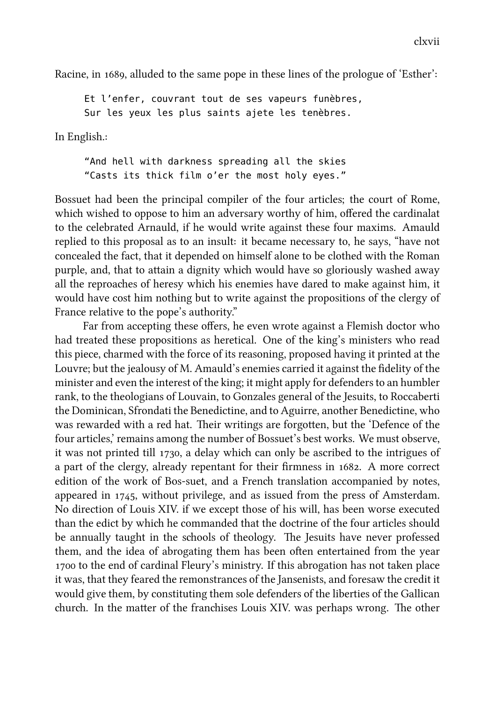Racine, in 1689, alluded to the same pope in these lines of the prologue of 'Esther':

Et l'enfer, couvrant tout de ses vapeurs funèbres, Sur les yeux les plus saints ajete les tenèbres.

In English.:

"And hell with darkness spreading all the skies "Casts its thick film o'er the most holy eyes."

Bossuet had been the principal compiler of the four articles; the court of Rome, which wished to oppose to him an adversary worthy of him, offered the cardinalat to the celebrated Arnauld, if he would write against these four maxims. Amauld replied to this proposal as to an insult: it became necessary to, he says, "have not concealed the fact, that it depended on himself alone to be clothed with the Roman purple, and, that to attain a dignity which would have so gloriously washed away all the reproaches of heresy which his enemies have dared to make against him, it would have cost him nothing but to write against the propositions of the clergy of France relative to the pope's authority."

Far from accepting these offers, he even wrote against a Flemish doctor who had treated these propositions as heretical. One of the king's ministers who read this piece, charmed with the force of its reasoning, proposed having it printed at the Louvre; but the jealousy of M. Amauld's enemies carried it against the fidelity of the minister and even the interest of the king; it might apply for defenders to an humbler rank, to the theologians of Louvain, to Gonzales general of the Jesuits, to Roccaberti the Dominican, Sfrondati the Benedictine, and to Aguirre, another Benedictine, who was rewarded with a red hat. Their writings are forgotten, but the 'Defence of the four articles,' remains among the number of Bossuet's best works. We must observe, it was not printed till 1730, a delay which can only be ascribed to the intrigues of a part of the clergy, already repentant for their firmness in 1682. A more correct edition of the work of Bos-suet, and a French translation accompanied by notes, appeared in  $1745$ , without privilege, and as issued from the press of Amsterdam. No direction of Louis XIV. if we except those of his will, has been worse executed than the edict by which he commanded that the doctrine of the four articles should be annually taught in the schools of theology. The Jesuits have never professed them, and the idea of abrogating them has been often entertained from the year 1700 to the end of cardinal Fleury's ministry. If this abrogation has not taken place it was, that they feared the remonstrances of the Jansenists, and foresaw the credit it would give them, by constituting them sole defenders of the liberties of the Gallican church. In the matter of the franchises Louis XIV. was perhaps wrong. The other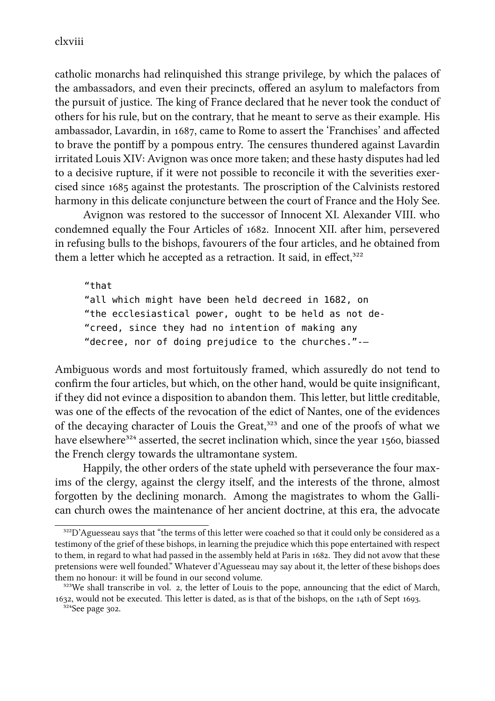clxviii

catholic monarchs had relinquished this strange privilege, by which the palaces of the ambassadors, and even their precincts, offered an asylum to malefactors from the pursuit of justice. The king of France declared that he never took the conduct of others for his rule, but on the contrary, that he meant to serve as their example. His ambassador, Lavardin, in 1687, came to Rome to assert the 'Franchises' and affected to brave the pontiff by a pompous entry. The censures thundered against Lavardin irritated Louis XIV: Avignon was once more taken; and these hasty disputes had led to a decisive rupture, if it were not possible to reconcile it with the severities exercised since 1685 against the protestants. The proscription of the Calvinists restored harmony in this delicate conjuncture between the court of France and the Holy See.

Avignon was restored to the successor of Innocent XI. Alexander VIII. who condemned equally the Four Articles of 1682. Innocent XII. after him, persevered in refusing bulls to the bishops, favourers of the four articles, and he obtained from them a letter which he accepted as a retraction. It said, in effect,<sup>322</sup>

```
"that
"all which might have been held decreed in 1682, on
"the ecclesiastical power, ought to be held as not de-
"creed, since they had no intention of making any
"decree, nor of doing prejudice to the churches."-—
```
Ambiguous words and most fortuitously framed, which assuredly do not tend to confirm the four articles, but which, on the other hand, would be quite insignificant, if they did not evince a disposition to abandon them. This letter, but little creditable, was one of the effects of the revocation of the edict of Nantes, one of the evidences of the decaying character of Louis the Great,<sup>323</sup> and one of the proofs of what we have elsewhere<sup>324</sup> asserted, the secret inclination which, since the year 1560, biassed the French clergy towards the ultramontane system.

Happily, the other orders of the state upheld with perseverance the four maxims of the clergy, against the clergy itself, and the interests of the throne, almost forgotten by the declining monarch. Among the magistrates to whom the Gallican church owes the maintenance of her ancient doctrine, at this era, the advocate

<sup>&</sup>lt;sup>322</sup>D'Aguesseau says that "the terms of this letter were coached so that it could only be considered as a testimony of the grief of these bishops, in learning the prejudice which this pope entertained with respect to them, in regard to what had passed in the assembly held at Paris in 1682. They did not avow that these pretensions were well founded." Whatever d'Aguesseau may say about it, the letter of these bishops does them no honour: it will be found in our second volume.

 $323$ We shall transcribe in vol. 2, the letter of Louis to the pope, announcing that the edict of March, 1632, would not be executed. This letter is dated, as is that of the bishops, on the  $14$ th of Sept 1693.  $324$ See page 302.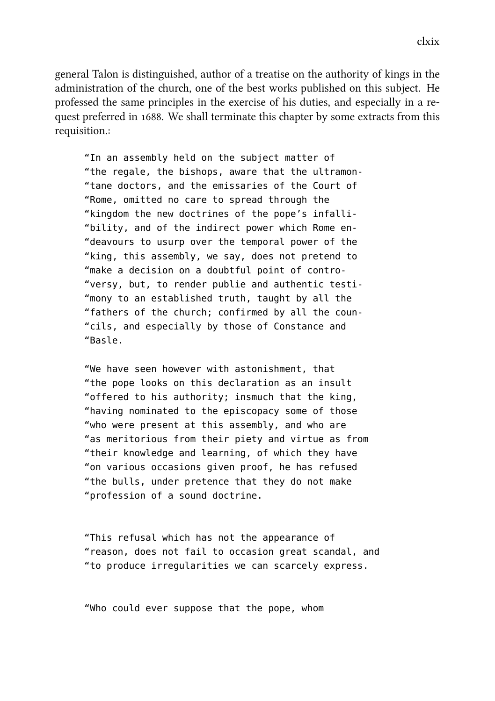general Talon is distinguished, author of a treatise on the authority of kings in the administration of the church, one of the best works published on this subject. He professed the same principles in the exercise of his duties, and especially in a request preferred in 1688. We shall terminate this chapter by some extracts from this requisition.:

"In an assembly held on the subject matter of "the regale, the bishops, aware that the ultramon- "tane doctors, and the emissaries of the Court of "Rome, omitted no care to spread through the "kingdom the new doctrines of the pope's infalli- "bility, and of the indirect power which Rome en- "deavours to usurp over the temporal power of the "king, this assembly, we say, does not pretend to "make a decision on a doubtful point of contro- "versy, but, to render publie and authentic testi- "mony to an established truth, taught by all the "fathers of the church; confirmed by all the coun- "cils, and especially by those of Constance and "Basle.

"We have seen however with astonishment, that "the pope looks on this declaration as an insult "offered to his authority; insmuch that the king, "having nominated to the episcopacy some of those "who were present at this assembly, and who are "as meritorious from their piety and virtue as from "their knowledge and learning, of which they have "on various occasions given proof, he has refused "the bulls, under pretence that they do not make "profession of a sound doctrine.

"This refusal which has not the appearance of "reason, does not fail to occasion great scandal, and "to produce irregularities we can scarcely express.

"Who could ever suppose that the pope, whom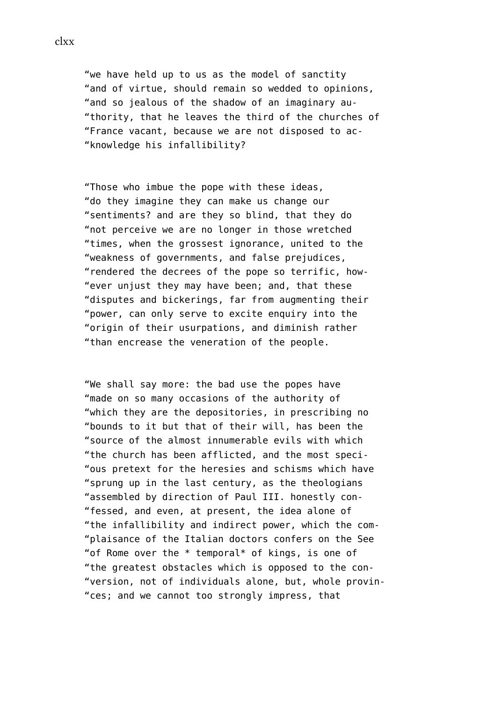"we have held up to us as the model of sanctity "and of virtue, should remain so wedded to opinions, "and so jealous of the shadow of an imaginary au- "thority, that he leaves the third of the churches of "France vacant, because we are not disposed to ac- "knowledge his infallibility?

"Those who imbue the pope with these ideas, "do they imagine they can make us change our "sentiments? and are they so blind, that they do "not perceive we are no longer in those wretched "times, when the grossest ignorance, united to the "weakness of governments, and false prejudices, "rendered the decrees of the pope so terrific, how- "ever unjust they may have been; and, that these "disputes and bickerings, far from augmenting their "power, can only serve to excite enquiry into the "origin of their usurpations, and diminish rather "than encrease the veneration of the people.

"We shall say more: the bad use the popes have "made on so many occasions of the authority of "which they are the depositories, in prescribing no "bounds to it but that of their will, has been the "source of the almost innumerable evils with which "the church has been afflicted, and the most speci- "ous pretext for the heresies and schisms which have "sprung up in the last century, as the theologians "assembled by direction of Paul III. honestly con- "fessed, and even, at present, the idea alone of "the infallibility and indirect power, which the com- "plaisance of the Italian doctors confers on the See "of Rome over the \* temporal\* of kings, is one of "the greatest obstacles which is opposed to the con- "version, not of individuals alone, but, whole provin- "ces; and we cannot too strongly impress, that

clxx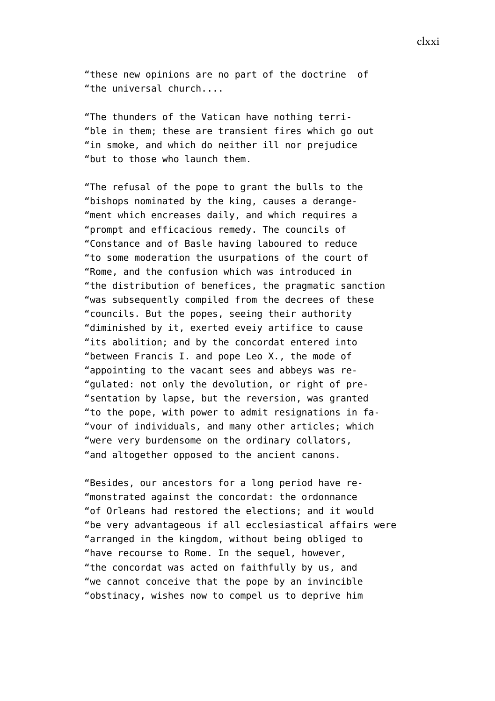"these new opinions are no part of the doctrine of "the universal church....

"The thunders of the Vatican have nothing terri- "ble in them; these are transient fires which go out "in smoke, and which do neither ill nor prejudice "but to those who launch them.

"The refusal of the pope to grant the bulls to the "bishops nominated by the king, causes a derange- "ment which encreases daily, and which requires a "prompt and efficacious remedy. The councils of "Constance and of Basle having laboured to reduce "to some moderation the usurpations of the court of "Rome, and the confusion which was introduced in "the distribution of benefices, the pragmatic sanction "was subsequently compiled from the decrees of these "councils. But the popes, seeing their authority "diminished by it, exerted eveiy artifice to cause "its abolition; and by the concordat entered into "between Francis I. and pope Leo X., the mode of "appointing to the vacant sees and abbeys was re- "gulated: not only the devolution, or right of pre- "sentation by lapse, but the reversion, was granted "to the pope, with power to admit resignations in fa- "vour of individuals, and many other articles; which "were very burdensome on the ordinary collators, "and altogether opposed to the ancient canons.

"Besides, our ancestors for a long period have re- "monstrated against the concordat: the ordonnance "of Orleans had restored the elections; and it would "be very advantageous if all ecclesiastical affairs were "arranged in the kingdom, without being obliged to "have recourse to Rome. In the sequel, however, "the concordat was acted on faithfully by us, and "we cannot conceive that the pope by an invincible "obstinacy, wishes now to compel us to deprive him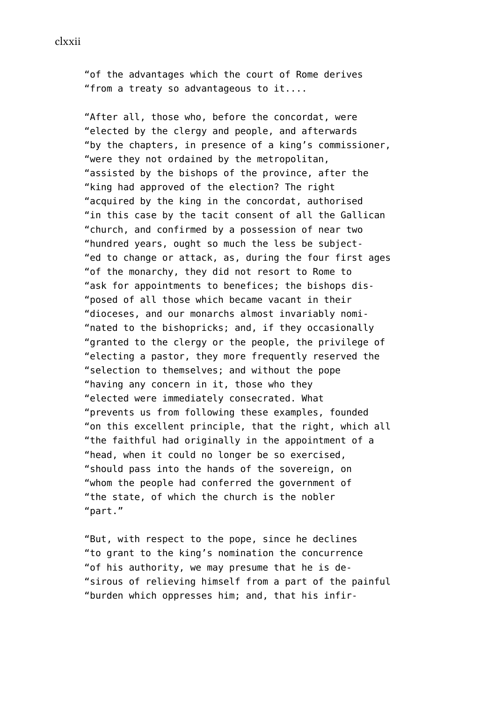"of the advantages which the court of Rome derives "from a treaty so advantageous to it....

"After all, those who, before the concordat, were "elected by the clergy and people, and afterwards "by the chapters, in presence of a king's commissioner, "were they not ordained by the metropolitan, "assisted by the bishops of the province, after the "king had approved of the election? The right "acquired by the king in the concordat, authorised "in this case by the tacit consent of all the Gallican "church, and confirmed by a possession of near two "hundred years, ought so much the less be subject- "ed to change or attack, as, during the four first ages "of the monarchy, they did not resort to Rome to "ask for appointments to benefices; the bishops dis- "posed of all those which became vacant in their "dioceses, and our monarchs almost invariably nomi- "nated to the bishopricks; and, if they occasionally "granted to the clergy or the people, the privilege of "electing a pastor, they more frequently reserved the "selection to themselves; and without the pope "having any concern in it, those who they "elected were immediately consecrated. What "prevents us from following these examples, founded "on this excellent principle, that the right, which all "the faithful had originally in the appointment of a "head, when it could no longer be so exercised, "should pass into the hands of the sovereign, on "whom the people had conferred the government of "the state, of which the church is the nobler "part."

"But, with respect to the pope, since he declines "to grant to the king's nomination the concurrence "of his authority, we may presume that he is de- "sirous of relieving himself from a part of the painful "burden which oppresses him; and, that his infir-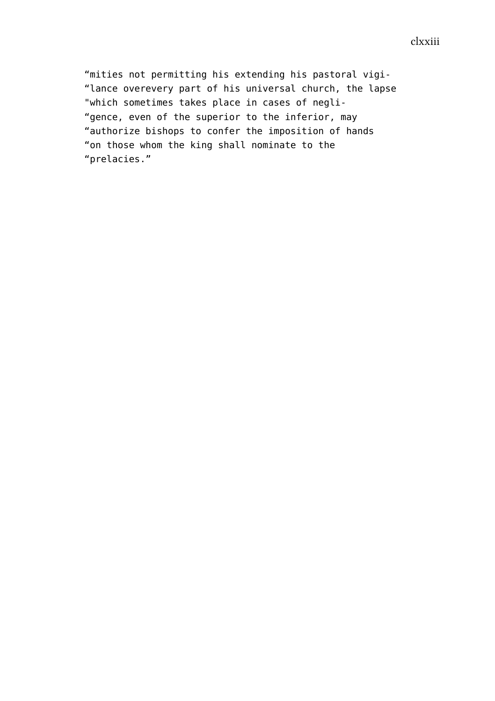clxxiii

"mities not permitting his extending his pastoral vigi- "lance overevery part of his universal church, the lapse "which sometimes takes place in cases of negli- "gence, even of the superior to the inferior, may "authorize bishops to confer the imposition of hands "on those whom the king shall nominate to the "prelacies."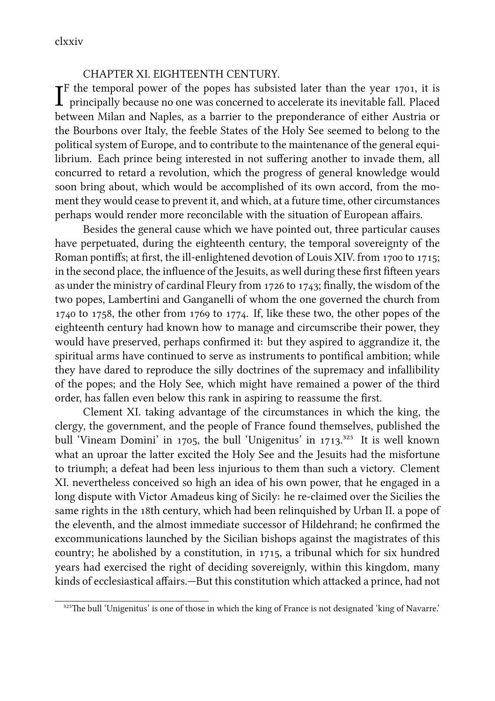clxxiv

## CHAPTER XI. EIGHTEENTH CENTURY.

 $\mathbf{I}^{\text{F}}$  the temporal power of the popes has subsisted later than the year 1701, it is principally because no one was concerned to accelerate its inevitable fall. Placed  $\mathbf{T}^{\text{F}}$  the temporal power of the popes has subsisted later than the year 1701, it is between Milan and Naples, as a barrier to the preponderance of either Austria or the Bourbons over Italy, the feeble States of the Holy See seemed to belong to the political system of Europe, and to contribute to the maintenance of the general equilibrium. Each prince being interested in not suffering another to invade them, all concurred to retard a revolution, which the progress of general knowledge would soon bring about, which would be accomplished of its own accord, from the moment they would cease to prevent it, and which, at a future time, other circumstances perhaps would render more reconcilable with the situation of European affairs.

Besides the general cause which we have pointed out, three particular causes have perpetuated, during the eighteenth century, the temporal sovereignty of the Roman pontiffs; at first, the ill-enlightened devotion of Louis XIV. from  $1700$  to  $1715$ ; in the second place, the influence of the Jesuits, as well during these first fifteen years as under the ministry of cardinal Fleury from 1726 to 1743; finally, the wisdom of the two popes, Lambertini and Ganganelli of whom the one governed the church from  $1740$  to  $1758$ , the other from  $1769$  to  $1774$ . If, like these two, the other popes of the eighteenth century had known how to manage and circumscribe their power, they would have preserved, perhaps confirmed it: but they aspired to aggrandize it, the spiritual arms have continued to serve as instruments to pontifical ambition; while they have dared to reproduce the silly doctrines of the supremacy and infallibility of the popes; and the Holy See, which might have remained a power of the third order, has fallen even below this rank in aspiring to reassume the first.

Clement XI. taking advantage of the circumstances in which the king, the clergy, the government, and the people of France found themselves, published the bull 'Vineam Domini' in 1705, the bull 'Unigenitus' in  $1713^{325}$  It is well known what an uproar the latter excited the Holy See and the Jesuits had the misfortune to triumph; a defeat had been less injurious to them than such a victory. Clement XI. nevertheless conceived so high an idea of his own power, that he engaged in a long dispute with Victor Amadeus king of Sicily: he re-claimed over the Sicilies the same rights in the 18th century, which had been relinquished by Urban II. a pope of the eleventh, and the almost immediate successor of Hildehrand; he confirmed the excommunications launed by the Sicilian bishops against the magistrates of this country; he abolished by a constitution, in  $1715$ , a tribunal which for six hundred years had exercised the right of deciding sovereignly, within this kingdom, many kinds of ecclesiastical affairs.—But this constitution which attacked a prince, had not

<sup>325</sup>The bull 'Unigenitus' is one of those in which the king of France is not designated 'king of Navarre.'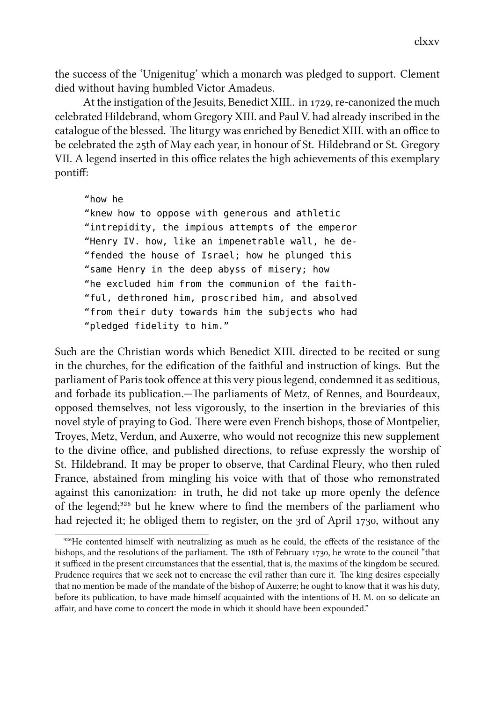the success of the 'Unigenitug' which a monarch was pledged to support. Clement died without having humbled Victor Amadeus.

At the instigation of the Jesuits, Benedict XIII.. in 1729, re-canonized the much celebrated Hildebrand, whom Gregory XIII. and Paul V. had already inscribed in the catalogue of the blessed. The liturgy was enriched by Benedict XIII. with an office to be celebrated the 25th of May each year, in honour of St. Hildebrand or St. Gregory VII. A legend inserted in this office relates the high achievements of this exemplary pontiff:

"how he

"knew how to oppose with generous and athletic "intrepidity, the impious attempts of the emperor "Henry IV. how, like an impenetrable wall, he de- "fended the house of Israel; how he plunged this "same Henry in the deep abyss of misery; how "he excluded him from the communion of the faith- "ful, dethroned him, proscribed him, and absolved "from their duty towards him the subjects who had "pledged fidelity to him."

Such are the Christian words which Benedict XIII. directed to be recited or sung in the churches, for the edification of the faithful and instruction of kings. But the parliament of Paris took offence at this very pious legend, condemned it as seditious, and forbade its publication.—The parliaments of Metz, of Rennes, and Bourdeaux, opposed themselves, not less vigorously, to the insertion in the breviaries of this novel style of praying to God. There were even French bishops, those of Montpelier, Troyes, Metz, Verdun, and Auxerre, who would not recognize this new supplement to the divine office, and published directions, to refuse expressly the worship of St. Hildebrand. It may be proper to observe, that Cardinal Fleury, who then ruled France, abstained from mingling his voice with that of those who remonstrated against this canonization: in truth, he did not take up more openly the defence of the legend;<sup>326</sup> but he knew where to find the members of the parliament who had rejected it; he obliged them to register, on the 3rd of April 1730, without any

<sup>&</sup>lt;sup>326</sup>He contented himself with neutralizing as much as he could, the effects of the resistance of the bishops, and the resolutions of the parliament. The 18th of February 1730, he wrote to the council "that it sufficed in the present circumstances that the essential, that is, the maxims of the kingdom be secured. Prudence requires that we seek not to encrease the evil rather than cure it. The king desires especially that no mention be made of the mandate of the bishop of Auxerre; he ought to know that it was his duty, before its publication, to have made himself acquainted with the intentions of H. M. on so delicate an affair, and have come to concert the mode in which it should have been expounded."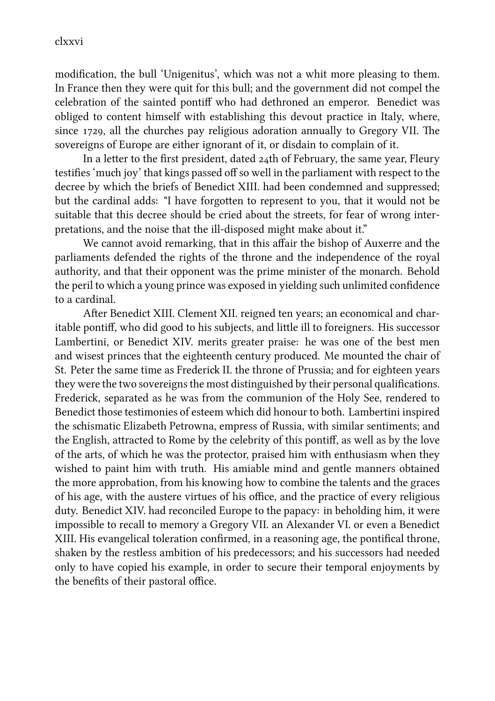modification, the bull 'Unigenitus', which was not a whit more pleasing to them. In France then they were quit for this bull; and the government did not compel the celebration of the sainted pontiff who had dethroned an emperor. Benedict was obliged to content himself with establishing this devout practice in Italy, where, since 1729, all the churches pay religious adoration annually to Gregory VII. The sovereigns of Europe are either ignorant of it, or disdain to complain of it.

In a letter to the first president, dated  $24$ th of February, the same year, Fleury testifies 'much joy' that kings passed off so well in the parliament with respect to the decree by which the briefs of Benedict XIII. had been condemned and suppressed; but the cardinal adds: "I have forgotten to represent to you, that it would not be suitable that this decree should be cried about the streets, for fear of wrong interpretations, and the noise that the ill-disposed might make about it."

We cannot avoid remarking, that in this affair the bishop of Auxerre and the parliaments defended the rights of the throne and the independence of the royal authority, and that their opponent was the prime minister of the monarch. Behold the peril to which a young prince was exposed in yielding such unlimited confidence to a cardinal.

After Benedict XIII. Clement XII. reigned ten years; an economical and charitable pontiff, who did good to his subjects, and little ill to foreigners. His successor Lambertini, or Benedict XIV. merits greater praise: he was one of the best men and wisest princes that the eighteenth century produced. Me mounted the chair of St. Peter the same time as Frederick II. the throne of Prussia; and for eighteen years they were the two sovereigns the most distinguished by their personal qualifications. Frederick, separated as he was from the communion of the Holy See, rendered to Benedict those testimonies of esteem which did honour to both. Lambertini inspired the schismatic Elizabeth Petrowna, empress of Russia, with similar sentiments; and the English, attracted to Rome by the celebrity of this pontiff, as well as by the love of the arts, of which he was the protector, praised him with enthusiasm when they wished to paint him with truth. His amiable mind and gentle manners obtained the more approbation, from his knowing how to combine the talents and the graces of his age, with the austere virtues of his office, and the practice of every religious duty. Benedict XIV. had reconciled Europe to the papacy: in beholding him, it were impossible to recall to memory a Gregory VII. an Alexander VI. or even a Benedict XIII. His evangelical toleration confirmed, in a reasoning age, the pontifical throne, shaken by the restless ambition of his predecessors; and his successors had needed only to have copied his example, in order to secure their temporal enjoyments by the benefits of their pastoral office.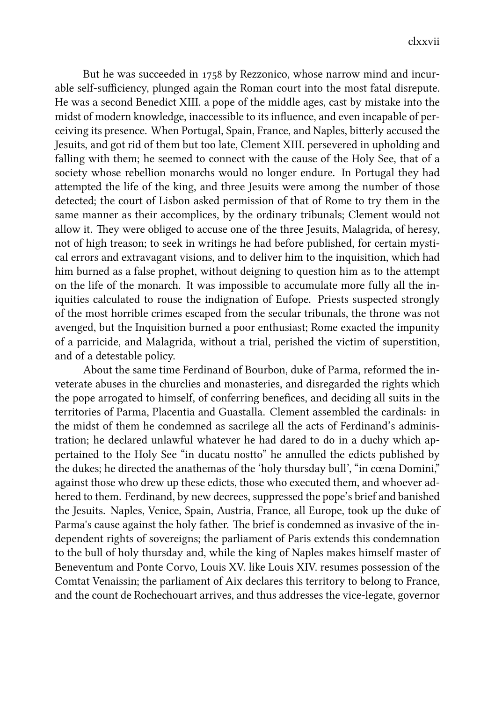But he was succeeded in 1758 by Rezzonico, whose narrow mind and incurable self-sufficiency, plunged again the Roman court into the most fatal disrepute. He was a second Benedict XIII. a pope of the middle ages, cast by mistake into the midst of modern knowledge, inaccessible to its influence, and even incapable of perceiving its presence. When Portugal, Spain, France, and Naples, bitterly accused the Jesuits, and got rid of them but too late, Clement XIII. persevered in upholding and falling with them; he seemed to connect with the cause of the Holy See, that of a society whose rebellion monarchs would no longer endure. In Portugal they had attempted the life of the king, and three Jesuits were among the number of those detected; the court of Lisbon asked permission of that of Rome to try them in the same manner as their accomplices, by the ordinary tribunals; Clement would not allow it. They were obliged to accuse one of the three Jesuits, Malagrida, of heresy, not of high treason; to seek in writings he had before published, for certain mystical errors and extravagant visions, and to deliver him to the inquisition, which had him burned as a false prophet, without deigning to question him as to the attempt on the life of the monarch. It was impossible to accumulate more fully all the iniquities calculated to rouse the indignation of Eufope. Priests suspected strongly of the most horrible crimes escaped from the secular tribunals, the throne was not avenged, but the Inquisition burned a poor enthusiast; Rome exacted the impunity of a parricide, and Malagrida, without a trial, perished the victim of superstition, and of a detestable policy.

About the same time Ferdinand of Bourbon, duke of Parma, reformed the inveterate abuses in the churclies and monasteries, and disregarded the rights which the pope arrogated to himself, of conferring benefices, and deciding all suits in the territories of Parma, Placentia and Guastalla. Clement assembled the cardinals: in the midst of them he condemned as sacrilege all the acts of Ferdinand's administration; he declared unlawful whatever he had dared to do in a duchy which appertained to the Holy See "in ducatu nostto" he annulled the edicts published by the dukes; he directed the anathemas of the 'holy thursday bull', "in cœna Domini," against those who drew up these edicts, those who executed them, and whoever adhered to them. Ferdinand, by new decrees, suppressed the pope's brief and banished the Jesuits. Naples, Venice, Spain, Austria, France, all Europe, took up the duke of Parma's cause against the holy father. The brief is condemned as invasive of the independent rights of sovereigns; the parliament of Paris extends this condemnation to the bull of holy thursday and, while the king of Naples makes himself master of Beneventum and Ponte Corvo, Louis XV. like Louis XIV. resumes possession of the Comtat Venaissin; the parliament of Aix declares this territory to belong to France, and the count de Rochechouart arrives, and thus addresses the vice-legate, governor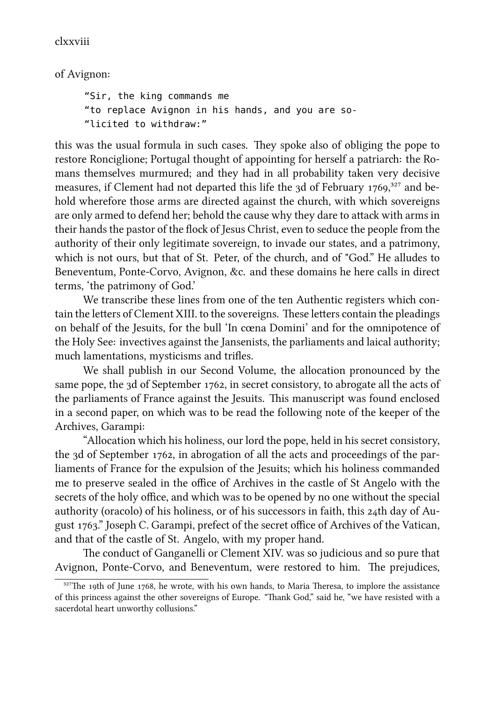of Avignon:

"Sir, the king commands me "to replace Avignon in his hands, and you are so- "licited to withdraw:"

this was the usual formula in such cases. They spoke also of obliging the pope to restore Ronciglione; Portugal thought of appointing for herself a patriarch: the Romans themselves murmured; and they had in all probability taken very decisive measures, if Clement had not departed this life the 3d of February  $1769$ , $327$  and behold wherefore those arms are directed against the church, with which sovereigns are only armed to defend her; behold the cause why they dare to attack with arms in their hands the pastor of the flock of Jesus Christ, even to seduce the people from the authority of their only legitimate sovereign, to invade our states, and a patrimony, which is not ours, but that of St. Peter, of the church, and of "God." He alludes to Beneventum, Ponte-Corvo, Avignon, &c. and these domains he here calls in direct terms, 'the patrimony of God.'

We transcribe these lines from one of the ten Authentic registers which contain the letters of Clement XIII. to the sovereigns. These letters contain the pleadings on behalf of the Jesuits, for the bull 'In cœna Domini' and for the omnipotence of the Holy See: invectives against the Jansenists, the parliaments and laical authority; much lamentations, mysticisms and trifles.

We shall publish in our Second Volume, the allocation pronounced by the same pope, the 3d of September 1762, in secret consistory, to abrogate all the acts of the parliaments of France against the Jesuits. This manuscript was found enclosed in a second paper, on which was to be read the following note of the keeper of the Archives, Garampi:

"Allocation which his holiness, our lord the pope, held in his secret consistory, the 3d of September 1762, in abrogation of all the acts and proceedings of the parliaments of France for the expulsion of the Jesuits; which his holiness commanded me to preserve sealed in the office of Archives in the castle of St Angelo with the secrets of the holy office, and which was to be opened by no one without the special authority (oracolo) of his holiness, or of his successors in faith, this  $24$ th day of August 1763." Joseph C. Garampi, prefect of the secret office of Archives of the Vatican, and that of the castle of St. Angelo, with my proper hand.

The conduct of Ganganelli or Clement XIV. was so judicious and so pure that Avignon, Ponte-Corvo, and Beneventum, were restored to him. The prejudices,

 $327$ The 19th of June 1768, he wrote, with his own hands, to Maria Theresa, to implore the assistance of this princess against the other sovereigns of Europe. "Thank God," said he, "we have resisted with a sacerdotal heart unworthy collusions."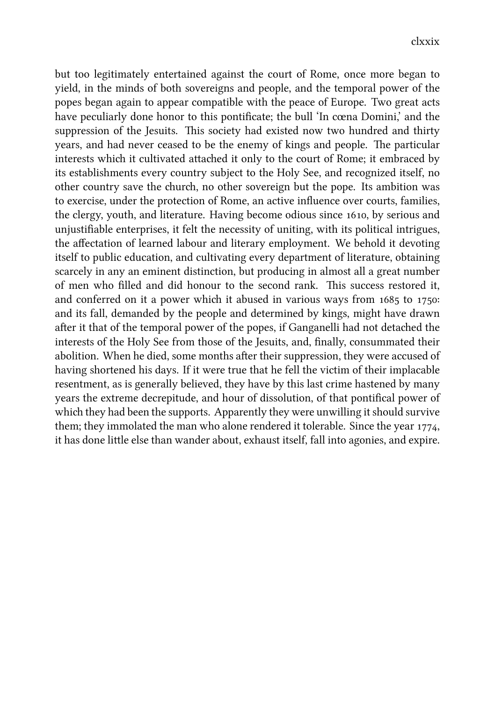but too legitimately entertained against the court of Rome, once more began to yield, in the minds of both sovereigns and people, and the temporal power of the popes began again to appear compatible with the peace of Europe. Two great acts have peculiarly done honor to this pontificate; the bull 'In cœna Domini,' and the suppression of the Jesuits. This society had existed now two hundred and thirty years, and had never ceased to be the enemy of kings and people. The particular interests which it cultivated attached it only to the court of Rome; it embraced by its establishments every country subject to the Holy See, and recognized itself, no other country save the church, no other sovereign but the pope. Its ambition was to exercise, under the protection of Rome, an active influence over courts, families, the clergy, youth, and literature. Having become odious since 1610, by serious and unjustifiable enterprises, it felt the necessity of uniting, with its political intrigues, the affectation of learned labour and literary employment. We behold it devoting itself to public education, and cultivating every department of literature, obtaining scarcely in any an eminent distinction, but producing in almost all a great number of men who filled and did honour to the second rank. This success restored it, and conferred on it a power which it abused in various ways from  $1685$  to  $1750$ : and its fall, demanded by the people and determined by kings, might have drawn after it that of the temporal power of the popes, if Ganganelli had not detached the interests of the Holy See from those of the Jesuits, and, finally, consummated their abolition. When he died, some months after their suppression, they were accused of having shortened his days. If it were true that he fell the victim of their implacable resentment, as is generally believed, they have by this last crime hastened by many years the extreme decrepitude, and hour of dissolution, of that pontifical power of which they had been the supports. Apparently they were unwilling it should survive them; they immolated the man who alone rendered it tolerable. Since the year 1774, it has done little else than wander about, exhaust itself, fall into agonies, and expire.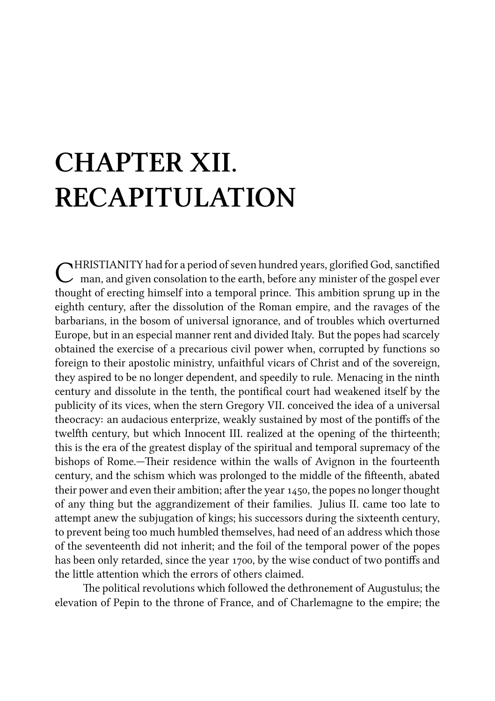## **CHAPTER XII. RECAPITULATION**

C HRISTIANITY had for a period of seven hundred years, glorified God, sanctified man, and given consolation to the earth, before any minister of the gospel ever thought of erecting himself into a temporal prince. This ambition sprung up in the eighth century, after the dissolution of the Roman empire, and the ravages of the barbarians, in the bosom of universal ignorance, and of troubles which overturned Europe, but in an especial manner rent and divided Italy. But the popes had scarcely obtained the exercise of a precarious civil power when, corrupted by functions so foreign to their apostolic ministry, unfaithful vicars of Christ and of the sovereign, they aspired to be no longer dependent, and speedily to rule. Menacing in the ninth century and dissolute in the tenth, the pontifical court had weakened itself by the publicity of its vices, when the stern Gregory VII. conceived the idea of a universal theocracy: an audacious enterprize, weakly sustained by most of the pontiffs of the twelfth century, but which Innocent III. realized at the opening of the thirteenth; this is the era of the greatest display of the spiritual and temporal supremacy of the bishops of Rome.—Their residence within the walls of Avignon in the fourteenth century, and the schism which was prolonged to the middle of the fifteenth, abated their power and even their ambition; after the year 1450, the popes no longer thought of any thing but the aggrandizement of their families. Julius II. came too late to attempt anew the subjugation of kings; his successors during the sixteenth century, to prevent being too much humbled themselves, had need of an address which those of the seventeenth did not inherit; and the foil of the temporal power of the popes has been only retarded, since the year 1700, by the wise conduct of two pontiffs and the little attention which the errors of others claimed.

The political revolutions which followed the dethronement of Augustulus; the elevation of Pepin to the throne of France, and of Charlemagne to the empire; the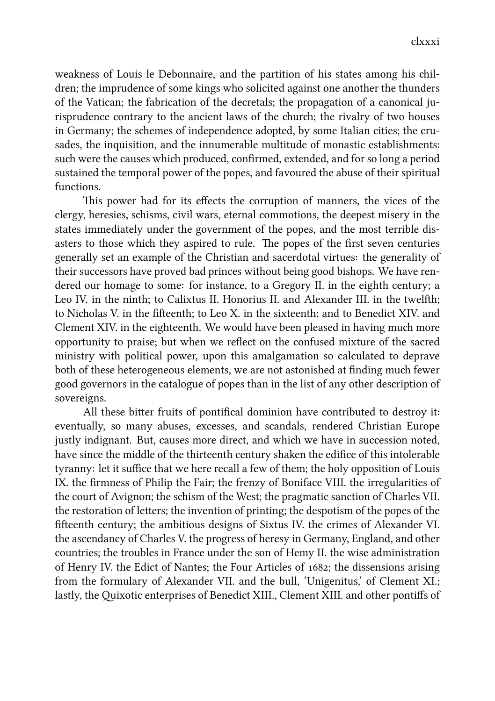weakness of Louis le Debonnaire, and the partition of his states among his children; the imprudence of some kings who solicited against one another the thunders of the Vatican; the fabrication of the decretals; the propagation of a canonical jurisprudence contrary to the ancient laws of the church; the rivalry of two houses in Germany; the schemes of independence adopted, by some Italian cities; the crusades, the inquisition, and the innumerable multitude of monastic establishments: such were the causes which produced, confirmed, extended, and for so long a period sustained the temporal power of the popes, and favoured the abuse of their spiritual functions.

This power had for its effects the corruption of manners, the vices of the clergy, heresies, schisms, civil wars, eternal commotions, the deepest misery in the states immediately under the government of the popes, and the most terrible disasters to those which they aspired to rule. The popes of the first seven centuries generally set an example of the Christian and sacerdotal virtues: the generality of their successors have proved bad princes without being good bishops. We have rendered our homage to some: for instance, to a Gregory II. in the eighth century; a Leo IV, in the ninth; to Calixtus II. Honorius II. and Alexander III, in the twelfth; to Nicholas V, in the fifteenth; to Leo X, in the sixteenth; and to Benedict XIV, and Clement XIV. in the eighteenth. We would have been pleased in having much more opportunity to praise; but when we reflect on the confused mixture of the sacred ministry with political power, upon this amalgamation so calculated to deprave both of these heterogeneous elements, we are not astonished at finding much fewer good governors in the catalogue of popes than in the list of any other description of sovereigns.

All these bitter fruits of pontifical dominion have contributed to destroy it: eventually, so many abuses, excesses, and scandals, rendered Christian Europe justly indignant. But, causes more direct, and which we have in succession noted, have since the middle of the thirteenth century shaken the edifice of this intolerable tyranny: let it suffice that we here recall a few of them; the holy opposition of Louis IX. the firmness of Philip the Fair; the frenzy of Boniface VIII. the irregularities of the court of Avignon; the schism of the West; the pragmatic sanction of Charles VII. the restoration of letters; the invention of printing; the despotism of the popes of the fieenth century; the ambitious designs of Sixtus IV. the crimes of Alexander VI. the ascendancy of Charles V. the progress of heresy in Germany, England, and other countries; the troubles in France under the son of Hemy II. the wise administration of Henry IV, the Edict of Nantes; the Four Articles of 1682; the dissensions arising from the formulary of Alexander VII. and the bull, 'Unigenitus,' of Clement XI.; lastly, the Quixotic enterprises of Benedict XIII., Clement XIII. and other pontiffs of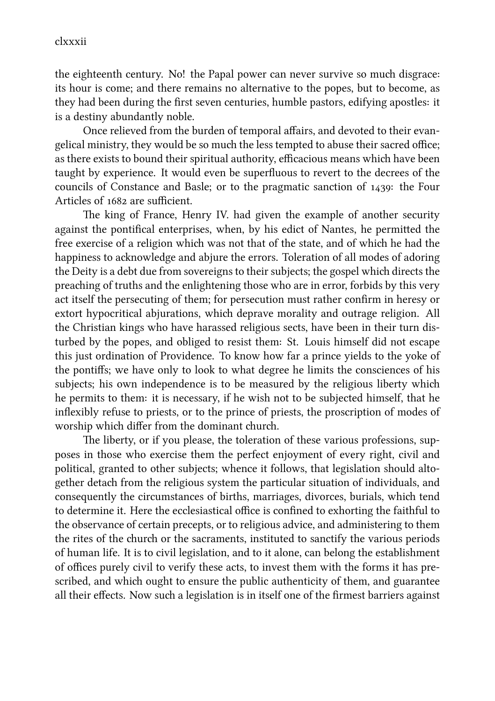clxxxii

the eighteenth century. No! the Papal power can never survive so much disgrace: its hour is come; and there remains no alternative to the popes, but to become, as they had been during the first seven centuries, humble pastors, edifying apostles: it is a destiny abundantly noble.

Once relieved from the burden of temporal affairs, and devoted to their evangelical ministry, they would be so much the less tempted to abuse their sacred office; as there exists to bound their spiritual authority, efficacious means which have been taught by experience. It would even be superfluous to revert to the decrees of the councils of Constance and Basle; or to the pragmatic sanction of  $1439$ : the Four Articles of 1682 are sufficient.

The king of France, Henry IV. had given the example of another security against the pontifical enterprises, when, by his edict of Nantes, he permitted the free exercise of a religion which was not that of the state, and of which he had the happiness to acknowledge and abjure the errors. Toleration of all modes of adoring the Deity is a debt due from sovereigns to their subjects; the gospel which directs the preaching of truths and the enlightening those who are in error, forbids by this very act itself the persecuting of them; for persecution must rather confirm in heresy or extort hypocritical abjurations, which deprave morality and outrage religion. All the Christian kings who have harassed religious sects, have been in their turn disturbed by the popes, and obliged to resist them: St. Louis himself did not escape this just ordination of Providence. To know how far a prince yields to the yoke of the pontiffs; we have only to look to what degree he limits the consciences of his subjects; his own independence is to be measured by the religious liberty which he permits to them: it is necessary, if he wish not to be subjected himself, that he inflexibly refuse to priests, or to the prince of priests, the proscription of modes of worship which differ from the dominant church.

The liberty, or if you please, the toleration of these various professions, supposes in those who exercise them the perfect enjoyment of every right, civil and political, granted to other subjects; whence it follows, that legislation should altogether detach from the religious system the particular situation of individuals, and consequently the circumstances of births, marriages, divorces, burials, which tend to determine it. Here the ecclesiastical office is confined to exhorting the faithful to the observance of certain precepts, or to religious advice, and administering to them the rites of the church or the sacraments, instituted to sanctify the various periods of human life. It is to civil legislation, and to it alone, can belong the establishment of offices purely civil to verify these acts, to invest them with the forms it has prescribed, and which ought to ensure the public authenticity of them, and guarantee all their effects. Now such a legislation is in itself one of the firmest barriers against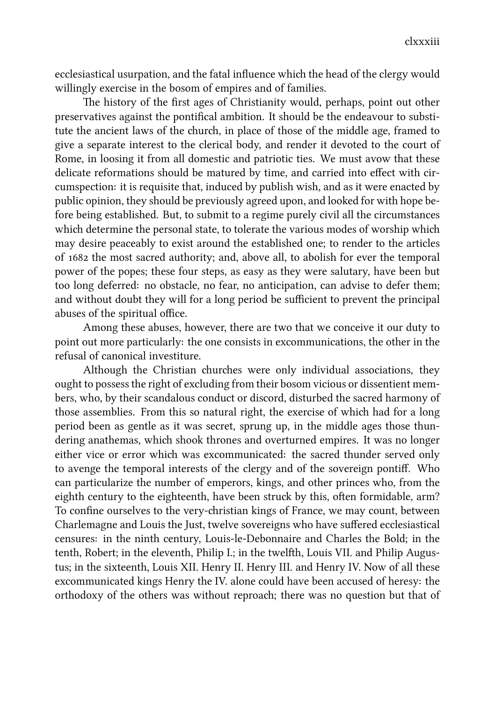ecclesiastical usurpation, and the fatal influence which the head of the clergy would willingly exercise in the bosom of empires and of families.

The history of the first ages of Christianity would, perhaps, point out other preservatives against the pontifical ambition. It should be the endeavour to substitute the ancient laws of the church, in place of those of the middle age, framed to give a separate interest to the clerical body, and render it devoted to the court of Rome, in loosing it from all domestic and patriotic ties. We must avow that these delicate reformations should be matured by time, and carried into effect with circumspection: it is requisite that, induced by publish wish, and as it were enacted by public opinion, they should be previously agreed upon, and looked for with hope before being established. But, to submit to a regime purely civil all the circumstances which determine the personal state, to tolerate the various modes of worship which may desire peaceably to exist around the established one; to render to the articles of the most sacred authority; and, above all, to abolish for ever the temporal power of the popes; these four steps, as easy as they were salutary, have been but too long deferred: no obstacle, no fear, no anticipation, can advise to defer them; and without doubt they will for a long period be sufficient to prevent the principal abuses of the spiritual office.

Among these abuses, however, there are two that we conceive it our duty to point out more particularly: the one consists in excommunications, the other in the refusal of canonical investiture.

Although the Christian churches were only individual associations, they ought to possess the right of excluding from their bosom vicious or dissentient members, who, by their scandalous conduct or discord, disturbed the sacred harmony of those assemblies. From this so natural right, the exercise of which had for a long period been as gentle as it was secret, sprung up, in the middle ages those thundering anathemas, which shook thrones and overturned empires. It was no longer either vice or error which was excommunicated: the sacred thunder served only to avenge the temporal interests of the clergy and of the sovereign pontiff. Who can particularize the number of emperors, kings, and other princes who, from the eighth century to the eighteenth, have been struck by this, often formidable, arm? To confine ourselves to the very-christian kings of France, we may count, between Charlemagne and Louis the Just, twelve sovereigns who have suffered ecclesiastical censures: in the ninth century, Louis-le-Debonnaire and Charles the Bold; in the tenth, Robert; in the eleventh, Philip I.; in the twelfth, Louis VII, and Philip Augustus; in the sixteenth, Louis XII. Henry II. Henry III. and Henry IV. Now of all these excommunicated kings Henry the IV. alone could have been accused of heresy: the orthodoxy of the others was without reproach; there was no question but that of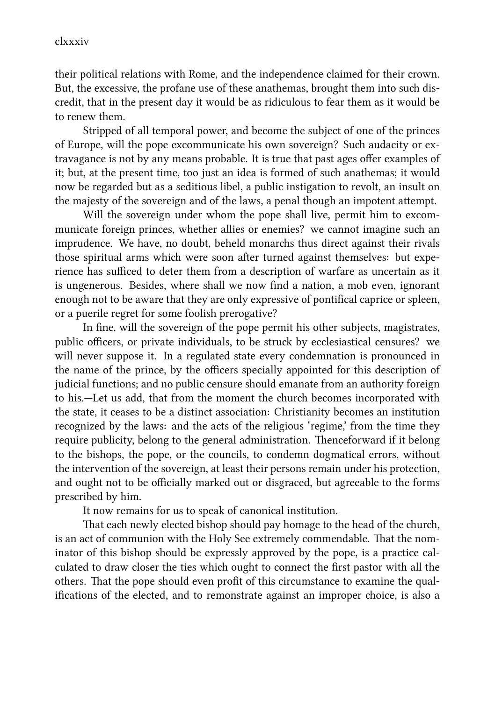their political relations with Rome, and the independence claimed for their crown. But, the excessive, the profane use of these anathemas, brought them into such discredit, that in the present day it would be as ridiculous to fear them as it would be to renew them.

Stripped of all temporal power, and become the subject of one of the princes of Europe, will the pope excommunicate his own sovereign? Such audacity or extravagance is not by any means probable. It is true that past ages offer examples of it; but, at the present time, too just an idea is formed of such anathemas; it would now be regarded but as a seditious libel, a public instigation to revolt, an insult on the majesty of the sovereign and of the laws, a penal though an impotent attempt.

Will the sovereign under whom the pope shall live, permit him to excommunicate foreign princes, whether allies or enemies? we cannot imagine such an imprudence. We have, no doubt, beheld monarchs thus direct against their rivals those spiritual arms which were soon after turned against themselves: but experience has sufficed to deter them from a description of warfare as uncertain as it is ungenerous. Besides, where shall we now find a nation, a mob even, ignorant enough not to be aware that they are only expressive of pontifical caprice or spleen, or a puerile regret for some foolish prerogative?

In fine, will the sovereign of the pope permit his other subjects, magistrates, public officers, or private individuals, to be struck by ecclesiastical censures? we will never suppose it. In a regulated state every condemnation is pronounced in the name of the prince, by the officers specially appointed for this description of judicial functions; and no public censure should emanate from an authority foreign to his.-Let us add, that from the moment the church becomes incorporated with the state, it ceases to be a distinct association: Christianity becomes an institution recognized by the laws: and the acts of the religious 'regime,' from the time they require publicity, belong to the general administration. Thenceforward if it belong to the bishops, the pope, or the councils, to condemn dogmatical errors, without the intervention of the sovereign, at least their persons remain under his protection, and ought not to be officially marked out or disgraced, but agreeable to the forms prescribed by him.

It now remains for us to speak of canonical institution.

That each newly elected bishop should pay homage to the head of the church, is an act of communion with the Holy See extremely commendable. That the nominator of this bishop should be expressly approved by the pope, is a practice calculated to draw closer the ties which ought to connect the first pastor with all the others. That the pope should even profit of this circumstance to examine the qualifications of the elected, and to remonstrate against an improper choice, is also a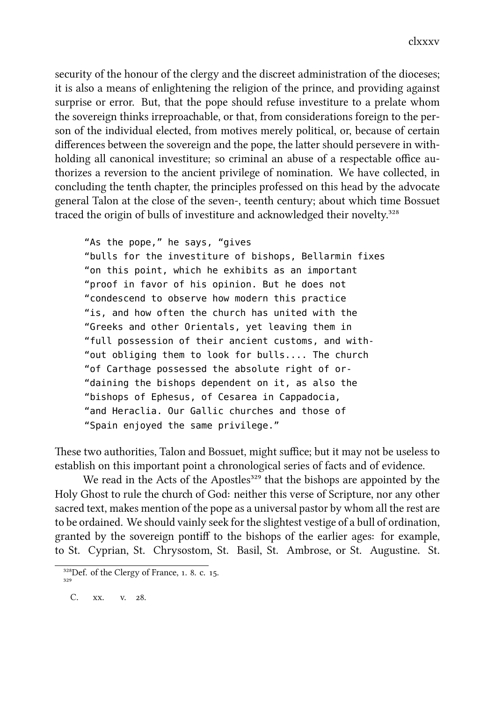security of the honour of the clergy and the discreet administration of the dioceses; it is also a means of enlightening the religion of the prince, and providing against surprise or error. But, that the pope should refuse investiture to a prelate whom the sovereign thinks irreproachable, or that, from considerations foreign to the person of the individual elected, from motives merely political, or, because of certain differences between the sovereign and the pope, the latter should persevere in withholding all canonical investiture; so criminal an abuse of a respectable office authorizes a reversion to the ancient privilege of nomination. We have collected, in concluding the tenth chapter, the principles professed on this head by the advocate general Talon at the close of the seven-, teenth century; about which time Bossuet traced the origin of bulls of investiture and acknowledged their novelty.<sup>328</sup>

"As the pope," he says, "gives "bulls for the investiture of bishops, Bellarmin fixes "on this point, which he exhibits as an important "proof in favor of his opinion. But he does not "condescend to observe how modern this practice "is, and how often the church has united with the "Greeks and other Orientals, yet leaving them in "full possession of their ancient customs, and with- "out obliging them to look for bulls.... The church "of Carthage possessed the absolute right of or- "daining the bishops dependent on it, as also the "bishops of Ephesus, of Cesarea in Cappadocia, "and Heraclia. Our Gallic churches and those of "Spain enjoyed the same privilege."

These two authorities, Talon and Bossuet, might suffice; but it may not be useless to establish on this important point a chronological series of facts and of evidence.

We read in the Acts of the Apostles<sup>329</sup> that the bishops are appointed by the Holy Ghost to rule the church of God: neither this verse of Scripture, nor any other sacred text, makes mention of the pope as a universal pastor by whom all the rest are to be ordained. We should vainly seek for the slightest vestige of a bull of ordination, granted by the sovereign pontiff to the bishops of the earlier ages: for example, to St. Cyprian, St. Chrysostom, St. Basil, St. Ambrose, or St. Augustine. St.

<sup>&</sup>lt;sup>328</sup>Def. of the Clergy of France, 1. 8. c. 15. ³²⁹

C. xx. v. 28.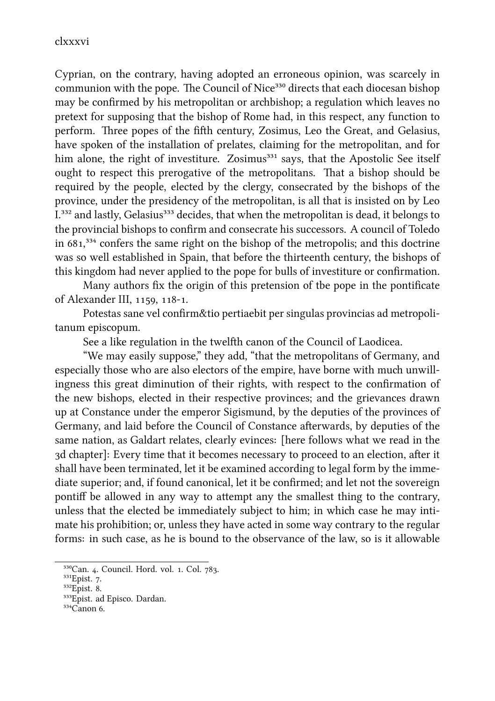Cyprian, on the contrary, having adopted an erroneous opinion, was scarcely in communion with the pope. The Council of Nice<sup>330</sup> directs that each diocesan bishop may be confirmed by his metropolitan or archbishop; a regulation which leaves no pretext for supposing that the bishop of Rome had, in this respect, any function to perform. Three popes of the fifth century, Zosimus, Leo the Great, and Gelasius, have spoken of the installation of prelates, claiming for the metropolitan, and for him alone, the right of investiture. Zosimus<sup>331</sup> says, that the Apostolic See itself ought to respect this prerogative of the metropolitans. That a bishop should be required by the people, elected by the clergy, consecrated by the bishops of the province, under the presidency of the metropolitan, is all that is insisted on by Leo I.<sup>332</sup> and lastly, Gelasius<sup>333</sup> decides, that when the metropolitan is dead, it belongs to the provincial bishops to confirm and consecrate his successors. A council of Toledo in  $681$ <sup>334</sup> confers the same right on the bishop of the metropolis; and this doctrine was so well established in Spain, that before the thirteenth century, the bishops of this kingdom had never applied to the pope for bulls of investiture or confirmation.

Many authors fix the origin of this pretension of tbe pope in the pontificate of Alexander III, 1159, 118-1.

Potestas sane vel confirm&tio pertiaebit per singulas provincias ad metropolitanum episcopum.

See a like regulation in the twelfth canon of the Council of Laodicea.

"We may easily suppose," they add, "that the metropolitans of Germany, and especially those who are also electors of the empire, have borne with much unwillingness this great diminution of their rights, with respect to the confirmation of the new bishops, elected in their respective provinces; and the grievances drawn up at Constance under the emperor Sigismund, by the deputies of the provinces of Germany, and laid before the Council of Constance afterwards, by deputies of the same nation, as Galdart relates, clearly evinces: [here follows what we read in the 3d chapter]: Every time that it becomes necessary to proceed to an election, after it shall have been terminated, let it be examined according to legal form by the immediate superior; and, if found canonical, let it be confirmed; and let not the sovereign pontiff be allowed in any way to attempt any the smallest thing to the contrary, unless that the elected be immediately subject to him; in which case he may intimate his prohibition; or, unless they have acted in some way contrary to the regular forms: in such case, as he is bound to the observance of the law, so is it allowable

<sup>330</sup>Can. 4. Council. Hord. vol. 1. Col. 783.

 $331$ Epist. 7.

 $332$ Epist. 8.

<sup>&</sup>lt;sup>333</sup>Epist. ad Episco. Dardan.

 $334$ Canon 6.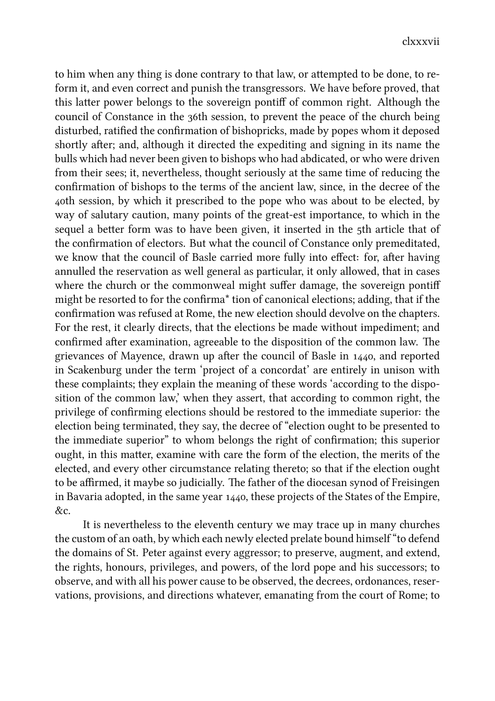to him when any thing is done contrary to that law, or attempted to be done, to reform it, and even correct and punish the transgressors. We have before proved, that this latter power belongs to the sovereign pontiff of common right. Although the council of Constance in the 36th session, to prevent the peace of the church being disturbed, ratified the confirmation of bishopricks, made by popes whom it deposed shortly after; and, although it directed the expediting and signing in its name the bulls which had never been given to bishops who had abdicated, or who were driven from their sees; it, nevertheless, thought seriously at the same time of reducing the confirmation of bishops to the terms of the ancient law, since, in the decree of the th session, by whi it prescribed to the pope who was about to be elected, by way of salutary caution, many points of the great-est importance, to which in the sequel a better form was to have been given, it inserted in the 5th article that of the confirmation of electors. But what the council of Constance only premeditated, we know that the council of Basle carried more fully into effect: for, after having annulled the reservation as well general as particular, it only allowed, that in cases where the church or the commonweal might suffer damage, the sovereign pontiff might be resorted to for the confirma\* tion of canonical elections; adding, that if the confirmation was refused at Rome, the new election should devolve on the chapters. For the rest, it clearly directs, that the elections be made without impediment; and confirmed after examination, agreeable to the disposition of the common law. The grievances of Mayence, drawn up after the council of Basle in  $1440$ , and reported in Scakenburg under the term 'project of a concordat' are entirely in unison with these complaints; they explain the meaning of these words 'according to the disposition of the common law,' when they assert, that according to common right, the privilege of confirming elections should be restored to the immediate superior: the election being terminated, they say, the decree of "election ought to be presented to the immediate superior" to whom belongs the right of confirmation; this superior ought, in this matter, examine with care the form of the election, the merits of the elected, and every other circumstance relating thereto; so that if the election ought to be affirmed, it maybe so judicially. The father of the diocesan synod of Freisingen in Bavaria adopted, in the same year 1440, these projects of the States of the Empire, &c.

It is nevertheless to the eleventh century we may trace up in many churches the custom of an oath, by which each newly elected prelate bound himself "to defend the domains of St. Peter against every aggressor; to preserve, augment, and extend, the rights, honours, privileges, and powers, of the lord pope and his successors; to observe, and with all his power cause to be observed, the decrees, ordonances, reservations, provisions, and directions whatever, emanating from the court of Rome; to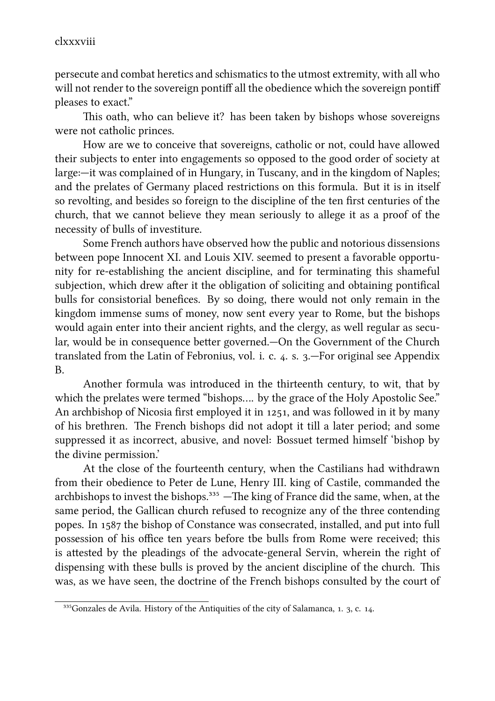## clxxxviii

persecute and combat heretics and sismatics to the utmost extremity, with all who will not render to the sovereign pontiff all the obedience which the sovereign pontiff pleases to exact."

This oath, who can believe it? has been taken by bishops whose sovereigns were not catholic princes.

How are we to conceive that sovereigns, catholic or not, could have allowed their subjects to enter into engagements so opposed to the good order of society at large:—it was complained of in Hungary, in Tuscany, and in the kingdom of Naples; and the prelates of Germany placed restrictions on this formula. But it is in itself so revolting, and besides so foreign to the discipline of the ten first centuries of the church, that we cannot believe they mean seriously to allege it as a proof of the necessity of bulls of investiture.

Some French authors have observed how the public and notorious dissensions between pope Innocent XI. and Louis XIV. seemed to present a favorable opportunity for re-establishing the ancient discipline, and for terminating this shameful subjection, which drew after it the obligation of soliciting and obtaining pontifical bulls for consistorial benefices. By so doing, there would not only remain in the kingdom immense sums of money, now sent every year to Rome, but the bishops would again enter into their ancient rights, and the clergy, as well regular as secular, would be in consequence better governed.—On the Government of the Church translated from the Latin of Febronius, vol. i. c.  $4.$  s.  $3.$ —For original see Appendix B.

Another formula was introduced in the thirteenth century, to wit, that by which the prelates were termed "bishops.... by the grace of the Holy Apostolic See." An archbishop of Nicosia first employed it in 1251, and was followed in it by many of his brethren. The French bishops did not adopt it till a later period; and some suppressed it as incorrect, abusive, and novel: Bossuet termed himself 'bishop by the divine permission.'

At the close of the fourteenth century, when the Castilians had withdrawn from their obedience to Peter de Lune, Henry III. king of Castile, commanded the archbishops to invest the bishops.<sup>335</sup> —The king of France did the same, when, at the same period, the Gallican church refused to recognize any of the three contending popes. In 1587 the bishop of Constance was consecrated, installed, and put into full possession of his office ten years before tbe bulls from Rome were received; this is attested by the pleadings of the advocate-general Servin, wherein the right of dispensing with these bulls is proved by the ancient discipline of the church. This was, as we have seen, the doctrine of the French bishops consulted by the court of

<sup>335</sup> Gonzales de Avila. History of the Antiquities of the city of Salamanca, 1. 3, c. 14.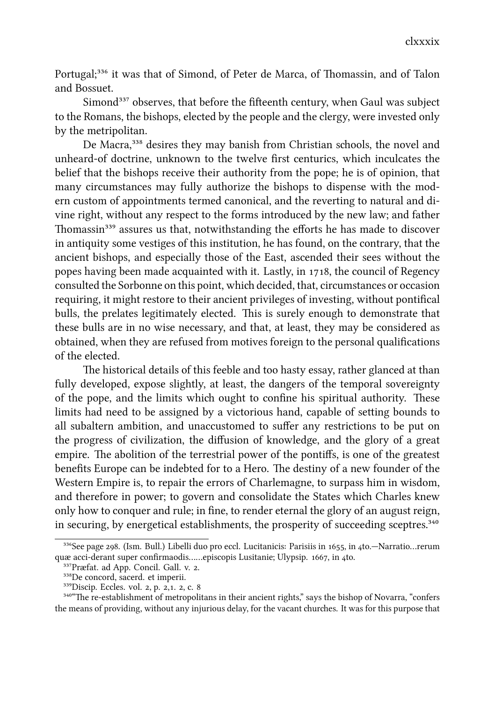Portugal;<sup>336</sup> it was that of Simond, of Peter de Marca, of Thomassin, and of Talon and Bossuet.

Simond<sup>337</sup> observes, that before the fifteenth century, when Gaul was subject to the Romans, the bishops, elected by the people and the clergy, were invested only by the metripolitan.

De Macra,<sup>338</sup> desires they may banish from Christian schools, the novel and unheard-of doctrine, unknown to the twelve first centurics, which inculcates the belief that the bishops receive their authority from the pope; he is of opinion, that many circumstances may fully authorize the bishops to dispense with the modern custom of appointments termed canonical, and the reverting to natural and divine right, without any respect to the forms introduced by the new law; and father Thomassin<sup>339</sup> assures us that, notwithstanding the efforts he has made to discover in antiquity some vestiges of this institution, he has found, on the contrary, that the ancient bishops, and especially those of the East, ascended their sees without the popes having been made acquainted with it. Lastly, in 1718, the council of Regency consulted the Sorbonne on this point, which decided, that, circumstances or occasion requiring, it might restore to their ancient privileges of investing, without pontifical bulls, the prelates legitimately elected. This is surely enough to demonstrate that these bulls are in no wise necessary, and that, at least, they may be considered as obtained, when they are refused from motives foreign to the personal qualifications of the elected.

The historical details of this feeble and too hasty essay, rather glanced at than fully developed, expose slightly, at least, the dangers of the temporal sovereignty of the pope, and the limits which ought to confine his spiritual authority. These limits had need to be assigned by a victorious hand, capable of setting bounds to all subaltern ambition, and unaccustomed to suffer any restrictions to be put on the progress of civilization, the diffusion of knowledge, and the glory of a great empire. The abolition of the terrestrial power of the pontiffs, is one of the greatest benefits Europe can be indebted for to a Hero. The destiny of a new founder of the Western Empire is, to repair the errors of Charlemagne, to surpass him in wisdom, and therefore in power; to govern and consolidate the States which Charles knew only how to conquer and rule; in fine, to render eternal the glory of an august reign, in securing, by energetical establishments, the prosperity of succeeding sceptres.<sup>340</sup>

<sup>336</sup> See page 298. (Ism. Bull.) Libelli duo pro eccl. Lucitanicis: Parisiis in 1655, in 4to.—Narratio…rerum quæ acci-derant super confirmaodis……episcopis Lusitanie; Ulypsip. 1667, in 4to.

<sup>&</sup>lt;sup>337</sup>Præfat. ad App. Concil. Gall. v. 2.

<sup>&</sup>lt;sup>338</sup>De concord, sacerd. et imperii.

 $339$ Discip. Eccles. vol. 2, p. 2, 1. 2, c. 8

<sup>&</sup>lt;sup>340</sup>"The re-establishment of metropolitans in their ancient rights," says the bishop of Novarra, "confers" the means of providing, without any injurious delay, for the vacant churches. It was for this purpose that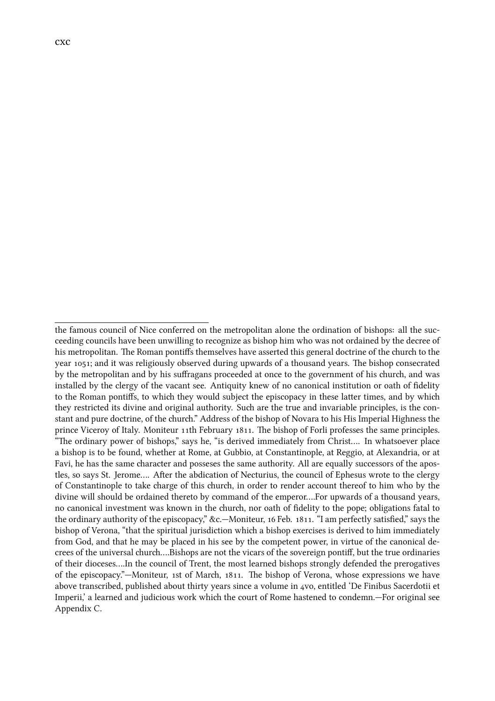the famous council of Nice conferred on the metropolitan alone the ordination of bishops: all the succeeding councils have been unwilling to recognize as bishop him who was not ordained by the decree of his metropolitan. The Roman pontiffs themselves have asserted this general doctrine of the church to the year 1051; and it was religiously observed during upwards of a thousand years. The bishop consecrated by the metropolitan and by his suffragans proceeded at once to the government of his church, and was installed by the clergy of the vacant see. Antiquity knew of no canonical institution or oath of fidelity to the Roman pontiffs, to which they would subject the episcopacy in these latter times, and by which they restricted its divine and original authority. Such are the true and invariable principles, is the constant and pure doctrine, of the church." Address of the bishop of Novara to his His Imperial Highness the prince Viceroy of Italy. Moniteur 11th February 1811. The bishop of Forli professes the same principles. "The ordinary power of bishops," says he, "is derived immediately from Christ.... In whatsoever place a bishop is to be found, whether at Rome, at Gubbio, at Constantinople, at Reggio, at Alexandria, or at Favi, he has the same character and posseses the same authority. All are equally successors of the apostles, so says St. Jerome.... After the abdication of Necturius, the council of Ephesus wrote to the clergy of Constantinople to take charge of this church, in order to render account thereof to him who by the divine will should be ordained thereto by command of the emperor….For upwards of a thousand years, no canonical investment was known in the church, nor oath of fidelity to the pope; obligations fatal to the ordinary authority of the episcopacy," &c.—Moniteur, 16 Feb. 1811. "I am perfectly satisfied," says the bishop of Verona, "that the spiritual jurisdiction which a bishop exercises is derived to him immediately from God, and that he may be placed in his see by the competent power, in virtue of the canonical decrees of the universal church....Bishops are not the vicars of the sovereign pontiff, but the true ordinaries of their dioceses….In the council of Trent, the most learned bishops strongly defended the prerogatives of the episcopacy."—Moniteur, 1st of March, 1811. The bishop of Verona, whose expressions we have above transcribed, published about thirty years since a volume in 4vo, entitled 'De Finibus Sacerdotii et Imperii,' a learned and judicious work which the court of Rome hastened to condemn.—For original see Appendix C.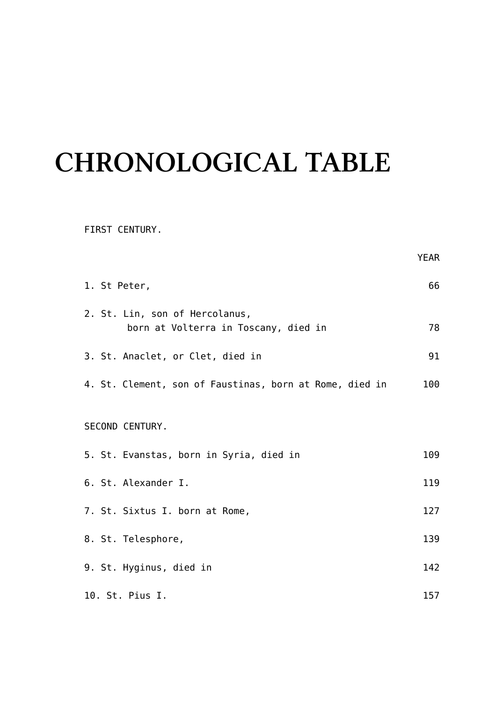# **CHRONOLOGICAL TABLE**

FIRST CENTURY.

| 1. St Peter,                                                           | 66  |
|------------------------------------------------------------------------|-----|
| 2. St. Lin, son of Hercolanus,<br>born at Volterra in Toscany, died in | 78  |
| 3. St. Anaclet, or Clet, died in                                       | 91  |
| 4. St. Clement, son of Faustinas, born at Rome, died in                | 100 |
| SECOND CENTURY.                                                        |     |
| 5. St. Evanstas, born in Syria, died in                                | 109 |
| 6. St. Alexander I.                                                    | 119 |
| 7. St. Sixtus I. born at Rome,                                         | 127 |
| 8. St. Telesphore,                                                     | 139 |
| 9. St. Hyginus, died in                                                | 142 |
| 10. St. Pius I.                                                        | 157 |

YEAR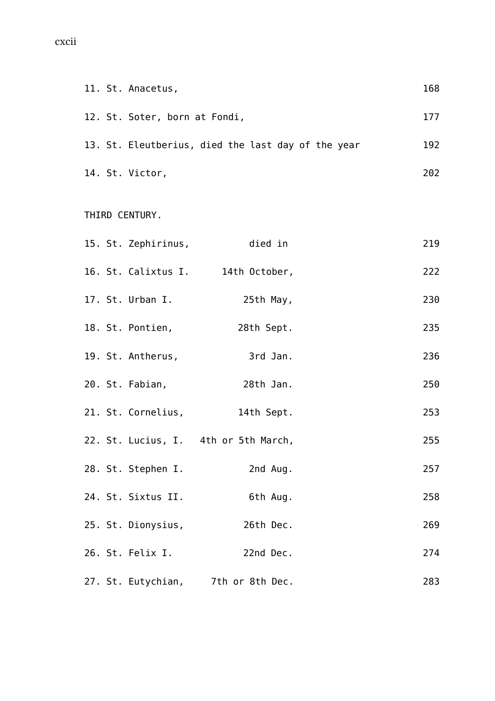#### cxcii

|  | 11. St. Anacetus,                                  | 168 |
|--|----------------------------------------------------|-----|
|  | 12. St. Soter, born at Fondi,                      | 177 |
|  | 13. St. Eleutberius, died the last day of the year | 192 |
|  | 14. St. Victor,                                    | 202 |

THIRD CENTURY.

|  |                    | 15. St. Zephirinus, died in          | 219 |
|--|--------------------|--------------------------------------|-----|
|  |                    | 16. St. Calixtus I. 14th October,    | 222 |
|  | 17. St. Urban I.   | 25th May,                            | 230 |
|  | 18. St. Pontien,   | 28th Sept.                           | 235 |
|  | 19. St. Antherus,  | 3rd Jan.                             | 236 |
|  | 20. St. Fabian,    | 28th Jan.                            | 250 |
|  |                    | 21. St. Cornelius, 14th Sept.        | 253 |
|  |                    | 22. St. Lucius, I. 4th or 5th March, | 255 |
|  | 28. St. Stephen I. | 2nd Aug.                             | 257 |
|  | 24. St. Sixtus II. | 6th Aug.                             | 258 |
|  | 25. St. Dionysius, | 26th Dec.                            | 269 |
|  | 26. St. Felix I.   | 22nd Dec.                            | 274 |
|  |                    | 27. St. Eutychian, 7th or 8th Dec.   | 283 |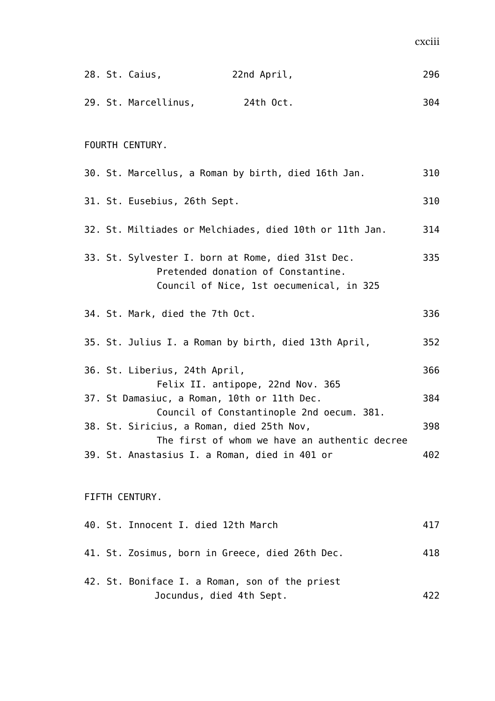| ۰.<br>. .<br>×<br>۰, |  |  |
|----------------------|--|--|

|                |  | 28. St. Caius,                                | 22nd April,                                                                                                                         | 296 |  |
|----------------|--|-----------------------------------------------|-------------------------------------------------------------------------------------------------------------------------------------|-----|--|
|                |  | 29. St. Marcellinus,                          | 24th Oct.                                                                                                                           | 304 |  |
|                |  | FOURTH CENTURY.                               |                                                                                                                                     |     |  |
|                |  |                                               | 30. St. Marcellus, a Roman by birth, died 16th Jan.                                                                                 | 310 |  |
|                |  | 31. St. Eusebius, 26th Sept.                  |                                                                                                                                     | 310 |  |
|                |  |                                               | 32. St. Miltiades or Melchiades, died 10th or 11th Jan.                                                                             | 314 |  |
|                |  |                                               | 33. St. Sylvester I. born at Rome, died 31st Dec.<br>Pretended donation of Constantine.<br>Council of Nice, 1st oecumenical, in 325 | 335 |  |
|                |  | 34. St. Mark, died the 7th Oct.               |                                                                                                                                     | 336 |  |
|                |  |                                               | 35. St. Julius I. a Roman by birth, died 13th April,                                                                                | 352 |  |
|                |  | 36. St. Liberius, 24th April,                 | Felix II. antipope, 22nd Nov. 365                                                                                                   | 366 |  |
|                |  | 37. St Damasiuc, a Roman, 10th or 11th Dec.   | Council of Constantinople 2nd oecum. 381.                                                                                           | 384 |  |
|                |  | 38. St. Siricius, a Roman, died 25th Nov,     | The first of whom we have an authentic decree                                                                                       | 398 |  |
|                |  | 39. St. Anastasius I. a Roman, died in 401 or |                                                                                                                                     | 402 |  |
| FIFTH CENTURY. |  |                                               |                                                                                                                                     |     |  |
|                |  | 40. St. Innocent I. died 12th March           |                                                                                                                                     | 417 |  |
|                |  |                                               | 41. St. Zosimus, born in Greece, died 26th Dec.                                                                                     | 418 |  |
|                |  | Jocundus, died 4th Sept.                      | 42. St. Boniface I. a Roman, son of the priest                                                                                      | 422 |  |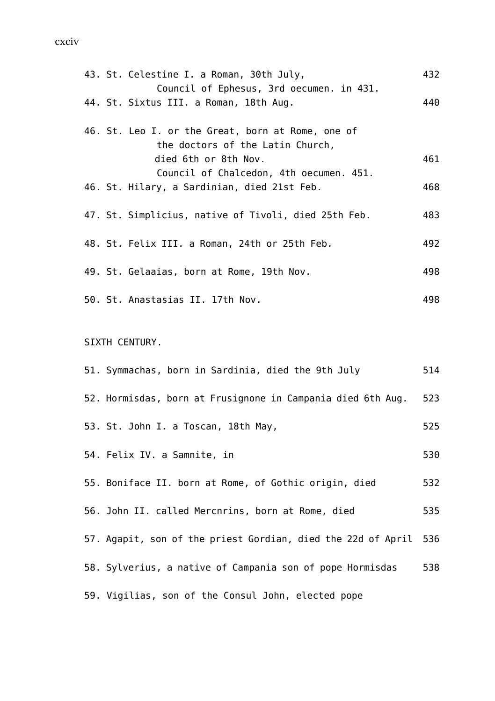#### cxciv

|  | 43. St. Celestine I. a Roman, 30th July,                                               | 432 |
|--|----------------------------------------------------------------------------------------|-----|
|  | Council of Ephesus, 3rd oecumen. in 431.<br>44. St. Sixtus III. a Roman, 18th Aug.     | 440 |
|  | 46. St. Leo I. or the Great, born at Rome, one of<br>the doctors of the Latin Church,  |     |
|  | died 6th or 8th Nov.                                                                   | 461 |
|  | Council of Chalcedon, 4th oecumen. 451.<br>46. St. Hilary, a Sardinian, died 21st Feb. | 468 |
|  | 47. St. Simplicius, native of Tivoli, died 25th Feb.                                   | 483 |
|  | 48. St. Felix III. a Roman, 24th or 25th Feb.                                          | 492 |
|  | 49. St. Gelaaias, born at Rome, 19th Nov.                                              | 498 |
|  | 50. St. Anastasias II. 17th Nov.                                                       | 498 |

# SIXTH CENTURY.

| 51. Symmachas, born in Sardinia, died the 9th July           | 514 |
|--------------------------------------------------------------|-----|
| 52. Hormisdas, born at Frusignone in Campania died 6th Aug.  | 523 |
| 53. St. John I. a Toscan, 18th May,                          | 525 |
| 54. Felix IV. a Samnite, in                                  | 530 |
| 55. Boniface II. born at Rome, of Gothic origin, died        | 532 |
| 56. John II. called Mercnrins, born at Rome, died            | 535 |
| 57. Agapit, son of the priest Gordian, died the 22d of April | 536 |
| 58. Sylverius, a native of Campania son of pope Hormisdas    | 538 |
| 59. Vigilias, son of the Consul John, elected pope           |     |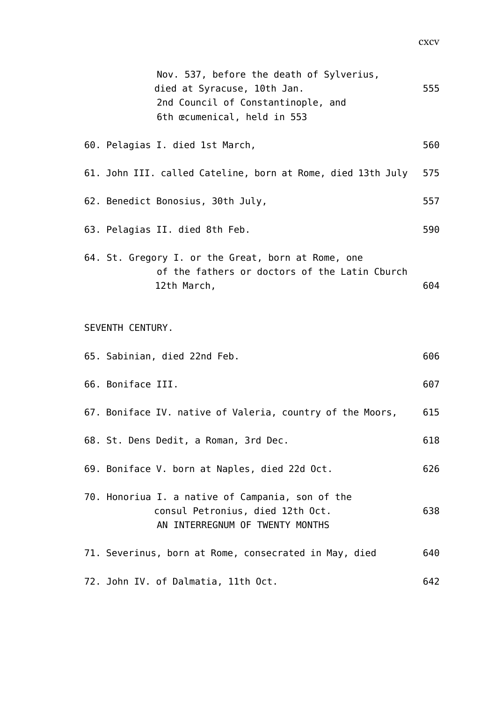| Nov. 537, before the death of Sylverius,<br>died at Syracuse, 10th Jan.<br>2nd Council of Constantinople, and<br>6th œcumenical, held in 553 | 555 |
|----------------------------------------------------------------------------------------------------------------------------------------------|-----|
| 60. Pelagias I. died 1st March,                                                                                                              | 560 |
| 61. John III. called Cateline, born at Rome, died 13th July                                                                                  | 575 |
| 62. Benedict Bonosius, 30th July,                                                                                                            | 557 |
| 63. Pelagias II. died 8th Feb.                                                                                                               | 590 |
| 64. St. Gregory I. or the Great, born at Rome, one<br>of the fathers or doctors of the Latin Cburch<br>12th March,                           | 604 |
| SEVENTH CENTURY.                                                                                                                             |     |
| 65. Sabinian, died 22nd Feb.                                                                                                                 | 606 |
| 66. Boniface III.                                                                                                                            | 607 |
| 67. Boniface IV. native of Valeria, country of the Moors,                                                                                    | 615 |
| 68. St. Dens Dedit, a Roman, 3rd Dec.                                                                                                        | 618 |
| 69. Boniface V. born at Naples, died 22d Oct.                                                                                                | 626 |
| 70. Honoriua I. a native of Campania, son of the<br>consul Petronius, died 12th Oct.<br>AN INTERREGNUM OF TWENTY MONTHS                      | 638 |
| 71. Severinus, born at Rome, consecrated in May, died                                                                                        | 640 |
| 72. John IV. of Dalmatia, 11th Oct.                                                                                                          | 642 |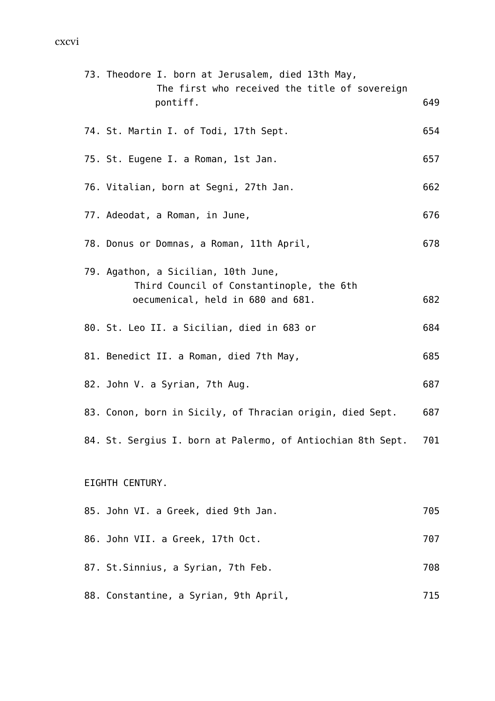# cxcvi

| 73. Theodore I. born at Jerusalem, died 13th May,<br>The first who received the title of sovereign |     |
|----------------------------------------------------------------------------------------------------|-----|
| pontiff.                                                                                           | 649 |
| 74. St. Martin I. of Todi, 17th Sept.                                                              | 654 |
| 75. St. Eugene I. a Roman, 1st Jan.                                                                | 657 |
| 76. Vitalian, born at Segni, 27th Jan.                                                             | 662 |
| 77. Adeodat, a Roman, in June,                                                                     | 676 |
| 78. Donus or Domnas, a Roman, 11th April,                                                          | 678 |
| 79. Agathon, a Sicilian, 10th June,<br>Third Council of Constantinople, the 6th                    |     |
| oecumenical, held in 680 and 681.                                                                  | 682 |
| 80. St. Leo II. a Sicilian, died in 683 or                                                         | 684 |
| 81. Benedict II. a Roman, died 7th May,                                                            | 685 |
| 82. John V. a Syrian, 7th Aug.                                                                     | 687 |
| 83. Conon, born in Sicily, of Thracian origin, died Sept.                                          | 687 |
| 84. St. Sergius I. born at Palermo, of Antiochian 8th Sept.                                        | 701 |
| EIGHTH CENTURY.                                                                                    |     |
|                                                                                                    |     |
| 85. John VI. a Greek, died 9th Jan.                                                                | 705 |
| 86. John VII. a Greek, 17th Oct.                                                                   | 707 |
| 87. St. Sinnius, a Syrian, 7th Feb.                                                                | 708 |
| 88. Constantine, a Syrian, 9th April,                                                              | 715 |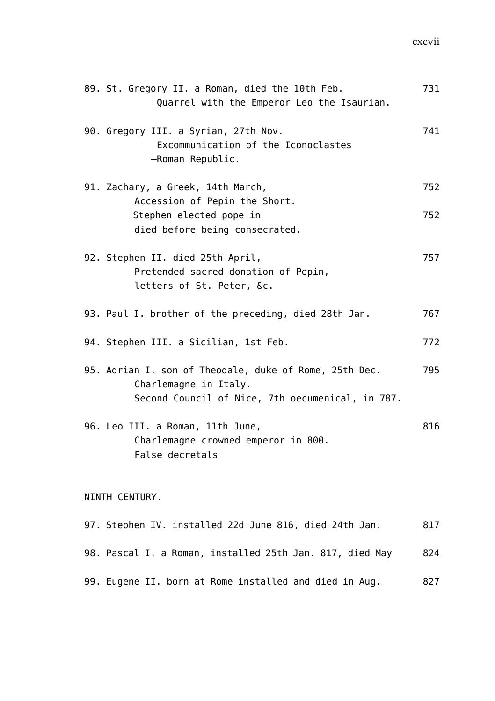## cxcvii

| 89. St. Gregory II. a Roman, died the 10th Feb.<br>Quarrel with the Emperor Leo the Isaurian.                                       | 731 |
|-------------------------------------------------------------------------------------------------------------------------------------|-----|
| 90. Gregory III. a Syrian, 27th Nov.<br>Excommunication of the Iconoclastes<br>-Roman Republic.                                     | 741 |
| 91. Zachary, a Greek, 14th March,<br>Accession of Pepin the Short.                                                                  | 752 |
| Stephen elected pope in<br>died before being consecrated.                                                                           | 752 |
| 92. Stephen II. died 25th April,<br>Pretended sacred donation of Pepin,<br>letters of St. Peter, &c.                                | 757 |
| 93. Paul I. brother of the preceding, died 28th Jan.                                                                                | 767 |
| 94. Stephen III. a Sicilian, 1st Feb.                                                                                               | 772 |
| 95. Adrian I. son of Theodale, duke of Rome, 25th Dec.<br>Charlemagne in Italy.<br>Second Council of Nice, 7th oecumenical, in 787. | 795 |
| 96. Leo III. a Roman, 11th June,<br>Charlemagne crowned emperor in 800.<br>False decretals                                          | 816 |
| NINTH CENTURY.                                                                                                                      |     |
| 97. Stephen IV. installed 22d June 816, died 24th Jan.                                                                              | 817 |
| 98. Pascal I. a Roman, installed 25th Jan. 817, died May                                                                            | 824 |

99. Eugene II. born at Rome installed and died in Aug. 827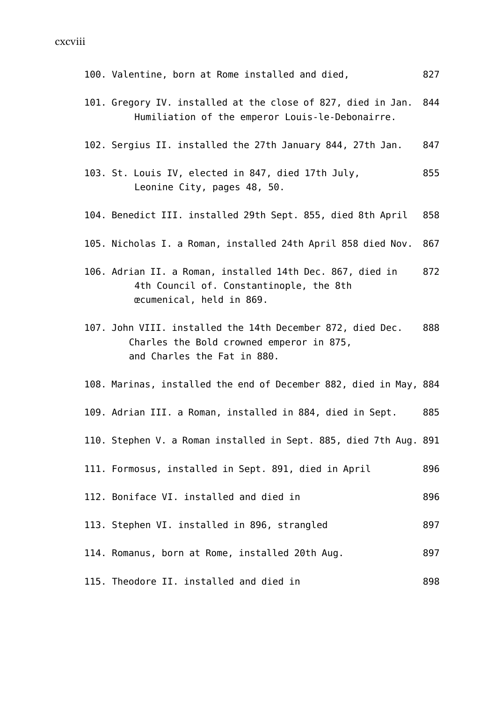- 100. Valentine, born at Rome installed and died, 827
- 101. Gregory IV. installed at the close of 827, died in Jan. 844 Humiliation of the emperor Louis-le-Debonairre.
- 102. Sergius II. installed the 27th January 844, 27th Jan. 847
- 103. St. Louis IV, elected in 847, died 17th July, 855 Leonine City, pages 48, 50.
- 104. Benedict III. installed 29th Sept. 855, died 8th April 858
- 105. Nicholas I. a Roman, installed 24th April 858 died Nov. 867
- 106. Adrian II. a Roman, installed 14th Dec. 867, died in 872 4th Council of. Constantinople, the 8th œcumenical, held in 869.
- 107. John VIII. installed the 14th December 872, died Dec. 888 Charles the Bold crowned emperor in 875, and Charles the Fat in 880.
- 108. Marinas, installed the end of December 882, died in May, 884

109. Adrian III. a Roman, installed in 884, died in Sept. 885

- 110. Stephen V. a Roman installed in Sept. 885, died 7th Aug. 891
- 111. Formosus, installed in Sept. 891, died in April 896
- 112. Boniface VI. installed and died in Theorem 896
- 113. Stephen VI. installed in 896, strangled 897
- 114. Romanus, born at Rome, installed 20th Aug. 897
- 115. Theodore II. installed and died in 898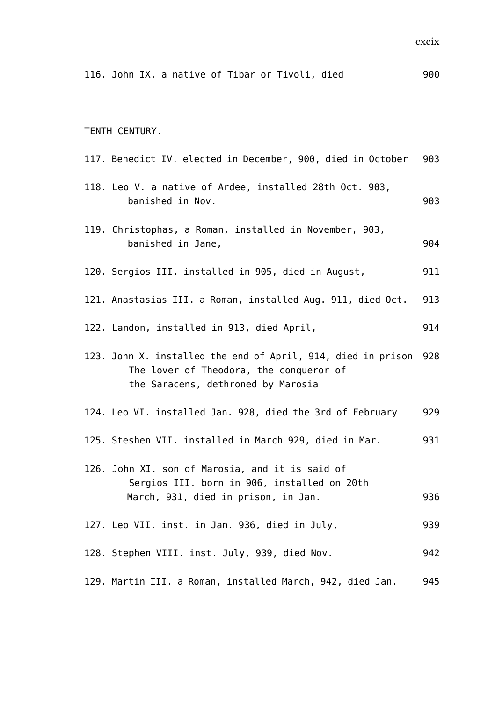| 116. John IX. a native of Tibar or Tivoli, died                                                                                               | 900 |
|-----------------------------------------------------------------------------------------------------------------------------------------------|-----|
| TENTH CENTURY.                                                                                                                                |     |
|                                                                                                                                               |     |
| 117. Benedict IV. elected in December, 900, died in October                                                                                   | 903 |
| 118. Leo V. a native of Ardee, installed 28th Oct. 903,<br>banished in Nov.                                                                   | 903 |
| 119. Christophas, a Roman, installed in November, 903,<br>banished in Jane,                                                                   | 904 |
| 120. Sergios III. installed in 905, died in August,                                                                                           | 911 |
| 121. Anastasias III. a Roman, installed Aug. 911, died Oct.                                                                                   | 913 |
| 122. Landon, installed in 913, died April,                                                                                                    | 914 |
| 123. John X. installed the end of April, 914, died in prison<br>The lover of Theodora, the conqueror of<br>the Saracens, dethroned by Marosia | 928 |
| 124. Leo VI. installed Jan. 928, died the 3rd of February                                                                                     | 929 |
| 125. Steshen VII. installed in March 929, died in Mar.                                                                                        | 931 |
| 126. John XI. son of Marosia, and it is said of<br>Sergios III. born in 906, installed on 20th                                                | 936 |
| March, 931, died in prison, in Jan.                                                                                                           |     |
| 127. Leo VII. inst. in Jan. 936, died in July,                                                                                                | 939 |
| 128. Stephen VIII. inst. July, 939, died Nov.                                                                                                 | 942 |
| 129. Martin III. a Roman, installed March, 942, died Jan.                                                                                     | 945 |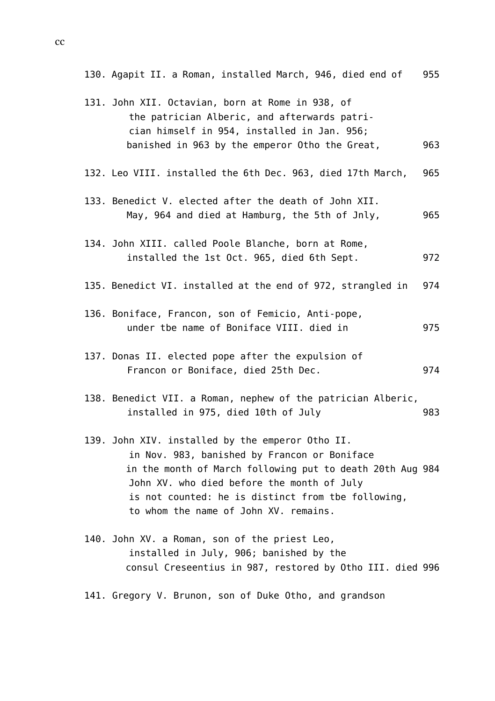|  | 130. Agapit II. a Roman, installed March, 946, died end of                                                                                                                                                                                                                                                 | 955 |
|--|------------------------------------------------------------------------------------------------------------------------------------------------------------------------------------------------------------------------------------------------------------------------------------------------------------|-----|
|  | 131. John XII. Octavian, born at Rome in 938, of<br>the patrician Alberic, and afterwards patri-<br>cian himself in 954, installed in Jan. 956;<br>banished in 963 by the emperor Otho the Great,                                                                                                          | 963 |
|  | 132. Leo VIII. installed the 6th Dec. 963, died 17th March,                                                                                                                                                                                                                                                | 965 |
|  | 133. Benedict V. elected after the death of John XII.<br>May, 964 and died at Hamburg, the 5th of Jnly,                                                                                                                                                                                                    | 965 |
|  | 134. John XIII. called Poole Blanche, born at Rome,<br>installed the 1st Oct. 965, died 6th Sept.                                                                                                                                                                                                          | 972 |
|  | 135. Benedict VI. installed at the end of 972, strangled in                                                                                                                                                                                                                                                | 974 |
|  | 136. Boniface, Francon, son of Femicio, Anti-pope,<br>under tbe name of Boniface VIII. died in                                                                                                                                                                                                             | 975 |
|  | 137. Donas II. elected pope after the expulsion of<br>Francon or Boniface, died 25th Dec.                                                                                                                                                                                                                  | 974 |
|  | 138. Benedict VII. a Roman, nephew of the patrician Alberic,<br>installed in 975, died 10th of July                                                                                                                                                                                                        | 983 |
|  | 139. John XIV. installed by the emperor Otho II.<br>in Nov. 983, banished by Francon or Boniface<br>in the month of March following put to death 20th Aug 984<br>John XV. who died before the month of July<br>is not counted: he is distinct from the following,<br>to whom the name of John XV. remains. |     |
|  | 140. John XV. a Roman, son of the priest Leo,<br>installed in July, 906; banished by the<br>consul Creseentius in 987, restored by Otho III. died 996                                                                                                                                                      |     |

141. Gregory V. Brunon, son of Duke Otho, and grandson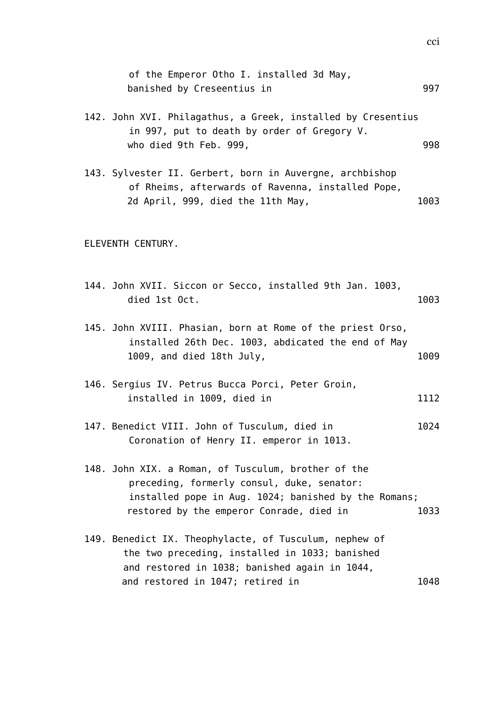| of the Emperor Otho I. installed 3d May,<br>banished by Creseentius in                                                                                                                                | 997  |
|-------------------------------------------------------------------------------------------------------------------------------------------------------------------------------------------------------|------|
| 142. John XVI. Philagathus, a Greek, installed by Cresentius<br>in 997, put to death by order of Gregory V.<br>who died 9th Feb. 999,                                                                 | 998  |
| 143. Sylvester II. Gerbert, born in Auvergne, archbishop<br>of Rheims, afterwards of Ravenna, installed Pope,<br>2d April, 999, died the 11th May,                                                    | 1003 |
| ELEVENTH CENTURY.                                                                                                                                                                                     |      |
| 144. John XVII. Siccon or Secco, installed 9th Jan. 1003,<br>died 1st Oct.                                                                                                                            | 1003 |
| 145. John XVIII. Phasian, born at Rome of the priest Orso,<br>installed 26th Dec. 1003, abdicated the end of May<br>1009, and died 18th July,                                                         | 1009 |
| 146. Sergius IV. Petrus Bucca Porci, Peter Groin,<br>installed in 1009, died in                                                                                                                       | 1112 |
| 147. Benedict VIII. John of Tusculum, died in<br>Coronation of Henry II. emperor in 1013.                                                                                                             | 1024 |
| 148. John XIX. a Roman, of Tusculum, brother of the<br>preceding, formerly consul, duke, senator:<br>installed pope in Aug. 1024; banished by the Romans;<br>restored by the emperor Conrade, died in | 1033 |
| 149. Benedict IX. Theophylacte, of Tusculum, nephew of<br>the two preceding, installed in 1033; banished<br>and restored in 1038; banished again in 1044,                                             |      |
| and restored in 1047; retired in                                                                                                                                                                      | 1048 |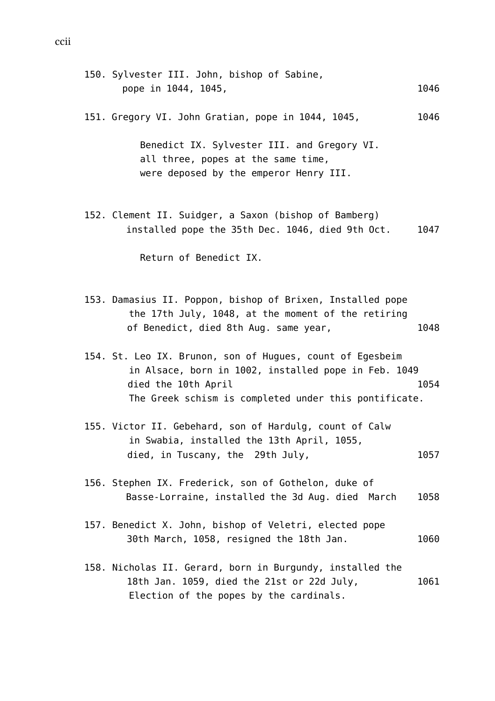150. Sylvester III. John, bishop of Sabine, pope in 1044, 1045, 1046 151. Gregory VI. John Gratian, pope in 1044, 1045, 1046 Benedict IX. Sylvester III. and Gregory VI. all three, popes at the same time, were deposed by the emperor Henry III. 152. Clement II. Suidger, a Saxon (bishop of Bamberg) installed pope the 35th Dec. 1046, died 9th Oct. 1047 Return of Benedict IX. 153. Damasius II. Poppon, bishop of Brixen, Installed pope the 17th July, 1048, at the moment of the retiring of Benedict, died 8th Aug. same year, 1048 154. St. Leo IX. Brunon, son of Hugues, count of Egesbeim in Alsace, born in 1002, installed pope in Feb. 1049 died the 10th April 1054 The Greek schism is completed under this pontificate. 155. Victor II. Gebehard, son of Hardulg, count of Calw in Swabia, installed the 13th April, 1055, died, in Tuscany, the 29th July, 1057 156. Stephen IX. Frederick, son of Gothelon, duke of Basse-Lorraine, installed the 3d Aug. died March 1058 157. Benedict X. John, bishop of Veletri, elected pope 30th March, 1058, resigned the 18th Jan. 1060 158. Nicholas II. Gerard, born in Burgundy, installed the 18th Jan. 1059, died the 21st or 22d July, 1061 Election of the popes by the cardinals.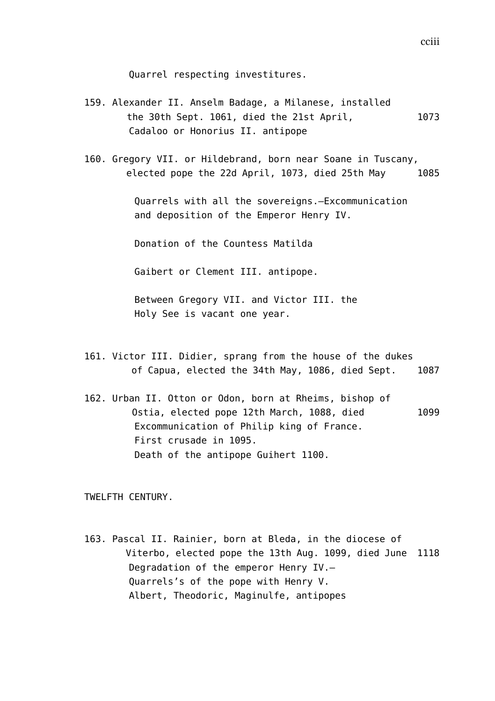Quarrel respecting investitures.

- 159. Alexander II. Anselm Badage, a Milanese, installed the 30th Sept. 1061, died the 21st April, 1073 Cadaloo or Honorius II. antipope
- 160. Gregory VII. or Hildebrand, born near Soane in Tuscany, elected pope the 22d April, 1073, died 25th May 1085

Quarrels with all the sovereigns.—Excommunication and deposition of the Emperor Henry IV.

Donation of the Countess Matilda

Gaibert or Clement III. antipope.

Between Gregory VII. and Victor III. the Holy See is vacant one year.

- 161. Victor III. Didier, sprang from the house of the dukes of Capua, elected the 34th May, 1086, died Sept. 1087
- 162. Urban II. Otton or Odon, born at Rheims, bishop of Ostia, elected pope 12th March, 1088, died 1099 Excommunication of Philip king of France. First crusade in 1095. Death of the antipope Guihert 1100.

TWELFTH CENTURY.

163. Pascal II. Rainier, born at Bleda, in the diocese of Viterbo, elected pope the 13th Aug. 1099, died June 1118 Dearadation of the emperor Henry IV.-Quarrels's of the pope with Henry V. Albert, Theodoric, Maginulfe, antipopes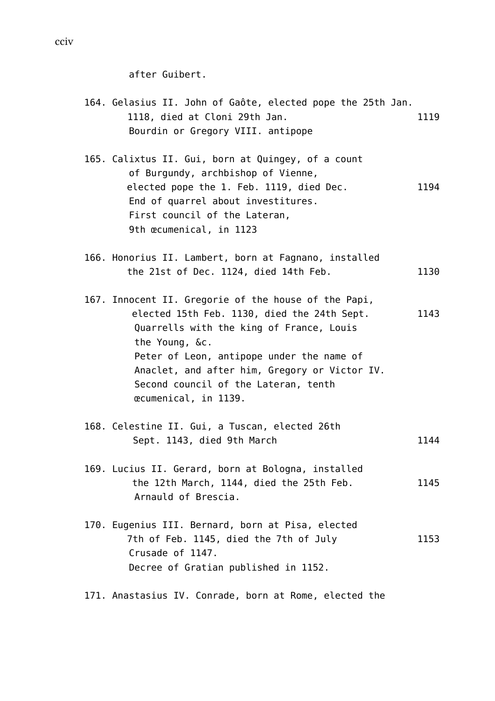after Guibert.

| 164. Gelasius II. John of Gaôte, elected pope the 25th Jan.<br>1118, died at Cloni 29th Jan.<br>Bourdin or Gregory VIII. antipope                                                                                                                                                                                               | 1119 |
|---------------------------------------------------------------------------------------------------------------------------------------------------------------------------------------------------------------------------------------------------------------------------------------------------------------------------------|------|
| 165. Calixtus II. Gui, born at Quingey, of a count<br>of Burgundy, archbishop of Vienne,<br>elected pope the 1. Feb. 1119, died Dec.<br>End of quarrel about investitures.<br>First council of the Lateran,<br>9th œcumenical, in 1123                                                                                          | 1194 |
| 166. Honorius II. Lambert, born at Fagnano, installed<br>the 21st of Dec. 1124, died 14th Feb.                                                                                                                                                                                                                                  | 1130 |
| 167. Innocent II. Gregorie of the house of the Papi,<br>elected 15th Feb. 1130, died the 24th Sept.<br>Quarrells with the king of France, Louis<br>the Young, &c.<br>Peter of Leon, antipope under the name of<br>Anaclet, and after him, Gregory or Victor IV.<br>Second council of the Lateran, tenth<br>œcumenical, in 1139. | 1143 |
| 168. Celestine II. Gui, a Tuscan, elected 26th<br>Sept. 1143, died 9th March                                                                                                                                                                                                                                                    | 1144 |
| 169. Lucius II. Gerard, born at Bologna, installed<br>the 12th March, 1144, died the 25th Feb.<br>Arnauld of Brescia.                                                                                                                                                                                                           | 1145 |
| 170. Eugenius III. Bernard, born at Pisa, elected<br>7th of Feb. 1145, died the 7th of July<br>Crusade of 1147.<br>Decree of Gratian published in 1152.                                                                                                                                                                         | 1153 |
| 171. Anastasius IV. Conrade, born at Rome, elected the                                                                                                                                                                                                                                                                          |      |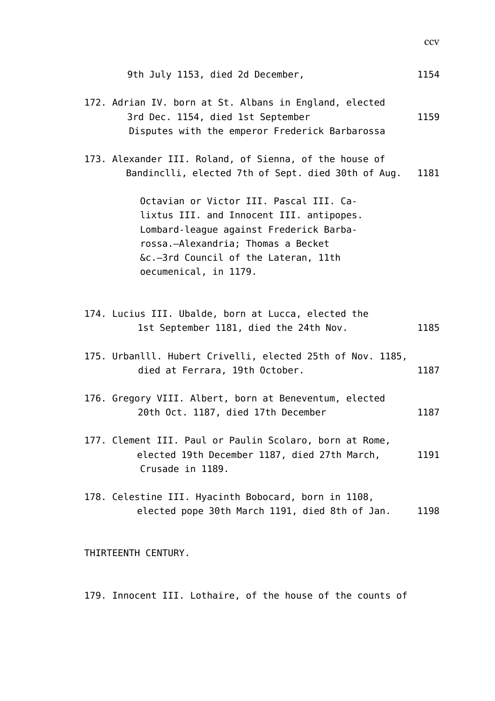| 9th July 1153, died 2d December,                                                                                                                                                                                                      | 1154 |
|---------------------------------------------------------------------------------------------------------------------------------------------------------------------------------------------------------------------------------------|------|
| 172. Adrian IV. born at St. Albans in England, elected<br>3rd Dec. 1154, died 1st September<br>Disputes with the emperor Frederick Barbarossa                                                                                         | 1159 |
| 173. Alexander III. Roland, of Sienna, of the house of<br>Bandinclli, elected 7th of Sept. died 30th of Aug.                                                                                                                          | 1181 |
| Octavian or Victor III. Pascal III. Ca-<br>lixtus III. and Innocent III. antipopes.<br>Lombard-league against Frederick Barba-<br>rossa.-Alexandria; Thomas a Becket<br>&c.-3rd Council of the Lateran, 11th<br>oecumenical, in 1179. |      |
| 174. Lucius III. Ubalde, born at Lucca, elected the<br>1st September 1181, died the 24th Nov.                                                                                                                                         | 1185 |
| 175. Urbanlll. Hubert Crivelli, elected 25th of Nov. 1185,<br>died at Ferrara, 19th October.                                                                                                                                          | 1187 |
| 176. Gregory VIII. Albert, born at Beneventum, elected<br>20th Oct. 1187, died 17th December                                                                                                                                          | 1187 |
| 177. Clement III. Paul or Paulin Scolaro, born at Rome,<br>elected 19th December 1187, died 27th March,<br>Crusade in 1189.                                                                                                           | 1191 |
| 178. Celestine III. Hyacinth Bobocard, born in 1108,<br>elected pope 30th March 1191, died 8th of Jan.                                                                                                                                | 1198 |
| THIRTEENTH CENTURY.                                                                                                                                                                                                                   |      |

179. Innocent III. Lothaire, of the house of the counts of

ccv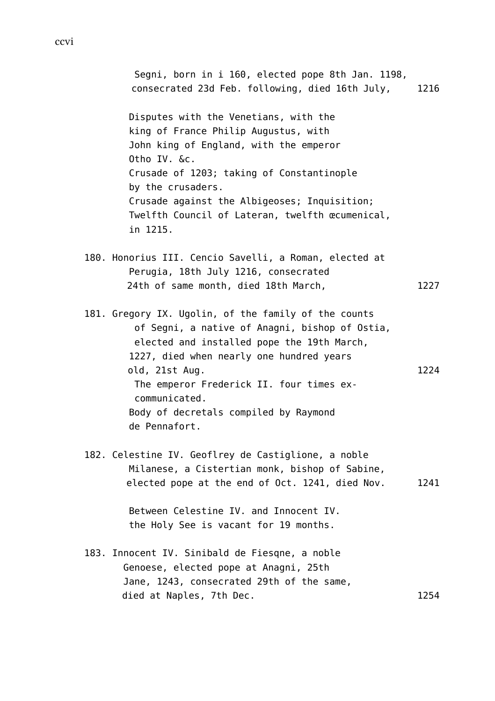Segni, born in i 160, elected pope 8th Jan. 1198, consecrated 23d Feb. following, died 16th July, 1216 Disputes with the Venetians, with the king of France Philip Augustus, with John king of England, with the emperor Otho IV. &c. Crusade of 1203; taking of Constantinople by the crusaders. Crusade against the Albigeoses; Inquisition; Twelfth Council of Lateran, twelfth œcumenical, in 1215. 180. Honorius III. Cencio Savelli, a Roman, elected at Perugia, 18th July 1216, consecrated 24th of same month, died 18th March, 1227 181. Gregory IX. Ugolin, of the family of the counts of Segni, a native of Anagni, bishop of Ostia, elected and installed pope the 19th March, 1227, died when nearly one hundred years old, 21st Aug. 1224 The emperor Frederick II. four times excommunicated. Body of decretals compiled by Raymond de Pennafort. 182. Celestine IV. Geoflrey de Castiglione, a noble Milanese, a Cistertian monk, bishop of Sabine, elected pope at the end of Oct. 1241, died Nov. 1241 Between Celestine IV. and Innocent IV. the Holy See is vacant for 19 months. 183. Innocent IV. Sinibald de Fiesqne, a noble Genoese, elected pope at Anagni, 25th Jane, 1243, consecrated 29th of the same, died at Naples, 7th Dec. 1254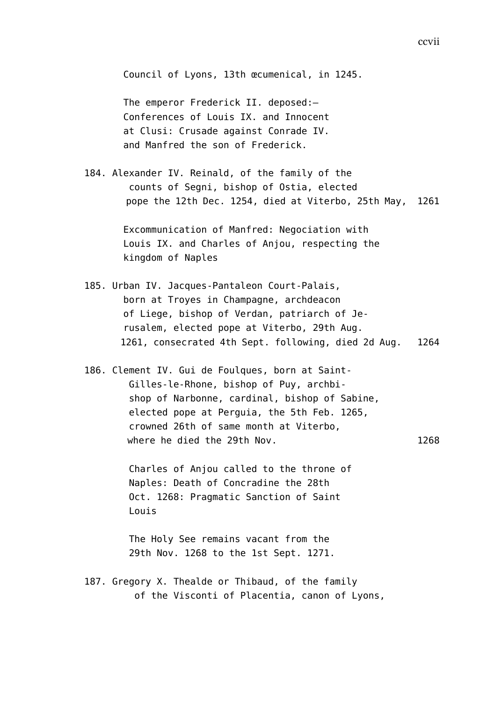Council of Lyons, 13th œcumenical, in 1245.

The emperor Frederick II. deposed:— Conferences of Louis IX. and Innocent at Clusi: Crusade against Conrade IV. and Manfred the son of Frederick.

184. Alexander IV. Reinald, of the family of the counts of Segni, bishop of Ostia, elected pope the 12th Dec. 1254, died at Viterbo, 25th May, 1261

> Excommunication of Manfred: Negociation with Louis IX. and Charles of Anjou, respecting the kingdom of Naples

- 185. Urban IV. Jacques-Pantaleon Court-Palais, born at Troyes in Champagne, archdeacon of Liege, bishop of Verdan, patriarch of Jerusalem, elected pope at Viterbo, 29th Aug. 1261, consecrated 4th Sept. following, died 2d Aug. 1264
- 186. Clement IV. Gui de Foulques, born at Saint-Gilles-le-Rhone, bishop of Puy, archbishop of Narbonne, cardinal, bishop of Sabine, elected pope at Perguia, the 5th Feb. 1265, crowned 26th of same month at Viterbo, where he died the 29th Nov. 1268

Charles of Anjou called to the throne of Naples: Death of Concradine the 28th Oct. 1268: Pragmatic Sanction of Saint Louis

The Holy See remains vacant from the 29th Nov. 1268 to the 1st Sept. 1271.

187. Gregory X. Thealde or Thibaud, of the family of the Visconti of Placentia, canon of Lyons,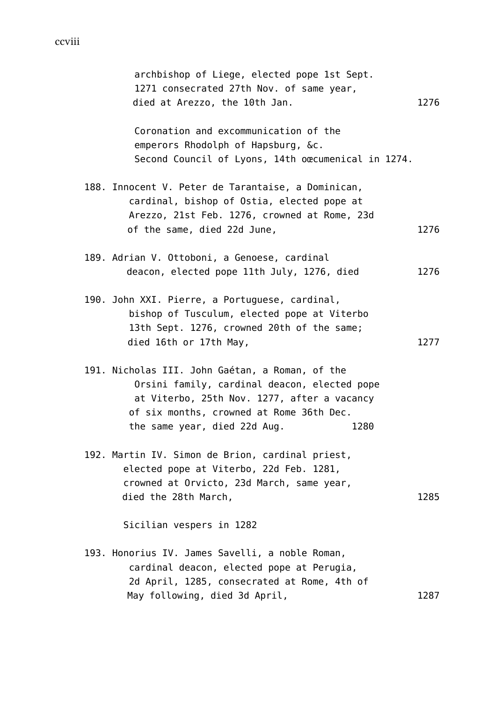| archbishop of Liege, elected pope 1st Sept.<br>1271 consecrated 27th Nov. of same year,<br>died at Arezzo, the 10th Jan.                                                                                                           | 1276 |
|------------------------------------------------------------------------------------------------------------------------------------------------------------------------------------------------------------------------------------|------|
| Coronation and excommunication of the<br>emperors Rhodolph of Hapsburg, &c.<br>Second Council of Lyons, 14th oœcumenical in 1274.                                                                                                  |      |
| 188. Innocent V. Peter de Tarantaise, a Dominican,<br>cardinal, bishop of Ostia, elected pope at<br>Arezzo, 21st Feb. 1276, crowned at Rome, 23d<br>of the same, died 22d June,                                                    | 1276 |
| 189. Adrian V. Ottoboni, a Genoese, cardinal<br>deacon, elected pope 11th July, 1276, died                                                                                                                                         | 1276 |
| 190. John XXI. Pierre, a Portuguese, cardinal,<br>bishop of Tusculum, elected pope at Viterbo<br>13th Sept. 1276, crowned 20th of the same;<br>died 16th or 17th May,                                                              | 1277 |
| 191. Nicholas III. John Gaétan, a Roman, of the<br>Orsini family, cardinal deacon, elected pope<br>at Viterbo, 25th Nov. 1277, after a vacancy<br>of six months, crowned at Rome 36th Dec.<br>the same year, died 22d Aug.<br>1280 |      |
| 192. Martin IV. Simon de Brion, cardinal priest,<br>elected pope at Viterbo, 22d Feb. 1281,<br>crowned at Orvicto, 23d March, same year,<br>died the 28th March,                                                                   | 1285 |
| Sicilian vespers in 1282                                                                                                                                                                                                           |      |
| 193. Honorius IV. James Savelli, a noble Roman,<br>cardinal deacon, elected pope at Perugia,<br>2d April, 1285, consecrated at Rome, 4th of<br>May following, died 3d April,                                                       | 1287 |
|                                                                                                                                                                                                                                    |      |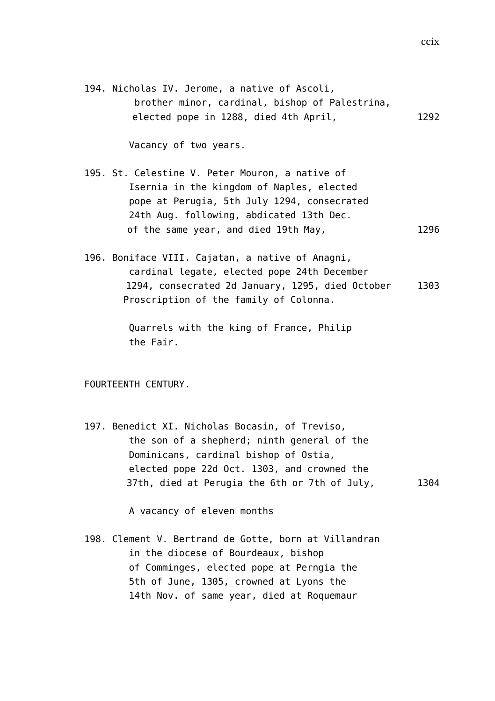194. Nicholas IV. Jerome, a native of Ascoli, brother minor, cardinal, bishop of Palestrina, elected pope in 1288, died 4th April, 1292

Vacancy of two years.

- 195. St. Celestine V. Peter Mouron, a native of Isernia in the kingdom of Naples, elected pope at Perugia, 5th July 1294, consecrated 24th Aug. following, abdicated 13th Dec. of the same year, and died 19th May, 1296
- 196. Boniface VIII. Cajatan, a native of Anagni, cardinal legate, elected pope 24th December 1294, consecrated 2d January, 1295, died October 1303 Proscription of the family of Colonna.

Quarrels with the king of France, Philip the Fair.

FOURTEENTH CENTURY.

197. Benedict XI. Nicholas Bocasin, of Treviso, the son of a shepherd; ninth general of the Dominicans, cardinal bishop of Ostia, elected pope 22d Oct. 1303, and crowned the 37th, died at Perugia the 6th or 7th of July, 1304

A vacancy of eleven months

198. Clement V. Bertrand de Gotte, born at Villandran in the diocese of Bourdeaux, bishop of Comminges, elected pope at Perngia the 5th of June, 1305, crowned at Lyons the 14th Nov. of same year, died at Roquemaur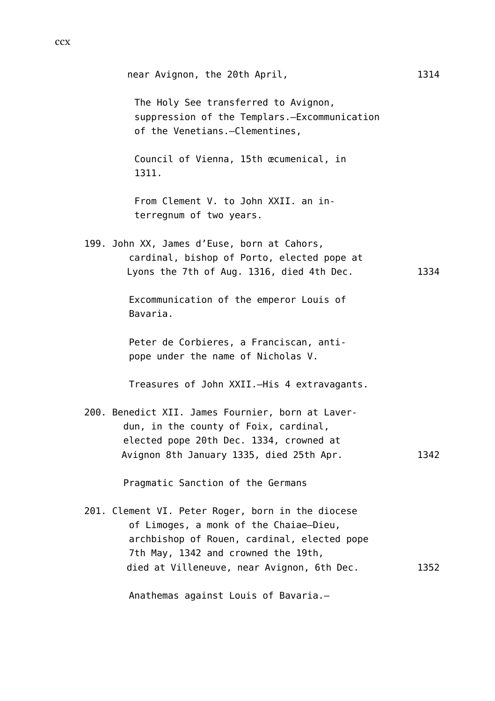| near Avignon, the 20th April,                                                                                                                                                                                                   | 1314 |
|---------------------------------------------------------------------------------------------------------------------------------------------------------------------------------------------------------------------------------|------|
| The Holy See transferred to Avignon,<br>suppression of the Templars.-Excommunication<br>of the Venetians.-Clementines,                                                                                                          |      |
| Council of Vienna, 15th œcumenical, in<br>1311.                                                                                                                                                                                 |      |
| From Clement V. to John XXII, an in-<br>terregnum of two years.                                                                                                                                                                 |      |
| 199. John XX, James d'Euse, born at Cahors,<br>cardinal, bishop of Porto, elected pope at<br>Lyons the 7th of Aug. 1316, died 4th Dec.                                                                                          | 1334 |
| Excommunication of the emperor Louis of<br>Bavaria.                                                                                                                                                                             |      |
| Peter de Corbieres, a Franciscan, anti-<br>pope under the name of Nicholas V.                                                                                                                                                   |      |
| Treasures of John XXII.-His 4 extravagants.                                                                                                                                                                                     |      |
| 200. Benedict XII. James Fournier, born at Laver-<br>dun, in the county of Foix, cardinal,<br>elected pope 20th Dec. 1334, crowned at<br>Avignon 8th January 1335, died 25th Apr.                                               | 1342 |
| Pragmatic Sanction of the Germans                                                                                                                                                                                               |      |
| 201. Clement VI. Peter Roger, born in the diocese<br>of Limoges, a monk of the Chaiae-Dieu,<br>archbishop of Rouen, cardinal, elected pope<br>7th May, 1342 and crowned the 19th,<br>died at Villeneuve, near Avignon, 6th Dec. | 1352 |
| Anathemas against Louis of Bavaria.-                                                                                                                                                                                            |      |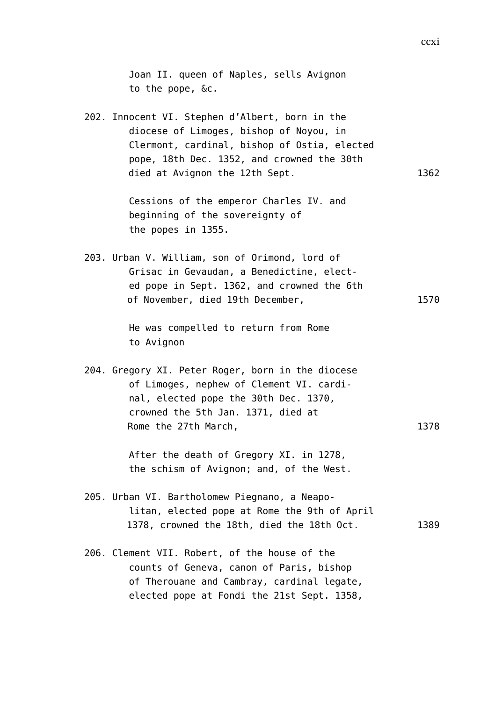| Joan II. queen of Naples, sells Avignon<br>to the pope, &c.                                                                                                                                                                |      |
|----------------------------------------------------------------------------------------------------------------------------------------------------------------------------------------------------------------------------|------|
| 202. Innocent VI. Stephen d'Albert, born in the<br>diocese of Limoges, bishop of Noyou, in<br>Clermont, cardinal, bishop of Ostia, elected<br>pope, 18th Dec. 1352, and crowned the 30th<br>died at Avignon the 12th Sept. | 1362 |
| Cessions of the emperor Charles IV. and<br>beginning of the sovereignty of<br>the popes in 1355.                                                                                                                           |      |
| 203. Urban V. William, son of Orimond, lord of<br>Grisac in Gevaudan, a Benedictine, elect-<br>ed pope in Sept. 1362, and crowned the 6th<br>of November, died 19th December,                                              | 1570 |
| He was compelled to return from Rome<br>to Avignon                                                                                                                                                                         |      |
| 204. Gregory XI. Peter Roger, born in the diocese<br>of Limoges, nephew of Clement VI. cardi-<br>nal, elected pope the 30th Dec. 1370,<br>crowned the 5th Jan. 1371, died at<br>Rome the 27th March,                       | 1378 |
| After the death of Gregory XI. in 1278,<br>the schism of Avignon; and, of the West.                                                                                                                                        |      |
| 205. Urban VI. Bartholomew Piegnano, a Neapo-<br>litan, elected pope at Rome the 9th of April<br>1378, crowned the 18th, died the 18th Oct.                                                                                | 1389 |
| 206. Clement VII. Robert, of the house of the<br>counts of Geneva, canon of Paris, bishop<br>of Therouane and Cambray, cardinal legate,<br>elected pope at Fondi the 21st Sept. 1358,                                      |      |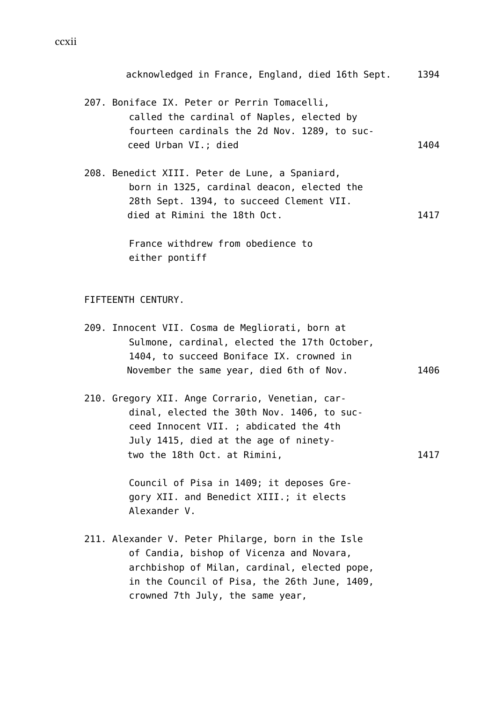| acknowledged in France, England, died 16th Sept.                                                                                                                                                                                   | 1394 |
|------------------------------------------------------------------------------------------------------------------------------------------------------------------------------------------------------------------------------------|------|
| 207. Boniface IX. Peter or Perrin Tomacelli,<br>called the cardinal of Naples, elected by<br>fourteen cardinals the 2d Nov. 1289, to suc-<br>ceed Urban VI.; died                                                                  | 1404 |
| 208. Benedict XIII. Peter de Lune, a Spaniard,<br>born in 1325, cardinal deacon, elected the<br>28th Sept. 1394, to succeed Clement VII.<br>died at Rimini the 18th Oct.                                                           | 1417 |
| France withdrew from obedience to<br>either pontiff                                                                                                                                                                                |      |
| FIFTEENTH CENTURY.                                                                                                                                                                                                                 |      |
| 209. Innocent VII. Cosma de Megliorati, born at<br>Sulmone, cardinal, elected the 17th October,<br>1404, to succeed Boniface IX. crowned in<br>November the same year, died 6th of Nov.                                            | 1406 |
| 210. Gregory XII. Ange Corrario, Venetian, car-<br>dinal, elected the 30th Nov. 1406, to suc-<br>ceed Innocent VII. ; abdicated the 4th<br>July 1415, died at the age of ninety-<br>two the 18th Oct. at Rimini,                   | 1417 |
| Council of Pisa in 1409; it deposes Gre-<br>gory XII. and Benedict XIII.; it elects<br>Alexander V.                                                                                                                                |      |
| 211. Alexander V. Peter Philarge, born in the Isle<br>of Candia, bishop of Vicenza and Novara,<br>archbishop of Milan, cardinal, elected pope,<br>in the Council of Pisa, the 26th June, 1409,<br>crowned 7th July, the same year, |      |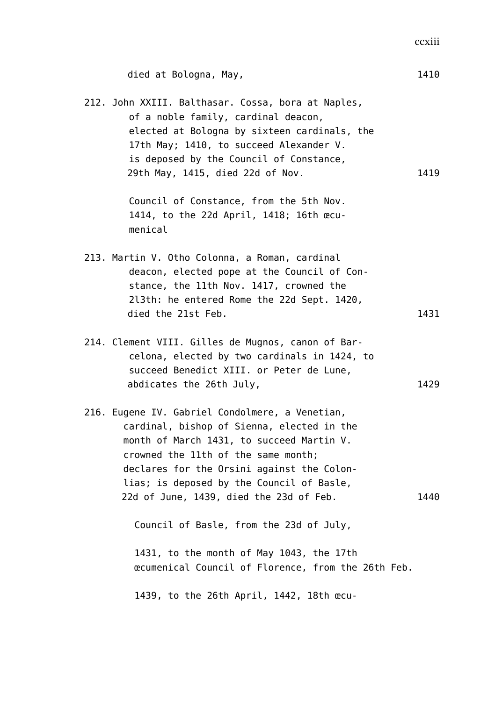| died at Bologna, May,                                                                                                                                                                                                                                                                                                   | 1410 |
|-------------------------------------------------------------------------------------------------------------------------------------------------------------------------------------------------------------------------------------------------------------------------------------------------------------------------|------|
| 212. John XXIII. Balthasar. Cossa, bora at Naples,<br>of a noble family, cardinal deacon,<br>elected at Bologna by sixteen cardinals, the<br>17th May; 1410, to succeed Alexander V.<br>is deposed by the Council of Constance,<br>29th May, 1415, died 22d of Nov.                                                     | 1419 |
| Council of Constance, from the 5th Nov.<br>1414, to the 22d April, 1418; 16th œcu-<br>menical                                                                                                                                                                                                                           |      |
| 213. Martin V. Otho Colonna, a Roman, cardinal<br>deacon, elected pope at the Council of Con-<br>stance, the 11th Nov. 1417, crowned the<br>2l3th: he entered Rome the 22d Sept. 1420,<br>died the 21st Feb.                                                                                                            | 1431 |
| 214. Clement VIII. Gilles de Mugnos, canon of Bar-<br>celona, elected by two cardinals in 1424, to<br>succeed Benedict XIII. or Peter de Lune,<br>abdicates the 26th July,                                                                                                                                              | 1429 |
| 216. Eugene IV. Gabriel Condolmere, a Venetian,<br>cardinal, bishop of Sienna, elected in the<br>month of March 1431, to succeed Martin V.<br>crowned the 11th of the same month:<br>declares for the Orsini against the Colon-<br>lias; is deposed by the Council of Basle,<br>22d of June, 1439, died the 23d of Feb. | 1440 |
| Council of Basle, from the 23d of July,                                                                                                                                                                                                                                                                                 |      |
| 1431, to the month of May 1043, the 17th<br>ecumenical Council of Florence, from the 26th Feb.                                                                                                                                                                                                                          |      |
| 1439, to the 26th April, 1442, 18th œcu-                                                                                                                                                                                                                                                                                |      |

ccxiii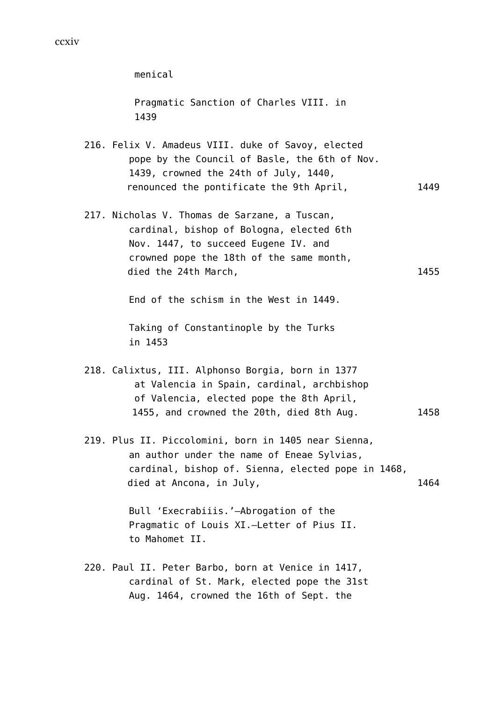menical

```
Pragmatic Sanction of Charles VIII. in
1439
```
- 216. Felix V. Amadeus VIII. duke of Savoy, elected pope by the Council of Basle, the 6th of Nov. 1439, crowned the 24th of July, 1440, renounced the pontificate the 9th April, 1449
- 217. Nicholas V. Thomas de Sarzane, a Tuscan, cardinal, bishop of Bologna, elected 6th Nov. 1447, to succeed Eugene IV. and crowned pope the 18th of the same month, died the 24th March, 1455

End of the schism in the West in 1449.

Taking of Constantinople by the Turks in 1453

- 218. Calixtus, III. Alphonso Borgia, born in 1377 at Valencia in Spain, cardinal, archbishop of Valencia, elected pope the 8th April, 1455, and crowned the 20th, died 8th Aug. 1458
- 219. Plus II. Piccolomini, born in 1405 near Sienna, an author under the name of Eneae Sylvias, cardinal, bishop of. Sienna, elected pope in 1468, died at Ancona, in July, 1464

Bull 'Execrabiiis.'—Abrogation of the Pragmatic of Louis XI.—Letter of Pius II. to Mahomet II.

220. Paul II. Peter Barbo, born at Venice in 1417, cardinal of St. Mark, elected pope the 31st Aug. 1464, crowned the 16th of Sept. the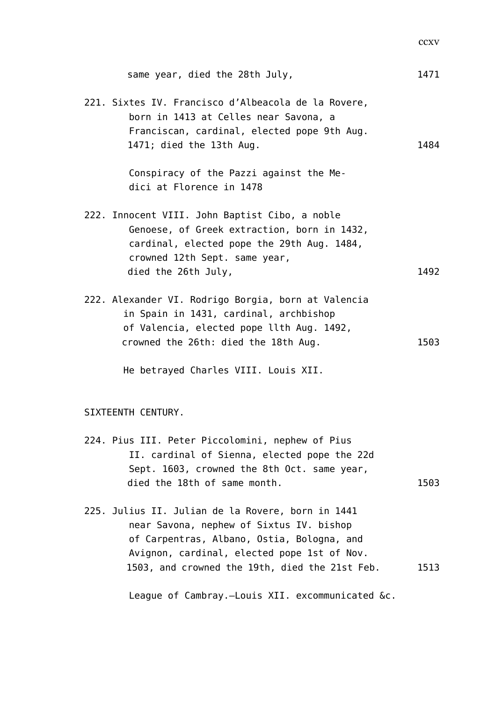| same year, died the 28th July,                                                                                                                                                                                                               | 1471 |
|----------------------------------------------------------------------------------------------------------------------------------------------------------------------------------------------------------------------------------------------|------|
| 221. Sixtes IV. Francisco d'Albeacola de la Rovere,<br>born in 1413 at Celles near Savona, a<br>Franciscan, cardinal, elected pope 9th Aug.<br>1471; died the 13th Aug.                                                                      | 1484 |
| Conspiracy of the Pazzi against the Me-<br>dici at Florence in 1478                                                                                                                                                                          |      |
| 222. Innocent VIII. John Baptist Cibo, a noble<br>Genoese, of Greek extraction, born in 1432,<br>cardinal, elected pope the 29th Aug. 1484,<br>crowned 12th Sept. same year,<br>died the 26th July,                                          | 1492 |
| 222. Alexander VI. Rodrigo Borgia, born at Valencia<br>in Spain in 1431, cardinal, archbishop<br>of Valencia, elected pope llth Aug. 1492,<br>crowned the 26th: died the 18th Aug.                                                           | 1503 |
| He betrayed Charles VIII. Louis XII.                                                                                                                                                                                                         |      |
| SIXTEENTH CENTURY.                                                                                                                                                                                                                           |      |
| 224. Pius III. Peter Piccolomini, nephew of Pius<br>II. cardinal of Sienna, elected pope the 22d<br>Sept. 1603, crowned the 8th Oct. same year,<br>died the 18th of same month.                                                              | 1503 |
| 225. Julius II. Julian de la Rovere, born in 1441<br>near Savona, nephew of Sixtus IV. bishop<br>of Carpentras, Albano, Ostia, Bologna, and<br>Avignon, cardinal, elected pope 1st of Nov.<br>1503, and crowned the 19th, died the 21st Feb. | 1513 |
| League of Cambray.-Louis XII. excommunicated &c.                                                                                                                                                                                             |      |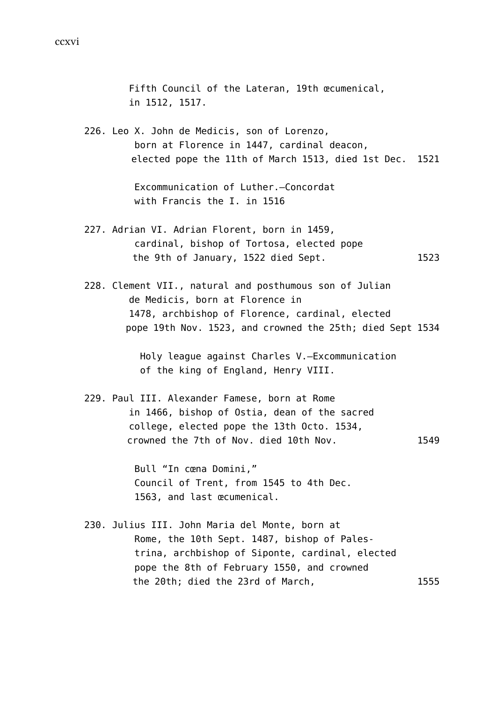| Fifth Council of the Lateran, 19th œcumenical,<br>in 1512, 1517.                                                                                                                                                                    |      |
|-------------------------------------------------------------------------------------------------------------------------------------------------------------------------------------------------------------------------------------|------|
| 226. Leo X. John de Medicis, son of Lorenzo,<br>born at Florence in 1447, cardinal deacon,<br>elected pope the 11th of March 1513, died 1st Dec. 1521                                                                               |      |
| Excommunication of Luther.-Concordat<br>with Francis the I. in 1516                                                                                                                                                                 |      |
| 227. Adrian VI. Adrian Florent, born in 1459,<br>cardinal, bishop of Tortosa, elected pope<br>the 9th of January, 1522 died Sept.                                                                                                   | 1523 |
| 228. Clement VII., natural and posthumous son of Julian<br>de Medicis, born at Florence in<br>1478, archbishop of Florence, cardinal, elected<br>pope 19th Nov. 1523, and crowned the 25th; died Sept 1534                          |      |
| Holy league against Charles V.-Excommunication<br>of the king of England, Henry VIII.                                                                                                                                               |      |
| 229. Paul III. Alexander Famese, born at Rome<br>in 1466, bishop of Ostia, dean of the sacred<br>college, elected pope the 13th Octo. 1534,<br>crowned the 7th of Nov. died 10th Nov.                                               | 1549 |
| Bull "In cœna Domini,"<br>Council of Trent, from 1545 to 4th Dec.<br>1563, and last œcumenical.                                                                                                                                     |      |
| 230. Julius III. John Maria del Monte, born at<br>Rome, the 10th Sept. 1487, bishop of Pales-<br>trina, archbishop of Siponte, cardinal, elected<br>pope the 8th of February 1550, and crowned<br>the 20th; died the 23rd of March, | 1555 |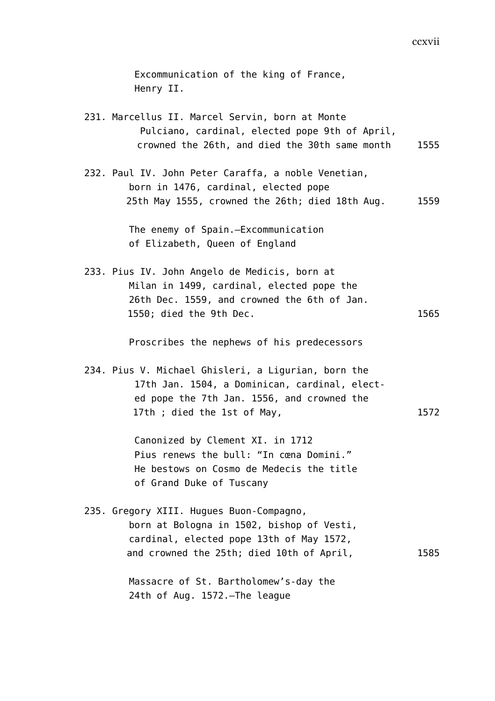Excommunication of the king of France, Henry II.

- 231. Marcellus II. Marcel Servin, born at Monte Pulciano, cardinal, elected pope 9th of April, crowned the 26th, and died the 30th same month 1555
- 232. Paul IV. John Peter Caraffa, a noble Venetian, born in 1476, cardinal, elected pope 25th May 1555, crowned the 26th; died 18th Aug. 1559

The enemy of Spain.—Excommunication of Elizabeth, Queen of England

233. Pius IV. John Angelo de Medicis, born at Milan in 1499, cardinal, elected pope the 26th Dec. 1559, and crowned the 6th of Jan. 1550; died the 9th Dec. 1565

Proscribes the nephews of his predecessors

234. Pius V. Michael Ghisleri, a Ligurian, born the 17th Jan. 1504, a Dominican, cardinal, elected pope the 7th Jan. 1556, and crowned the 17th; died the 1st of May, 1572

> Canonized by Clement XI. in 1712 Pius renews the bull: "In cœna Domini." He bestows on Cosmo de Medecis the title of Grand Duke of Tuscany

235. Gregory XIII. Hugues Buon-Compagno, born at Bologna in 1502, bishop of Vesti, cardinal, elected pope 13th of May 1572, and crowned the 25th; died 10th of April, 1585

Massacre of St. Bartholomew's-day the 24th of Aug. 1572.—The league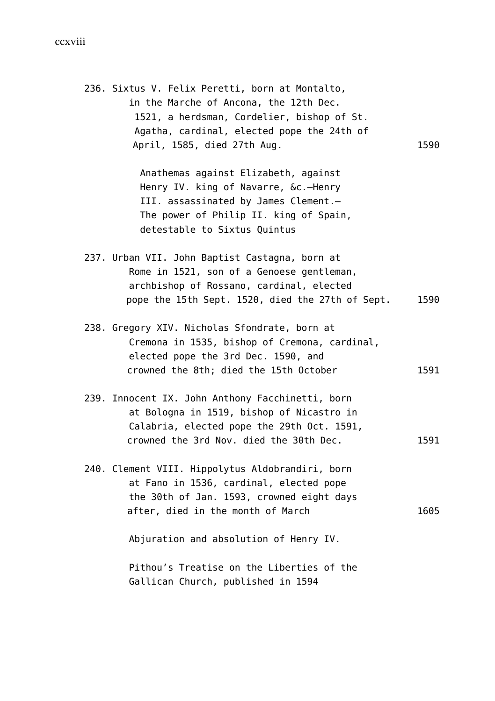| 236. Sixtus V. Felix Peretti, born at Montalto,<br>in the Marche of Ancona, the 12th Dec.<br>1521, a herdsman, Cordelier, bishop of St.<br>Agatha, cardinal, elected pope the 24th of<br>April, 1585, died 27th Aug. | 1590 |
|----------------------------------------------------------------------------------------------------------------------------------------------------------------------------------------------------------------------|------|
| Anathemas against Elizabeth, against<br>Henry IV. king of Navarre, &c.-Henry<br>III. assassinated by James Clement.-<br>The power of Philip II. king of Spain,<br>detestable to Sixtus Quintus                       |      |
| 237. Urban VII. John Baptist Castagna, born at<br>Rome in 1521, son of a Genoese gentleman,<br>archbishop of Rossano, cardinal, elected<br>pope the 15th Sept. 1520, died the 27th of Sept.                          | 1590 |
| 238. Gregory XIV. Nicholas Sfondrate, born at<br>Cremona in 1535, bishop of Cremona, cardinal,<br>elected pope the 3rd Dec. 1590, and<br>crowned the 8th; died the 15th October                                      | 1591 |
| 239. Innocent IX. John Anthony Facchinetti, born<br>at Bologna in 1519, bishop of Nicastro in<br>Calabria, elected pope the 29th Oct. 1591,<br>crowned the 3rd Nov. died the 30th Dec.                               | 1591 |
| 240. Clement VIII. Hippolytus Aldobrandiri, born<br>at Fano in 1536, cardinal, elected pope<br>the 30th of Jan. 1593, crowned eight days<br>after, died in the month of March                                        | 1605 |
| Abjuration and absolution of Henry IV.                                                                                                                                                                               |      |
| Pithou's Treatise on the Liberties of the<br>Gallican Church, published in 1594                                                                                                                                      |      |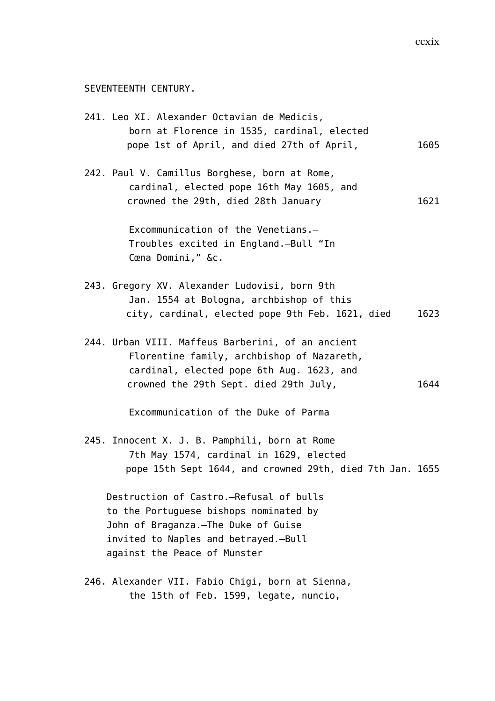#### SEVENTEENTH CENTURY.

| 241. Leo XI. Alexander Octavian de Medicis,<br>born at Florence in 1535, cardinal, elected<br>pope 1st of April, and died 27th of April,                                                         | 1605 |
|--------------------------------------------------------------------------------------------------------------------------------------------------------------------------------------------------|------|
| 242. Paul V. Camillus Borghese, born at Rome,<br>cardinal, elected pope 16th May 1605, and<br>crowned the 29th, died 28th January                                                                | 1621 |
| Excommunication of the Venetians.-<br>Troubles excited in England.-Bull "In<br>Cœna Domini," &c.                                                                                                 |      |
| 243. Gregory XV. Alexander Ludovisi, born 9th<br>Jan. 1554 at Bologna, archbishop of this<br>city, cardinal, elected pope 9th Feb. 1621, died                                                    | 1623 |
| 244. Urban VIII. Maffeus Barberini, of an ancient<br>Florentine family, archbishop of Nazareth,<br>cardinal, elected pope 6th Aug. 1623, and<br>crowned the 29th Sept. died 29th July,           | 1644 |
| Excommunication of the Duke of Parma                                                                                                                                                             |      |
| 245. Innocent X. J. B. Pamphili, born at Rome<br>7th May 1574, cardinal in 1629, elected<br>pope 15th Sept 1644, and crowned 29th, died 7th Jan. 1655                                            |      |
| Destruction of Castro.-Refusal of bulls<br>to the Portuguese bishops nominated by<br>John of Braganza.-The Duke of Guise<br>invited to Naples and betrayed.-Bull<br>against the Peace of Munster |      |
| 246. Alexander VII. Fabio Chigi, born at Sienna,<br>the 15th of Feb. 1599, legate, nuncio,                                                                                                       |      |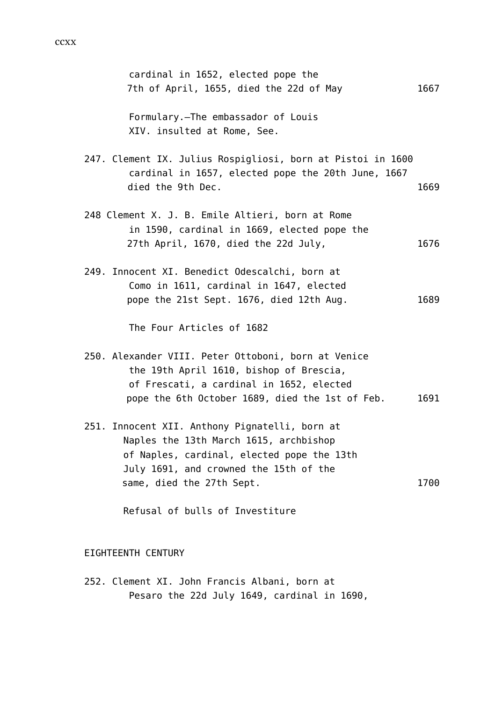| cardinal in 1652, elected pope the<br>7th of April, 1655, died the 22d of May                                                                                                                 | 1667 |
|-----------------------------------------------------------------------------------------------------------------------------------------------------------------------------------------------|------|
| Formulary.-The embassador of Louis<br>XIV. insulted at Rome, See.                                                                                                                             |      |
| 247. Clement IX. Julius Rospigliosi, born at Pistoi in 1600<br>cardinal in 1657, elected pope the 20th June, 1667<br>died the 9th Dec.                                                        | 1669 |
| 248 Clement X. J. B. Emile Altieri, born at Rome<br>in 1590, cardinal in 1669, elected pope the<br>27th April, 1670, died the 22d July,                                                       | 1676 |
| 249. Innocent XI. Benedict Odescalchi, born at<br>Como in 1611, cardinal in 1647, elected<br>pope the 21st Sept. 1676, died 12th Aug.                                                         | 1689 |
| The Four Articles of 1682                                                                                                                                                                     |      |
| 250. Alexander VIII. Peter Ottoboni, born at Venice<br>the 19th April 1610, bishop of Brescia,<br>of Frescati, a cardinal in 1652, elected<br>pope the 6th October 1689, died the 1st of Feb. | 1691 |
| 251. Innocent XII. Anthony Pignatelli, born at<br>Naples the 13th March 1615, archbishop<br>of Naples, cardinal, elected pope the 13th                                                        |      |
| July 1691, and crowned the 15th of the<br>same, died the 27th Sept.                                                                                                                           | 1700 |

#### EIGHTEENTH CENTURY

252. Clement XI. John Francis Albani, born at Pesaro the 22d July 1649, cardinal in 1690,

Refusal of bulls of Investiture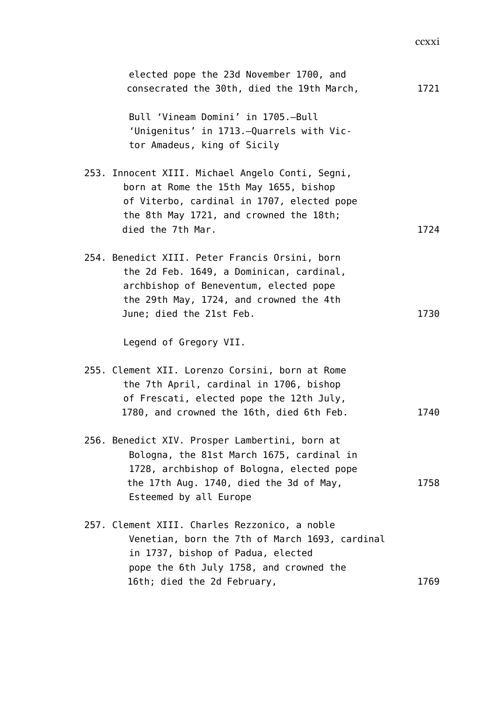| elected pope the 23d November 1700, and<br>consecrated the 30th, died the 19th March,                                                                                                                          | 1721 |
|----------------------------------------------------------------------------------------------------------------------------------------------------------------------------------------------------------------|------|
| Bull 'Vineam Domini' in 1705.-Bull<br>'Unigenitus' in 1713.-Quarrels with Vic-<br>tor Amadeus, king of Sicily                                                                                                  |      |
| 253. Innocent XIII. Michael Angelo Conti, Segni,<br>born at Rome the 15th May 1655, bishop<br>of Viterbo, cardinal in 1707, elected pope<br>the 8th May 1721, and crowned the 18th;<br>died the 7th Mar.       | 1724 |
| 254. Benedict XIII. Peter Francis Orsini, born<br>the 2d Feb. 1649, a Dominican, cardinal,<br>archbishop of Beneventum, elected pope<br>the 29th May, 1724, and crowned the 4th<br>June; died the 21st Feb.    | 1730 |
| Legend of Gregory VII.                                                                                                                                                                                         |      |
| 255. Clement XII. Lorenzo Corsini, born at Rome<br>the 7th April, cardinal in 1706, bishop<br>of Frescati, elected pope the 12th July,<br>1780, and crowned the 16th, died 6th Feb.                            | 1740 |
| 256. Benedict XIV. Prosper Lambertini, born at<br>Bologna, the 81st March 1675, cardinal in<br>1728, archbishop of Bologna, elected pope<br>the 17th Aug. 1740, died the 3d of May,<br>Esteemed by all Europe  | 1758 |
| 257. Clement XIII. Charles Rezzonico, a noble<br>Venetian, born the 7th of March 1693, cardinal<br>in 1737, bishop of Padua, elected<br>pope the 6th July 1758, and crowned the<br>16th; died the 2d February, | 1769 |
|                                                                                                                                                                                                                |      |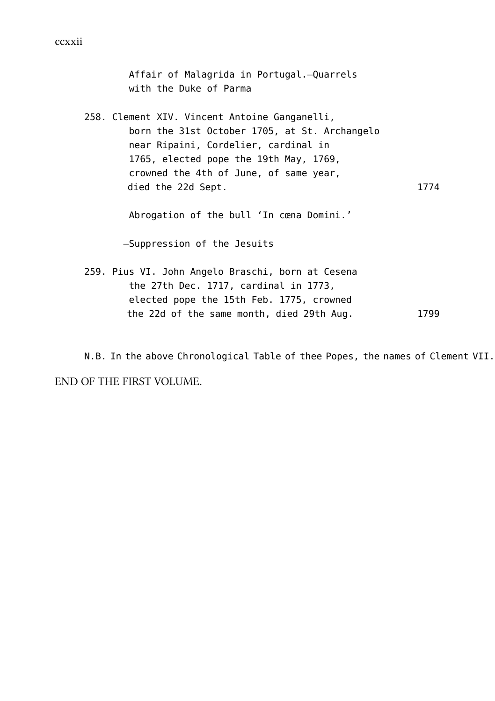ccxxii

Affair of Malagrida in Portugal.—Quarrels with the Duke of Parma 258. Clement XIV. Vincent Antoine Ganganelli, born the 31st October 1705, at St. Archangelo near Ripaini, Cordelier, cardinal in 1765, elected pope the 19th May, 1769, crowned the 4th of June, of same year, died the 22d Sept. 1774 Abrogation of the bull 'In cœna Domini.' —Suppression of the Jesuits 259. Pius VI. John Angelo Braschi, born at Cesena the 27th Dec. 1717, cardinal in 1773, elected pope the 15th Feb. 1775, crowned the 22d of the same month, died 29th Aug. 1799

N.B. In the above Chronological Table of thee Popes, the names of Clement VII. END OF THE FIRST VOLUME.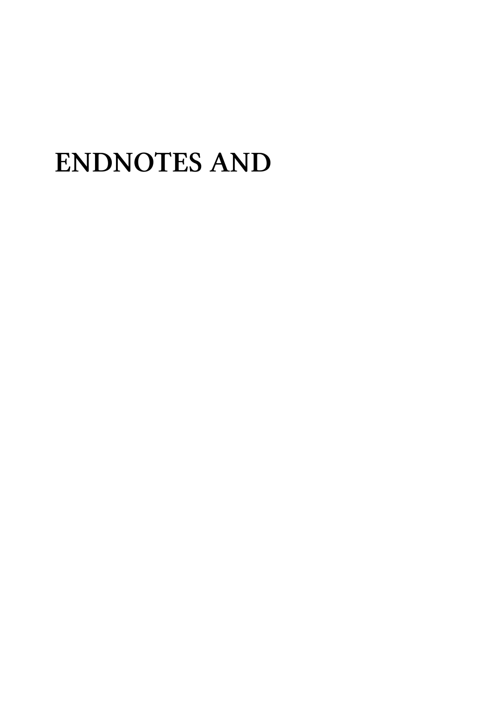# **ENDNOTES AND**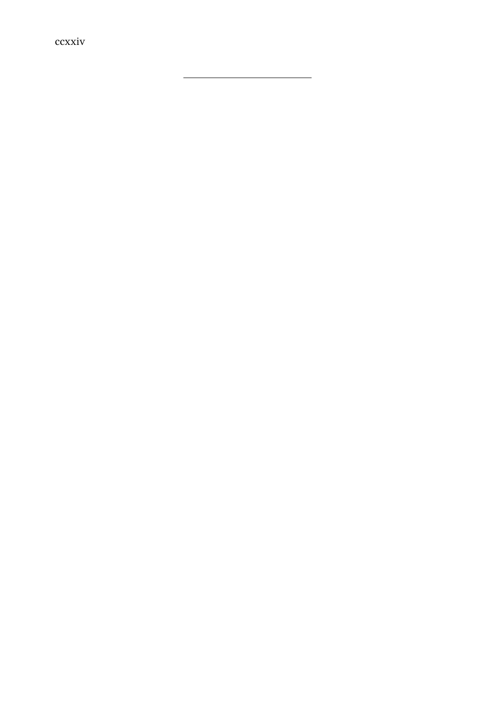ccxxiv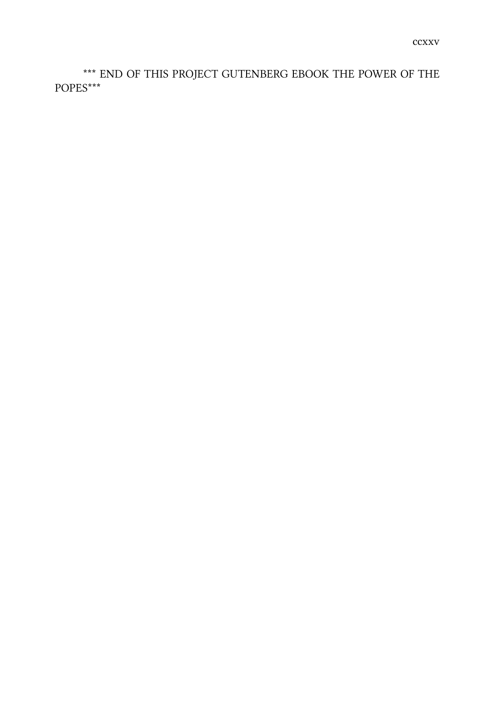\*\*\* END OF THIS PROJECT GUTENBERG EBOOK THE POWER OF THE POPES\*\*\*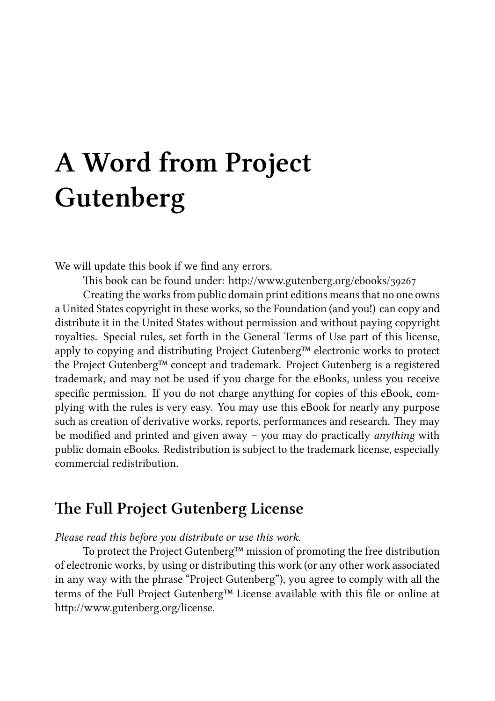# **A Word from Project Gutenberg**

We will update this book if we find any errors.

This book can be found under: http://www.gutenberg.org/ebooks/39267

Creating the works from public domain print editions means that no one owns a United States copyright in these works, so the Foundation (and you!) can copy and distribute it in the United States without permission and without paying copyright royalties. Special rules, set forth in the General Terms of Use part of this license, apply to copying and distributing Project Gutenberg™ electronic works to protect the Project Gutenberg™ concept and trademark. Project Gutenberg is a registered trademark, and may not be used if you charge for the eBooks, unless you receive specific permission. If you do not charge anything for copies of this eBook, complying with the rules is very easy. You may use this eBook for nearly any purpose such as creation of derivative works, reports, performances and research. They may be modified and printed and given away – you may do practically *anything* with public domain eBooks. Redistribution is subject to the trademark license, especially commercial redistribution.

# **e Full Project Gutenberg License**

#### *Please read this before you distribute or use this work.*

To protect the Project Gutenberg™ mission of promoting the free distribution of electronic works, by using or distributing this work (or any other work associated in any way with the phrase "Project Gutenberg"), you agree to comply with all the terms of the Full Project Gutenberg™ License available with this file or online at http://www.gutenberg.org/license.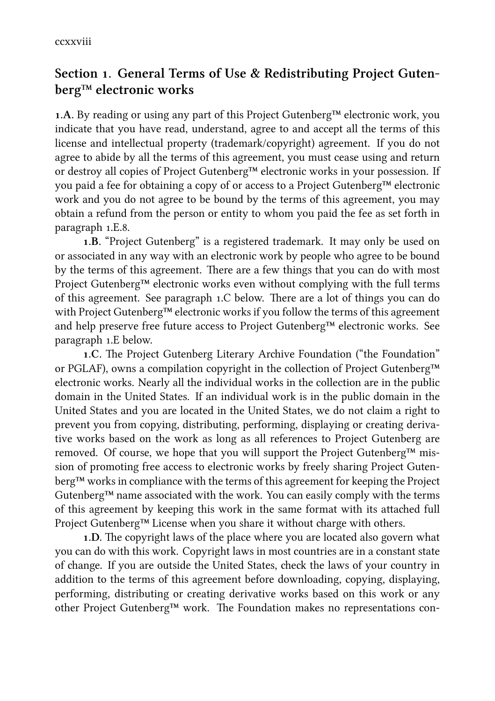## **Section . General Terms of Use & Redistributing Project Gutenberg™ electronic works**

**.A.** By reading or using any part of this Project Gutenberg™ electronic work, you indicate that you have read, understand, agree to and accept all the terms of this license and intellectual property (trademark/copyright) agreement. If you do not agree to abide by all the terms of this agreement, you must cease using and return or destroy all copies of Project Gutenberg™ electronic works in your possession. If you paid a fee for obtaining a copy of or access to a Project Gutenberg™ electronic work and you do not agree to be bound by the terms of this agreement, you may obtain a refund from the person or entity to whom you paid the fee as set forth in paragraph 1.E.8.

**.B.** "Project Gutenberg" is a registered trademark. It may only be used on or associated in any way with an electronic work by people who agree to be bound by the terms of this agreement. There are a few things that you can do with most Project Gutenberg™ electronic works even without complying with the full terms of this agreement. See paragraph 1.C below. There are a lot of things you can do with Project Gutenberg™ electronic works if you follow the terms of this agreement and help preserve free future access to Project Gutenberg™ electronic works. See paragraph .E below.

**1.C.** The Project Gutenberg Literary Archive Foundation ("the Foundation" or PGLAF), owns a compilation copyright in the collection of Project Gutenberg™ electronic works. Nearly all the individual works in the collection are in the public domain in the United States. If an individual work is in the public domain in the United States and you are located in the United States, we do not claim a right to prevent you from copying, distributing, performing, displaying or creating derivative works based on the work as long as all references to Project Gutenberg are removed. Of course, we hope that you will support the Project Gutenberg™ mission of promoting free access to electronic works by freely sharing Project Gutenberg™ works in compliance with the terms of this agreement for keeping the Project Gutenberg™ name associated with the work. You can easily comply with the terms of this agreement by keeping this work in the same format with its attached full Project Gutenberg™ License when you share it without charge with others.

**1.D.** The copyright laws of the place where you are located also govern what you can do with this work. Copyright laws in most countries are in a constant state of change. If you are outside the United States, check the laws of your country in addition to the terms of this agreement before downloading, copying, displaying, performing, distributing or creating derivative works based on this work or any other Project Gutenberg™ work. The Foundation makes no representations con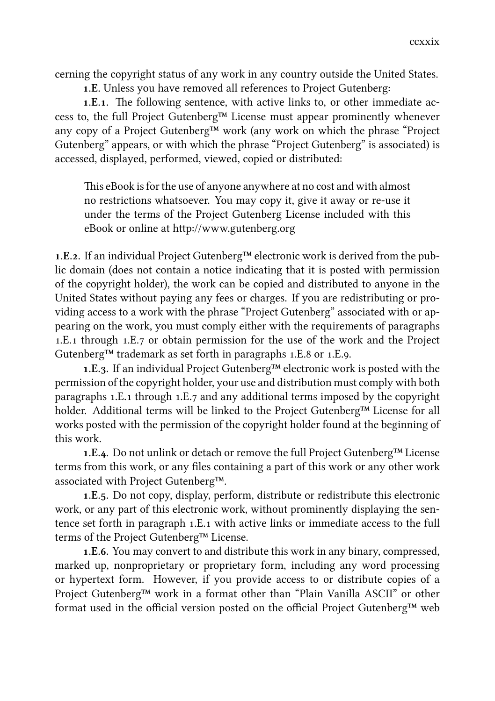cerning the copyright status of any work in any country outside the United States.

**.E.** Unless you have removed all references to Project Gutenberg:

**1.E.1.** The following sentence, with active links to, or other immediate access to, the full Project Gutenberg™ License must appear prominently whenever any copy of a Project Gutenberg™ work (any work on which the phrase "Project Gutenberg" appears, or with which the phrase "Project Gutenberg" is associated) is accessed, displayed, performed, viewed, copied or distributed:

This eBook is for the use of anyone anywhere at no cost and with almost no restrictions whatsoever. You may copy it, give it away or re-use it under the terms of the Project Gutenberg License included with this eBook or online at http://www.gutenberg.org

**.E..** If an individual Project Gutenberg™ electronic work is derived from the public domain (does not contain a notice indicating that it is posted with permission of the copyright holder), the work can be copied and distributed to anyone in the United States without paying any fees or charges. If you are redistributing or providing access to a work with the phrase "Project Gutenberg" associated with or appearing on the work, you must comply either with the requirements of paragraphs 1.E. through 1.E.7 or obtain permission for the use of the work and the Project Gutenberg<sup>™</sup> trademark as set forth in paragraphs  $1.E.8$  or  $1.E.9$ .

**.E..** If an individual Project Gutenberg™ electronic work is posted with the permission of the copyright holder, your use and distribution must comply with both paragraphs 1.E.1 through 1.E.7 and any additional terms imposed by the copyright holder. Additional terms will be linked to the Project Gutenberg™ License for all works posted with the permission of the copyright holder found at the beginning of this work.

**1.E.4.** Do not unlink or detach or remove the full Project Gutenberg™ License terms from this work, or any files containing a part of this work or any other work associated with Project Gutenberg™.

**.E..** Do not copy, display, perform, distribute or redistribute this electronic work, or any part of this electronic work, without prominently displaying the sentence set forth in paragraph .E. with active links or immediate access to the full terms of the Project Gutenberg™ License.

**1.E.6.** You may convert to and distribute this work in any binary, compressed, marked up, nonproprietary or proprietary form, including any word processing or hypertext form. However, if you provide access to or distribute copies of a Project Gutenberg™ work in a format other than "Plain Vanilla ASCII" or other format used in the official version posted on the official Project Gutenberg™ web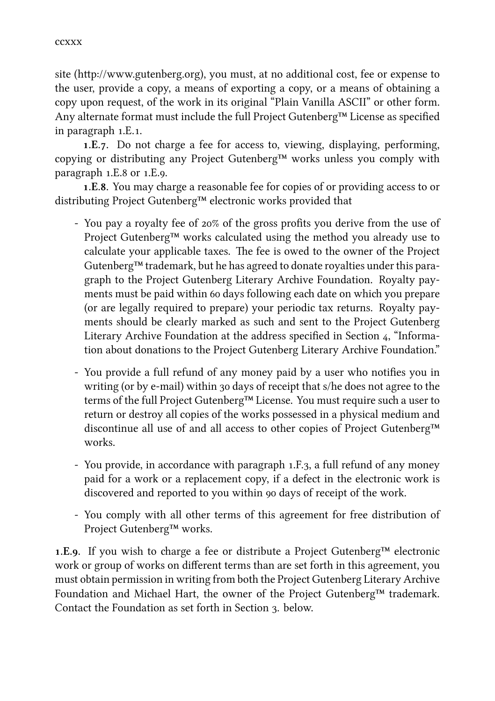#### ccxxx

site (http://www.gutenberg.org), you must, at no additional cost, fee or expense to the user, provide a copy, a means of exporting a copy, or a means of obtaining a copy upon request, of the work in its original "Plain Vanilla ASCII" or other form. Any alternate format must include the full Project Gutenberg™ License as specified in paragraph 1.E.1.

1.E.7. Do not charge a fee for access to, viewing, displaying, performing, copying or distributing any Project Gutenberg™ works unless you comply with paragraph  $1.E.8$  or  $1.E.9$ .

**1.E.8.** You may charge a reasonable fee for copies of or providing access to or distributing Project Gutenberg™ electronic works provided that

- You pay a royalty fee of 20% of the gross profits you derive from the use of Project Gutenberg™ works calculated using the method you already use to calculate your applicable taxes. The fee is owed to the owner of the Project Gutenberg™ trademark, but he has agreed to donate royalties under this paragraph to the Project Gutenberg Literary Archive Foundation. Royalty payments must be paid within 60 days following each date on which you prepare (or are legally required to prepare) your periodic tax returns. Royalty payments should be clearly marked as such and sent to the Project Gutenberg Literary Archive Foundation at the address specified in Section 4, "Information about donations to the Project Gutenberg Literary Archive Foundation."
- You provide a full refund of any money paid by a user who notifies you in writing (or by e-mail) within 30 days of receipt that  $s/h$ e does not agree to the terms of the full Project Gutenberg™ License. You must require such a user to return or destroy all copies of the works possessed in a physical medium and discontinue all use of and all access to other copies of Project Gutenberg™ works.
- You provide, in accordance with paragraph 1.F.3, a full refund of any money paid for a work or a replacement copy, if a defect in the electronic work is discovered and reported to you within 90 days of receipt of the work.
- You comply with all other terms of this agreement for free distribution of Project Gutenberg™ works.

**1.E.9.** If you wish to charge a fee or distribute a Project Gutenberg™ electronic work or group of works on different terms than are set forth in this agreement, you must obtain permission in writing from both the Project Gutenberg Literary Archive Foundation and Michael Hart, the owner of the Project Gutenberg™ trademark. Contact the Foundation as set forth in Section 3, below.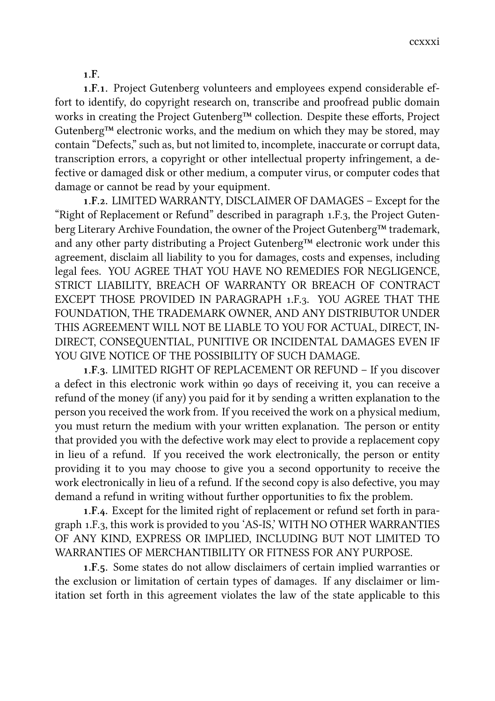**.F.**

**.F..** Project Gutenberg volunteers and employees expend considerable effort to identify, do copyright research on, transcribe and proofread public domain works in creating the Project Gutenberg™ collection. Despite these efforts, Project Gutenberg<sup>™</sup> electronic works, and the medium on which they may be stored, may contain "Defects," such as, but not limited to, incomplete, inaccurate or corrupt data, transcription errors, a copyright or other intellectual property infringement, a defective or damaged disk or other medium, a computer virus, or computer codes that damage or cannot be read by your equipment.

**.F..** LIMITED WARRANTY, DISCLAIMER OF DAMAGES – Except for the "Right of Replacement or Refund" described in paragraph 1.F.3, the Project Gutenberg Literary Archive Foundation, the owner of the Project Gutenberg™ trademark, and any other party distributing a Project Gutenberg™ electronic work under this agreement, disclaim all liability to you for damages, costs and expenses, including legal fees. YOU AGREE THAT YOU HAVE NO REMEDIES FOR NEGLIGENCE, STRICT LIABILITY, BREACH OF WARRANTY OR BREACH OF CONTRACT EXCEPT THOSE PROVIDED IN PARAGRAPH 1.F.3. YOU AGREE THAT THE FOUNDATION, THE TRADEMARK OWNER, AND ANY DISTRIBUTOR UNDER THIS AGREEMENT WILL NOT BE LIABLE TO YOU FOR ACTUAL, DIRECT, IN-DIRECT, CONSEQUENTIAL, PUNITIVE OR INCIDENTAL DAMAGES EVEN IF YOU GIVE NOTICE OF THE POSSIBILITY OF SUCH DAMAGE.

1.F.3. LIMITED RIGHT OF REPLACEMENT OR REFUND - If you discover a defect in this electronic work within 90 days of receiving it, you can receive a refund of the money (if any) you paid for it by sending a written explanation to the person you received the work from. If you received the work on a physical medium, you must return the medium with your written explanation. The person or entity that provided you with the defective work may elect to provide a replacement copy in lieu of a refund. If you received the work electronically, the person or entity providing it to you may choose to give you a second opportunity to receive the work electronically in lieu of a refund. If the second copy is also defective, you may demand a refund in writing without further opportunities to fix the problem.

**1.F.4.** Except for the limited right of replacement or refund set forth in paragraph 1.F.3, this work is provided to you 'AS-IS,' WITH NO OTHER WARRANTIES OF ANY KIND, EXPRESS OR IMPLIED, INCLUDING BUT NOT LIMITED TO WARRANTIES OF MERCHANTIBILITY OR FITNESS FOR ANY PURPOSE.

**.F..** Some states do not allow disclaimers of certain implied warranties or the exclusion or limitation of certain types of damages. If any disclaimer or limitation set forth in this agreement violates the law of the state applicable to this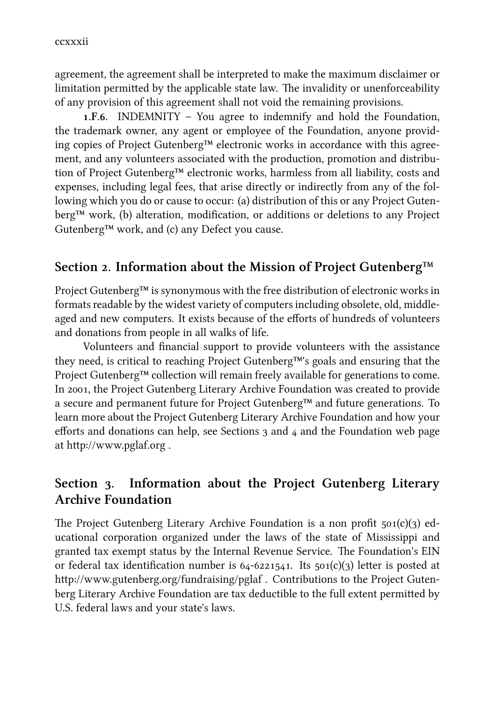agreement, the agreement shall be interpreted to make the maximum disclaimer or limitation permitted by the applicable state law. The invalidity or unenforceability of any provision of this agreement shall not void the remaining provisions.

**1.F.6.** INDEMNITY – You agree to indemnify and hold the Foundation, the trademark owner, any agent or employee of the Foundation, anyone providing copies of Project Gutenberg™ electronic works in accordance with this agreement, and any volunteers associated with the production, promotion and distribution of Project Gutenberg™ electronic works, harmless from all liability, costs and expenses, including legal fees, that arise directly or indirectly from any of the following which you do or cause to occur: (a) distribution of this or any Project Gutenberg™ work, (b) alteration, modification, or additions or deletions to any Project Gutenberg™ work, and (c) any Defect you cause.

#### Section 2. Information about the Mission of Project Gutenberg<sup>™</sup>

Project Gutenberg™ is synonymous with the free distribution of electronic works in formats readable by the widest variety of computers including obsolete, old, middleaged and new computers. It exists because of the efforts of hundreds of volunteers and donations from people in all walks of life.

Volunteers and financial support to provide volunteers with the assistance they need, is critical to reaching Project Gutenberg™'s goals and ensuring that the Project Gutenberg™ collection will remain freely available for generations to come. In 2001, the Project Gutenberg Literary Archive Foundation was created to provide a secure and permanent future for Project Gutenberg™ and future generations. To learn more about the Project Gutenberg Literary Archive Foundation and how your efforts and donations can help, see Sections  $\alpha$  and  $\alpha$  and the Foundation web page at http://www.pglaf.org.

## Section 3. Information about the Project Gutenberg Literary **Archive Foundation**

The Project Gutenberg Literary Archive Foundation is a non profit  $501(c)(3)$  educational corporation organized under the laws of the state of Mississippi and granted tax exempt status by the Internal Revenue Service. The Foundation's EIN or federal tax identification number is  $64-6221541$ . Its  $501(c)(3)$  letter is posted at http://www.gutenberg.org/fundraising/pglaf . Contributions to the Project Gutenberg Literary Archive Foundation are tax deductible to the full extent permitted by U.S. federal laws and your state's laws.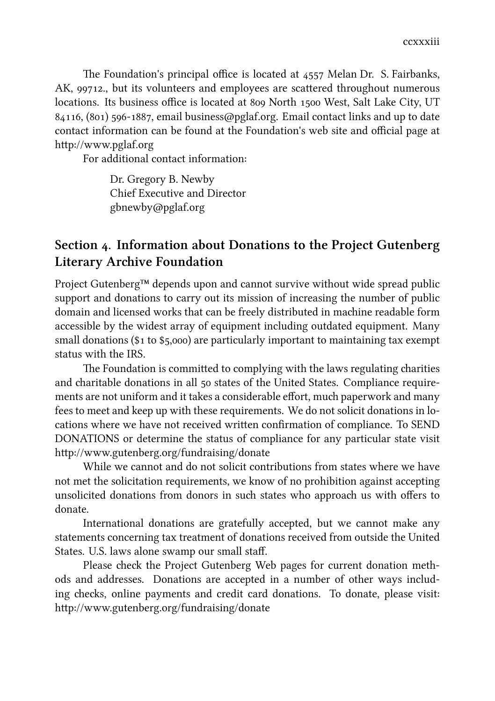The Foundation's principal office is located at  $4557$  Melan Dr. S. Fairbanks, AK, 99712., but its volunteers and employees are scattered throughout numerous locations. Its business office is located at 809 North 1500 West, Salt Lake City, UT  $84116$ ,  $(801)$  596-1887, email business@pglaf.org. Email contact links and up to date contact information can be found at the Foundation's web site and official page at http://www.pglaf.org

For additional contact information:

Dr. Gregory B. Newby Chief Executive and Director gbnewby@pglaf.org

### Section 4. Information about Donations to the Project Gutenberg **Literary Archive Foundation**

Project Gutenberg™ depends upon and cannot survive without wide spread public support and donations to carry out its mission of increasing the number of public domain and licensed works that can be freely distributed in machine readable form accessible by the widest array of equipment including outdated equipment. Many small donations  $(\$1$  to  $\$5,000$  are particularly important to maintaining tax exempt status with the IRS.

The Foundation is committed to complying with the laws regulating charities and charitable donations in all so states of the United States. Compliance requirements are not uniform and it takes a considerable effort, much paperwork and many fees to meet and keep up with these requirements. We do not solicit donations in locations where we have not received written confirmation of compliance. To SEND DONATIONS or determine the status of compliance for any particular state visit http://www.gutenberg.org/fundraising/donate

While we cannot and do not solicit contributions from states where we have not met the solicitation requirements, we know of no prohibition against accepting unsolicited donations from donors in such states who approach us with offers to donate.

International donations are gratefully accepted, but we cannot make any statements concerning tax treatment of donations received from outside the United States. U.S. laws alone swamp our small staff.

Please check the Project Gutenberg Web pages for current donation methods and addresses. Donations are accepted in a number of other ways including checks, online payments and credit card donations. To donate, please visit: http://www.gutenberg.org/fundraising/donate